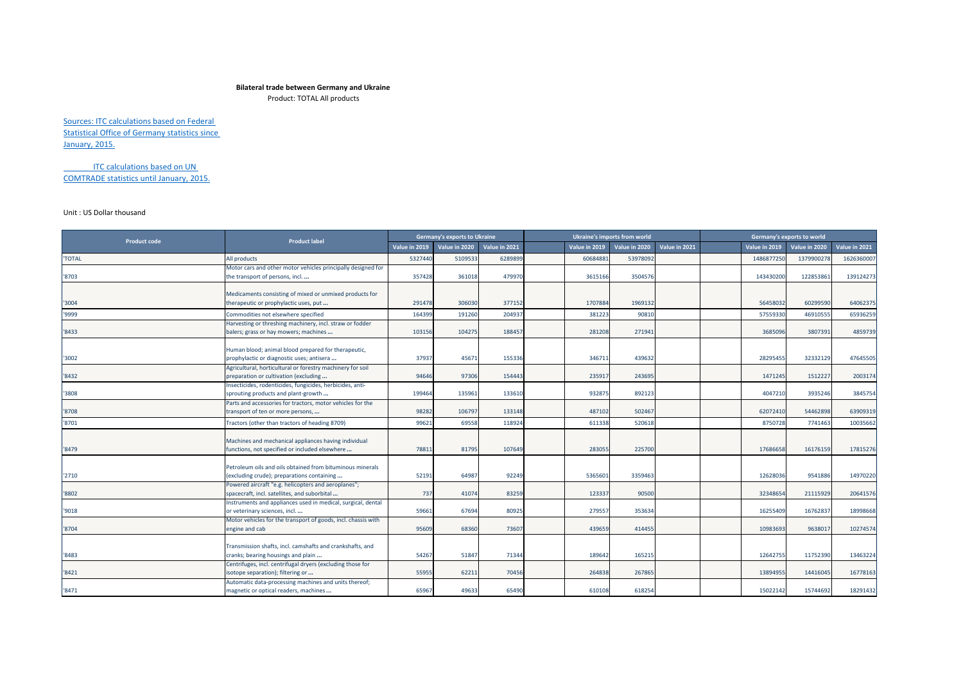## **Bilateral trade between Germany and Ukraine**

Product: TOTAL All products

Sources: ITC calculations based on Federal Statistical Office of Germany statistics since January, 2015.

ITC calculations based on UN COMTRADE statistics until January, 2015.

## Unit : US Dollar thousand

| <b>Product code</b> | <b>Product label</b>                                                                                                                                          |               | Germany's exports to Ukraine |               |               | Ukraine's imports from world |               |               | Germany's exports to world |               |
|---------------------|---------------------------------------------------------------------------------------------------------------------------------------------------------------|---------------|------------------------------|---------------|---------------|------------------------------|---------------|---------------|----------------------------|---------------|
|                     |                                                                                                                                                               | Value in 2019 | Value in 2020                | Value in 2021 | Value in 2019 | Value in 2020                | Value in 2021 | Value in 2019 | Value in 2020              | Value in 2021 |
| <b>'TOTAL</b>       | All products                                                                                                                                                  | 5327440       | 5109533                      | 6289899       | 60684881      | 53978092                     |               | 1486877250    | 1379900278                 | 162636000     |
| '8703               | Motor cars and other motor vehicles principally designed for<br>the transport of persons, incl                                                                | 357428        | 361018                       | 479970        | 3615166       | 3504576                      |               | 143430200     | 122853861                  | 139124273     |
| 3004                | Medicaments consisting of mixed or unmixed products for<br>therapeutic or prophylactic uses, put                                                              | 291478        | 306030                       | 377152        | 1707884       | 1969132                      |               | 56458032      | 60299590                   | 64062375      |
| '9999               | Commodities not elsewhere specified                                                                                                                           | 164399        | 191260                       | 204937        | 381223        | 90810                        |               | 57559330      | 46910555                   | 65936259      |
| '8433               | Harvesting or threshing machinery, incl. straw or fodder<br>balers; grass or hay mowers; machines                                                             | 103156        | 104275                       | 188457        | 281208        | 271941                       |               | 3685096       | 3807391                    | 4859739       |
| '3002               | Human blood; animal blood prepared for therapeutic,<br>prophylactic or diagnostic uses; antisera                                                              | 37937         | 45671                        | 155336        | 346711        | 439632                       |               | 28295455      | 32332129                   | 47645505      |
| '8432               | Agricultural, horticultural or forestry machinery for soil<br>preparation or cultivation (excluding                                                           | 94646         | 97306                        | 154443        | 235917        | 243695                       |               | 1471245       | 1512227                    | 2003174       |
| '3808               | Insecticides, rodenticides, fungicides, herbicides, anti-<br>sprouting products and plant-growth                                                              | 199464        | 135961                       | 133610        | 932875        | 892123                       |               | 4047210       | 3935246                    | 3845754       |
| 8708                | Parts and accessories for tractors, motor vehicles for the<br>transport of ten or more persons,                                                               | 98282         | 106797                       | 133148        | 487102        | 502467                       |               | 62072410      | 54462898                   | 63909319      |
| '8701               | ractors (other than tractors of heading 8709)                                                                                                                 | 99621         | 69558                        | 118924        | 611338        | 520618                       |               | 8750728       | 7741463                    | 10035662      |
| '8479               | Machines and mechanical appliances having individual<br>functions, not specified or included elsewhere                                                        | 78811         | 81795                        | 107649        | 283055        | 225700                       |               | 17686658      | 16176159                   | 17815276      |
| '2710               | Petroleum oils and oils obtained from bituminous minerals<br>(excluding crude); preparations containing                                                       | 52191         | 64987                        | 92249         | 5365601       | 3359463                      |               | 12628036      | 9541886                    | 14970220      |
| '8802               | Powered aircraft "e.g. helicopters and aeroplanes";<br>spacecraft, incl. satellites, and suborbital                                                           | 737           | 41074                        | 83259         | 123337        | 90500                        |               | 32348654      | 21115929                   | 20641576      |
| '9018               | Instruments and appliances used in medical, surgical, dental<br>or veterinary sciences, incl                                                                  | 59661         | 67694                        | 80925         | 279557        | 353634                       |               | 16255409      | 16762837                   | 18998668      |
| '8704               | Motor vehicles for the transport of goods, incl. chassis with<br>engine and cab                                                                               | 95609         | 68360                        | 73607         | 439659        | 414455                       |               | 10983693      | 9638017                    | 10274574      |
| '8483               | Transmission shafts, incl. camshafts and crankshafts, and<br>cranks; bearing housings and plain<br>Centrifuges, incl. centrifugal dryers (excluding those for | 54267         | 51847                        | 71344         | 189642        | 165215                       |               | 12642755      | 11752390                   | 13463224      |
| 8421                | isotope separation); filtering or<br>Automatic data-processing machines and units thereof;                                                                    | 55955         | 62211                        | 70456         | 264838        | 267865                       |               | 13894955      | 14416045                   | 16778163      |
| '8471               | magnetic or optical readers, machines                                                                                                                         | 65967         | 49633                        | 65490         | 610108        | 618254                       |               | 15022142      | 15744692                   | 18291432      |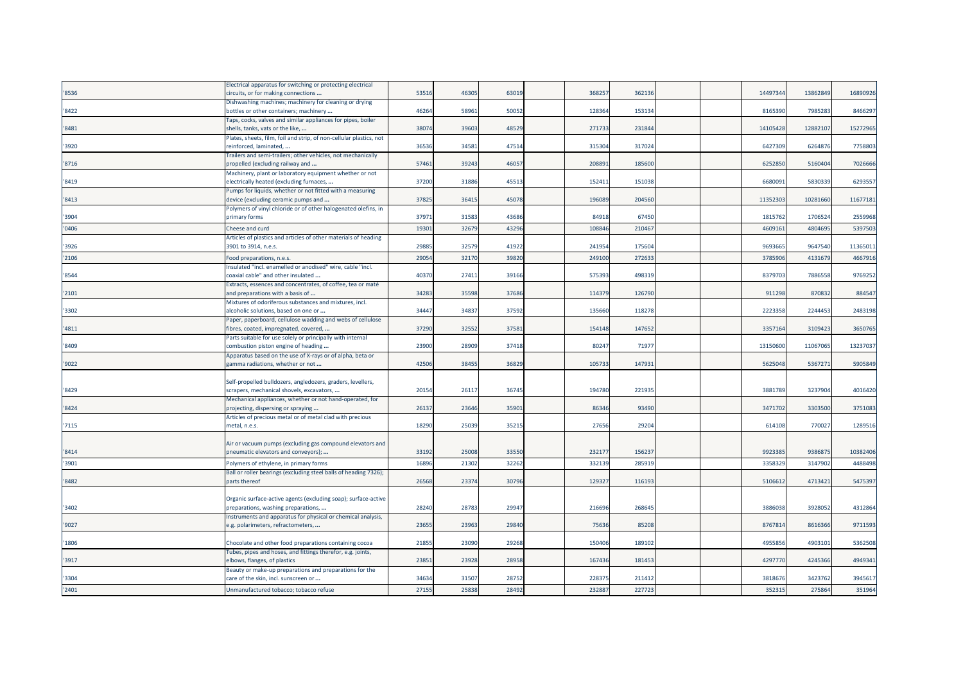|        | Electrical apparatus for switching or protecting electrical                                            |       |       |       |        |        |  |          |          |          |
|--------|--------------------------------------------------------------------------------------------------------|-------|-------|-------|--------|--------|--|----------|----------|----------|
| '8536  | circuits, or for making connections                                                                    | 53516 | 4630  | 63019 | 36825  | 362136 |  | 14497344 | 13862849 | 16890926 |
| '8422  | Dishwashing machines; machinery for cleaning or drying                                                 | 46264 | 5896  | 50052 | 128364 | 153134 |  | 816539   | 798528   | 8466297  |
|        | bottles or other containers; machinery<br>Taps, cocks, valves and similar appliances for pipes, boiler |       |       |       |        |        |  |          |          |          |
| '8481  | shells, tanks, vats or the like,                                                                       | 38074 | 3960  | 48529 | 271733 | 23184  |  | 14105428 | 12882107 | 15272965 |
|        | Plates, sheets, film, foil and strip, of non-cellular plastics, not                                    |       |       |       |        |        |  |          |          |          |
| '3920  | reinforced, laminated,                                                                                 | 36536 | 3458  | 47514 | 315304 | 317024 |  | 6427309  | 6264876  | 7758803  |
|        | Frailers and semi-trailers; other vehicles, not mechanically                                           |       |       |       |        |        |  |          |          |          |
| '8716  | propelled (excluding railway and                                                                       | 57461 | 39243 | 46057 | 208891 | 185600 |  | 6252850  | 5160404  | 7026666  |
|        | Machinery, plant or laboratory equipment whether or not                                                |       |       |       |        |        |  |          |          |          |
| '8419  | electrically heated (excluding furnaces,                                                               | 37200 | 3188  | 45513 | 15241: | 151038 |  | 668009   | 5830339  | 6293557  |
|        | Pumps for liquids, whether or not fitted with a measuring                                              |       |       |       |        |        |  |          |          |          |
| '8413' | device (excluding ceramic pumps and                                                                    | 37825 | 3641  | 45078 | 196089 | 20456  |  | 1135230  | 10281660 | 11677181 |
|        | Polymers of vinyl chloride or of other halogenated olefins, in                                         |       |       |       |        |        |  |          |          |          |
| '3904  | primary forms                                                                                          | 37971 | 3158  | 43686 | 84918  | 67450  |  | 1815762  | 1706524  | 2559968  |
| '0406  | Cheese and curd                                                                                        | 19301 | 3267  | 43296 | 10884  | 21046  |  | 460916   | 480469   | 5397503  |
|        | Articles of plastics and articles of other materials of heading                                        |       |       |       |        |        |  |          |          |          |
| '3926  | 3901 to 3914, n.e.s.                                                                                   | 29885 | 32579 | 41922 | 241954 | 17560  |  | 969366   | 9647540  | 11365011 |
| '2106  | Food preparations, n.e.s.                                                                              | 29054 | 32170 | 3982  | 249100 | 27263  |  | 378590   | 413167   | 4667916  |
|        | nsulated "incl. enamelled or anodised" wire, cable "incl.                                              |       |       |       |        |        |  |          |          |          |
| '8544  | coaxial cable" and other insulated                                                                     | 40370 | 2741  | 39166 | 575393 | 49831  |  | 837970   | 788655   | 9769252  |
|        | Extracts, essences and concentrates, of coffee, tea or maté                                            |       |       |       |        |        |  |          |          |          |
| '2101  | and preparations with a basis of                                                                       | 34283 | 35598 | 37686 | 114379 | 126790 |  | 911298   | 870832   | 884547   |
|        | Mixtures of odoriferous substances and mixtures, incl.                                                 |       |       |       |        |        |  |          |          |          |
| '3302  | alcoholic solutions, based on one or                                                                   | 34447 | 34837 | 37592 | 135660 | 118278 |  | 222335   | 2244453  | 2483198  |
|        | Paper, paperboard, cellulose wadding and webs of cellulose                                             |       |       |       | 154148 | 147652 |  | 3357164  | 3109423  |          |
| '4811  | ibres, coated, impregnated, covered,                                                                   | 37290 | 3255  | 37581 |        |        |  |          |          | 3650765  |
| '8409  | Parts suitable for use solely or principally with internal<br>combustion piston engine of heading      | 23900 | 28909 | 37418 | 8024   | 7197   |  | 13150600 | 11067065 | 13237037 |
|        | Apparatus based on the use of X-rays or of alpha, beta or                                              |       |       |       |        |        |  |          |          |          |
| '9022  | gamma radiations, whether or not                                                                       | 42506 | 3845  | 36829 | 105733 | 14793  |  | 5625048  | 5367271  | 5905849  |
|        |                                                                                                        |       |       |       |        |        |  |          |          |          |
|        | Self-propelled bulldozers, angledozers, graders, levellers,                                            |       |       |       |        |        |  |          |          |          |
| '8429  | scrapers, mechanical shovels, excavators,                                                              | 20154 | 2611  | 3674  | 194780 | 22193  |  | 388178   | 3237904  | 4016420  |
|        | Mechanical appliances, whether or not hand-operated, for                                               |       |       |       |        |        |  |          |          |          |
| '8424  | projecting, dispersing or spraying                                                                     | 26137 | 23646 | 35901 | 8634   | 93490  |  | 3471702  | 3303500  | 3751083  |
|        | Articles of precious metal or of metal clad with precious                                              |       |       |       |        |        |  |          |          |          |
| '7115  | metal, n.e.s.                                                                                          | 18290 | 25039 | 35215 | 2765   | 29204  |  | 614108   | 770027   | 1289516  |
|        |                                                                                                        |       |       |       |        |        |  |          |          |          |
| '8414  | Air or vacuum pumps (excluding gas compound elevators and<br>pneumatic elevators and conveyors);       | 33192 | 25008 | 33550 | 23217  | 156237 |  | 9923385  | 9386875  | 10382406 |
|        |                                                                                                        |       |       |       |        |        |  |          |          |          |
| '3901  | Polymers of ethylene, in primary forms                                                                 | 16896 | 2130  | 32262 | 332139 | 28591  |  | 335832   | 314790   | 4488498  |
|        | Ball or roller bearings (excluding steel balls of heading 7326);                                       |       |       |       |        |        |  |          |          |          |
| '8482  | parts thereof                                                                                          | 26568 | 23374 | 30796 | 129327 | 11619  |  | 510661   | 4713421  | 5475397  |
|        | Organic surface-active agents (excluding soap); surface-active                                         |       |       |       |        |        |  |          |          |          |
| '3402  | oreparations, washing preparations,                                                                    | 28240 | 28783 | 2994  | 21669  | 26864  |  | 3886038  | 3928052  | 4312864  |
|        | Instruments and apparatus for physical or chemical analysis,                                           |       |       |       |        |        |  |          |          |          |
| '9027  | e.g. polarimeters, refractometers,                                                                     | 23655 | 2396  | 29840 | 7563   | 85208  |  | 8767814  | 8616366  | 9711593  |
|        |                                                                                                        |       |       |       |        |        |  |          |          |          |
| '1806  | Chocolate and other food preparations containing cocoa                                                 | 21855 | 23090 | 29268 | 15040  | 189102 |  | 4955856  | 4903101  | 5362508  |
|        | Tubes, pipes and hoses, and fittings therefor, e.g. joints,                                            |       |       |       |        |        |  |          |          |          |
| '3917  | elbows, flanges, of plastics                                                                           | 23851 | 23928 | 28958 | 16743  | 181453 |  | 4297770  | 4245366  | 4949341  |
|        | Beauty or make-up preparations and preparations for the                                                |       |       |       |        |        |  |          |          |          |
| '3304  | care of the skin, incl. sunscreen or                                                                   | 34634 | 31507 | 28752 | 22837  | 21141  |  | 3818676  | 3423762  | 3945617  |
| '2401  | Unmanufactured tobacco; tobacco refuse                                                                 | 27155 | 25838 | 2849  | 23288  | 22772  |  | 35231    | 275864   | 351964   |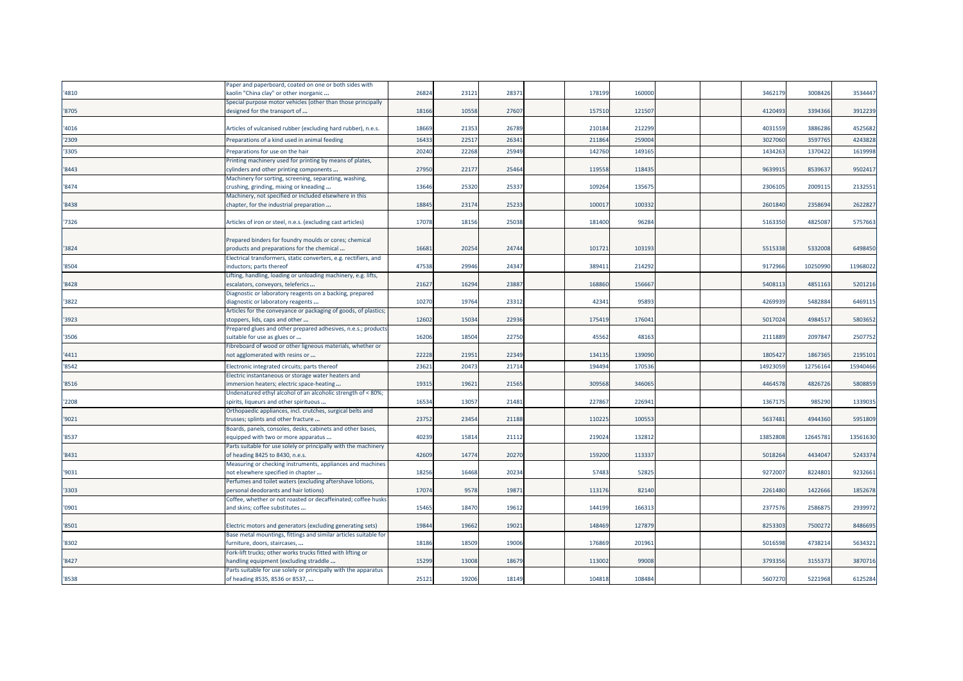|       | Paper and paperboard, coated on one or both sides with                                       |       |       |       |        |        |  |          |          |          |
|-------|----------------------------------------------------------------------------------------------|-------|-------|-------|--------|--------|--|----------|----------|----------|
| '4810 | «aolin "China clay" or other inorganic                                                       | 26824 | 2312  | 28371 | 17819  | 160000 |  | 3462179  | 3008426  | 3534447  |
|       | Special purpose motor vehicles (other than those principally                                 |       |       |       |        |        |  |          |          |          |
| '8705 | designed for the transport of                                                                | 18166 | 10558 | 27607 | 15751  | 12150  |  | 4120493  | 3394366  | 3912239  |
|       |                                                                                              |       |       |       |        |        |  |          |          |          |
| '4016 | Articles of vulcanised rubber (excluding hard rubber), n.e.s.                                | 18669 | 21353 | 26789 | 210184 | 212299 |  | 4031559  | 3886286  | 4525682  |
| '2309 | Preparations of a kind used in animal feeding                                                | 1643  | 2251  | 26341 | 21186  | 25900  |  | 3027060  | 359776   | 4243828  |
| '3305 | Preparations for use on the hair                                                             | 2024  | 22268 | 25949 | 14276  | 149165 |  | 1434263  | 1370422  | 1619998  |
|       | Printing machinery used for printing by means of plates,                                     |       |       |       |        |        |  |          |          |          |
| '8443 | cylinders and other printing components                                                      | 27950 | 22177 | 25464 | 119558 | 118435 |  | 9639915  | 8539637  | 9502417  |
|       | Machinery for sorting, screening, separating, washing,                                       |       |       |       |        |        |  |          |          |          |
| '8474 | crushing, grinding, mixing or kneading                                                       | 13646 | 25320 | 25337 | 109264 | 135675 |  | 2306105  | 2009115  | 2132551  |
|       | Machinery, not specified or included elsewhere in this                                       |       |       |       |        |        |  |          |          |          |
| '8438 | chapter, for the industrial preparation                                                      | 1884  | 2317  | 25233 | 10001  | 100332 |  | 2601840  | 2358694  | 2622827  |
|       |                                                                                              |       |       |       |        |        |  |          |          |          |
| '7326 | Articles of iron or steel, n.e.s. (excluding cast articles)                                  | 17078 | 18156 | 25038 | 181400 | 96284  |  | 5163350  | 482508   | 5757663  |
|       |                                                                                              |       |       |       |        |        |  |          |          |          |
|       | Prepared binders for foundry moulds or cores; chemical                                       |       |       |       |        |        |  |          |          |          |
| '3824 | products and preparations for the chemical                                                   | 1668  | 20254 | 24744 | 10172  | 103193 |  | 551533   | 5332008  | 6498450  |
|       | Electrical transformers, static converters, e.g. rectifiers, and                             |       |       |       |        |        |  |          |          |          |
| '8504 | inductors; parts thereof                                                                     | 47538 | 29946 | 24347 | 38941  | 214292 |  | 9172966  | 10250990 | 11968022 |
|       | Lifting, handling, loading or unloading machinery, e.g. lifts,                               |       |       |       |        |        |  |          |          |          |
| '8428 | escalators, conveyors, teleferics                                                            | 2162  | 16294 | 23887 | 168860 | 156667 |  | 5408113  | 4851163  | 5201216  |
|       | Diagnostic or laboratory reagents on a backing, prepared                                     |       |       |       |        |        |  |          |          |          |
| '3822 | diagnostic or laboratory reagents                                                            | 10270 | 19764 | 23312 | 4234   | 95893  |  | 4269939  | 5482884  | 6469115  |
|       | Articles for the conveyance or packaging of goods, of plastics                               |       |       |       |        |        |  |          |          |          |
| '3923 | stoppers, lids, caps and other                                                               | 12602 | 15034 | 22936 | 17541  | 176041 |  | 5017024  | 4984517  | 5803652  |
|       | Prepared glues and other prepared adhesives, n.e.s.; products                                |       |       |       |        |        |  |          |          |          |
| '3506 | suitable for use as glues or                                                                 | 16206 | 1850  | 22750 | 4556   | 48163  |  | 211188   | 209784   | 2507752  |
|       | Fibreboard of wood or other ligneous materials, whether or                                   |       |       |       |        |        |  |          |          |          |
| '4411 | not agglomerated with resins or                                                              | 22228 | 2195  | 22349 | 13413  | 139090 |  | 1805427  | 1867365  | 2195101  |
| '8542 | Electronic integrated circuits; parts thereof                                                | 2362  | 2047  | 21714 | 19449  | 17053  |  | 1492305  | 1275616  | 15940466 |
|       | Electric instantaneous or storage water heaters and                                          |       |       |       |        |        |  |          |          |          |
| '8516 | mmersion heaters; electric space-heating                                                     | 19315 | 1962  | 21565 | 30956  | 346065 |  | 4464578  | 4826726  | 5808859  |
|       | Undenatured ethyl alcohol of an alcoholic strength of < 80%;                                 |       |       |       |        |        |  |          |          |          |
| '2208 | spirits, liqueurs and other spirituous                                                       | 1653  | 13057 | 21481 | 22786  | 226941 |  | 1367175  | 985290   | 1339035  |
|       | Orthopaedic appliances, incl. crutches, surgical belts and                                   |       |       |       |        |        |  |          |          |          |
| '9021 | trusses; splints and other fracture                                                          | 23752 | 23454 | 21188 | 11022  | 10055  |  | 563748   | 4944360  | 5951809  |
|       | Boards, panels, consoles, desks, cabinets and other bases,                                   |       |       |       |        |        |  |          |          |          |
| '8537 | equipped with two or more apparatus                                                          | 40239 | 1581  | 21112 | 21902  | 132812 |  | 13852808 | 12645781 | 13561630 |
|       | Parts suitable for use solely or principally with the machinery                              |       |       |       |        |        |  |          |          |          |
| '8431 | of heading 8425 to 8430, n.e.s.                                                              | 42609 | 14774 | 20270 | 159200 | 113337 |  | 5018264  | 4434047  | 5243374  |
|       | Measuring or checking instruments, appliances and machines                                   |       |       |       |        |        |  |          |          |          |
| '9031 | not elsewhere specified in chapter                                                           | 18256 | 16468 | 20234 | 5748   | 52825  |  | 927200   | 8224801  | 9232661  |
|       | Perfumes and toilet waters (excluding aftershave lotions,                                    |       |       |       |        |        |  |          |          |          |
| '3303 | personal deodorants and hair lotions)                                                        | 17074 | 9578  | 19871 | 11317  | 82140  |  | 2261480  | 1422666  | 1852678  |
| '0901 | Coffee, whether or not roasted or decaffeinated; coffee husks                                | 15465 | 18470 | 19612 | 144199 | 16631  |  |          | 2586875  | 2939972  |
|       | and skins; coffee substitutes                                                                |       |       |       |        |        |  | 2377576  |          |          |
|       |                                                                                              | 19844 | 19662 | 19021 | 14846  | 12787  |  | 825330   | 750027   |          |
| '8501 | Electric motors and generators (excluding generating sets)                                   |       |       |       |        |        |  |          |          | 8486695  |
| '8302 | Base metal mountings, fittings and similar articles suitable for                             | 18186 | 18509 | 19006 | 17686  | 201961 |  | 5016598  | 473821   | 5634321  |
|       | furniture, doors, staircases,<br>Fork-lift trucks; other works trucks fitted with lifting or |       |       |       |        |        |  |          |          |          |
| '8427 | handling equipment (excluding straddle                                                       | 15299 | 13008 | 18679 | 11300  | 9900   |  | 3793356  | 315537   | 3870716  |
|       | Parts suitable for use solely or principally with the apparatus                              |       |       |       |        |        |  |          |          |          |
| '8538 | of heading 8535, 8536 or 8537,                                                               | 25121 | 19206 | 18149 | 104818 | 108484 |  | 5607270  | 5221968  | 6125284  |
|       |                                                                                              |       |       |       |        |        |  |          |          |          |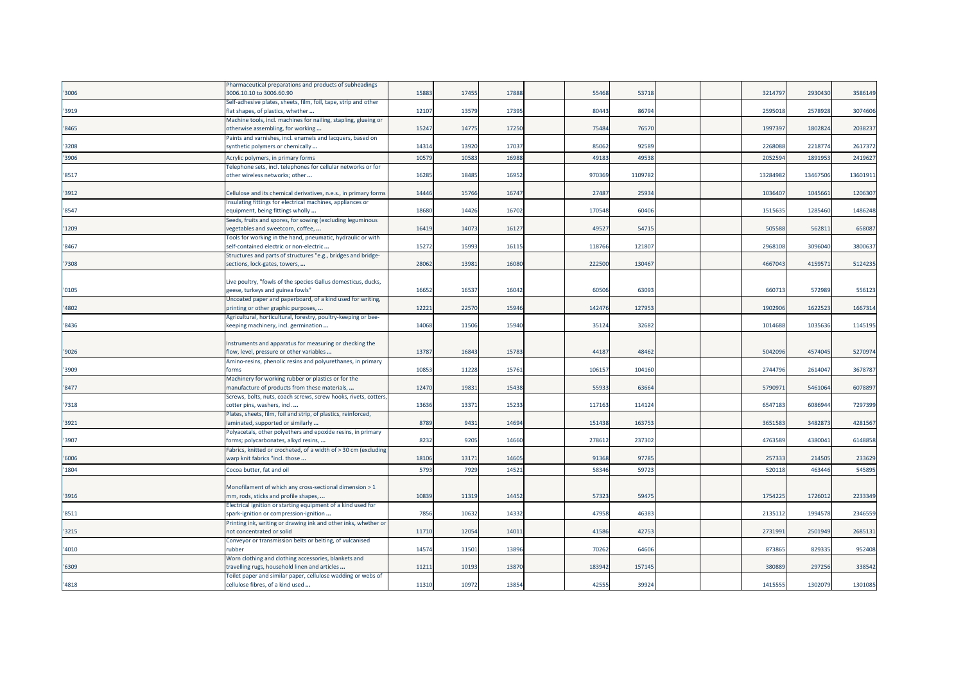|       | Pharmaceutical preparations and products of subheadings          |       |       |       |        |        |  |         |          |          |
|-------|------------------------------------------------------------------|-------|-------|-------|--------|--------|--|---------|----------|----------|
| '3006 | 3006.10.10 to 3006.60.90                                         | 15883 | 17455 | 17888 | 55468  | 53718  |  | 3214797 | 2930430  | 3586149  |
|       | Self-adhesive plates, sheets, film, foil, tape, strip and other  |       |       |       |        |        |  |         |          |          |
| '3919 | flat shapes, of plastics, whether                                | 12107 | 13579 | 17395 | 80443  | 86794  |  | 259501  | 2578928  | 3074606  |
|       | Machine tools, incl. machines for nailing, stapling, glueing or  |       |       |       |        |        |  |         |          |          |
| '8465 | otherwise assembling, for working                                | 15247 | 14775 | 17250 | 75484  | 76570  |  | 1997397 | 1802824  | 2038237  |
|       | Paints and varnishes, incl. enamels and lacquers, based on       |       |       |       |        |        |  |         |          |          |
| '3208 |                                                                  | 14314 | 13920 | 1703  | 85062  | 92589  |  | 226808  | 221877   | 2617372  |
|       | synthetic polymers or chemically                                 |       |       |       |        |        |  |         |          |          |
| '3906 | Acrylic polymers, in primary forms                               | 10579 | 1058  | 16988 | 49183  | 49538  |  | 205259  | 189195   | 2419627  |
|       | Felephone sets, incl. telephones for cellular networks or for    |       |       |       |        |        |  |         |          |          |
| '8517 | other wireless networks; other                                   | 16285 | 18485 | 1695  | 970369 | 110978 |  | 1328498 | 13467506 | 13601911 |
|       |                                                                  |       |       |       |        |        |  |         |          |          |
| '3912 | Cellulose and its chemical derivatives, n.e.s., in primary forms | 14446 | 15766 | 16747 | 27487  | 25934  |  | 1036407 | 1045661  | 1206307  |
|       | nsulating fittings for electrical machines, appliances or        |       |       |       |        |        |  |         |          |          |
| '8547 | equipment, being fittings wholly                                 | 18680 | 14426 | 16702 | 170548 | 60406  |  | 1515635 | 1285460  | 1486248  |
|       | Seeds, fruits and spores, for sowing (excluding leguminous       |       |       |       |        |        |  |         |          |          |
| '1209 | regetables and sweetcorn, coffee,                                | 16419 | 1407  | 16127 | 49527  | 54715  |  | 505588  | 56281    | 658087   |
|       | Tools for working in the hand, pneumatic, hydraulic or with      |       |       |       |        |        |  |         |          |          |
| '8467 | self-contained electric or non-electric                          | 15272 | 1599  | 16115 | 118766 | 12180  |  | 296810  | 309604   | 3800637  |
|       |                                                                  |       |       |       |        |        |  |         |          |          |
|       | Structures and parts of structures "e.g., bridges and bridge-    |       |       |       |        |        |  |         |          |          |
| '7308 | sections, lock-gates, towers,                                    | 28062 | 13981 | 16080 | 222500 | 130467 |  | 4667043 | 415957   | 5124235  |
|       |                                                                  |       |       |       |        |        |  |         |          |          |
|       | Live poultry, "fowls of the species Gallus domesticus, ducks,    |       |       |       |        |        |  |         |          |          |
| '0105 | geese, turkeys and guinea fowls"                                 | 16652 | 1653  | 16042 | 60506  | 63093  |  | 66071   | 57298    | 556123   |
|       | Uncoated paper and paperboard, of a kind used for writing,       |       |       |       |        |        |  |         |          |          |
| '4802 | printing or other graphic purposes,                              | 12221 | 22570 | 15946 | 142476 | 127953 |  | 190290  | 1622523  | 1667314  |
|       | Agricultural, horticultural, forestry, poultry-keeping or bee-   |       |       |       |        |        |  |         |          |          |
| '8436 | keeping machinery, incl. germination                             | 14068 | 11506 | 15940 | 35124  | 32682  |  | 101468  | 103563   | 1145195  |
|       |                                                                  |       |       |       |        |        |  |         |          |          |
|       | Instruments and apparatus for measuring or checking the          |       |       |       |        |        |  |         |          |          |
| '9026 | low, level, pressure or other variables                          | 13787 | 1684  | 15783 | 44187  | 48462  |  | 5042096 | 4574045  | 5270974  |
|       | Amino-resins, phenolic resins and polyurethanes, in primary      |       |       |       |        |        |  |         |          |          |
| '3909 | forms                                                            | 10853 | 11228 | 1576  | 106157 | 104160 |  | 274479  | 2614047  | 3678787  |
|       | Machinery for working rubber or plastics or for the              |       |       |       |        |        |  |         |          |          |
| '8477 |                                                                  | 12470 | 19831 | 15438 | 55933  | 63664  |  | 579097  | 5461064  | 6078897  |
|       | manufacture of products from these materials,                    |       |       |       |        |        |  |         |          |          |
|       | Screws, bolts, nuts, coach screws, screw hooks, rivets, cotters  |       |       |       |        |        |  |         |          |          |
| '7318 | cotter pins, washers, incl                                       | 13636 | 1337  | 15233 | 117163 | 114124 |  | 6547183 | 6086944  | 7297399  |
|       | Plates, sheets, film, foil and strip, of plastics, reinforced,   |       |       |       |        |        |  |         |          |          |
| '3921 | laminated, supported or similarly                                | 8789  | 943   | 1469  | 151438 | 163753 |  | 3651583 | 348287   | 4281567  |
|       | Polyacetals, other polyethers and epoxide resins, in primary     |       |       |       |        |        |  |         |          |          |
| '3907 | forms; polycarbonates, alkyd resins,                             | 8232  | 9205  | 14660 | 27861  | 237302 |  | 476358  | 438004   | 6148858  |
|       | Fabrics, knitted or crocheted, of a width of > 30 cm (excluding  |       |       |       |        |        |  |         |          |          |
| '6006 | warp knit fabrics "incl. those                                   | 18106 | 13171 | 14605 | 91368  | 97785  |  | 257333  | 214505   | 233629   |
| '1804 | Cocoa butter, fat and oil                                        | 5793  | 7929  | 14521 | 58346  | 59723  |  | 520118  | 463446   | 545895   |
|       |                                                                  |       |       |       |        |        |  |         |          |          |
|       |                                                                  |       |       |       |        |        |  |         |          |          |
|       | Monofilament of which any cross-sectional dimension > 1          | 10839 |       | 14452 | 57323  | 59475  |  | 1754225 | 1726012  | 2233349  |
| '3916 | mm, rods, sticks and profile shapes,                             |       | 11319 |       |        |        |  |         |          |          |
|       | Electrical ignition or starting equipment of a kind used for     |       |       |       |        |        |  |         |          |          |
| '8511 | spark-ignition or compression-ignition                           | 7856  | 10632 | 14332 | 47958  | 46383  |  | 213511  | 1994578  | 2346559  |
|       | Printing ink, writing or drawing ink and other inks, whether or  |       |       |       |        |        |  |         |          |          |
| '3215 | not concentrated or solid                                        | 11710 | 12054 | 1401  | 41586  | 42753  |  | 2731991 | 2501949  | 2685131  |
|       | Conveyor or transmission belts or belting, of vulcanised         |       |       |       |        |        |  |         |          |          |
| '4010 | rubber                                                           | 14574 | 11501 | 13896 | 70262  | 64606  |  | 873865  | 829335   | 952408   |
|       | Worn clothing and clothing accessories, blankets and             |       |       |       |        |        |  |         |          |          |
| '6309 | travelling rugs, household linen and articles                    | 11211 | 1019  | 1387  | 18394  | 157145 |  | 380889  | 297256   | 338542   |
|       | Toilet paper and similar paper, cellulose wadding or webs of     |       |       |       |        |        |  |         |          |          |
| '4818 | cellulose fibres, of a kind used                                 | 11310 | 10972 | 13854 | 42555  | 39924  |  | 1415555 | 1302079  | 1301085  |
|       |                                                                  |       |       |       |        |        |  |         |          |          |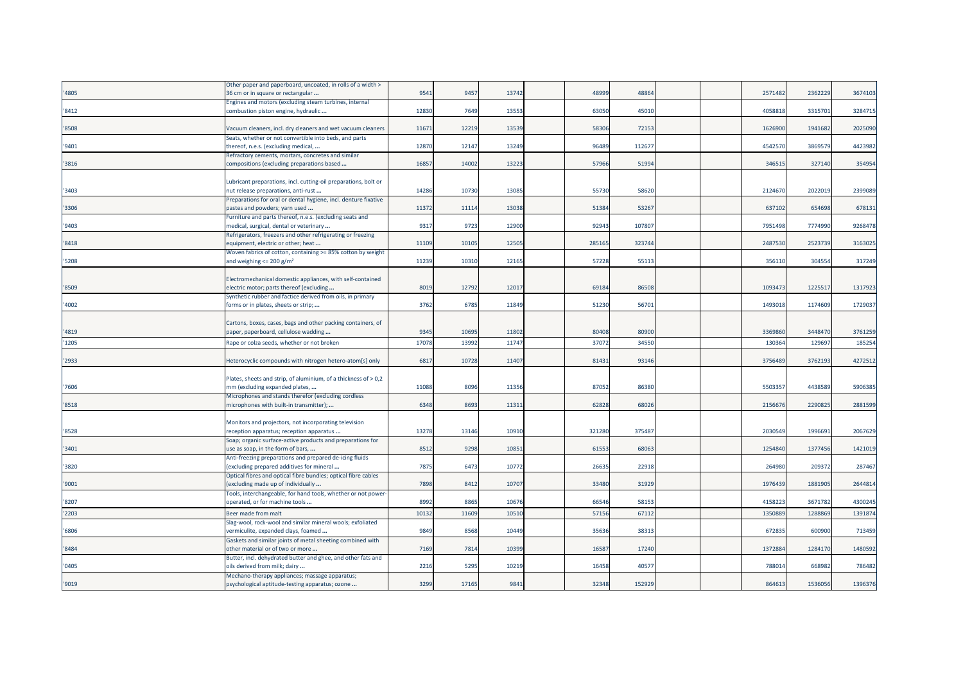|       | Other paper and paperboard, uncoated, in rolls of a width >     |       |       |       |        |        |  |         |         |         |
|-------|-----------------------------------------------------------------|-------|-------|-------|--------|--------|--|---------|---------|---------|
| '4805 | 36 cm or in square or rectangular                               | 9541  | 9457  | 13742 | 4899   | 48864  |  | 2571482 | 2362229 | 3674103 |
|       | Engines and motors (excluding steam turbines, internal          |       |       |       |        |        |  |         |         |         |
| '8412 | combustion piston engine, hydraulic                             | 12830 | 7649  | 13553 | 6305   | 45010  |  | 4058818 | 3315701 | 3284715 |
|       |                                                                 |       |       |       |        |        |  |         |         |         |
| '8508 | Vacuum cleaners, incl. dry cleaners and wet vacuum cleaners     | 11671 | 12219 | 13539 | 58306  | 72153  |  | 1626900 | 1941682 | 2025090 |
|       | Seats, whether or not convertible into beds, and parts          |       |       |       |        |        |  |         |         |         |
| '9401 | thereof, n.e.s. (excluding medical,                             | 12870 | 12147 | 13249 | 96489  | 112677 |  | 4542570 | 3869579 | 4423982 |
|       | Refractory cements, mortars, concretes and similar              |       |       |       |        |        |  |         |         |         |
| '3816 | compositions (excluding preparations based                      | 1685  | 14002 | 13223 | 57966  | 51994  |  | 34651   | 327140  | 354954  |
|       |                                                                 |       |       |       |        |        |  |         |         |         |
|       | Lubricant preparations, incl. cutting-oil preparations, bolt or |       |       |       |        |        |  |         |         |         |
| '3403 | nut release preparations, anti-rust                             | 14286 | 10730 | 13085 | 55730  | 58620  |  | 2124670 | 2022019 | 2399089 |
|       |                                                                 |       |       |       |        |        |  |         |         |         |
|       | Preparations for oral or dental hygiene, incl. denture fixative |       |       |       |        |        |  |         |         |         |
| '3306 | pastes and powders; yarn used                                   | 11372 | 1111  | 13038 | 51384  | 53267  |  | 637102  | 654698  | 678131  |
|       | Furniture and parts thereof, n.e.s. (excluding seats and        |       |       |       |        |        |  |         |         |         |
| '9403 | medical, surgical, dental or veterinary                         | 9317  | 9723  | 12900 | 9294   | 10780  |  | 7951498 | 7774990 | 9268478 |
|       | Refrigerators, freezers and other refrigerating or freezing     |       |       |       |        |        |  |         |         |         |
| '8418 | equipment, electric or other; heat                              | 11109 | 10105 | 12505 | 285165 | 323744 |  | 2487530 | 2523739 | 3163025 |
|       | Woven fabrics of cotton, containing >= 85% cotton by weight     |       |       |       |        |        |  |         |         |         |
| '5208 | and weighing $\leq$ 200 g/m <sup>2</sup>                        | 11239 | 10310 | 12165 | 57228  | 55113  |  | 356110  | 304554  | 317249  |
|       |                                                                 |       |       |       |        |        |  |         |         |         |
|       | Electromechanical domestic appliances, with self-contained      |       |       |       |        |        |  |         |         |         |
| '8509 | electric motor; parts thereof (excluding                        | 801   | 12792 | 12017 | 6918   | 86508  |  | 109347  | 122551  | 1317923 |
|       | Synthetic rubber and factice derived from oils, in primary      |       |       |       |        |        |  |         |         |         |
| '4002 | forms or in plates, sheets or strip;                            | 3762  | 6785  | 11849 | 51230  | 56701  |  | 1493018 | 1174609 | 1729037 |
|       |                                                                 |       |       |       |        |        |  |         |         |         |
|       |                                                                 |       |       |       |        |        |  |         |         |         |
|       | Cartons, boxes, cases, bags and other packing containers, of    |       |       |       |        |        |  |         |         |         |
| '4819 | paper, paperboard, cellulose wadding                            | 9345  | 10695 | 11802 | 80408  | 80900  |  | 336986  | 3448470 | 3761259 |
| '1205 | Rape or colza seeds, whether or not broken                      | 17078 | 1399  | 11747 | 3707   | 34550  |  | 130364  | 12969   | 185254  |
|       |                                                                 |       |       |       |        |        |  |         |         |         |
| '2933 | Heterocyclic compounds with nitrogen hetero-atom[s] only        | 6817  | 10728 | 11407 | 81431  | 93146  |  | 3756489 | 3762193 | 4272512 |
|       |                                                                 |       |       |       |        |        |  |         |         |         |
|       | Plates, sheets and strip, of aluminium, of a thickness of > 0,2 |       |       |       |        |        |  |         |         |         |
| '7606 | mm (excluding expanded plates,                                  | 11088 | 8096  | 11356 | 87052  | 86380  |  | 5503357 | 4438589 | 5906385 |
|       | Microphones and stands therefor (excluding cordless             |       |       |       |        |        |  |         |         |         |
| '8518 | microphones with built-in transmitter);                         | 6348  | 8693  | 11311 | 62828  | 68026  |  | 2156676 | 2290825 | 2881599 |
|       |                                                                 |       |       |       |        |        |  |         |         |         |
|       | Monitors and projectors, not incorporating television           |       |       |       |        |        |  |         |         |         |
| '8528 | reception apparatus; reception apparatus                        | 13278 | 13146 | 10910 | 321280 | 375487 |  | 2030549 | 1996691 | 2067629 |
|       |                                                                 |       |       |       |        |        |  |         |         |         |
|       | Soap; organic surface-active products and preparations for      |       |       |       |        | 68063  |  | 1254840 | 1377456 |         |
| '3401 | use as soap, in the form of bars,                               | 8512  | 9298  | 10851 | 6155   |        |  |         |         | 1421019 |
|       | Anti-freezing preparations and prepared de-icing fluids         |       |       |       |        |        |  |         |         |         |
| '3820 | (excluding prepared additives for mineral                       | 7875  | 6473  | 10772 | 26635  | 22918  |  | 264980  | 209372  | 287467  |
|       | Optical fibres and optical fibre bundles; optical fibre cables  |       |       |       |        |        |  |         |         |         |
| '9001 | (excluding made up of individually                              | 7898  | 8412  | 10707 | 33480  | 31929  |  | 1976439 | 1881905 | 2644814 |
|       | Tools, interchangeable, for hand tools, whether or not power    |       |       |       |        |        |  |         |         |         |
| '8207 | operated, or for machine tools                                  | 8992  | 8865  | 10676 | 6654   | 58153  |  | 4158223 | 3671782 | 4300245 |
| '2203 | Beer made from malt                                             | 1013  | 11609 | 10510 | 5715   | 67112  |  | 135088  | 128886  | 1391874 |
|       | Slag-wool, rock-wool and similar mineral wools; exfoliated      |       |       |       |        |        |  |         |         |         |
| '6806 | vermiculite, expanded clays, foamed                             | 9849  | 8568  | 10449 | 3563   | 3831   |  | 672835  | 600900  | 713459  |
|       |                                                                 |       |       |       |        |        |  |         |         |         |
|       | Gaskets and similar joints of metal sheeting combined with      |       |       |       |        |        |  |         |         |         |
| '8484 | other material or of two or more                                | 7169  | 7814  | 10399 | 16587  | 17240  |  | 1372884 | 1284170 | 1480592 |
|       | Butter, incl. dehydrated butter and ghee, and other fats and    |       |       |       |        |        |  |         |         |         |
| '0405 | oils derived from milk; dairy                                   | 2216  | 5295  | 10219 | 1645   | 4057   |  | 78801   | 668982  | 786482  |
|       | Mechano-therapy appliances; massage apparatus;                  |       |       |       |        |        |  |         |         |         |
| '9019 | psychological aptitude-testing apparatus; ozone                 | 3299  | 17165 | 9841  | 32348  | 152929 |  | 864613  | 1536056 | 1396376 |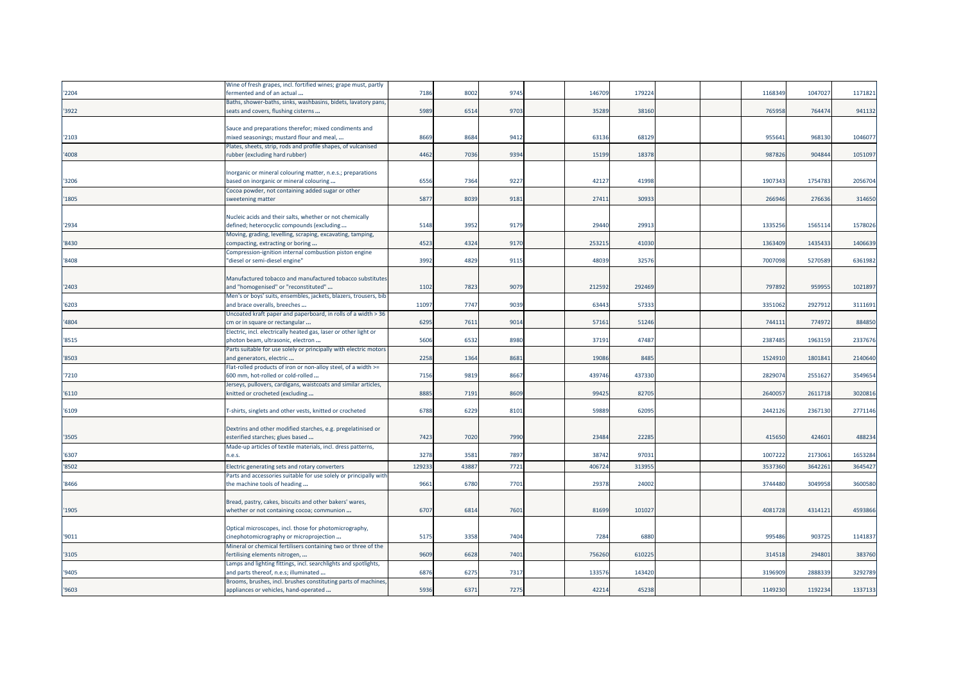|       | Wine of fresh grapes, incl. fortified wines; grape must, partly   |        |      |      |        |        |  |         |         |         |
|-------|-------------------------------------------------------------------|--------|------|------|--------|--------|--|---------|---------|---------|
| '2204 | fermented and of an actual                                        | 7186   | 8002 | 9745 | 146709 | 179224 |  | 116834  | 104702  | 1171821 |
|       | Baths, shower-baths, sinks, washbasins, bidets, lavatory pans     |        |      |      |        |        |  |         |         |         |
| '3922 | seats and covers, flushing cisterns                               | 5989   | 6514 | 9703 | 35289  | 38160  |  | 765958  | 764474  | 941132  |
|       |                                                                   |        |      |      |        |        |  |         |         |         |
|       | Sauce and preparations therefor; mixed condiments and             |        |      |      |        |        |  |         |         |         |
| '2103 | mixed seasonings; mustard flour and meal,                         | 8669   | 8684 | 9412 | 63136  | 6812   |  | 95564   | 968130  | 1046077 |
|       | Plates, sheets, strip, rods and profile shapes, of vulcanised     |        |      |      |        |        |  |         |         |         |
| '4008 | rubber (excluding hard rubber)                                    | 4462   | 7036 | 9394 | 15199  | 18378  |  | 98782   | 904844  | 1051097 |
|       |                                                                   |        |      |      |        |        |  |         |         |         |
|       | Inorganic or mineral colouring matter, n.e.s.; preparations       |        |      |      |        |        |  |         |         |         |
| '3206 | based on inorganic or mineral colouring                           | 6556   | 7364 | 9227 | 42127  | 41998  |  | 190734  | 175478  | 2056704 |
|       | Cocoa powder, not containing added sugar or other                 |        |      |      |        |        |  |         |         |         |
| '1805 | sweetening matter                                                 | 5877   | 8039 | 9181 | 2741   | 3093   |  | 266946  | 276636  | 314650  |
|       |                                                                   |        |      |      |        |        |  |         |         |         |
|       | Nucleic acids and their salts, whether or not chemically          |        |      |      |        |        |  |         |         |         |
| '2934 | defined; heterocyclic compounds (excluding                        | 5148   | 395  | 9179 | 29440  | 2991   |  | 133525  | 1565114 | 1578026 |
|       | Moving, grading, levelling, scraping, excavating, tamping,        |        |      |      |        |        |  |         |         |         |
| '8430 | compacting, extracting or boring                                  | 4523   | 4324 | 9170 | 25321  | 4103   |  | 1363409 | 1435433 | 1406639 |
|       | Compression-ignition internal combustion piston engine            |        |      |      |        |        |  |         |         |         |
| '8408 | "diesel or semi-diesel engine"                                    | 3992   | 4829 | 9115 | 48039  | 3257   |  | 7007098 | 5270589 | 6361982 |
|       |                                                                   |        |      |      |        |        |  |         |         |         |
|       | Manufactured tobacco and manufactured tobacco substitutes         |        |      |      |        |        |  |         |         |         |
| '2403 | and "homogenised" or "reconstituted"                              | 1102   | 7823 | 9079 | 212592 | 29246  |  | 797892  | 95995   | 1021897 |
|       | Men's or boys' suits, ensembles, jackets, blazers, trousers, bib  |        |      |      |        |        |  |         |         |         |
| '6203 | and brace overalls, breeches                                      | 11097  | 7747 | 9039 | 63443  | 5733   |  | 3351062 | 2927912 | 3111691 |
|       | Uncoated kraft paper and paperboard, in rolls of a width > 36     |        |      |      |        |        |  |         |         |         |
| '4804 | cm or in square or rectangular                                    | 6295   | 7611 | 9014 | 57161  | 51246  |  | 744111  | 774972  | 884850  |
|       | Electric, incl. electrically heated gas, laser or other light or  |        |      |      |        |        |  |         |         |         |
| '8515 | photon beam, ultrasonic, electron                                 | 5606   | 6532 | 8980 | 37191  | 47487  |  | 2387485 | 1963159 | 2337676 |
|       | Parts suitable for use solely or principally with electric motors |        |      |      |        |        |  |         |         |         |
| '8503 | and generators, electric                                          | 2258   | 1364 | 8681 | 19086  | 8485   |  | 152491  | 1801841 | 2140640 |
|       | Flat-rolled products of iron or non-alloy steel, of a width >=    |        |      |      |        |        |  |         |         |         |
| '7210 | 600 mm, hot-rolled or cold-rolled                                 | 7156   | 9819 | 8667 | 439746 | 43733  |  | 282907  | 255162  | 3549654 |
|       | Jerseys, pullovers, cardigans, waistcoats and similar articles,   |        |      |      |        |        |  |         |         |         |
| '6110 | knitted or crocheted (excluding                                   | 8885   | 719  | 8609 | 9942   | 8270   |  | 264005  | 261171  | 3020816 |
|       |                                                                   |        |      |      |        |        |  |         |         |         |
| '6109 | T-shirts, singlets and other vests, knitted or crocheted          | 6788   | 6229 | 8101 | 59889  | 6209   |  | 244212  | 236713  | 2771146 |
|       |                                                                   |        |      |      |        |        |  |         |         |         |
|       | Dextrins and other modified starches, e.g. pregelatinised or      |        |      |      |        |        |  |         |         |         |
| '3505 | esterified starches; glues based                                  | 7423   | 7020 | 7990 | 23484  | 2228   |  | 415650  | 424601  | 488234  |
|       | Made-up articles of textile materials, incl. dress patterns,      |        |      |      |        |        |  |         |         |         |
| '6307 | n.e.s.                                                            | 3278   | 3581 | 7897 | 38742  | 9703   |  | 100722  | 2173061 | 1653284 |
|       |                                                                   |        |      |      |        |        |  |         |         |         |
| '8502 | Electric generating sets and rotary converters                    | 129233 | 4388 | 7721 | 406724 | 31395  |  | 353736  | 364226  | 3645427 |
|       | Parts and accessories suitable for use solely or principally with |        |      |      |        |        |  |         |         |         |
| '8466 | the machine tools of heading                                      | 9661   | 6780 | 7701 | 29378  | 2400   |  | 3744480 | 3049958 | 3600580 |
|       |                                                                   |        |      |      |        |        |  |         |         |         |
|       | Bread, pastry, cakes, biscuits and other bakers' wares,           |        |      |      |        |        |  |         |         |         |
| '1905 | whether or not containing cocoa; communion                        | 6707   | 6814 | 7601 | 81699  | 10102  |  | 4081728 | 431412  | 4593866 |
|       |                                                                   |        |      |      |        |        |  |         |         |         |
|       | Optical microscopes, incl. those for photomicrography,            |        |      |      |        |        |  |         |         |         |
| '9011 | cinephotomicrography or microprojection                           | 5175   | 3358 | 7404 | 7284   | 688    |  | 99548   | 903725  | 1141837 |
|       | Mineral or chemical fertilisers containing two or three of the    |        |      |      |        |        |  |         |         |         |
| '3105 | fertilising elements nitrogen,                                    | 9609   | 6628 | 7401 | 756260 | 61022  |  | 314518  | 294801  | 383760  |
|       | Lamps and lighting fittings, incl. searchlights and spotlights,   |        |      |      |        |        |  |         |         |         |
| '9405 | and parts thereof, n.e.s; illuminated                             | 6876   | 6275 | 7317 | 13357  | 14342  |  | 3196909 | 2888339 | 3292789 |
|       | Brooms, brushes, incl. brushes constituting parts of machines,    |        |      |      |        |        |  |         |         |         |
| '9603 | appliances or vehicles, hand-operated                             | 5936   | 6371 | 7275 | 42214  | 45238  |  | 1149230 | 1192234 | 1337133 |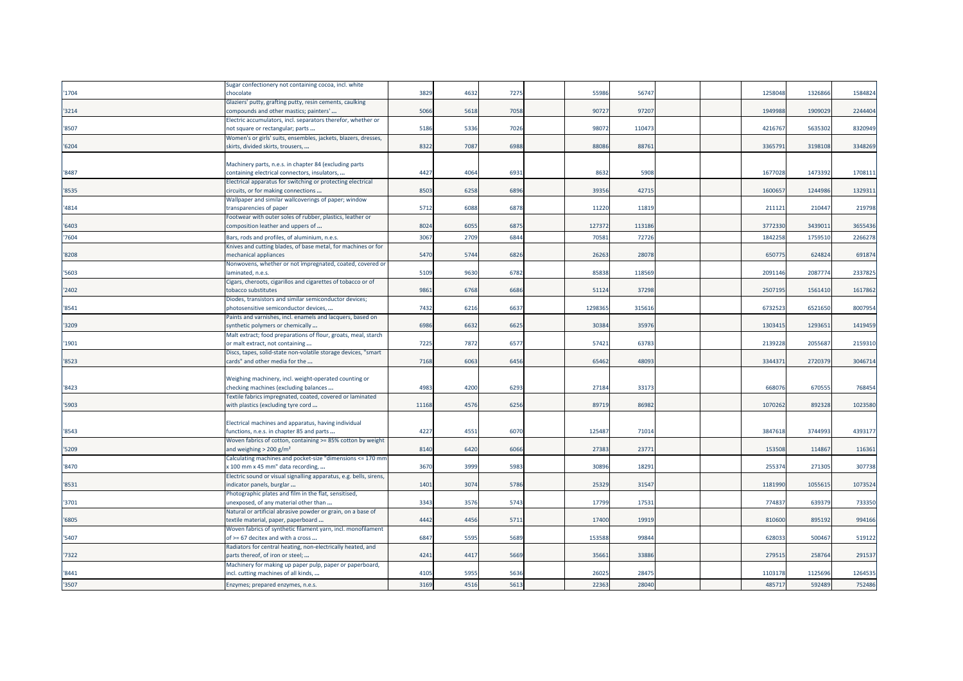|       | Sugar confectionery not containing cocoa, incl. white              |       |      |      |        |        |  |         |         |         |
|-------|--------------------------------------------------------------------|-------|------|------|--------|--------|--|---------|---------|---------|
| 1704  | chocolate                                                          | 3829  | 4632 | 7275 | 5598   | 5674   |  | 125804  | 132686  | 1584824 |
|       | Glaziers' putty, grafting putty, resin cements, caulking           |       |      |      |        |        |  |         |         |         |
| '3214 | compounds and other mastics; painters'                             | 5066  | 5618 | 7058 | 9072   | 9720   |  | 194998  | 1909029 | 2244404 |
|       | Electric accumulators, incl. separators therefor, whether or       |       |      |      |        |        |  |         |         |         |
| '8507 | not square or rectangular; parts                                   | 5186  | 5336 | 7026 | 98072  | 11047  |  | 421676  | 5635302 | 8320949 |
|       | Women's or girls' suits, ensembles, jackets, blazers, dresses,     |       |      |      |        |        |  |         |         |         |
| '6204 | skirts, divided skirts, trousers,                                  | 8322  | 7087 | 6988 | 8808   | 8876   |  | 336579  | 3198108 | 3348269 |
|       |                                                                    |       |      |      |        |        |  |         |         |         |
|       | Machinery parts, n.e.s. in chapter 84 (excluding parts             |       |      |      |        |        |  |         |         |         |
| '8487 | containing electrical connectors, insulators,                      | 4427  | 4064 | 6931 | 8632   | 5908   |  | 167702  | 1473392 | 1708111 |
|       | Electrical apparatus for switching or protecting electrical        |       |      |      |        |        |  |         |         |         |
| '8535 | circuits, or for making connections                                | 8503  | 6258 | 6896 | 39356  | 4271   |  | 160065  | 1244986 | 132931  |
|       | Wallpaper and similar wallcoverings of paper; window               |       |      |      |        |        |  |         |         |         |
| '4814 | transparencies of paper                                            | 5712  | 6088 | 6878 | 11220  | 11819  |  | 21112   | 21044   | 219798  |
|       | Footwear with outer soles of rubber, plastics, leather or          |       |      |      |        |        |  |         |         |         |
| 6403  | composition leather and uppers of                                  | 8024  | 6055 | 6875 | 127372 | 113186 |  | 377233  | 343901: | 3655436 |
| 7604  | Bars, rods and profiles, of aluminium, n.e.s.                      | 3067  | 2709 | 6844 | 7058   | 72726  |  | 1842258 | 1759510 | 2266278 |
|       | Knives and cutting blades, of base metal, for machines or for      |       |      |      |        |        |  |         |         |         |
| 8208  | mechanical appliances                                              | 5470  | 5744 | 6826 | 2626   | 28078  |  | 650775  | 624824  | 691874  |
|       | Nonwovens, whether or not impregnated, coated, covered or          |       |      |      |        |        |  |         |         |         |
| '5603 | laminated, n.e.s.                                                  | 5109  | 9630 | 6782 | 85838  | 11856  |  | 2091146 | 2087774 | 2337825 |
|       | Cigars, cheroots, cigarillos and cigarettes of tobacco or of       |       |      |      |        |        |  |         |         |         |
| 2402  | tobacco substitutes                                                | 9861  | 6768 | 6686 | 51124  | 37298  |  | 250719  | 1561410 | 1617862 |
|       | Diodes, transistors and similar semiconductor devices;             |       |      |      |        |        |  |         |         |         |
| '8541 | photosensitive semiconductor devices,                              | 7432  | 6216 | 6637 | 129836 | 31561  |  | 673252  | 6521650 | 8007954 |
|       | Paints and varnishes, incl. enamels and lacquers, based on         |       |      |      |        |        |  |         |         |         |
| 3209  | synthetic polymers or chemically                                   | 6986  | 6632 | 6625 | 30384  | 3597   |  | 130341  | 129365  | 1419459 |
|       | Malt extract; food preparations of flour, groats, meal, starch     |       |      |      |        |        |  |         |         |         |
| 1901  | or malt extract, not containing                                    | 7225  | 7872 | 6577 | 5742   | 6378   |  | 213922  | 205568  | 2159310 |
|       | Discs, tapes, solid-state non-volatile storage devices, "smart     |       |      |      |        | 4809   |  |         |         | 3046714 |
| '8523 | cards" and other media for the                                     | 7168  | 6063 | 6456 | 65462  |        |  | 3344371 | 2720379 |         |
|       | Weighing machinery, incl. weight-operated counting or              |       |      |      |        |        |  |         |         |         |
| 8423  | checking machines (excluding balances                              | 4983  | 4200 | 6293 | 27184  | 3317   |  | 66807   | 670555  | 768454  |
|       | Textile fabrics impregnated, coated, covered or laminated          |       |      |      |        |        |  |         |         |         |
| '5903 | with plastics (excluding tyre cord                                 | 11168 | 4576 | 6256 | 89719  | 86982  |  | 1070262 | 892328  | 1023580 |
|       |                                                                    |       |      |      |        |        |  |         |         |         |
|       | Electrical machines and apparatus, having individual               |       |      |      |        |        |  |         |         |         |
| '8543 | functions, n.e.s. in chapter 85 and parts                          | 4227  | 4551 | 6070 | 12548  | 7101   |  | 3847618 | 3744993 | 4393177 |
|       | Woven fabrics of cotton, containing >= 85% cotton by weight        |       |      |      |        |        |  |         |         |         |
| '5209 | and weighing $>$ 200 g/m <sup>2</sup>                              | 8140  | 6420 | 6066 | 27383  | 2377   |  | 15350   | 114867  | 116361  |
|       | Calculating machines and pocket-size "dimensions <= 170 mm         |       |      |      |        |        |  |         |         |         |
| '8470 | x 100 mm x 45 mm" data recording,                                  | 367C  | 3999 | 5983 | 3089   | 1829   |  | 255374  | 27130   | 307738  |
|       | Electric sound or visual signalling apparatus, e.g. bells, sirens, |       |      |      |        |        |  |         |         |         |
| '8531 | indicator panels, burglar                                          | 1401  | 3074 | 5786 | 25329  | 3154   |  | 1181990 | 105561  | 1073524 |
|       | Photographic plates and film in the flat, sensitised,              |       |      |      |        |        |  |         |         |         |
| 3701  | unexposed, of any material other than                              | 3343  | 3576 | 5743 | 17799  | 1753   |  | 77483   | 63937   | 733350  |
|       | Natural or artificial abrasive powder or grain, on a base of       |       |      |      |        |        |  |         |         |         |
| '6805 | textile material, paper, paperboard                                | 4442  | 4456 | 5711 | 17400  | 1991   |  | 81060   | 895192  | 994166  |
|       | Woven fabrics of synthetic filament yarn, incl. monofilament       |       |      |      |        |        |  |         |         |         |
| 5407  | of >= 67 decitex and with a cross                                  | 6847  | 5595 | 5689 | 153588 | 99844  |  | 62803   | 500467  | 519122  |
|       | Radiators for central heating, non-electrically heated, and        |       |      |      |        |        |  |         |         |         |
| 7322  | parts thereof, of iron or steel;                                   | 4241  | 4417 | 5669 | 3566   | 33886  |  | 27951   | 258764  | 291537  |
|       | Machinery for making up paper pulp, paper or paperboard,           |       |      |      |        |        |  |         |         |         |
| '8441 | incl. cutting machines of all kinds,                               | 4105  | 5955 | 5636 | 2602   | 2847   |  | 110317  | 112569  | 1264535 |
| '3507 | Enzymes; prepared enzymes, n.e.s.                                  | 3169  | 4516 | 5613 | 22363  | 28040  |  | 485717  | 592489  | 752486  |
|       |                                                                    |       |      |      |        |        |  |         |         |         |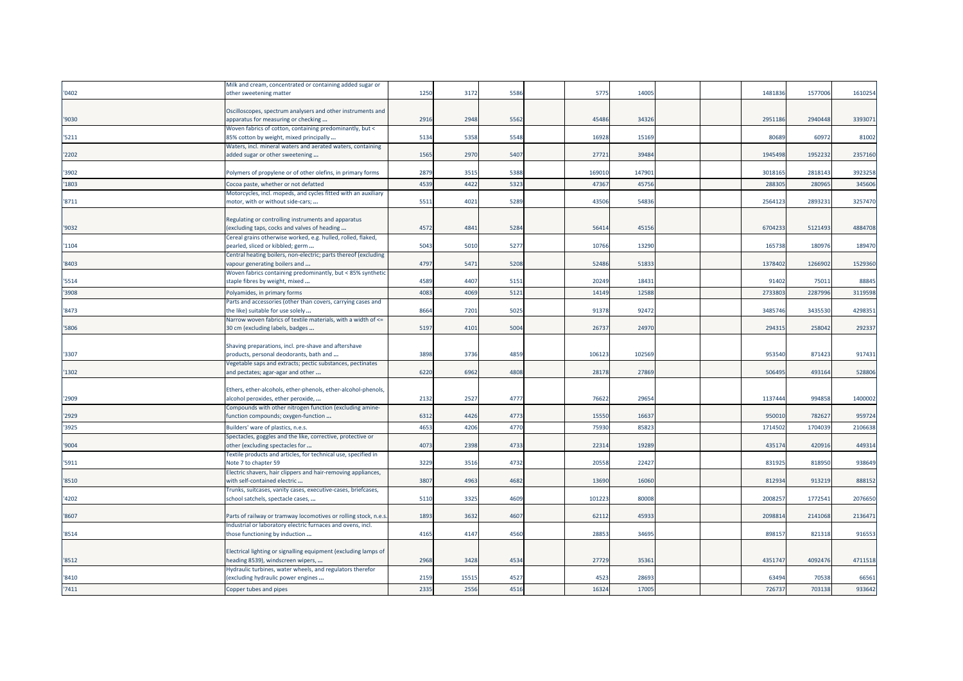|       | Milk and cream, concentrated or containing added sugar or       |      |      |      |       |        |  |         |         |         |
|-------|-----------------------------------------------------------------|------|------|------|-------|--------|--|---------|---------|---------|
| '0402 | other sweetening matter                                         | 1250 | 3172 | 5586 | 5775  | 14005  |  | 1481836 | 1577006 | 1610254 |
|       |                                                                 |      |      |      |       |        |  |         |         |         |
|       | Oscilloscopes, spectrum analysers and other instruments and     |      |      |      |       |        |  |         |         |         |
| '9030 | apparatus for measuring or checking                             | 2916 | 2948 | 5562 | 45486 | 34326  |  | 2951186 | 2940448 | 3393071 |
|       | Woven fabrics of cotton, containing predominantly, but <        |      |      |      |       |        |  |         |         |         |
| '5211 | 85% cotton by weight, mixed principally                         | 5134 | 5358 | 5548 | 16928 | 15169  |  | 80689   | 60972   | 81002   |
|       | Waters, incl. mineral waters and aerated waters, containing     |      |      |      |       |        |  |         |         |         |
| '2202 | added sugar or other sweetening                                 | 1565 | 2970 | 5407 | 2772  | 39484  |  | 1945498 | 1952232 | 2357160 |
|       |                                                                 |      |      |      |       |        |  |         |         |         |
| '3902 |                                                                 | 2879 | 3515 | 5388 | 16901 | 147901 |  | 3018165 | 2818143 | 3923258 |
|       | Polymers of propylene or of other olefins, in primary forms     |      |      |      |       |        |  |         |         |         |
| '1803 | Cocoa paste, whether or not defatted                            | 4539 | 4422 | 5323 | 4736  | 45756  |  | 288305  | 280965  | 345606  |
|       | Motorcycles, incl. mopeds, and cycles fitted with an auxiliary  |      |      |      |       |        |  |         |         |         |
| '8711 | motor, with or without side-cars;                               | 5511 | 4021 | 5289 | 43506 | 54836  |  | 2564123 | 2893231 | 3257470 |
|       |                                                                 |      |      |      |       |        |  |         |         |         |
|       | Regulating or controlling instruments and apparatus             |      |      |      |       |        |  |         |         |         |
| '9032 | (excluding taps, cocks and valves of heading                    | 4572 | 4841 | 5284 | 56414 | 45156  |  | 6704233 | 5121493 | 4884708 |
|       | Cereal grains otherwise worked, e.g. hulled, rolled, flaked,    |      |      |      |       |        |  |         |         |         |
| '1104 | pearled, sliced or kibbled; germ                                | 5043 | 5010 | 5277 | 10766 | 13290  |  | 165738  | 180976  | 189470  |
|       | Central heating boilers, non-electric; parts thereof (excluding |      |      |      |       |        |  |         |         |         |
| '8403 | vapour generating boilers and                                   | 4797 | 5471 | 5208 | 52486 | 51833  |  | 1378402 | 1266902 | 1529360 |
|       | Woven fabrics containing predominantly, but < 85% synthetic     |      |      |      |       |        |  |         |         |         |
| '5514 | staple fibres by weight, mixed                                  | 4589 | 4407 | 5151 | 20249 | 18431  |  | 91402   | 75011   | 88845   |
|       |                                                                 |      |      |      |       |        |  |         |         |         |
| '3908 | Polyamides, in primary forms                                    | 4083 | 4069 | 5121 | 14149 | 12588  |  | 2733803 | 2287996 | 3119598 |
|       | Parts and accessories (other than covers, carrying cases and    |      |      |      |       |        |  |         |         |         |
| '8473 | the like) suitable for use solely                               | 866  | 7201 | 5025 | 9137  | 92472  |  | 3485746 | 3435530 | 4298351 |
|       | Narrow woven fabrics of textile materials, with a width of <=   |      |      |      |       |        |  |         |         |         |
| '5806 | 30 cm (excluding labels, badges                                 | 5197 | 4101 | 5004 | 2673  | 24970  |  | 294315  | 258042  | 292337  |
|       |                                                                 |      |      |      |       |        |  |         |         |         |
|       | Shaving preparations, incl. pre-shave and aftershave            |      |      |      |       |        |  |         |         |         |
| '3307 | products, personal deodorants, bath and                         | 3898 | 3736 | 4859 | 10612 | 102569 |  | 953540  | 871423  | 917431  |
|       | Vegetable saps and extracts; pectic substances, pectinates      |      |      |      |       |        |  |         |         |         |
| '1302 | and pectates; agar-agar and other                               | 6220 | 6962 | 4808 | 28178 | 27869  |  | 50649   | 493164  | 528806  |
|       |                                                                 |      |      |      |       |        |  |         |         |         |
|       | Ethers, ether-alcohols, ether-phenols, ether-alcohol-phenols,   |      |      |      |       |        |  |         |         |         |
| '2909 | alcohol peroxides, ether peroxide,                              | 2132 | 2527 | 4777 | 7662  | 29654  |  | 1137444 | 994858  | 1400002 |
|       | Compounds with other nitrogen function (excluding amine-        |      |      |      |       |        |  |         |         |         |
| '2929 | function compounds; oxygen-function                             | 6312 | 4426 | 4773 | 1555  | 16637  |  | 950010  | 782627  | 959724  |
|       |                                                                 |      |      |      |       |        |  |         |         |         |
| '3925 | Builders' ware of plastics, n.e.s.                              | 4653 | 4206 | 4770 | 7593  | 85823  |  | 1714502 | 170403  | 2106638 |
|       | Spectacles, goggles and the like, corrective, protective or     |      |      |      |       |        |  |         |         |         |
| '9004 | other (excluding spectacles for                                 | 4073 | 2398 | 4733 | 22314 | 19289  |  | 435174  | 420916  | 449314  |
|       | Textile products and articles, for technical use, specified in  |      |      |      |       |        |  |         |         |         |
| '5911 | Note 7 to chapter 59                                            | 3229 | 3516 | 4732 | 2055  | 22427  |  | 831925  | 818950  | 938649  |
|       | Electric shavers, hair clippers and hair-removing appliances,   |      |      |      |       |        |  |         |         |         |
| '8510 | with self-contained electric                                    | 3807 | 4963 | 4682 | 1369  | 16060  |  | 812934  | 913219  | 888152  |
|       | Trunks, suitcases, vanity cases, executive-cases, briefcases,   |      |      |      |       |        |  |         |         |         |
| '4202 | school satchels, spectacle cases,                               | 5110 | 3325 | 4609 | 10122 | 80008  |  | 200825  | 1772541 | 2076650 |
|       |                                                                 |      |      |      |       |        |  |         |         |         |
| '8607 | Parts of railway or tramway locomotives or rolling stock, n.e.s | 1893 | 3632 | 4607 | 62112 | 45933  |  | 2098814 | 2141068 | 2136471 |
|       | Industrial or laboratory electric furnaces and ovens, incl.     |      |      |      |       |        |  |         |         |         |
| '8514 | those functioning by induction                                  | 4165 | 4147 | 4560 | 2885  | 34695  |  | 89815   | 821318  | 916553  |
|       |                                                                 |      |      |      |       |        |  |         |         |         |
|       | Electrical lighting or signalling equipment (excluding lamps of |      |      |      |       |        |  |         |         |         |
| '8512 | heading 8539), windscreen wipers,                               | 2968 | 3428 | 4534 | 27729 | 35361  |  | 4351747 | 4092476 | 4711518 |
|       | Hydraulic turbines, water wheels, and regulators therefor       |      |      |      |       |        |  |         |         |         |
| '8410 | (excluding hydraulic power engines                              | 2159 | 1551 | 4527 | 4523  | 28693  |  | 63494   | 70538   | 66561   |
|       |                                                                 |      |      |      |       |        |  |         |         |         |
| '7411 | Copper tubes and pipes                                          | 2335 | 2556 | 4516 | 1632  | 17005  |  | 72673   | 703138  | 933642  |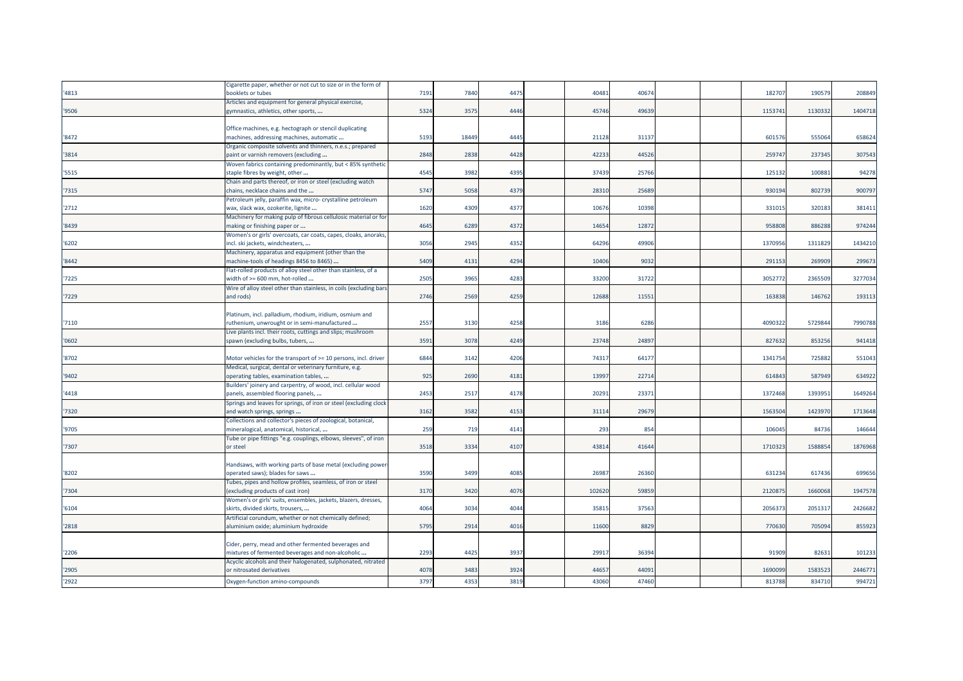|       | Cigarette paper, whether or not cut to size or in the form of                   |      |       |      |        |       |  |         |         |         |
|-------|---------------------------------------------------------------------------------|------|-------|------|--------|-------|--|---------|---------|---------|
| '4813 | booklets or tubes                                                               | 7191 | 7840  | 4475 | 40481  | 40674 |  | 182707  | 190579  | 208849  |
|       | Articles and equipment for general physical exercise,                           |      |       |      |        |       |  |         |         |         |
| '9506 | gymnastics, athletics, other sports,                                            | 5324 | 3575  | 4446 | 45746  | 49639 |  | 1153741 | 1130332 | 1404718 |
|       |                                                                                 |      |       |      |        |       |  |         |         |         |
|       | Office machines, e.g. hectograph or stencil duplicating                         |      |       |      |        |       |  |         |         |         |
| 8472  | machines, addressing machines, automatic                                        | 5193 | 18449 | 4445 | 21128  | 31137 |  | 601576  | 555064  | 658624  |
|       | Organic composite solvents and thinners, n.e.s.; prepared                       |      |       |      |        |       |  |         |         |         |
| '3814 | paint or varnish removers (excluding                                            | 2848 | 2838  | 4428 | 42233  | 44526 |  | 259747  | 237345  | 307543  |
|       | Woven fabrics containing predominantly, but < 85% synthetic                     |      |       |      |        |       |  |         |         |         |
| '5515 | staple fibres by weight, other                                                  | 4545 | 3982  | 4395 | 37439  | 25766 |  | 125132  | 100881  | 94278   |
|       | Chain and parts thereof, or iron or steel (excluding watch                      |      |       |      |        |       |  |         |         |         |
| '7315 | chains, necklace chains and the                                                 | 5747 | 5058  | 4379 | 2831   | 25689 |  | 930194  | 802739  | 900797  |
|       | Petroleum jelly, paraffin wax, micro- crystalline petroleum                     |      |       |      |        |       |  |         |         |         |
| '2712 | wax, slack wax, ozokerite, lignite                                              | 1620 | 4309  | 4377 | 10676  | 10398 |  | 331015  | 320183  | 381411  |
|       | Machinery for making pulp of fibrous cellulosic material or for                 |      |       |      |        |       |  |         |         |         |
| 8439  | making or finishing paper or                                                    | 4645 | 6289  | 4372 | 14654  | 12872 |  | 958808  | 886288  | 974244  |
|       | Women's or girls' overcoats, car coats, capes, cloaks, anoraks,                 |      |       |      |        |       |  |         |         |         |
| '6202 | incl. ski jackets, windcheaters,                                                | 3056 | 2945  | 4352 | 64296  | 49906 |  | 1370956 | 1311829 | 1434210 |
| '8442 | Machinery, apparatus and equipment (other than the                              | 5409 |       | 4294 | 10406  |       |  | 291153  | 269909  | 299673  |
|       | machine-tools of headings 8456 to 8465)                                         |      | 4131  |      |        | 9032  |  |         |         |         |
|       | Flat-rolled products of alloy steel other than stainless, of a                  | 2505 | 3965  | 4283 | 33200  | 31722 |  | 3052772 | 2365509 | 3277034 |
| '7225 | width of >= 600 mm, hot-rolled                                                  |      |       |      |        |       |  |         |         |         |
| 7229  | Wire of alloy steel other than stainless, in coils (excluding bars<br>and rods) | 2746 | 2569  | 4259 | 12688  | 11551 |  | 163838  | 146762  | 193113  |
|       |                                                                                 |      |       |      |        |       |  |         |         |         |
|       | Platinum, incl. palladium, rhodium, iridium, osmium and                         |      |       |      |        |       |  |         |         |         |
| '7110 | ruthenium, unwrought or in semi-manufactured                                    | 2557 | 3130  | 4258 | 3186   | 6286  |  | 4090322 | 5729844 | 7990788 |
|       | Live plants incl. their roots, cuttings and slips; mushroom                     |      |       |      |        |       |  |         |         |         |
| '0602 | spawn (excluding bulbs, tubers,                                                 | 3591 | 3078  | 4249 | 23748  | 24897 |  | 827632  | 853256  | 941418  |
|       |                                                                                 |      |       |      |        |       |  |         |         |         |
| 8702  | Motor vehicles for the transport of >= 10 persons, incl. driver                 | 6844 | 3142  | 4206 | 74317  | 64177 |  | 1341754 | 725882  | 551043  |
|       | Medical, surgical, dental or veterinary furniture, e.g.                         |      |       |      |        |       |  |         |         |         |
| '9402 | operating tables, examination tables,                                           | 925  | 2690  | 4181 | 13997  | 22714 |  | 614843  | 587949  | 634922  |
|       | Builders' joinery and carpentry, of wood, incl. cellular wood                   |      |       |      |        |       |  |         |         |         |
| '4418 | panels, assembled flooring panels,                                              | 2453 | 251   | 4178 | 20291  | 23371 |  | 1372468 | 1393951 | 1649264 |
|       | Springs and leaves for springs, of iron or steel (excluding clock               |      |       |      |        |       |  |         |         |         |
| '7320 | and watch springs, springs                                                      | 3162 | 3582  | 4153 | 31114  | 29679 |  | 1563504 | 1423970 | 1713648 |
|       | Collections and collector's pieces of zoological, botanical,                    |      |       |      |        |       |  |         |         |         |
| '9705 | mineralogical, anatomical, historical,                                          | 259  | 719   | 4141 | 293    | 854   |  | 106045  | 84736   | 146644  |
|       | Tube or pipe fittings "e.g. couplings, elbows, sleeves", of iron                |      |       |      |        |       |  |         |         |         |
| 7307  | or steel                                                                        | 3518 | 3334  | 4107 | 43814  | 41644 |  | 1710323 | 1588854 | 1876968 |
|       |                                                                                 |      |       |      |        |       |  |         |         |         |
|       | Handsaws, with working parts of base metal (excluding power-                    |      |       |      |        |       |  |         |         |         |
| '8202 | operated saws); blades for saws                                                 | 3590 | 3499  | 4085 | 26987  | 26360 |  | 631234  | 617436  | 699656  |
|       | Tubes, pipes and hollow profiles, seamless, of iron or steel                    |      |       |      |        |       |  |         |         |         |
| 7304  | (excluding products of cast iron)                                               | 3170 | 3420  | 4076 | 102620 | 59859 |  | 2120875 | 1660068 | 1947578 |
|       | Women's or girls' suits, ensembles, jackets, blazers, dresses,                  |      |       |      |        |       |  |         |         |         |
| '6104 | skirts, divided skirts, trousers,                                               | 4064 | 3034  | 4044 | 35815  | 37563 |  | 2056373 | 2051317 | 2426682 |
|       | Artificial corundum, whether or not chemically defined;                         |      |       |      |        |       |  |         |         |         |
| '2818 | aluminium oxide; aluminium hydroxide                                            | 5795 | 2914  | 4016 | 11600  | 8829  |  | 770630  | 705094  | 855923  |
|       |                                                                                 |      |       |      |        |       |  |         |         |         |
|       | Cider, perry, mead and other fermented beverages and                            |      |       |      |        |       |  |         |         |         |
| '2206 | mixtures of fermented beverages and non-alcoholic                               | 2293 | 4425  | 3937 | 29917  | 36394 |  | 91909   | 82631   | 101233  |
|       | Acyclic alcohols and their halogenated, sulphonated, nitrated                   |      |       |      |        |       |  |         |         |         |
| '2905 | or nitrosated derivatives                                                       | 4078 | 3483  | 3924 | 44657  | 44091 |  | 1690099 | 1583523 | 2446771 |
| '2922 | Oxygen-function amino-compounds                                                 | 3797 | 4353  | 3819 | 43060  | 47460 |  | 813788  | 834710  | 994721  |
|       |                                                                                 |      |       |      |        |       |  |         |         |         |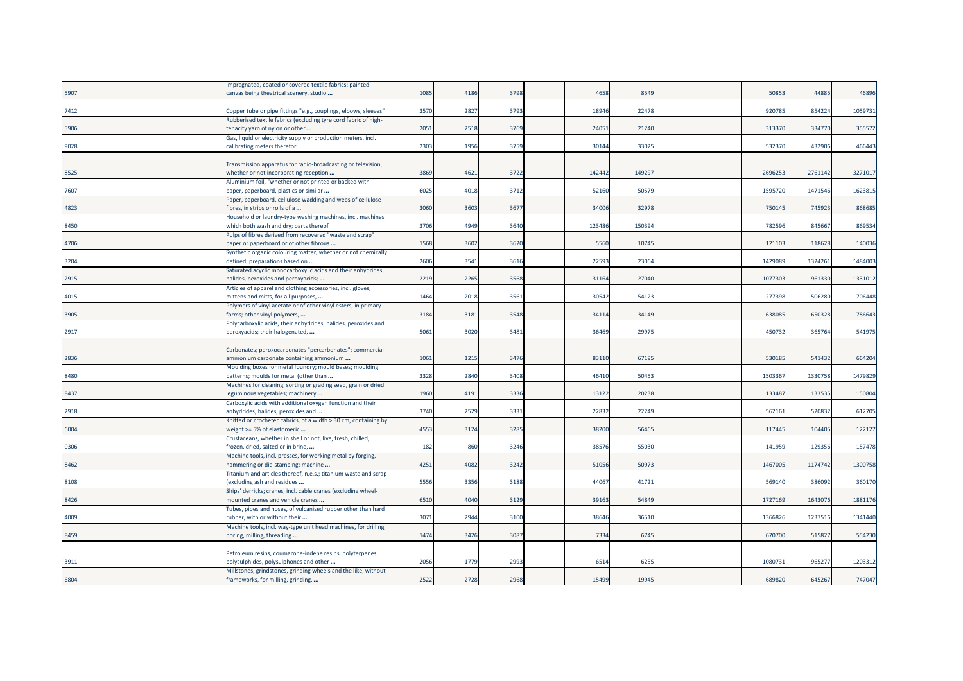|       | Impregnated, coated or covered textile fabrics; painted                                               |      |      |      |        |        |  |         |         |         |
|-------|-------------------------------------------------------------------------------------------------------|------|------|------|--------|--------|--|---------|---------|---------|
| 5907  | canvas being theatrical scenery, studio                                                               | 1085 | 4186 | 3798 | 4658   | 8549   |  | 5085    | 4488    | 46896   |
|       |                                                                                                       |      |      |      |        |        |  |         |         |         |
| 7412  | Copper tube or pipe fittings "e.g., couplings, elbows, sleeves"                                       | 357C | 2827 | 3793 | 18946  | 22478  |  | 92078   | 854224  | 1059731 |
|       | Rubberised textile fabrics (excluding tyre cord fabric of high-                                       |      |      |      |        |        |  |         |         |         |
| 5906  | tenacity yarn of nylon or other                                                                       | 2051 | 2518 | 3769 | 2405   | 21240  |  | 31337   | 334770  | 355572  |
|       | Gas, liquid or electricity supply or production meters, incl.                                         |      |      |      |        |        |  |         |         |         |
| '9028 | calibrating meters therefor                                                                           | 2303 | 1956 | 3759 | 30144  | 3302   |  | 53237   | 432906  | 466443  |
|       |                                                                                                       |      |      |      |        |        |  |         |         |         |
| '8525 | Transmission apparatus for radio-broadcasting or television,                                          | 3869 | 4621 | 3722 | 142442 | 149297 |  | 269625  | 2761142 | 3271017 |
|       | whether or not incorporating reception<br>Aluminium foil, "whether or not printed or backed with      |      |      |      |        |        |  |         |         |         |
| 7607  | paper, paperboard, plastics or similar                                                                | 6025 | 4018 | 3712 | 52160  | 5057   |  | 159572  | 147154  | 1623815 |
|       | Paper, paperboard, cellulose wadding and webs of cellulose                                            |      |      |      |        |        |  |         |         |         |
| '4823 | fibres, in strips or rolls of a                                                                       | 3060 | 3603 | 3677 | 34006  | 32978  |  | 750145  | 745923  | 868685  |
|       | Household or laundry-type washing machines, incl. machines                                            |      |      |      |        |        |  |         |         |         |
| '8450 | which both wash and dry; parts thereof                                                                | 3706 | 4949 | 3640 | 123486 | 15039  |  | 782596  | 84566   | 869534  |
|       | Pulps of fibres derived from recovered "waste and scrap"                                              |      |      |      |        |        |  |         |         |         |
| 4706  | paper or paperboard or of other fibrous                                                               | 1568 | 3602 | 3620 | 5560   | 10745  |  | 121103  | 118628  | 140036  |
|       | Synthetic organic colouring matter, whether or not chemically                                         |      |      |      |        |        |  |         |         |         |
| '3204 | defined; preparations based on                                                                        | 2606 | 3541 | 3616 | 2259   | 2306   |  | 142908  | 132426  | 1484003 |
|       | Saturated acyclic monocarboxylic acids and their anhydrides,                                          |      |      |      |        |        |  |         |         |         |
| 2915  | halides, peroxides and peroxyacids;                                                                   | 2219 | 2265 | 3568 | 31164  | 27040  |  | 107730  | 961330  | 1331012 |
|       | Articles of apparel and clothing accessories, incl. gloves,                                           |      |      |      |        |        |  |         |         |         |
| '4015 | mittens and mitts, for all purposes,                                                                  | 1464 | 2018 | 3561 | 30542  | 54123  |  | 27739   | 50628   | 706448  |
| 3905  | Polymers of vinyl acetate or of other vinyl esters, in primary<br>forms; other vinyl polymers,        | 3184 | 3181 | 3548 | 34114  | 34149  |  | 63808   | 650328  | 786643  |
|       | Polycarboxylic acids, their anhydrides, halides, peroxides and                                        |      |      |      |        |        |  |         |         |         |
| '2917 | peroxyacids; their halogenated,                                                                       | 5061 | 3020 | 3481 | 36469  | 2997   |  | 450732  | 365764  | 541975  |
|       |                                                                                                       |      |      |      |        |        |  |         |         |         |
|       | Carbonates; peroxocarbonates "percarbonates"; commercial                                              |      |      |      |        |        |  |         |         |         |
| 2836  | ammonium carbonate containing ammonium                                                                | 1061 | 1215 | 3476 | 83110  | 6719   |  | 53018   | 541432  | 664204  |
|       | Moulding boxes for metal foundry; mould bases; moulding                                               |      |      |      |        |        |  |         |         |         |
| '8480 | patterns; moulds for metal (other than                                                                | 3328 | 2840 | 3408 | 4641   | 50453  |  | 150336  | 1330758 | 1479829 |
|       | Machines for cleaning, sorting or grading seed, grain or dried                                        |      |      |      |        |        |  |         |         |         |
| 8437  | leguminous vegetables; machinery                                                                      | 1960 | 4191 | 3336 | 13122  | 20238  |  | 13348   | 13353   | 150804  |
| '2918 | Carboxylic acids with additional oxygen function and their                                            | 3740 | 2529 | 3331 | 22832  | 22249  |  | 56216   | 52083   | 612705  |
|       | anhydrides, halides, peroxides and<br>Knitted or crocheted fabrics, of a width > 30 cm, containing by |      |      |      |        |        |  |         |         |         |
| '6004 | weight >= 5% of elastomeric                                                                           | 4553 | 3124 | 3285 | 38200  | 56465  |  | 117445  | 104405  | 122127  |
|       | Crustaceans, whether in shell or not, live, fresh, chilled,                                           |      |      |      |        |        |  |         |         |         |
| '0306 | frozen, dried, salted or in brine,                                                                    | 182  | 860  | 3246 | 38576  | 5503   |  | 14195   | 129356  | 157478  |
|       | Machine tools, incl. presses, for working metal by forging,                                           |      |      |      |        |        |  |         |         |         |
| 8462  | hammering or die-stamping; machine                                                                    | 4251 | 4082 | 3242 | 5105   | 5097   |  | 146700  | 1174742 | 1300758 |
|       | Titanium and articles thereof, n.e.s.; titanium waste and scrap                                       |      |      |      |        |        |  |         |         |         |
| 8108  | (excluding ash and residues                                                                           | 5556 | 3356 | 3188 | 4406   | 41721  |  | 569140  | 38609   | 360170  |
|       | Ships' derricks; cranes, incl. cable cranes (excluding wheel-                                         |      |      |      |        |        |  |         |         |         |
| '8426 | mounted cranes and vehicle cranes                                                                     | 6510 | 4040 | 3129 | 3916   | 54849  |  | 1727169 | 164307  | 1881176 |
|       | Tubes, pipes and hoses, of vulcanised rubber other than hard                                          |      | 2944 |      | 38646  | 36510  |  | 136682  | 1237516 | 1341440 |
| '4009 | rubber, with or without their<br>Machine tools, incl. way-type unit head machines, for drilling,      | 3071 |      | 3100 |        |        |  |         |         |         |
| '8459 | boring, milling, threading                                                                            | 1474 | 3426 | 3087 | 7334   | 6745   |  | 670700  | 515827  | 554230  |
|       |                                                                                                       |      |      |      |        |        |  |         |         |         |
|       | Petroleum resins, coumarone-indene resins, polyterpenes,                                              |      |      |      |        |        |  |         |         |         |
| '3911 | polysulphides, polysulphones and other                                                                | 2056 | 1779 | 2993 | 6514   | 625    |  | 108073  | 965277  | 1203312 |
|       | Millstones, grindstones, grinding wheels and the like, without                                        |      |      |      |        |        |  |         |         |         |
| '6804 | frameworks, for milling, grinding,                                                                    | 2522 | 2728 | 2968 | 15499  | 19945  |  | 68982   | 645267  | 747047  |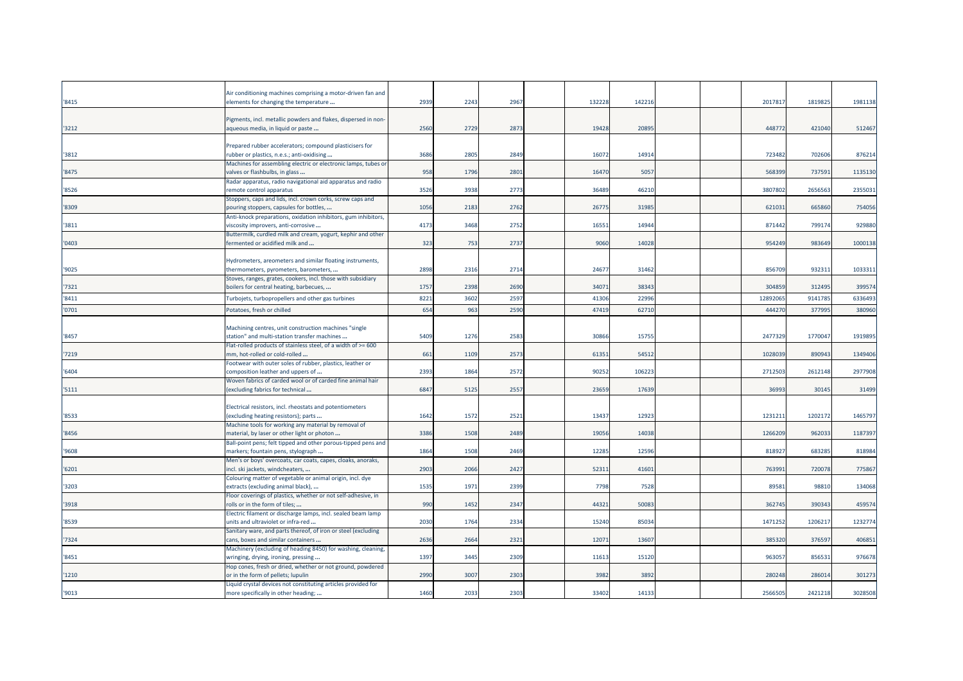| '8415 | Air conditioning machines comprising a motor-driven fan and<br>elements for changing the temperature    | 2939 | 2243 | 2967 | 132228 | 14221 |  | 201781  | 1819825 | 1981138 |
|-------|---------------------------------------------------------------------------------------------------------|------|------|------|--------|-------|--|---------|---------|---------|
| '3212 | Pigments, incl. metallic powders and flakes, dispersed in non-<br>aqueous media, in liquid or paste     | 2560 | 2729 | 2873 | 19428  | 2089  |  | 44877   | 421040  | 512467  |
| 3812  | Prepared rubber accelerators; compound plasticisers for<br>rubber or plastics, n.e.s.; anti-oxidising   | 3686 | 2805 | 2849 | 1607   | 1491  |  | 72348   | 702606  | 876214  |
| '8475 | Machines for assembling electric or electronic lamps, tubes or<br>valves or flashbulbs, in glass        | 958  | 1796 | 2801 | 1647   | 5057  |  | 56839   | 737591  | 1135130 |
| '8526 | Radar apparatus, radio navigational aid apparatus and radio<br>remote control apparatus                 | 3526 | 3938 | 2773 | 36489  | 4621  |  | 380780  | 2656563 | 2355031 |
| '8309 | Stoppers, caps and lids, incl. crown corks, screw caps and<br>pouring stoppers, capsules for bottles,   | 1056 | 2183 | 2762 | 2677   | 3198  |  | 62103   | 665860  | 754056  |
| '3811 | Anti-knock preparations, oxidation inhibitors, gum inhibitors,<br>viscosity improvers, anti-corrosive   | 4173 | 3468 | 2752 | 1655   | 1494  |  | 87144   | 799174  | 929880  |
| '0403 | Buttermilk, curdled milk and cream, yogurt, kephir and other<br>fermented or acidified milk and         | 323  | 753  | 2737 | 9060   | 14028 |  | 95424   | 983649  | 1000138 |
| '9025 | Hydrometers, areometers and similar floating instruments,<br>thermometers, pyrometers, barometers,      | 2898 | 2316 | 2714 | 24677  | 31462 |  | 85670   | 93231:  | 103331  |
| 7321  | Stoves, ranges, grates, cookers, incl. those with subsidiary<br>boilers for central heating, barbecues, | 1757 | 2398 | 2690 | 3407   | 38343 |  | 30485   | 312495  | 399574  |
| '8411 | Turbojets, turbopropellers and other gas turbines                                                       | 8221 | 3602 | 2597 | 4130   | 2299  |  | 1289206 | 914178  | 6336493 |
| '0701 | Potatoes, fresh or chilled                                                                              | 654  | 963  | 2590 | 47419  | 62710 |  | 44427   | 37799   | 380960  |
| 8457  | Machining centres, unit construction machines "single<br>station" and multi-station transfer machines   | 5409 | 1276 | 2583 | 3086   | 1575  |  | 247732  | 177004  | 1919895 |
| 7219  | Flat-rolled products of stainless steel, of a width of >= 600<br>mm, hot-rolled or cold-rolled          | 661  | 1109 | 2573 | 6135   | 5451  |  | 102803  | 890943  | 1349406 |
| 6404  | Footwear with outer soles of rubber, plastics, leather or<br>composition leather and uppers of          | 2393 | 1864 | 2572 | 9025   | 10622 |  | 271250  | 2612148 | 2977908 |
| 5111  | Woven fabrics of carded wool or of carded fine animal hair<br>(excluding fabrics for technical          | 6847 | 5125 | 2557 | 23659  | 17639 |  | 3699    | 30145   | 31499   |
| '8533 | Electrical resistors, incl. rheostats and potentiometers<br>(excluding heating resistors); parts        | 1642 | 1572 | 2521 | 13437  | 1292  |  | 123121  | 1202172 | 1465797 |
| '8456 | Machine tools for working any material by removal of<br>material, by laser or other light or photon     | 3386 | 1508 | 2489 | 1905   | 14038 |  | 126620  | 962033  | 1187397 |
| '9608 | Ball-point pens; felt tipped and other porous-tipped pens and<br>markers; fountain pens, stylograph     | 1864 | 1508 | 2469 | 1228   | 1259  |  | 81892   | 68328   | 818984  |
| 6201  | Men's or boys' overcoats, car coats, capes, cloaks, anoraks,<br>incl. ski jackets, windcheaters,        | 2903 | 2066 | 2427 | 5231   | 4160  |  | 76399   | 72007   | 775867  |
| 3203  | Colouring matter of vegetable or animal origin, incl. dye<br>extracts (excluding animal black),         | 1535 | 1971 | 2399 | 7798   | 7528  |  | 8958    | 9881    | 134068  |
| '3918 | Floor coverings of plastics, whether or not self-adhesive, in<br>rolls or in the form of tiles;         | 990  | 1452 | 2347 | 44321  | 5008  |  | 36274   | 390343  | 459574  |
| '8539 | Electric filament or discharge lamps, incl. sealed beam lamp<br>units and ultraviolet or infra-red      | 2030 | 1764 | 2334 | 15240  | 85034 |  | 147125  | 120621  | 1232774 |
| 7324  | Sanitary ware, and parts thereof, of iron or steel (excluding<br>cans, boxes and similar containers     | 2636 | 2664 | 2321 | 1207   | 1360  |  | 38532   | 376597  | 406851  |
| 8451  | Machinery (excluding of heading 8450) for washing, cleaning,<br>wringing, drying, ironing, pressing     | 1397 | 3445 | 2309 | 1161   | 15120 |  | 96305   | 856531  | 976678  |
| '1210 | Hop cones, fresh or dried, whether or not ground, powdered<br>or in the form of pellets; lupulin        | 2990 | 3007 | 2303 | 3982   | 3892  |  | 280248  | 286014  | 301273  |
| '9013 | Liquid crystal devices not constituting articles provided for<br>more specifically in other heading;    | 1460 | 2033 | 2303 | 33402  | 14133 |  | 2566505 | 2421218 | 3028508 |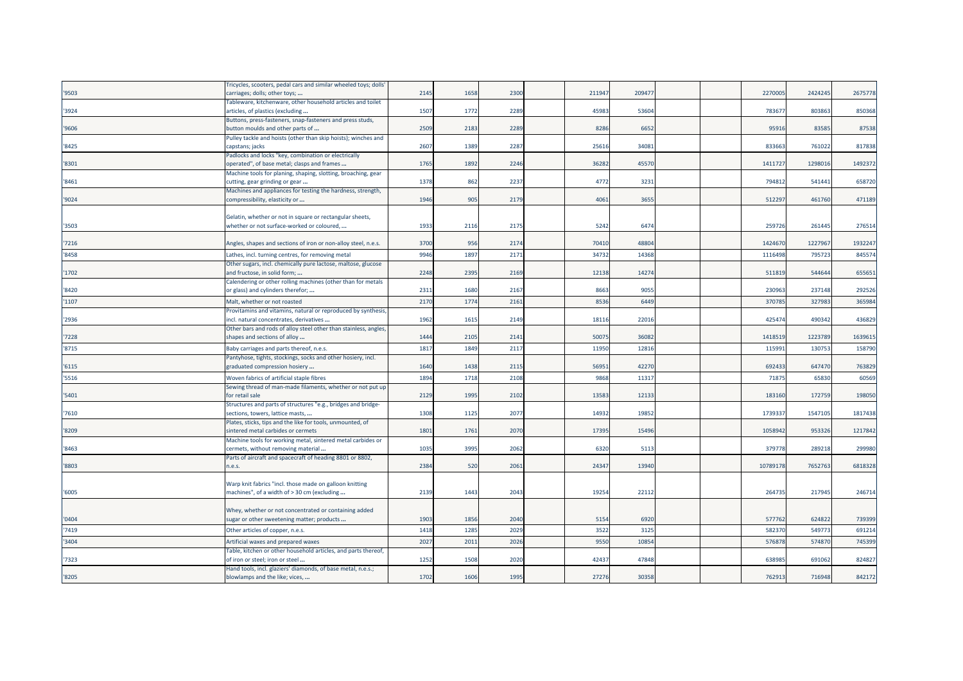|       | ricycles, scooters, pedal cars and similar wheeled toys; dolls                                  |      |      |      |        |       |  |         |         |         |
|-------|-------------------------------------------------------------------------------------------------|------|------|------|--------|-------|--|---------|---------|---------|
| '9503 | carriages; dolls; other toys;                                                                   | 2145 | 1658 | 2300 | 211947 | 20947 |  | 2270005 | 2424245 | 2675778 |
|       | Tableware, kitchenware, other household articles and toilet                                     |      |      |      |        |       |  |         |         |         |
| '3924 | articles, of plastics (excluding                                                                | 1507 | 1772 | 2289 | 45983  | 53604 |  | 78367   | 803863  | 850368  |
|       | Buttons, press-fasteners, snap-fasteners and press studs,                                       |      |      |      |        |       |  |         |         |         |
| '9606 | button moulds and other parts of                                                                | 2509 | 2183 | 2289 | 8286   | 6652  |  | 95916   | 83585   | 87538   |
|       | Pulley tackle and hoists (other than skip hoists); winches and                                  |      |      |      |        |       |  |         |         |         |
| '8425 | capstans; jacks                                                                                 | 2607 | 1389 | 2287 | 25616  | 34081 |  | 83366   | 761022  | 817838  |
|       | Padlocks and locks "key, combination or electrically                                            |      |      |      |        |       |  |         |         |         |
| '8301 | operated", of base metal; clasps and frames                                                     | 1765 | 1892 | 2246 | 36282  | 45570 |  | 141172  | 129801  | 1492372 |
|       | Machine tools for planing, shaping, slotting, broaching, gear                                   |      |      |      |        |       |  |         |         |         |
| '8461 | cutting, gear grinding or gear                                                                  | 1378 | 862  | 2237 | 4772   | 3231  |  | 794812  | 541441  | 658720  |
|       | Machines and appliances for testing the hardness, strength,                                     |      |      |      |        |       |  |         |         |         |
| '9024 | compressibility, elasticity or                                                                  | 1946 | 905  | 2179 | 4061   | 3655  |  | 512297  | 461760  | 471189  |
|       |                                                                                                 |      |      |      |        |       |  |         |         |         |
|       | Gelatin, whether or not in square or rectangular sheets,                                        |      |      |      |        |       |  |         |         |         |
| '3503 | whether or not surface-worked or coloured,                                                      | 1933 | 2116 | 2175 | 5242   | 6474  |  | 25972   | 261445  | 276514  |
|       |                                                                                                 |      |      |      |        |       |  |         |         |         |
| '7216 | Angles, shapes and sections of iron or non-alloy steel, n.e.s.                                  | 3700 | 956  | 2174 | 70410  | 48804 |  | 1424670 | 1227967 | 1932247 |
| '8458 | Lathes, incl. turning centres, for removing metal                                               | 9946 | 1897 | 2171 | 34732  | 14368 |  | 1116498 | 795723  | 845574  |
|       | Other sugars, incl. chemically pure lactose, maltose, glucose                                   |      |      |      |        |       |  |         |         |         |
| '1702 | and fructose, in solid form;                                                                    | 2248 | 2395 | 2169 | 12138  | 14274 |  | 511819  | 544644  | 655651  |
|       | Calendering or other rolling machines (other than for metals                                    |      |      |      |        |       |  |         |         |         |
| '8420 | or glass) and cylinders therefor;                                                               | 2311 | 1680 | 2167 | 8663   | 9055  |  | 230963  | 237148  | 292526  |
| '1107 | Malt, whether or not roasted                                                                    | 2170 | 1774 | 2161 | 8536   | 6449  |  | 37078   | 32798   | 365984  |
|       |                                                                                                 |      |      |      |        |       |  |         |         |         |
|       | Provitamins and vitamins, natural or reproduced by synthesis                                    | 1962 |      | 2149 | 18116  |       |  | 42547   | 490342  | 436829  |
| '2936 | incl. natural concentrates, derivatives                                                         |      | 1615 |      |        | 22016 |  |         |         |         |
| '7228 | Other bars and rods of alloy steel other than stainless, angles<br>shapes and sections of alloy | 1444 | 2105 | 2141 | 50075  | 36082 |  | 1418519 | 1223789 | 1639615 |
|       |                                                                                                 |      |      |      |        |       |  |         |         |         |
| '8715 | Baby carriages and parts thereof, n.e.s.                                                        | 1817 | 1849 | 2117 | 11950  | 12816 |  | 11599   | 13075   | 158790  |
|       | Pantyhose, tights, stockings, socks and other hosiery, incl.                                    |      |      |      |        |       |  |         |         |         |
| '6115 | graduated compression hosiery                                                                   | 1640 | 1438 | 2115 | 56951  | 42270 |  | 692433  | 647470  | 763829  |
| '5516 | Woven fabrics of artificial staple fibres                                                       | 1894 | 1718 | 2108 | 9868   | 1131  |  | 7187    | 65830   | 60569   |
|       | Sewing thread of man-made filaments, whether or not put up                                      |      |      |      |        |       |  |         |         |         |
| '5401 | for retail sale                                                                                 | 2129 | 1995 | 2102 | 13583  | 12133 |  | 183160  | 172759  | 198050  |
|       | Structures and parts of structures "e.g., bridges and bridge-                                   |      |      |      |        |       |  |         |         |         |
| '7610 | sections, towers, lattice masts,                                                                | 1308 | 1125 | 2077 | 14932  | 19852 |  | 173933  | 1547105 | 1817438 |
|       | Plates, sticks, tips and the like for tools, unmounted, of                                      |      |      |      |        |       |  |         |         |         |
| '8209 | sintered metal carbides or cermets                                                              | 1801 | 1761 | 2070 | 17395  | 15496 |  | 1058942 | 953326  | 1217842 |
|       | Machine tools for working metal, sintered metal carbides or                                     |      |      |      |        |       |  |         |         |         |
| '8463 | cermets, without removing material                                                              | 1035 | 3995 | 2062 | 6320   | 5113  |  | 37977   | 289218  | 299980  |
|       | Parts of aircraft and spacecraft of heading 8801 or 8802,                                       |      |      |      |        |       |  |         |         |         |
| '8803 | n.e.s.                                                                                          | 2384 | 520  | 2061 | 24347  | 13940 |  | 1078917 | 7652763 | 6818328 |
|       |                                                                                                 |      |      |      |        |       |  |         |         |         |
|       | Warp knit fabrics "incl. those made on galloon knitting                                         |      |      |      |        |       |  |         |         |         |
| '6005 | machines", of a width of > 30 cm (excluding                                                     | 2139 | 1443 | 2043 | 19254  | 2211  |  | 264735  | 217945  | 246714  |
|       |                                                                                                 |      |      |      |        |       |  |         |         |         |
|       | Whey, whether or not concentrated or containing added                                           |      |      |      |        |       |  |         |         |         |
| '0404 | sugar or other sweetening matter; products                                                      | 1903 | 1856 | 2040 | 5154   | 6920  |  | 577762  | 624822  | 739399  |
| '7419 | Other articles of copper, n.e.s.                                                                | 1418 | 1285 | 2029 | 3522   | 3125  |  | 58237   | 54977   | 691214  |
| '3404 |                                                                                                 | 2027 | 201  | 2026 | 9550   | 10854 |  | 57687   | 574870  | 745399  |
|       | Artificial waxes and prepared waxes                                                             |      |      |      |        |       |  |         |         |         |
| 7323  | Table, kitchen or other household articles, and parts thereof,                                  | 1252 | 1508 | 2020 | 42437  | 47848 |  | 63898   | 691062  | 824827  |
|       | of iron or steel; iron or steel                                                                 |      |      |      |        |       |  |         |         |         |
|       | Hand tools, incl. glaziers' diamonds, of base metal, n.e.s.;                                    |      |      |      |        |       |  |         |         |         |
| '8205 | blowlamps and the like; vices,                                                                  | 1702 | 1606 | 1995 | 27276  | 30358 |  | 762913  | 716948  | 842172  |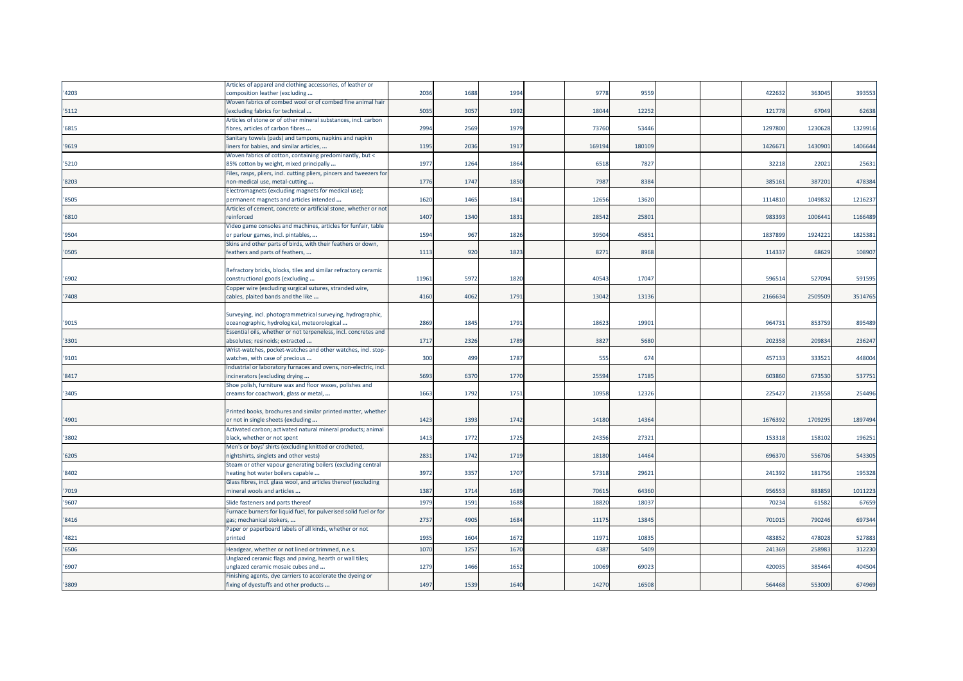|       | Articles of apparel and clothing accessories, of leather or                                   |       |      |      |        |        |  |         |         |         |
|-------|-----------------------------------------------------------------------------------------------|-------|------|------|--------|--------|--|---------|---------|---------|
| '4203 | composition leather (excluding                                                                | 2036  | 1688 | 1994 | 9778   | 9559   |  | 42263   | 36304   | 393553  |
|       | Woven fabrics of combed wool or of combed fine animal hair                                    |       |      |      |        |        |  |         |         |         |
| '5112 | (excluding fabrics for technical                                                              | 5035  | 3057 | 1992 | 18044  | 1225   |  | 121778  | 67049   | 62638   |
|       | Articles of stone or of other mineral substances, incl. carbon                                |       |      |      |        |        |  |         |         |         |
| '6815 | fibres, articles of carbon fibres                                                             | 2994  | 2569 | 1979 | 73760  | 53446  |  | 1297800 | 1230628 | 1329916 |
|       | Sanitary towels (pads) and tampons, napkins and napkin                                        |       |      |      |        |        |  |         |         |         |
| '9619 | liners for babies, and similar articles,                                                      | 1195  | 2036 | 1917 | 169194 | 180109 |  | 142667  | 1430901 | 1406644 |
|       | Woven fabrics of cotton, containing predominantly, but <                                      |       |      |      |        |        |  |         |         |         |
| '5210 | 85% cotton by weight, mixed principally                                                       | 1977  | 1264 | 1864 | 6518   | 782    |  | 32218   | 2202:   | 25631   |
|       | Files, rasps, pliers, incl. cutting pliers, pincers and tweezers for                          |       |      |      |        |        |  |         |         |         |
| '8203 | non-medical use, metal-cutting                                                                | 1776  | 1747 | 1850 | 7987   | 838    |  | 38516   | 38720   | 478384  |
|       | Electromagnets (excluding magnets for medical use);                                           |       |      |      |        |        |  |         |         |         |
| '8505 | permanent magnets and articles intended                                                       | 1620  | 1465 | 1841 | 12656  | 1362   |  | 1114810 | 104983  | 1216237 |
|       |                                                                                               |       |      |      |        |        |  |         |         |         |
|       | Articles of cement, concrete or artificial stone, whether or not                              |       |      | 1831 | 2854   | 2580   |  | 98339   |         |         |
| '6810 | reinforced                                                                                    | 1407  | 1340 |      |        |        |  |         | 100644  | 1166489 |
|       | Video game consoles and machines, articles for funfair, table                                 |       |      |      |        |        |  |         |         |         |
| '9504 | or parlour games, incl. pintables,                                                            | 1594  | 967  | 1826 | 39504  | 4585   |  | 183789  | 1924221 | 1825381 |
|       | Skins and other parts of birds, with their feathers or down,                                  |       |      |      |        |        |  |         |         |         |
| '0505 | feathers and parts of feathers,                                                               | 1113  | 920  | 1823 | 8271   | 8968   |  | 114337  | 68629   | 108907  |
|       |                                                                                               |       |      |      |        |        |  |         |         |         |
|       | Refractory bricks, blocks, tiles and similar refractory ceramic                               |       |      |      |        |        |  |         |         |         |
| '6902 | constructional goods (excluding                                                               | 11961 | 597  | 182  | 40543  | 1704   |  | 59651   | 527094  | 591595  |
|       | Copper wire (excluding surgical sutures, stranded wire,                                       |       |      |      |        |        |  |         |         |         |
| '7408 | cables, plaited bands and the like                                                            | 4160  | 4062 | 1791 | 13042  | 1313   |  | 216663  | 2509509 | 3514765 |
|       |                                                                                               |       |      |      |        |        |  |         |         |         |
|       | Surveying, incl. photogrammetrical surveying, hydrographic,                                   |       |      |      |        |        |  |         |         |         |
| '9015 | oceanographic, hydrological, meteorological                                                   | 2869  | 1845 | 1791 | 1862   | 19901  |  | 964731  | 853759  | 895489  |
|       | Essential oils, whether or not terpeneless, incl. concretes and                               |       |      |      |        |        |  |         |         |         |
| '3301 | absolutes; resinoids; extracted                                                               | 1717  | 2326 | 1789 | 3827   | 568    |  | 202358  | 209834  | 236247  |
|       | Wrist-watches, pocket-watches and other watches, incl. stop-                                  |       |      |      |        |        |  |         |         |         |
| '9101 | watches, with case of precious                                                                | 300   | 499  | 1787 | 555    | 674    |  | 457133  | 333521  | 448004  |
|       | Industrial or laboratory furnaces and ovens, non-electric, incl.                              |       |      |      |        |        |  |         |         |         |
| '8417 | incinerators (excluding drying                                                                | 5693  | 6370 | 1770 | 25594  | 1718   |  | 603860  | 673530  | 537751  |
|       | Shoe polish, furniture wax and floor waxes, polishes and                                      |       |      |      |        |        |  |         |         |         |
| '3405 | creams for coachwork, glass or metal,                                                         | 1663  | 1792 | 1751 | 10958  | 12326  |  | 225427  | 213558  | 254496  |
|       |                                                                                               |       |      |      |        |        |  |         |         |         |
|       | Printed books, brochures and similar printed matter, whether                                  |       |      |      |        |        |  |         |         |         |
| '4901 | or not in single sheets (excluding                                                            | 1423  | 1393 | 1742 | 14180  | 14364  |  | 1676392 | 1709295 | 1897494 |
|       | Activated carbon; activated natural mineral products; animal                                  |       |      |      |        |        |  |         |         |         |
| '3802 | black, whether or not spent                                                                   | 1413  | 1772 | 1725 | 24356  | 2732   |  | 15331   | 158102  | 196251  |
|       | Men's or boys' shirts (excluding knitted or crocheted,                                        |       |      |      |        |        |  |         |         |         |
| '6205 | nightshirts, singlets and other vests)                                                        | 2831  | 1742 | 1719 | 18180  | 14464  |  | 69637   | 556706  | 543305  |
|       | Steam or other vapour generating boilers (excluding central                                   |       |      |      |        |        |  |         |         |         |
| '8402 | heating hot water boilers capable                                                             | 3972  | 3357 | 1707 | 57318  | 2962   |  | 241392  | 181756  | 195328  |
|       |                                                                                               |       |      |      |        |        |  |         |         |         |
| '7019 | Glass fibres, incl. glass wool, and articles thereof (excluding<br>mineral wools and articles | 1387  | 1714 | 1689 | 70615  | 64360  |  | 956553  | 883859  | 1011223 |
|       |                                                                                               |       |      |      |        |        |  |         |         |         |
| '9607 | Slide fasteners and parts thereof                                                             | 1979  | 159  | 1688 | 18820  | 1803   |  | 7023    | 6158    | 67659   |
|       | Furnace burners for liquid fuel, for pulverised solid fuel or for                             |       |      |      |        |        |  |         |         |         |
| '8416 | gas; mechanical stokers,                                                                      | 2737  | 4905 | 1684 | 11175  | 1384   |  | 70101   | 79024   | 697344  |
|       | Paper or paperboard labels of all kinds, whether or not                                       |       |      |      |        |        |  |         |         |         |
| '4821 | printed                                                                                       | 1935  | 1604 | 1672 | 1197   | 10835  |  | 483852  | 478028  | 527883  |
| '6506 | Headgear, whether or not lined or trimmed, n.e.s.                                             | 1070  | 1257 | 167  | 4387   | 5409   |  | 241369  | 25898   | 312230  |
|       | Unglazed ceramic flags and paving, hearth or wall tiles;                                      |       |      |      |        |        |  |         |         |         |
| '6907 |                                                                                               | 1279  | 1466 | 165  | 10069  | 6902   |  | 42003   | 38546   | 404504  |
|       | unglazed ceramic mosaic cubes and                                                             |       |      |      |        |        |  |         |         |         |
|       | Finishing agents, dye carriers to accelerate the dyeing or                                    |       |      |      |        |        |  |         |         |         |
| '3809 | fixing of dyestuffs and other products                                                        | 1497  | 1539 | 1640 | 14270  | 16508  |  | 564468  | 553009  | 674969  |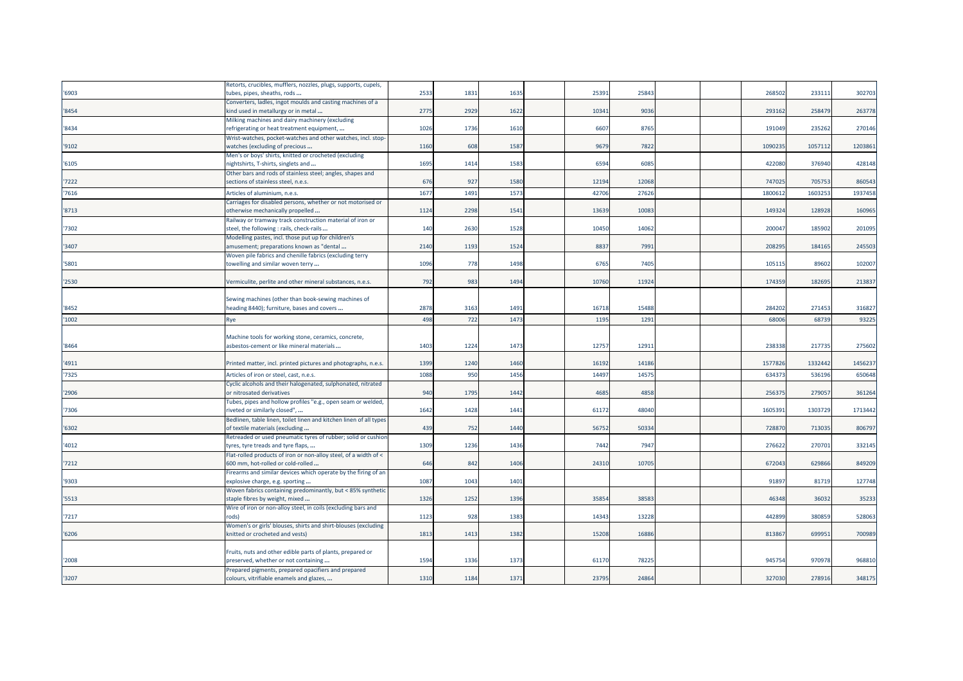|       | Retorts, crucibles, mufflers, nozzles, plugs, supports, cupels,                                 |      |      |      |       |       |  |         |         |         |
|-------|-------------------------------------------------------------------------------------------------|------|------|------|-------|-------|--|---------|---------|---------|
| '6903 | tubes, pipes, sheaths, rods                                                                     | 2533 | 1831 | 1635 | 25391 | 25843 |  | 26850   | 233111  | 302703  |
|       | Converters, ladles, ingot moulds and casting machines of a                                      |      |      |      |       |       |  |         |         |         |
| '8454 | kind used in metallurgy or in metal                                                             | 2775 | 2929 | 1622 | 10341 | 9036  |  | 293162  | 258479  | 263778  |
|       | Milking machines and dairy machinery (excluding                                                 |      |      |      |       |       |  |         |         |         |
| '8434 | refrigerating or heat treatment equipment,                                                      | 1026 | 1736 | 1610 | 6607  | 8765  |  | 191049  | 235262  | 270146  |
|       | Wrist-watches, pocket-watches and other watches, incl. stop-                                    |      |      |      |       |       |  |         |         |         |
| '9102 | watches (excluding of precious                                                                  | 1160 | 608  | 1587 | 9679  | 7822  |  | 1090235 | 1057112 | 1203861 |
|       | Men's or boys' shirts, knitted or crocheted (excluding                                          |      |      |      |       |       |  |         |         |         |
| '6105 | nightshirts, T-shirts, singlets and                                                             | 1695 | 1414 | 1583 | 6594  | 6085  |  | 422080  | 376940  | 428148  |
|       | Other bars and rods of stainless steel; angles, shapes and                                      |      |      |      |       |       |  |         |         |         |
| '7222 | sections of stainless steel, n.e.s.                                                             | 676  | 927  | 1580 | 12194 | 12068 |  | 747025  | 705753  | 860543  |
| '7616 | Articles of aluminium, n.e.s.                                                                   | 1677 | 1491 | 1573 | 42706 | 27626 |  | 180061  | 160325  | 1937458 |
|       | Carriages for disabled persons, whether or not motorised or                                     |      |      |      |       |       |  |         |         |         |
| '8713 | otherwise mechanically propelled                                                                | 1124 | 2298 | 1541 | 13639 | 10083 |  | 14932   | 128928  | 160965  |
|       | Railway or tramway track construction material of iron or                                       |      |      |      |       |       |  |         |         |         |
| '7302 | steel, the following : rails, check-rails                                                       | 140  | 2630 | 1528 | 10450 | 14062 |  | 20004   | 185902  | 201095  |
|       | Modelling pastes, incl. those put up for children's                                             |      |      |      |       |       |  |         |         |         |
| '3407 | amusement; preparations known as "dental                                                        | 2140 | 1193 | 1524 | 8837  | 7991  |  | 208295  | 184165  | 245503  |
|       | Woven pile fabrics and chenille fabrics (excluding terry                                        |      |      |      |       |       |  |         |         |         |
| '5801 | towelling and similar woven terry                                                               | 1096 | 778  | 1498 | 6765  | 7405  |  | 10511   | 89602   | 102007  |
|       |                                                                                                 |      |      |      |       |       |  |         |         |         |
| '2530 | Vermiculite, perlite and other mineral substances, n.e.s.                                       | 792  | 983  | 1494 | 10760 | 11924 |  | 174359  | 182695  | 213837  |
|       |                                                                                                 |      |      |      |       |       |  |         |         |         |
|       | Sewing machines (other than book-sewing machines of                                             |      |      |      |       |       |  |         |         |         |
| '8452 | heading 8440); furniture, bases and covers                                                      | 2878 | 3163 | 1491 | 16718 | 15488 |  | 284202  | 271453  | 316827  |
| '1002 |                                                                                                 | 498  | 722  | 1473 | 1195  | 1291  |  | 6800    | 68739   | 93225   |
|       | Rye                                                                                             |      |      |      |       |       |  |         |         |         |
|       | Machine tools for working stone, ceramics, concrete,                                            |      |      |      |       |       |  |         |         |         |
| '8464 | asbestos-cement or like mineral materials                                                       | 1403 | 1224 | 1473 | 12757 | 1291  |  | 23833   | 21773   | 275602  |
|       |                                                                                                 |      |      |      |       |       |  |         |         |         |
| '4911 | Printed matter, incl. printed pictures and photographs, n.e.s.                                  | 1399 | 1240 | 1460 | 16192 | 14186 |  | 157782  | 1332442 | 1456237 |
|       |                                                                                                 |      |      |      |       |       |  |         |         |         |
| '7325 | Articles of iron or steel, cast, n.e.s.                                                         | 1088 | 950  | 1456 | 14497 | 14575 |  | 63437   | 536196  | 650648  |
|       | Cyclic alcohols and their halogenated, sulphonated, nitrated                                    |      |      |      |       |       |  |         |         |         |
| '2906 | or nitrosated derivatives                                                                       | 940  | 1795 | 1442 | 4685  | 4858  |  | 25637   | 27905   | 361264  |
|       | Tubes, pipes and hollow profiles "e.g., open seam or welded,                                    |      |      |      |       |       |  |         |         |         |
| '7306 | riveted or similarly closed",                                                                   | 1642 | 1428 | 1441 | 61172 | 48040 |  | 160539  | 1303729 | 1713442 |
|       | Bedlinen, table linen, toilet linen and kitchen linen of all types                              |      |      |      |       |       |  |         |         |         |
| '6302 | of textile materials (excluding                                                                 | 439  | 752  | 1440 | 56752 | 50334 |  | 728870  | 713035  | 806797  |
|       | Retreaded or used pneumatic tyres of rubber; solid or cushion                                   |      |      |      |       |       |  |         |         |         |
| '4012 | tyres, tyre treads and tyre flaps,                                                              | 1309 | 1236 | 1436 | 7442  | 7947  |  | 276622  | 270701  | 332145  |
|       | Flat-rolled products of iron or non-alloy steel, of a width of <                                |      |      |      |       |       |  |         |         |         |
| '7212 | 600 mm, hot-rolled or cold-rolled                                                               | 646  | 842  | 1406 | 24310 | 10705 |  | 672043  | 629866  | 849209  |
|       | Firearms and similar devices which operate by the firing of an                                  |      |      |      |       |       |  |         |         |         |
| '9303 | explosive charge, e.g. sporting                                                                 | 1087 | 1043 | 1401 |       |       |  | 9189    | 81719   | 127748  |
|       | Woven fabrics containing predominantly, but < 85% synthetic                                     |      |      |      |       |       |  |         |         |         |
| '5513 | staple fibres by weight, mixed                                                                  | 1326 | 1252 | 1396 | 35854 | 38583 |  | 46348   | 36032   | 35233   |
|       | Wire of iron or non-alloy steel, in coils (excluding bars and                                   |      |      |      |       |       |  |         |         |         |
| '7217 | rods)                                                                                           | 1123 | 928  | 1383 | 14343 | 13228 |  | 442899  | 380859  | 528063  |
|       | Women's or girls' blouses, shirts and shirt-blouses (excluding                                  |      |      |      |       |       |  |         |         |         |
| '6206 | knitted or crocheted and vests)                                                                 | 1813 | 1413 | 1382 | 15208 | 16886 |  | 813867  | 69995   | 700989  |
|       |                                                                                                 |      |      |      |       |       |  |         |         |         |
|       | Fruits, nuts and other edible parts of plants, prepared or                                      |      |      |      |       |       |  |         |         |         |
|       |                                                                                                 |      |      |      |       |       |  |         |         |         |
| '2008 | preserved, whether or not containing                                                            | 1594 | 1336 | 1373 | 61170 | 78225 |  | 94575   | 970978  | 968810  |
| '3207 | Prepared pigments, prepared opacifiers and prepared<br>colours, vitrifiable enamels and glazes, | 1310 | 1184 | 1371 | 23795 | 24864 |  | 327030  | 278916  | 348175  |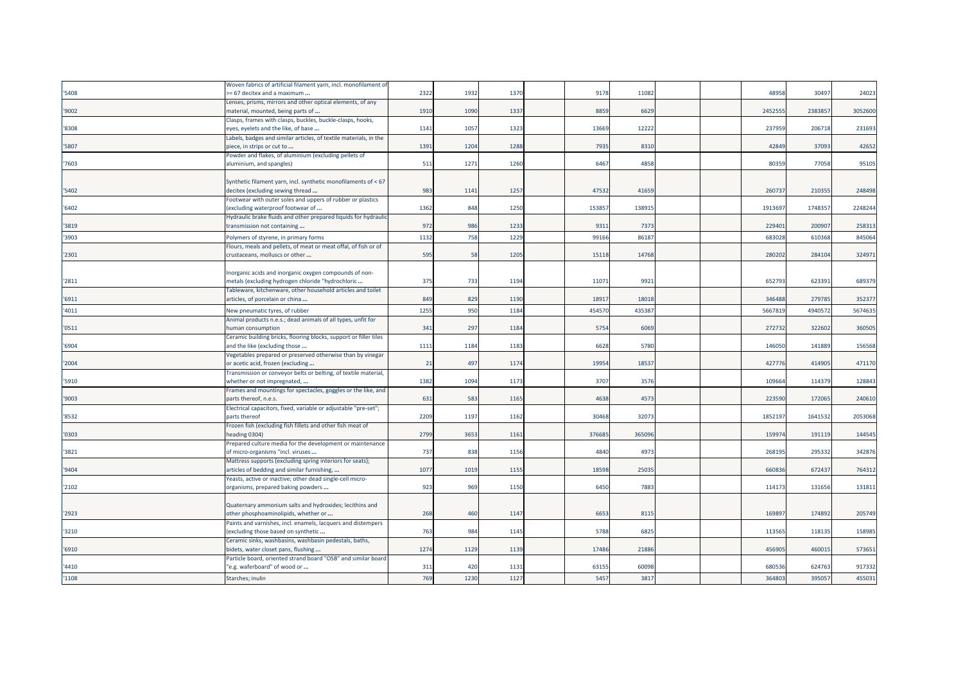|       | Woven fabrics of artificial filament yarn, incl. monofilament of  |      |      |      |        |        |  |        |         |         |
|-------|-------------------------------------------------------------------|------|------|------|--------|--------|--|--------|---------|---------|
| '5408 | -= 67 decitex and a maximum                                       | 2322 | 1932 | 1370 | 9178   | 11082  |  | 4895   | 30497   | 24023   |
|       | Lenses, prisms, mirrors and other optical elements, of any        |      |      |      |        |        |  |        |         |         |
| '9002 | material, mounted, being parts of                                 | 1910 | 1090 | 1337 | 8859   | 6629   |  | 245255 | 238385  | 3052600 |
|       | Clasps, frames with clasps, buckles, buckle-clasps, hooks,        |      |      |      |        |        |  |        |         |         |
| '8308 | eyes, eyelets and the like, of base                               | 1141 | 1057 | 1323 | 13669  | 12222  |  | 237959 | 206718  | 231693  |
|       | Labels, badges and similar articles, of textile materials, in the |      |      |      |        |        |  |        |         |         |
| '5807 | biece, in strips or cut to                                        | 1391 | 1204 | 1288 | 7935   | 8310   |  | 42849  | 37093   | 42652   |
|       | Powder and flakes, of aluminium (excluding pellets of             |      |      |      |        |        |  |        |         |         |
| '7603 | aluminium, and spangles)                                          | 511  | 1271 | 1260 | 6467   | 4858   |  | 80359  | 77058   | 95105   |
|       |                                                                   |      |      |      |        |        |  |        |         |         |
|       | Synthetic filament yarn, incl. synthetic monofilaments of < 67    |      |      |      |        |        |  |        |         |         |
| '5402 | decitex (excluding sewing thread                                  | 983  | 1141 | 1257 | 47532  | 4165   |  | 26073  | 21035   | 248498  |
|       | Footwear with outer soles and uppers of rubber or plastics        |      |      |      |        |        |  |        |         |         |
| '6402 | excluding waterproof footwear of                                  | 1362 | 848  | 1250 | 153857 | 13891  |  | 191369 | 174835  | 2248244 |
|       | Hydraulic brake fluids and other prepared liquids for hydraulic   |      |      |      |        |        |  |        |         |         |
| '3819 | transmission not containing                                       | 972  | 986  | 1233 | 9311   | 7373   |  | 229401 | 200907  | 258313  |
| '3903 | Polymers of styrene, in primary forms                             | 1132 | 758  | 1229 | 99166  | 86187  |  | 68302  | 610368  | 845064  |
|       | Flours, meals and pellets, of meat or meat offal, of fish or of   |      |      |      |        |        |  |        |         |         |
| '2301 | crustaceans, molluscs or other                                    | 595  | 58   | 1205 | 15118  | 14768  |  | 28020  | 284104  | 324971  |
|       |                                                                   |      |      |      |        |        |  |        |         |         |
|       | Inorganic acids and inorganic oxygen compounds of non-            |      |      |      |        |        |  |        |         |         |
| '2811 | metals (excluding hydrogen chloride "hydrochloric                 | 375  | 733  | 1194 | 11071  | 9921   |  | 652793 | 623391  | 689379  |
|       | Tableware, kitchenware, other household articles and toilet       |      |      |      |        |        |  |        |         |         |
| '6911 | articles, of porcelain or china                                   | 849  | 829  | 1190 | 18917  | 18018  |  | 346488 | 279785  | 352377  |
| '4011 | New pneumatic tyres, of rubber                                    | 1255 | 950  | 1184 | 454570 | 435387 |  | 566781 | 4940572 | 5674635 |
|       | Animal products n.e.s.; dead animals of all types, unfit for      |      |      |      |        |        |  |        |         |         |
| '0511 | human consumption                                                 | 341  | 297  | 1184 | 5754   | 6069   |  | 27273  | 322602  | 360505  |
|       | Ceramic building bricks, flooring blocks, support or filler tiles |      |      |      |        |        |  |        |         |         |
| '6904 | and the like (excluding those                                     | 1111 | 1184 | 1183 | 6628   | 5780   |  | 14605  | 141889  | 156568  |
|       | /egetables prepared or preserved otherwise than by vinegar        |      |      |      |        |        |  |        |         |         |
| '2004 | or acetic acid, frozen (excluding                                 | 21   | 497  | 1174 | 19954  | 1853   |  | 42777  | 414905  | 471170  |
|       | Transmission or conveyor belts or belting, of textile material,   |      |      |      |        |        |  |        |         |         |
| '5910 | whether or not impregnated,                                       | 1382 | 1094 | 1173 | 3707   | 3576   |  | 10966  | 114379  | 128843  |
|       | Frames and mountings for spectacles, goggles or the like, and     |      |      |      |        |        |  |        |         |         |
| '9003 | parts thereof, n.e.s.                                             | 631  | 583  | 1165 | 4638   | 4573   |  | 223590 | 172065  | 240610  |
|       | Electrical capacitors, fixed, variable or adjustable "pre-set";   |      |      |      |        |        |  |        |         |         |
| '8532 | parts thereof                                                     | 2209 | 1197 | 1162 | 30468  | 3207   |  | 185219 | 164153  | 2053068 |
|       | Frozen fish (excluding fish fillets and other fish meat of        |      |      |      |        |        |  |        |         |         |
| '0303 | neading 0304)                                                     | 2799 | 3653 | 1161 | 376685 | 365096 |  | 15997  | 191119  | 144545  |
|       | Prepared culture media for the development or maintenance         |      |      |      |        |        |  |        |         |         |
| '3821 | of micro-organisms "incl. viruses                                 | 737  | 838  | 1156 | 4840   | 4973   |  | 268195 | 295332  | 342876  |
|       | Mattress supports (excluding spring interiors for seats);         |      |      |      |        |        |  |        |         |         |
| '9404 | articles of bedding and similar furnishing,                       | 1077 | 1019 | 1155 | 18598  | 25035  |  | 66083  | 672437  | 764312  |
|       | Yeasts, active or inactive; other dead single-cell micro-         |      |      |      |        |        |  |        |         |         |
| '2102 | organisms, prepared baking powders                                | 923  | 969  | 1150 | 6450   | 7883   |  | 11417  | 13165   | 131811  |
|       |                                                                   |      |      |      |        |        |  |        |         |         |
|       | Quaternary ammonium salts and hydroxides; lecithins and           |      |      |      |        |        |  |        |         |         |
| '2923 | other phosphoaminolipids, whether or                              | 268  | 460  | 1147 | 6653   | 8115   |  | 16989  | 174892  | 205749  |
|       | Paints and varnishes, incl. enamels, lacquers and distempers      |      |      |      |        |        |  |        |         |         |
| '3210 | excluding those based on synthetic                                | 763  | 984  | 1145 | 5788   | 6825   |  | 11356  | 118135  | 158985  |
|       | Ceramic sinks, washbasins, washbasin pedestals, baths,            |      |      |      |        |        |  |        |         |         |
| '6910 | bidets, water closet pans, flushing                               | 1274 | 1129 | 1139 | 17486  | 21886  |  | 45690  | 460015  | 573651  |
|       | Particle board, oriented strand board "OSB" and similar board     |      |      |      |        |        |  |        |         |         |
| '4410 | 'e.g. waferboard" of wood or                                      | 311  | 420  | 1131 | 63155  | 60098  |  | 68053  | 624763  | 917332  |
| '1108 |                                                                   | 769  | 1230 | 1127 | 5457   | 3817   |  | 364803 |         | 455031  |
|       | Starches; inulin                                                  |      |      |      |        |        |  |        | 395057  |         |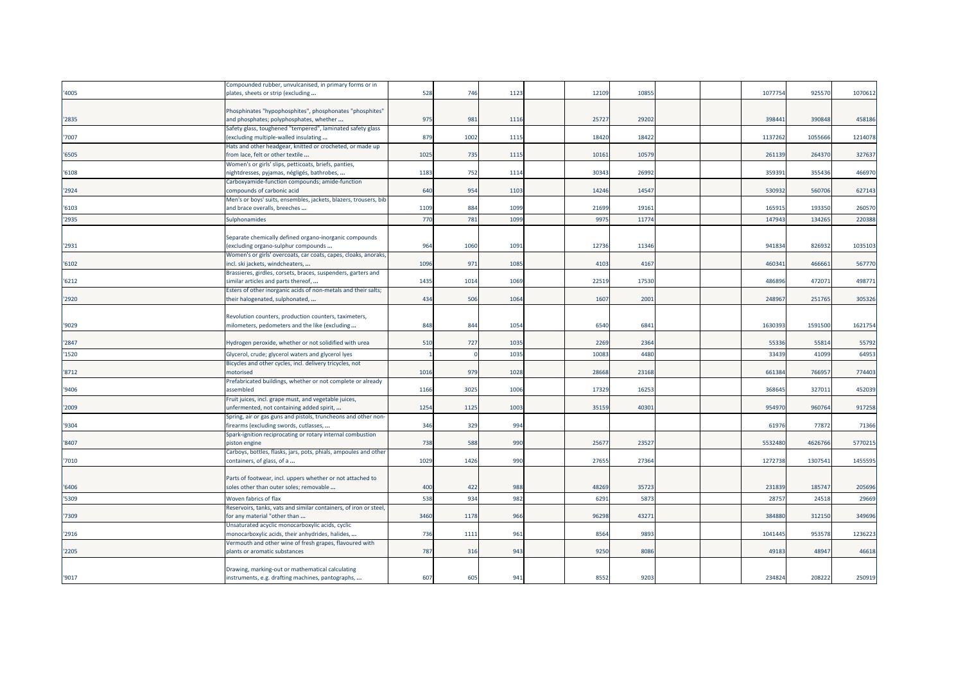|       | Compounded rubber, unvulcanised, in primary forms or in                                                     |                 |      |      |       |       |  |         |        |         |
|-------|-------------------------------------------------------------------------------------------------------------|-----------------|------|------|-------|-------|--|---------|--------|---------|
| '4005 | plates, sheets or strip (excluding                                                                          | 528             | 746  | 1123 | 12109 | 1085  |  | 107775  | 92557  | 1070612 |
|       |                                                                                                             |                 |      |      |       |       |  |         |        |         |
|       | Phosphinates "hypophosphites", phosphonates "phosphites"                                                    |                 |      |      |       |       |  |         |        |         |
| 2835  | and phosphates; polyphosphates, whether                                                                     | 975             | 981  | 1116 | 25727 | 29202 |  | 39844   | 390848 | 458186  |
|       | Safety glass, toughened "tempered", laminated safety glass                                                  |                 |      |      |       |       |  |         |        |         |
| 7007  | (excluding multiple-walled insulating                                                                       | 879             | 1002 | 1115 | 18420 | 18422 |  | 1137262 | 105566 | 1214078 |
|       | Hats and other headgear, knitted or crocheted, or made up                                                   |                 |      |      |       |       |  |         |        |         |
| '6505 | from lace, felt or other textile                                                                            | 1025            | 735  | 1115 | 10161 | 10579 |  | 26113   | 264370 | 327637  |
|       | Women's or girls' slips, petticoats, briefs, panties,                                                       |                 |      |      |       |       |  |         |        |         |
| '6108 | nightdresses, pyjamas, négligés, bathrobes,                                                                 | 1183            | 752  | 1114 | 30343 | 26992 |  | 35939   | 35543  | 466970  |
|       | Carboxyamide-function compounds; amide-function                                                             |                 |      |      |       |       |  |         |        |         |
| 2924  | compounds of carbonic acid                                                                                  | 640             | 954  | 1103 | 14246 | 1454  |  | 53093   | 560706 | 627143  |
|       | Men's or boys' suits, ensembles, jackets, blazers, trousers, bib                                            |                 |      |      |       |       |  |         |        |         |
| '6103 | and brace overalls, breeches                                                                                | 1109            | 884  | 1099 | 21699 | 19161 |  | 16591   | 193350 | 260570  |
| '2935 | Sulphonamides                                                                                               | 770             | 781  | 1099 | 997   | 1177  |  | 14794   | 13426  | 220388  |
|       |                                                                                                             |                 |      |      |       |       |  |         |        |         |
|       | Separate chemically defined organo-inorganic compounds                                                      |                 |      |      |       |       |  |         |        |         |
| 2931  | (excluding organo-sulphur compounds                                                                         | 964             | 1060 | 1091 | 12736 | 11346 |  | 94183   | 826932 | 1035103 |
|       | Women's or girls' overcoats, car coats, capes, cloaks, anoraks,                                             |                 |      |      |       |       |  |         |        |         |
| '6102 | incl. ski jackets, windcheaters,                                                                            | 1096            | 971  | 1085 | 4103  | 4167  |  | 46034   | 466661 | 567770  |
|       | Brassieres, girdles, corsets, braces, suspenders, garters and                                               |                 |      |      |       |       |  |         |        |         |
| 6212  | similar articles and parts thereof,                                                                         | 1435            | 1014 | 1069 | 22519 | 1753  |  | 48689   | 47207  | 498771  |
|       | Esters of other inorganic acids of non-metals and their salts;                                              |                 |      |      |       |       |  |         |        |         |
| '2920 | their halogenated, sulphonated,                                                                             | 434             | 506  | 1064 | 1607  | 2001  |  | 24896   | 251765 | 305326  |
|       |                                                                                                             |                 |      |      |       |       |  |         |        |         |
|       | Revolution counters, production counters, taximeters,                                                       |                 |      |      |       |       |  |         |        |         |
| '9029 | milometers, pedometers and the like (excluding                                                              | 848             | 844  | 1054 | 6540  | 684   |  | 163039  | 159150 | 1621754 |
|       |                                                                                                             |                 |      |      |       |       |  |         |        |         |
| '2847 | Hydrogen peroxide, whether or not solidified with urea                                                      | 510             | 727  | 1035 | 2269  | 2364  |  | 5533    | 55814  | 55792   |
| '1520 | Glycerol, crude; glycerol waters and glycerol lyes                                                          |                 |      | 1035 | 1008  | 4480  |  | 3343    | 41099  | 64953   |
|       | Bicycles and other cycles, incl. delivery tricycles, not                                                    |                 |      |      |       |       |  |         |        |         |
| 8712  | motorised                                                                                                   | 1016            | 979  | 1028 | 28668 | 23168 |  | 661384  | 76695  | 774403  |
|       | Prefabricated buildings, whether or not complete or already                                                 |                 |      |      |       |       |  |         |        |         |
| '9406 | assembled                                                                                                   | 1166            | 3025 | 1006 | 17329 | 1625  |  | 36864   | 32701: | 452039  |
|       | Fruit juices, incl. grape must, and vegetable juices,                                                       |                 |      |      |       |       |  |         |        |         |
| '2009 | unfermented, not containing added spirit,                                                                   | 1254            | 1125 | 1003 | 35159 | 40301 |  | 95497   | 960764 | 917258  |
|       | Spring, air or gas guns and pistols, truncheons and other non-                                              |                 |      |      |       |       |  |         |        |         |
| '9304 | firearms (excluding swords, cutlasses,                                                                      | 346             | 329  | 994  |       |       |  | 6197    | 77872  | 71366   |
|       | Spark-ignition reciprocating or rotary internal combustion                                                  |                 |      |      |       |       |  |         |        |         |
| 8407  | piston engine                                                                                               | 738             | 588  | 990  | 2567  | 2352  |  | 553248  | 462676 | 5770215 |
|       | Carboys, bottles, flasks, jars, pots, phials, ampoules and other                                            |                 |      |      |       |       |  |         |        |         |
| 7010  | containers, of glass, of a                                                                                  | 1029            | 1426 | 990  | 2765  | 27364 |  | 127273  | 130754 | 1455595 |
|       |                                                                                                             |                 |      |      |       |       |  |         |        |         |
|       | Parts of footwear, incl. uppers whether or not attached to                                                  |                 |      |      |       |       |  |         |        |         |
| 6406  | soles other than outer soles; removable                                                                     | 40 <sub>C</sub> | 422  | 988  | 48269 | 3572  |  | 23183   | 18574  | 205696  |
| '5309 | Woven fabrics of flax                                                                                       | 538             | 934  | 982  | 6291  | 587   |  | 2875    | 24518  | 29669   |
|       |                                                                                                             |                 |      |      |       |       |  |         |        |         |
| 7309  | Reservoirs, tanks, vats and similar containers, of iron or steel,<br>for any material "other than           | 3460            | 1178 | 966  | 96298 | 43271 |  | 38488   | 312150 | 349696  |
|       |                                                                                                             |                 |      |      |       |       |  |         |        |         |
| 2916  | Unsaturated acyclic monocarboxylic acids, cyclic                                                            | 736             | 1111 | 961  | 8564  | 989   |  | 104144  | 953578 | 1236223 |
|       | monocarboxylic acids, their anhydrides, halides,<br>Vermouth and other wine of fresh grapes, flavoured with |                 |      |      |       |       |  |         |        |         |
| '2205 | plants or aromatic substances                                                                               | 787             | 316  | 943  | 9250  | 808   |  | 4918    | 48947  | 46618   |
|       |                                                                                                             |                 |      |      |       |       |  |         |        |         |
|       | Drawing, marking-out or mathematical calculating                                                            |                 |      |      |       |       |  |         |        |         |
| '9017 | instruments, e.g. drafting machines, pantographs,                                                           | 607             | 605  | 941  | 8552  | 9203  |  | 234824  | 208222 | 250919  |
|       |                                                                                                             |                 |      |      |       |       |  |         |        |         |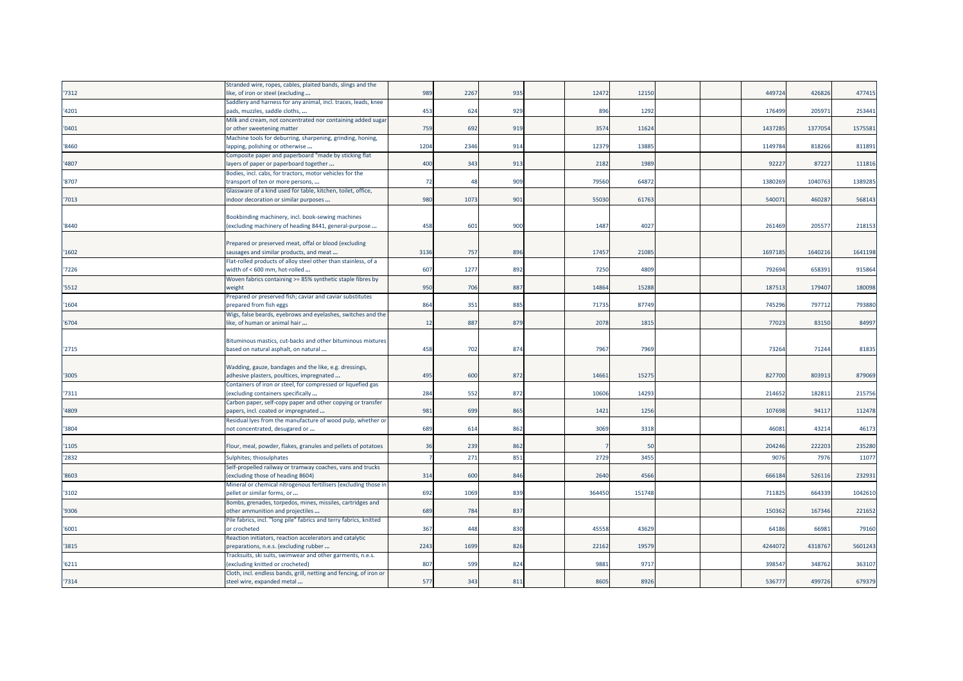|       | Stranded wire, ropes, cables, plaited bands, slings and the                                            |                 |                |     |        |             |  |         |         |         |
|-------|--------------------------------------------------------------------------------------------------------|-----------------|----------------|-----|--------|-------------|--|---------|---------|---------|
| 7312  | like, of iron or steel (excluding                                                                      | 989             | 2267           | 935 | 12472  | 12150       |  | 449724  | 426826  | 477415  |
|       | Saddlery and harness for any animal, incl. traces, leads, knee                                         |                 |                |     |        |             |  |         |         |         |
| '4201 | pads, muzzles, saddle cloths,                                                                          | 453             | 624            | 929 | 896    | 1292        |  | 176499  | 205971  | 253441  |
|       | Milk and cream, not concentrated nor containing added sugar                                            |                 |                |     |        |             |  |         |         |         |
| '0401 | or other sweetening matter                                                                             | <b>759</b>      | 692            | 919 | 3574   | 11624       |  | 1437285 | 1377054 | 1575581 |
|       | Machine tools for deburring, sharpening, grinding, honing,                                             |                 |                |     |        |             |  |         |         |         |
| '8460 | lapping, polishing or otherwise                                                                        | 1204            | 2346           | 914 | 12379  | 13885       |  | 1149784 | 818266  | 811891  |
|       | Composite paper and paperboard "made by sticking flat                                                  |                 |                |     |        |             |  |         |         |         |
| '4807 | layers of paper or paperboard together                                                                 | 40 <sub>C</sub> | 343            | 913 | 2182   | 1989        |  | 92227   | 87227   | 111816  |
|       | Bodies, incl. cabs, for tractors, motor vehicles for the                                               |                 |                |     |        |             |  |         |         |         |
| '8707 | transport of ten or more persons,                                                                      | 72              | $\overline{a}$ | 909 | 79560  | 64872       |  | 1380269 | 1040763 | 1389285 |
|       | Glassware of a kind used for table, kitchen, toilet, office,                                           |                 |                |     |        |             |  |         |         |         |
| '7013 | indoor decoration or similar purposes                                                                  | 980             | 1073           | 901 | 55030  | 61763       |  | 540071  | 460287  | 568143  |
|       |                                                                                                        |                 |                |     |        |             |  |         |         |         |
|       | Bookbinding machinery, incl. book-sewing machines                                                      |                 |                |     |        |             |  |         |         |         |
| '8440 | (excluding machinery of heading 8441, general-purpose                                                  | 458             | 601            | 900 | 1487   | 4027        |  | 261469  | 20557   | 218153  |
|       |                                                                                                        |                 |                |     |        |             |  |         |         |         |
|       | Prepared or preserved meat, offal or blood (excluding                                                  |                 |                |     |        |             |  |         |         |         |
| '1602 | sausages and similar products, and meat                                                                | 3136            | 757            | 896 | 17457  | 21085       |  | 169718  | 1640216 | 1641198 |
|       | Flat-rolled products of alloy steel other than stainless, of a                                         |                 |                |     |        |             |  |         |         |         |
| 7226  | width of < 600 mm, hot-rolled                                                                          | 607             | 1277           | 892 | 7250   | 4809        |  | 792694  | 658391  | 915864  |
|       | Woven fabrics containing >= 85% synthetic staple fibres by                                             |                 |                |     |        |             |  |         |         |         |
| '5512 | weight                                                                                                 | 950             | 706            | 887 | 14864  | 15288       |  | 187513  | 179407  | 180098  |
|       | Prepared or preserved fish; caviar and caviar substitutes                                              |                 |                |     |        |             |  |         |         |         |
| '1604 | prepared from fish eggs                                                                                | 864             | 351            | 885 | 71735  | 87749       |  | 745296  | 797712  | 793880  |
|       | Wigs, false beards, eyebrows and eyelashes, switches and the                                           |                 |                |     |        |             |  |         |         |         |
| '6704 | like, of human or animal hair                                                                          | 12              | 887            | 879 | 2078   | 1815        |  | 77023   | 83150   | 84997   |
|       |                                                                                                        |                 |                |     |        |             |  |         |         |         |
| '2715 | Bituminous mastics, cut-backs and other bituminous mixtures<br>based on natural asphalt, on natural    | 458             | 702            | 874 | 7967   | <b>7969</b> |  | 73264   | 71244   | 81835   |
|       |                                                                                                        |                 |                |     |        |             |  |         |         |         |
|       |                                                                                                        |                 |                |     |        |             |  |         |         |         |
| '3005 | Wadding, gauze, bandages and the like, e.g. dressings,<br>adhesive plasters, poultices, impregnated    | 495             | 600            | 872 | 14661  | 15275       |  | 827700  | 803913  | 879069  |
|       | Containers of iron or steel, for compressed or liquefied gas                                           |                 |                |     |        |             |  |         |         |         |
| 7311  | (excluding containers specifically                                                                     | 284             | 552            | 872 | 10606  | 14293       |  | 214652  | 182811  | 215756  |
|       | Carbon paper, self-copy paper and other copying or transfer                                            |                 |                |     |        |             |  |         |         |         |
| '4809 | papers, incl. coated or impregnated                                                                    | 981             | 699            | 865 | 1421   | 1256        |  | 107698  | 94117   | 112478  |
|       | Residual lyes from the manufacture of wood pulp, whether or                                            |                 |                |     |        |             |  |         |         |         |
| '3804 | not concentrated, desugared or                                                                         | 689             | 614            | 862 | 3069   | 3318        |  | 46081   | 43214   | 46173   |
|       |                                                                                                        |                 |                |     |        |             |  |         |         |         |
| '1105 | Flour, meal, powder, flakes, granules and pellets of potatoes                                          | 36              | 239            | 862 |        | 50          |  | 204246  | 222203  | 235280  |
|       |                                                                                                        |                 |                |     |        |             |  |         |         |         |
| '2832 | Sulphites; thiosulphates                                                                               |                 | 271            | 851 | 2729   | 3455        |  | 9076    | 7976    | 11077   |
|       | Self-propelled railway or tramway coaches, vans and trucks                                             |                 |                |     |        |             |  |         |         |         |
| '8603 | (excluding those of heading 8604)                                                                      | 314             | 600            | 846 | 2640   | 4566        |  | 666184  | 52611   | 232931  |
|       | Mineral or chemical nitrogenous fertilisers (excluding those in                                        |                 |                |     | 364450 |             |  |         |         | 1042610 |
| '3102 | pellet or similar forms, or                                                                            | 692             | 1069           | 839 |        | 151748      |  | 711825  | 664339  |         |
| '9306 | Bombs, grenades, torpedos, mines, missiles, cartridges and                                             | 689             | 784            | 837 |        |             |  | 150362  | 167346  | 221652  |
|       | other ammunition and projectiles                                                                       |                 |                |     |        |             |  |         |         |         |
|       | Pile fabrics, incl. "long pile" fabrics and terry fabrics, knitted                                     |                 | 448            |     | 4555   |             |  |         |         |         |
| '6001 | or crocheted                                                                                           | 367             |                | 830 |        | 43629       |  | 64186   | 66981   | 79160   |
| '3815 | Reaction initiators, reaction accelerators and catalytic                                               | 2243            | 1699           | 826 | 22162  | 19579       |  | 4244072 | 4318767 | 5601243 |
|       | preparations, n.e.s. (excluding rubber                                                                 |                 |                |     |        |             |  |         |         |         |
| '6211 | Tracksuits, ski suits, swimwear and other garments, n.e.s.                                             | 807             |                | 824 |        | 9717        |  |         | 348762  | 363107  |
|       | (excluding knitted or crocheted)<br>Cloth, incl. endless bands, grill, netting and fencing, of iron or |                 | 599            |     | 9881   |             |  | 398547  |         |         |
|       |                                                                                                        |                 |                |     |        |             |  |         |         |         |
| '7314 | steel wire, expanded metal                                                                             | 577             | 343            | 811 | 8605   | 8926        |  | 536777  | 499726  | 679379  |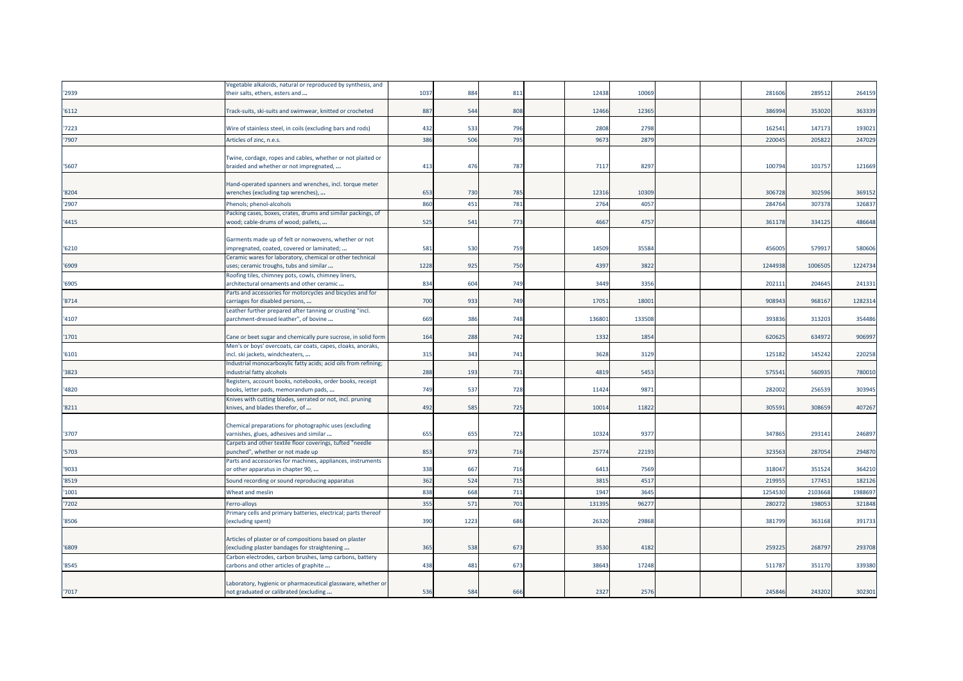|       | /egetable alkaloids, natural or reproduced by synthesis, and                                       |      |      |     |        |        |  |         |         |         |
|-------|----------------------------------------------------------------------------------------------------|------|------|-----|--------|--------|--|---------|---------|---------|
| 2939  | their salts, ethers, esters and                                                                    | 1037 | 884  | 811 | 12438  | 10069  |  | 281606  | 289512  | 264159  |
|       |                                                                                                    |      |      |     |        |        |  |         |         |         |
| 6112  | Track-suits, ski-suits and swimwear, knitted or crocheted                                          | 887  | 544  | 808 | 12466  | 12365  |  | 386994  | 353020  | 363339  |
|       |                                                                                                    |      |      |     |        |        |  |         |         |         |
| 7223  | Wire of stainless steel, in coils (excluding bars and rods)                                        | 432  | 533  | 796 | 2808   | 2798   |  | 162541  | 147173  | 193021  |
| 7907  | Articles of zinc, n.e.s.                                                                           | 386  | 506  | 795 | 9673   | 2879   |  | 220045  | 205822  | 247029  |
|       |                                                                                                    |      |      |     |        |        |  |         |         |         |
|       | Twine, cordage, ropes and cables, whether or not plaited or                                        |      |      |     |        |        |  |         |         |         |
| 5607  | braided and whether or not impregnated,                                                            | 413  | 476  | 787 | 7117   | 8297   |  | 100794  | 101757  | 121669  |
|       |                                                                                                    |      |      |     |        |        |  |         |         |         |
|       | Hand-operated spanners and wrenches, incl. torque meter                                            |      |      |     |        |        |  |         |         |         |
| '8204 | wrenches (excluding tap wrenches),                                                                 | 653  | 730  | 785 | 12316  | 10309  |  | 306728  | 302596  | 369152  |
| '2907 | Phenols; phenol-alcohols                                                                           | 860  | 451  | 781 | 2764   | 4057   |  | 284764  | 307378  | 326837  |
|       | Packing cases, boxes, crates, drums and similar packings, of                                       |      |      |     |        |        |  |         |         |         |
| 4415  | wood; cable-drums of wood; pallets,                                                                | 525  | 541  | 773 | 4667   | 4757   |  | 361178  | 334125  | 486648  |
|       |                                                                                                    |      |      |     |        |        |  |         |         |         |
|       | Garments made up of felt or nonwovens, whether or not                                              |      |      |     |        |        |  |         |         |         |
| '6210 | impregnated, coated, covered or laminated;                                                         | 581  | 530  | 759 | 14509  | 35584  |  | 456005  | 57991   | 580606  |
|       | Ceramic wares for laboratory, chemical or other technical                                          |      |      |     |        |        |  |         |         |         |
| '6909 | uses; ceramic troughs, tubs and similar                                                            | 1228 | 925  | 750 | 4397   | 3822   |  | 1244938 | 1006505 | 1224734 |
|       | Roofing tiles, chimney pots, cowls, chimney liners,                                                |      |      |     |        |        |  |         |         |         |
| '6905 | architectural ornaments and other ceramic                                                          | 834  | 604  | 749 | 3449   | 3356   |  | 202111  | 204645  | 241331  |
| '8714 | Parts and accessories for motorcycles and bicycles and for<br>carriages for disabled persons,      | 700  | 933  | 749 | 1705   | 18001  |  | 90894   | 968167  | 1282314 |
|       |                                                                                                    |      |      |     |        |        |  |         |         |         |
| '4107 | Leather further prepared after tanning or crusting "incl.<br>parchment-dressed leather", of bovine | 669  | 386  | 748 | 136801 | 133508 |  | 393836  | 313203  | 354486  |
|       |                                                                                                    |      |      |     |        |        |  |         |         |         |
| 1701  | Cane or beet sugar and chemically pure sucrose, in solid form                                      | 164  | 288  | 742 | 1332   | 1854   |  | 620625  | 634972  | 906997  |
|       | Men's or boys' overcoats, car coats, capes, cloaks, anoraks,                                       |      |      |     |        |        |  |         |         |         |
| '6101 | incl. ski jackets, windcheaters,                                                                   | 315  | 343  | 741 | 3628   | 3129   |  | 125182  | 145242  | 220258  |
|       | Industrial monocarboxylic fatty acids; acid oils from refining;                                    |      |      |     |        |        |  |         |         |         |
| 3823  | industrial fatty alcohols                                                                          | 288  | 193  | 731 | 4819   | 5453   |  | 575541  | 56093   | 780010  |
|       | Registers, account books, notebooks, order books, receipt                                          |      |      |     |        |        |  |         |         |         |
| '4820 | books, letter pads, memorandum pads,                                                               | 749  | 537  | 728 | 11424  | 9871   |  | 282002  | 256539  | 303945  |
|       | Knives with cutting blades, serrated or not, incl. pruning                                         |      |      |     |        |        |  |         |         |         |
| '8211 | knives, and blades therefor, of                                                                    | 492  | 585  | 725 | 10014  | 11822  |  | 305591  | 308659  | 407267  |
|       |                                                                                                    |      |      |     |        |        |  |         |         |         |
|       | Chemical preparations for photographic uses (excluding                                             |      |      |     |        |        |  |         |         |         |
| '3707 | varnishes, glues, adhesives and similar                                                            | 655  | 655  | 723 | 10324  | 9377   |  | 347865  | 293141  | 246897  |
|       | Carpets and other textile floor coverings, tufted "needle                                          |      |      |     |        |        |  |         |         |         |
| 5703  | punched", whether or not made up                                                                   | 853  | 973  | 716 | 25774  | 22193  |  | 323563  | 287054  | 294870  |
|       | Parts and accessories for machines, appliances, instruments                                        |      |      |     |        |        |  |         |         |         |
| '9033 | or other apparatus in chapter 90,                                                                  | 338  | 667  | 716 | 6413   | 7569   |  | 318047  | 351524  | 364210  |
| '8519 | Sound recording or sound reproducing apparatus                                                     | 362  | 524  | 715 | 3815   | 4517   |  | 219955  | 17745   | 182126  |
| 1001  | Wheat and meslin                                                                                   | 838  | 668  | 711 | 1947   | 3645   |  | 1254530 | 2103668 | 1988697 |
| 7202  | Ferro-alloys                                                                                       | 355  | 571  | 701 | 131395 | 96277  |  | 280272  | 19805   | 321848  |
|       | Primary cells and primary batteries, electrical; parts thereof                                     |      |      |     |        |        |  |         |         |         |
| '8506 | (excluding spent)                                                                                  | 390  | 1223 | 686 | 26320  | 29868  |  | 381799  | 363168  | 391733  |
|       |                                                                                                    |      |      |     |        |        |  |         |         |         |
|       | Articles of plaster or of compositions based on plaster                                            |      |      |     |        |        |  |         |         |         |
| '6809 | excluding plaster bandages for straightening                                                       | 365  | 538  | 673 | 3530   | 4182   |  | 259225  | 268797  | 293708  |
|       | Carbon electrodes, carbon brushes, lamp carbons, battery                                           |      |      |     |        |        |  |         |         |         |
| '8545 | carbons and other articles of graphite                                                             | 438  | 481  | 673 | 38643  | 17248  |  | 511787  | 351170  | 339380  |
|       |                                                                                                    |      |      |     |        |        |  |         |         |         |
|       | Laboratory, hygienic or pharmaceutical glassware, whether or                                       |      |      |     |        |        |  |         |         |         |
| '7017 | not graduated or calibrated (excluding                                                             | 536  | 584  | 666 | 2327   | 2576   |  | 245846  | 243202  | 302301  |
|       |                                                                                                    |      |      |     |        |        |  |         |         |         |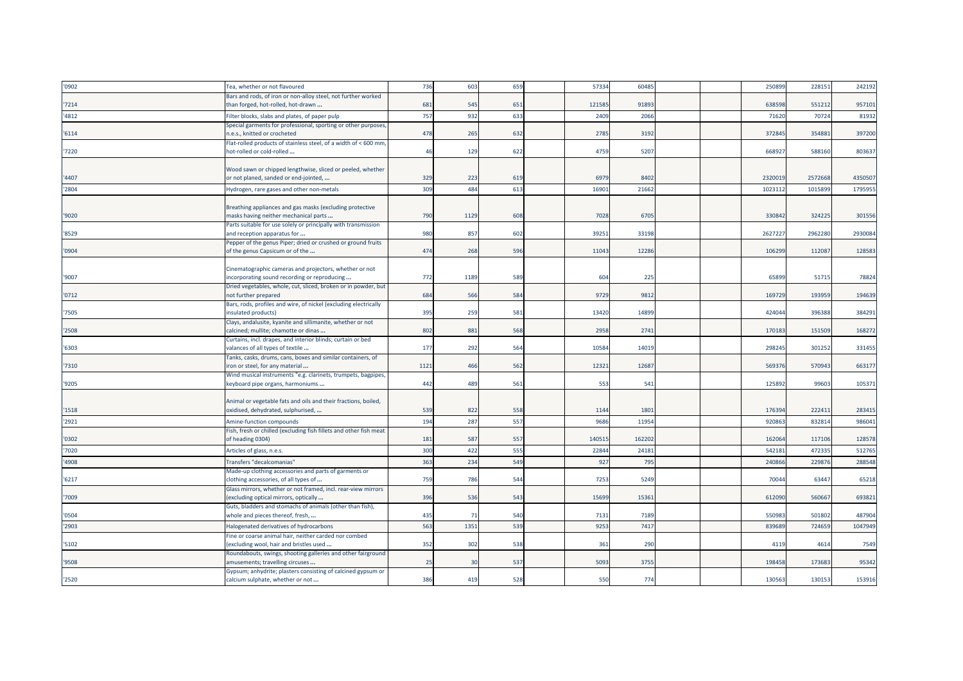| '0902          | Tea, whether or not flavoured                                                                     | 736  | 603  | 659 | 57334 | 60485 |  | 250899  | 22815   | 242192  |
|----------------|---------------------------------------------------------------------------------------------------|------|------|-----|-------|-------|--|---------|---------|---------|
|                | Bars and rods, of iron or non-alloy steel, not further worked                                     | 681  | 545  | 651 | 12158 | 9189  |  | 63859   | 551212  | 95710   |
| '7214<br>'4812 | than forged, hot-rolled, hot-drawn<br>Filter blocks, slabs and plates, of paper pulp              | 757  | 932  | 633 | 2409  | 2066  |  | 7162    | 70724   | 81932   |
|                | Special garments for professional, sporting or other purposes                                     |      |      |     |       |       |  |         |         |         |
| '6114          | i.e.s., knitted or crocheted                                                                      | 478  | 265  | 632 | 2785  | 3192  |  | 37284   | 354883  | 397200  |
|                | Flat-rolled products of stainless steel, of a width of < 600 mm,                                  |      |      |     |       |       |  |         |         |         |
| '7220          | hot-rolled or cold-rolled                                                                         | 46   | 129  | 622 | 4759  | 5207  |  | 66892   | 588160  | 803637  |
|                | Wood sawn or chipped lengthwise, sliced or peeled, whether                                        |      |      |     |       |       |  |         |         |         |
| '4407          | or not planed, sanded or end-jointed,                                                             | 329  | 223  | 619 | 6979  | 8402  |  | 232001  | 2572668 | 4350507 |
| '2804          | Hydrogen, rare gases and other non-metals                                                         | 309  | 484  | 613 | 1690  | 21662 |  | 1023112 | 1015899 | 1795955 |
|                |                                                                                                   |      |      |     |       |       |  |         |         |         |
| '9020          | Breathing appliances and gas masks (excluding protective<br>masks having neither mechanical parts | 790  | 1129 | 608 | 7028  | 6705  |  | 330842  | 324225  | 301556  |
|                | Parts suitable for use solely or principally with transmission                                    |      |      |     |       |       |  |         |         |         |
| '8529          | and reception apparatus for                                                                       | 980  | 857  | 602 | 3925: | 33198 |  | 262722  | 2962280 | 2930084 |
|                | Pepper of the genus Piper; dried or crushed or ground fruits                                      |      |      |     |       |       |  |         |         |         |
| '0904          | of the genus Capsicum or of the                                                                   | 474  | 268  | 596 | 11043 | 1228  |  | 106299  | 112087  | 128583  |
|                | Cinematographic cameras and projectors, whether or not                                            |      |      |     |       |       |  |         |         |         |
| '9007          | incorporating sound recording or reproducing                                                      | 772  | 1189 | 589 | 604   | 225   |  | 6589    | 5171    | 78824   |
|                | Dried vegetables, whole, cut, sliced, broken or in powder, but                                    |      |      |     |       |       |  |         |         |         |
| '0712          | not further prepared<br>Bars, rods, profiles and wire, of nickel (excluding electrically          | 684  | 566  | 584 | 9729  | 981   |  | 169729  | 193959  | 194639  |
| '7505          | nsulated products)                                                                                | 395  | 259  | 581 | 13420 | 1489  |  | 42404   | 396388  | 384291  |
|                | Clays, andalusite, kyanite and sillimanite, whether or not                                        |      |      |     |       |       |  |         |         |         |
| '2508          | calcined; mullite; chamotte or dinas                                                              | 802  | 881  | 568 | 2958  | 2741  |  | 17018   | 151509  | 168272  |
| '6303          | Curtains, incl. drapes, and interior blinds; curtain or bed<br>valances of all types of textile   | 177  | 292  | 564 | 10584 | 1401  |  | 298245  | 301252  | 331455  |
|                | Tanks, casks, drums, cans, boxes and similar containers, of                                       |      |      |     |       |       |  |         |         |         |
| '7310          | iron or steel, for any material.                                                                  | 1121 | 466  | 562 | 1232  | 1268  |  | 56937   | 570943  | 663177  |
|                | Wind musical instruments "e.g. clarinets, trumpets, bagpipes,                                     |      |      |     |       |       |  |         |         |         |
| '9205          | keyboard pipe organs, harmoniums                                                                  | 442  | 489  | 561 | 553   | 541   |  | 12589   | 99603   | 105371  |
|                | Animal or vegetable fats and oils and their fractions, boiled,                                    |      |      |     |       |       |  |         |         |         |
| '1518          | oxidised, dehydrated, sulphurised,                                                                | 539  | 822  | 558 | 1144  | 180   |  | 17639   | 22241   | 283415  |
| '2921          | Amine-function compounds                                                                          | 194  | 287  | 557 | 9686  | 1195  |  | 92086   | 83281   | 986041  |
|                | Fish, fresh or chilled (excluding fish fillets and other fish meat                                |      |      |     |       |       |  |         |         |         |
| '0302          | of heading 0304)                                                                                  | 181  | 587  | 557 | 14051 | 16220 |  | 16206   | 11710   | 128578  |
| '7020          | Articles of glass, n.e.s.                                                                         | 300  | 422  | 555 | 2284  | 24181 |  | 54218   | 47233   | 512765  |
| '4908          | Transfers "decalcomanias"                                                                         | 363  | 234  | 549 | 92    | 79    |  | 24086   | 22987   | 288548  |
| '6217          | Made-up clothing accessories and parts of garments or<br>clothing accessories, of all types of    | 759  | 786  | 544 | 7253  | 5249  |  | 7004    | 6344    | 65218   |
|                | Glass mirrors, whether or not framed, incl. rear-view mirrors                                     |      |      |     |       |       |  |         |         |         |
| '7009          | excluding optical mirrors, optically                                                              | 396  | 536  | 543 | 15699 | 15361 |  | 612090  | 560667  | 693821  |
|                | Guts, bladders and stomachs of animals (other than fish),                                         |      |      |     |       |       |  |         |         |         |
| '0504          | whole and pieces thereof, fresh,                                                                  | 435  | 71   | 540 | 7131  | 7189  |  | 550983  | 501802  | 487904  |
| '2903          | Halogenated derivatives of hydrocarbons<br>Fine or coarse animal hair, neither carded nor combed  | 563  | 1351 | 539 | 9253  | 7417  |  | 83968   | 72465   | 1047949 |
| '5102          | excluding wool, hair and bristles used                                                            | 352  | 302  | 538 | 361   | 290   |  | 4119    | 4614    | 7549    |
|                | Roundabouts, swings, shooting galleries and other fairground                                      |      |      |     |       |       |  |         |         |         |
| '9508          | amusements; travelling circuses                                                                   | 25   | 30   | 537 | 5093  | 3755  |  | 198458  | 173683  | 95342   |
|                | Gypsum; anhydrite; plasters consisting of calcined gypsum or                                      |      |      |     |       |       |  |         |         |         |
| '2520          | calcium sulphate, whether or not                                                                  | 386  | 419  | 528 | 550   | 774   |  | 130563  | 130153  | 153916  |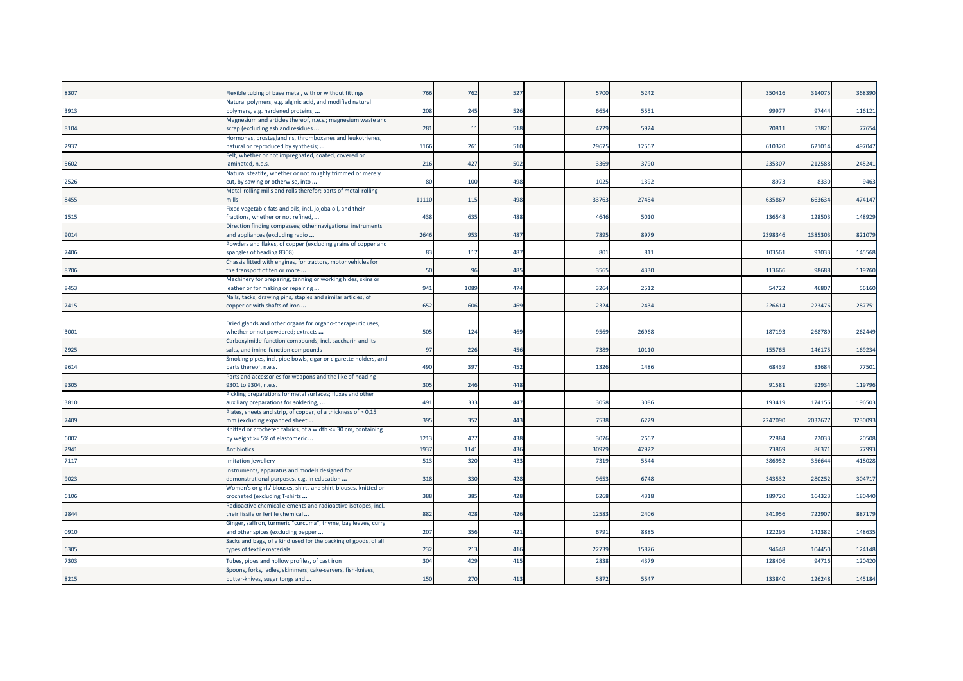| '8307 | Flexible tubing of base metal, with or without fittings                                             | 766   | 762  | 527 | 5700  | 5242  |  | 35041   | 314075 | 368390  |
|-------|-----------------------------------------------------------------------------------------------------|-------|------|-----|-------|-------|--|---------|--------|---------|
| '3913 | Natural polymers, e.g. alginic acid, and modified natural<br>polymers, e.g. hardened proteins,      | 208   | 245  | 526 | 6654  | 5551  |  | 9997    | 97444  | 116121  |
| '8104 | Magnesium and articles thereof, n.e.s.; magnesium waste and<br>scrap (excluding ash and residues    | 281   | 11   | 518 | 4729  | 5924  |  | 7081    | 57821  | 77654   |
| '2937 | Hormones, prostaglandins, thromboxanes and leukotrienes,<br>natural or reproduced by synthesis;     | 1166  | 261  | 510 | 29675 | 12567 |  | 61032   | 62101  | 497047  |
| '5602 | Felt, whether or not impregnated, coated, covered or<br>laminated, n.e.s.                           | 216   | 427  | 502 | 3369  | 3790  |  | 23530   | 212588 | 245241  |
| '2526 | Natural steatite, whether or not roughly trimmed or merely<br>cut, by sawing or otherwise, into     | 80    | 100  | 498 | 1025  | 1392  |  | 897     | 8330   | 9463    |
| '8455 | Metal-rolling mills and rolls therefor; parts of metal-rolling<br>nills                             | 11110 | 115  | 498 | 33763 | 27454 |  | 63586   | 663634 | 474147  |
| '1515 | Fixed vegetable fats and oils, incl. jojoba oil, and their<br>ractions, whether or not refined,     | 438   | 635  | 488 | 4646  | 5010  |  | 13654   | 12850  | 148929  |
| '9014 | Direction finding compasses; other navigational instruments<br>and appliances (excluding radio      | 2646  | 953  | 487 | 7895  | 8979  |  | 239834  | 138530 | 821079  |
| '7406 | Powders and flakes, of copper (excluding grains of copper and<br>spangles of heading 8308)          | 83    | 117  | 487 | 801   | 811   |  | 10356   | 93033  | 145568  |
| '8706 | Chassis fitted with engines, for tractors, motor vehicles for<br>the transport of ten or more       | 50    | 96   | 485 | 3565  | 4330  |  | 113666  | 98688  | 119760  |
| '8453 | Machinery for preparing, tanning or working hides, skins or<br>leather or for making or repairing   | 941   | 1089 | 474 | 3264  | 2512  |  | 5472    | 46807  | 56160   |
| '7415 | Nails, tacks, drawing pins, staples and similar articles, of<br>copper or with shafts of iron       | 652   | 606  | 469 | 2324  | 2434  |  | 226614  | 22347  | 287751  |
| '3001 | Dried glands and other organs for organo-therapeutic uses,<br>whether or not powdered; extracts     | 505   | 124  | 469 | 9569  | 26968 |  | 18719   | 268789 | 262449  |
| '2925 | Carboxyimide-function compounds, incl. saccharin and its<br>salts, and imine-function compounds     | 97    | 226  | 456 | 7389  | 10110 |  | 15576   | 14617  | 169234  |
| '9614 | Smoking pipes, incl. pipe bowls, cigar or cigarette holders, and<br>parts thereof, n.e.s.           | 490   | 397  | 452 | 1326  | 1486  |  | 6843    | 83684  | 77501   |
| '9305 | Parts and accessories for weapons and the like of heading<br>9301 to 9304, n.e.s.                   | 305   | 246  | 448 |       |       |  | 91581   | 92934  | 119796  |
| '3810 | Pickling preparations for metal surfaces; fluxes and other<br>auxiliary preparations for soldering, | 491   | 333  | 447 | 3058  | 3086  |  | 193419  | 174156 | 196503  |
| '7409 | Plates, sheets and strip, of copper, of a thickness of > 0,15<br>nm (excluding expanded sheet       | 395   | 352  | 443 | 7538  | 6229  |  | 2247090 | 203267 | 3230093 |
| '6002 | Knitted or crocheted fabrics, of a width <= 30 cm, containing<br>by weight >= 5% of elastomeric     | 1213  | 477  | 438 | 3076  | 2667  |  | 2288    | 22033  | 20508   |
| '2941 | Antibiotics                                                                                         | 1937  | 1141 | 436 | 30979 | 4292  |  | 73869   | 8637   | 77993   |
| '7117 | Imitation jewellery                                                                                 | 513   | 32C  | 433 | 7319  | 5544  |  | 38695   | 35664  | 418028  |
| '9023 | Instruments, apparatus and models designed for<br>demonstrational purposes, e.g. in education       | 318   | 330  | 428 | 9653  | 6748  |  | 34353   | 280252 | 304717  |
| '6106 | Women's or girls' blouses, shirts and shirt-blouses, knitted or<br>crocheted (excluding T-shirts    | 388   | 385  | 428 | 6268  | 4318  |  | 189720  | 164323 | 180440  |
| '2844 | Radioactive chemical elements and radioactive isotopes, incl.<br>their fissile or fertile chemical  | 882   | 428  | 426 | 12583 | 2406  |  | 841956  | 722907 | 887179  |
| '0910 | Ginger, saffron, turmeric "curcuma", thyme, bay leaves, curry<br>and other spices (excluding pepper | 207   | 356  | 421 | 6791  | 8885  |  | 12229   | 142382 | 148635  |
| '6305 | Sacks and bags, of a kind used for the packing of goods, of all<br>types of textile materials       | 232   | 213  | 416 | 22739 | 1587  |  | 94648   | 104450 | 124148  |
| '7303 | Tubes, pipes and hollow profiles, of cast iron                                                      | 304   | 429  | 415 | 2838  | 437   |  | 12840   | 94716  | 120420  |
| '8215 | Spoons, forks, ladles, skimmers, cake-servers, fish-knives,<br>butter-knives, sugar tongs and       | 150   | 270  | 413 | 5872  | 5547  |  | 133840  | 126248 | 145184  |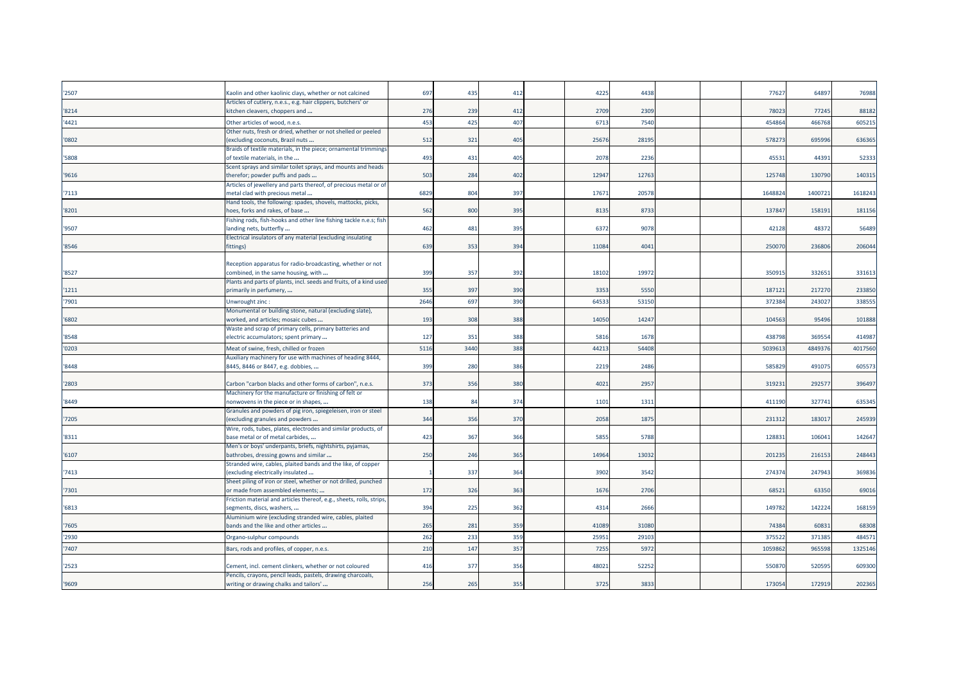| '2507 | Kaolin and other kaolinic clays, whether or not calcined<br>Articles of cutlery, n.e.s., e.g. hair clippers, butchers' or | 697  | 435  | 412             | 4225  | 4438  |  | 7762   | 64897  | 76988   |
|-------|---------------------------------------------------------------------------------------------------------------------------|------|------|-----------------|-------|-------|--|--------|--------|---------|
| '8214 | kitchen cleavers, choppers and                                                                                            | 276  | 239  | 412             | 2709  | 2309  |  | 7802   | 77245  | 88182   |
| '4421 | Other articles of wood, n.e.s.                                                                                            | 453  | 425  | 407             | 6713  | 7540  |  | 454864 | 466768 | 605215  |
|       | Other nuts, fresh or dried, whether or not shelled or peeled                                                              |      |      |                 |       |       |  |        |        |         |
| '0802 | (excluding coconuts, Brazil nuts                                                                                          | 512  | 321  | 405             | 2567  | 2819  |  | 57827  | 69599  | 636365  |
|       | Braids of textile materials, in the piece; ornamental trimmings                                                           |      |      |                 |       |       |  |        |        |         |
| '5808 | of textile materials, in the                                                                                              | 493  | 43   | 405             | 2078  | 2236  |  | 4553   | 4439   | 52333   |
|       | Scent sprays and similar toilet sprays, and mounts and heads                                                              | 503  | 284  | 402             | 12947 | 1276  |  | 125748 | 130790 | 140315  |
| '9616 | therefor; powder puffs and pads<br>Articles of jewellery and parts thereof, of precious metal or of                       |      |      |                 |       |       |  |        |        |         |
| '7113 | metal clad with precious metal                                                                                            | 6829 | 804  | 397             | 1767  | 2057  |  | 164882 | 140072 | 161824  |
|       | Hand tools, the following: spades, shovels, mattocks, picks,                                                              |      |      |                 |       |       |  |        |        |         |
| '8201 | hoes, forks and rakes, of base                                                                                            | 562  | 800  | 395             | 8135  | 8733  |  | 137847 | 158191 | 181156  |
|       | Fishing rods, fish-hooks and other line fishing tackle n.e.s; fish                                                        |      |      |                 |       |       |  |        |        |         |
| '9507 | landing nets, butterfly                                                                                                   | 462  | 481  | 395             | 6372  | 9078  |  | 42128  | 48372  | 56489   |
|       | Electrical insulators of any material (excluding insulating                                                               |      |      |                 |       |       |  |        |        |         |
| '8546 | fittings)                                                                                                                 | 639  | 353  | 394             | 11084 | 4041  |  | 25007  | 23680  | 206044  |
|       | Reception apparatus for radio-broadcasting, whether or not                                                                |      |      |                 |       |       |  |        |        |         |
| '8527 | combined, in the same housing, with                                                                                       | 399  | 357  | 392             | 18102 | 1997  |  | 35091  | 33265  | 33161   |
|       | Plants and parts of plants, incl. seeds and fruits, of a kind used                                                        |      |      |                 |       |       |  |        |        |         |
| '1211 | primarily in perfumery,                                                                                                   | 355  | 397  | 390             | 3353  | 5550  |  | 18712  | 217270 | 233850  |
| '7901 | Unwrought zinc:                                                                                                           | 2646 | 697  | 390             | 64533 | 5315  |  | 37238  | 24302  | 338555  |
|       | Monumental or building stone, natural (excluding slate),                                                                  |      |      |                 |       |       |  |        |        |         |
| '6802 | worked, and articles; mosaic cubes                                                                                        | 193  | 308  | 388             | 14050 | 14247 |  | 104563 | 95496  | 101888  |
|       | Waste and scrap of primary cells, primary batteries and                                                                   |      |      | 388             |       |       |  | 438798 | 369554 | 414987  |
| '8548 | electric accumulators; spent primary                                                                                      | 127  | 351  |                 | 5816  | 1678  |  |        |        |         |
| '0203 | Meat of swine, fresh, chilled or frozen                                                                                   | 5116 | 3440 | 388             | 44213 | 5440  |  | 503961 | 484937 | 4017560 |
| '8448 | Auxiliary machinery for use with machines of heading 8444,<br>8445, 8446 or 8447, e.g. dobbies,                           | 399  | 280  | 386             | 2219  | 2486  |  | 58582  | 49107  | 60557   |
|       |                                                                                                                           |      |      |                 |       |       |  |        |        |         |
| '2803 | Carbon "carbon blacks and other forms of carbon", n.e.s.                                                                  | 373  | 356  | 380             | 4021  | 295   |  | 31923  | 29257  | 396497  |
|       | Machinery for the manufacture or finishing of felt or                                                                     |      |      |                 |       |       |  |        |        |         |
| '8449 | nonwovens in the piece or in shapes,                                                                                      | 138  | 84   | 374             | 1101  | 131   |  | 411190 | 327741 | 635345  |
|       | Granules and powders of pig iron, spiegeleisen, iron or steel                                                             |      |      |                 |       |       |  |        |        |         |
| '7205 | (excluding granules and powders                                                                                           | 344  | 356  | 37C             | 2058  | 187   |  | 23131  | 18301  | 245939  |
| '8311 | Wire, rods, tubes, plates, electrodes and similar products, of<br>base metal or of metal carbides,                        | 423  | 367  | 366             | 5855  | 5788  |  | 12883  | 10604: | 142647  |
|       | Men's or boys' underpants, briefs, nightshirts, pyjamas,                                                                  |      |      |                 |       |       |  |        |        |         |
| '6107 | bathrobes, dressing gowns and similar                                                                                     | 250  | 246  | 365             | 14964 | 13032 |  | 20123  | 21615  | 248443  |
|       | Stranded wire, cables, plaited bands and the like, of copper                                                              |      |      |                 |       |       |  |        |        |         |
| '7413 | (excluding electrically insulated                                                                                         |      | 337  | 364             | 3902  | 354   |  | 27437  | 247943 | 369836  |
|       | Sheet piling of iron or steel, whether or not drilled, punched                                                            |      |      |                 |       |       |  |        |        |         |
| '7301 | or made from assembled elements;                                                                                          | 172  | 326  | 363             | 1676  | 2706  |  | 6852   | 63350  | 69016   |
| '6813 | Friction material and articles thereof, e.g., sheets, rolls, strips,<br>segments, discs, washers,                         | 394  | 225  | 362             | 4314  | 2666  |  | 149782 | 142224 | 168159  |
|       | Aluminium wire (excluding stranded wire, cables, plaited                                                                  |      |      |                 |       |       |  |        |        |         |
| '7605 | bands and the like and other articles                                                                                     | 265  | 281  | 35 <sup>9</sup> | 41089 | 3108  |  | 74384  | 6083   | 68308   |
| '2930 | Organo-sulphur compounds                                                                                                  | 262  | 233  | 359             | 2595: | 2910  |  | 37552  | 37138  | 484571  |
| '7407 | Bars, rods and profiles, of copper, n.e.s.                                                                                | 210  | 147  | 357             | 7255  | 597   |  | 105986 | 965598 | 1325146 |
|       |                                                                                                                           |      |      |                 |       |       |  |        |        |         |
| '2523 | Cement, incl. cement clinkers, whether or not coloured                                                                    | 416  | 377  | 356             | 4802  | 5225  |  | 55087  | 520595 | 609300  |
|       | Pencils, crayons, pencil leads, pastels, drawing charcoals,                                                               |      |      |                 |       |       |  |        |        |         |
| '9609 | writing or drawing chalks and tailors'                                                                                    | 256  | 265  | 355             | 3725  | 383   |  | 17305  | 172919 | 202365  |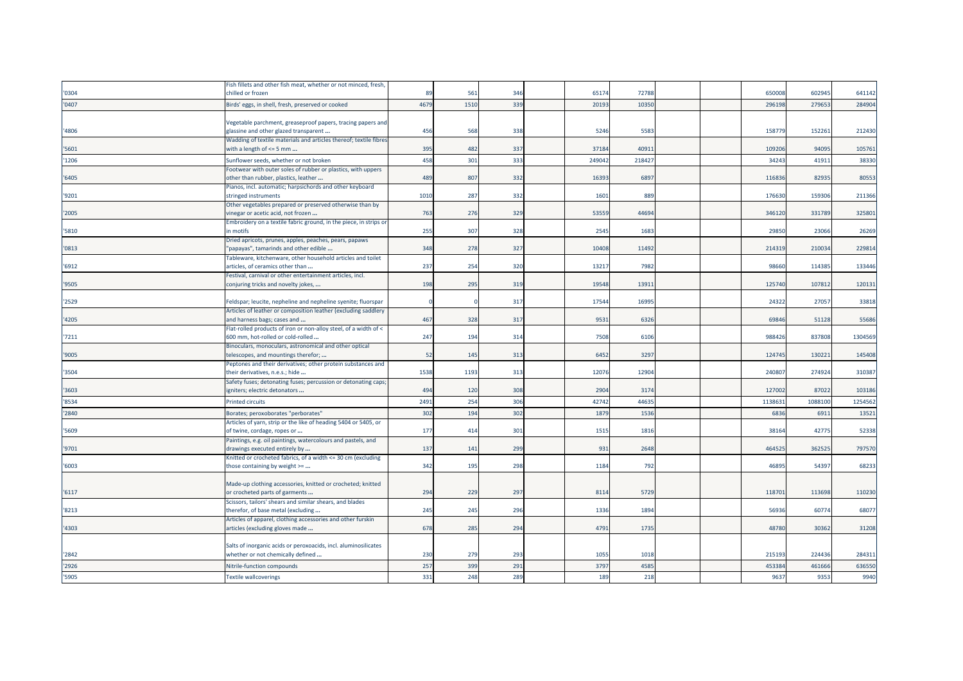|       | Fish fillets and other fish meat, whether or not minced, fresh,                                   |      |      |     |        |       |  |        |        |         |
|-------|---------------------------------------------------------------------------------------------------|------|------|-----|--------|-------|--|--------|--------|---------|
| '0304 | chilled or frozen                                                                                 | 89   | 561  | 346 | 65174  | 72788 |  | 65000  | 602945 | 641142  |
| '0407 | Birds' eggs, in shell, fresh, preserved or cooked                                                 | 4679 | 1510 | 339 | 20193  | 10350 |  | 29619  | 27965  | 284904  |
|       |                                                                                                   |      |      |     |        |       |  |        |        |         |
|       | Vegetable parchment, greaseproof papers, tracing papers and                                       |      |      |     |        |       |  |        |        |         |
| '4806 | glassine and other glazed transparent                                                             | 456  | 568  | 338 | 5246   | 5583  |  | 15877  | 152261 | 212430  |
|       | Wadding of textile materials and articles thereof; textile fibres                                 |      |      |     |        |       |  |        |        |         |
| '5601 | with a length of $\leq$ 5 mm                                                                      | 395  | 482  | 337 | 37184  | 4091  |  | 10920  | 94095  | 105761  |
| '1206 | Sunflower seeds, whether or not broken                                                            | 458  | 301  | 333 | 249042 | 21842 |  | 3424   | 41911  | 38330   |
|       | Footwear with outer soles of rubber or plastics, with uppers                                      |      |      |     |        |       |  |        |        |         |
| '6405 | other than rubber, plastics, leather                                                              | 489  | 807  | 332 | 16393  | 6897  |  | 11683  | 82935  | 80553   |
|       | Pianos, incl. automatic; harpsichords and other keyboard                                          |      |      |     |        |       |  |        |        |         |
| '9201 | stringed instruments                                                                              | 1010 | 287  | 332 | 1601   | 889   |  | 176630 | 159306 | 211366  |
|       | Other vegetables prepared or preserved otherwise than by                                          |      |      |     |        |       |  |        |        |         |
| '2005 | inegar or acetic acid, not frozen                                                                 | 763  | 276  | 329 | 53559  | 44694 |  | 346120 | 331789 | 325801  |
| '5810 | Embroidery on a textile fabric ground, in the piece, in strips or<br>n motifs                     | 255  | 307  | 328 | 2545   | 1683  |  | 2985   | 23066  | 26269   |
|       | Dried apricots, prunes, apples, peaches, pears, papaws                                            |      |      |     |        |       |  |        |        |         |
| '0813 | 'papayas", tamarinds and other edible                                                             | 348  | 278  | 327 | 10408  | 11492 |  | 21431  | 210034 | 229814  |
|       | Tableware, kitchenware, other household articles and toilet                                       |      |      |     |        |       |  |        |        |         |
| '6912 | articles, of ceramics other than                                                                  | 237  | 254  | 320 | 13217  | 7982  |  | 98660  | 114385 | 133446  |
|       | Festival, carnival or other entertainment articles, incl.                                         |      |      |     |        |       |  |        |        |         |
| '9505 | conjuring tricks and novelty jokes,                                                               | 198  | 295  | 319 | 19548  | 1391  |  | 125740 | 10781  | 120131  |
|       |                                                                                                   |      |      |     |        |       |  |        |        |         |
| '2529 | Feldspar; leucite, nepheline and nepheline syenite; fluorspar                                     |      |      | 317 | 17544  | 1699  |  | 2432   | 27057  | 33818   |
|       | Articles of leather or composition leather (excluding saddlery                                    |      |      |     |        |       |  |        |        |         |
| '4205 | and harness bags; cases and                                                                       | 467  | 328  | 317 | 9531   | 6326  |  | 69846  | 51128  | 55686   |
|       | Flat-rolled products of iron or non-alloy steel, of a width of <                                  |      |      |     |        |       |  |        |        |         |
| '7211 | 600 mm, hot-rolled or cold-rolled                                                                 | 247  | 194  | 314 | 7508   | 6106  |  | 988426 | 837808 | 1304569 |
| '9005 | Binoculars, monoculars, astronomical and other optical<br>telescopes, and mountings therefor;     | 52   | 145  | 313 | 6452   | 3297  |  | 124745 | 13022  | 145408  |
|       | Peptones and their derivatives; other protein substances and                                      |      |      |     |        |       |  |        |        |         |
| '3504 | their derivatives, n.e.s.; hide                                                                   | 1538 | 1193 | 313 | 12076  | 12904 |  | 24080  | 274924 | 310387  |
|       | Safety fuses; detonating fuses; percussion or detonating caps;                                    |      |      |     |        |       |  |        |        |         |
| '3603 | igniters; electric detonators                                                                     | 494  | 120  | 308 | 2904   | 3174  |  | 127002 | 87022  | 103186  |
| '8534 | <b>Printed circuits</b>                                                                           | 2491 | 254  | 306 | 42742  | 44635 |  | 113863 | 108810 | 1254562 |
| '2840 | Borates; peroxoborates "perborates"                                                               | 302  | 194  | 302 | 1879   | 1536  |  | 683    | 691    | 13521   |
|       | Articles of yarn, strip or the like of heading 5404 or 5405, or                                   |      |      |     |        |       |  |        |        |         |
| '5609 | of twine, cordage, ropes or                                                                       | 177  | 414  | 301 | 1515   | 1816  |  | 3816   | 42775  | 52338   |
|       | Paintings, e.g. oil paintings, watercolours and pastels, and                                      |      |      |     |        |       |  |        |        |         |
| '9701 | drawings executed entirely by                                                                     | 137  | 141  | 299 | 931    | 2648  |  | 464525 | 362525 | 797570  |
|       | Knitted or crocheted fabrics, of a width <= 30 cm (excluding                                      |      |      |     |        |       |  |        |        |         |
| '6003 | those containing by weight >=                                                                     | 342  | 195  | 298 | 1184   | 792   |  | 4689   | 54397  | 68233   |
|       |                                                                                                   |      |      |     |        |       |  |        |        |         |
|       | Made-up clothing accessories, knitted or crocheted; knitted                                       |      |      |     |        |       |  |        |        |         |
| '6117 | or crocheted parts of garments                                                                    | 294  | 229  | 297 | 8114   | 5729  |  | 118701 | 113698 | 110230  |
|       | Scissors, tailors' shears and similar shears, and blades                                          | 245  |      | 296 | 1336   | 1894  |  | 5693   |        |         |
| '8213 | therefor, of base metal (excluding<br>Articles of apparel, clothing accessories and other furskin |      | 245  |     |        |       |  |        | 6077   | 68077   |
| '4303 | articles (excluding gloves made                                                                   | 678  | 285  | 294 | 4791   | 1735  |  | 4878   | 30362  | 31208   |
|       |                                                                                                   |      |      |     |        |       |  |        |        |         |
|       | Salts of inorganic acids or peroxoacids, incl. aluminosilicates                                   |      |      |     |        |       |  |        |        |         |
| '2842 | whether or not chemically defined                                                                 | 230  | 279  | 293 | 1055   | 1018  |  | 21519  | 224436 | 284311  |
| '2926 | Nitrile-function compounds                                                                        | 257  | 399  | 291 | 3797   | 4585  |  | 453384 | 461666 | 636550  |
| '5905 |                                                                                                   | 331  | 248  | 289 |        | 218   |  |        |        | 9940    |
|       | <b>Textile wallcoverings</b>                                                                      |      |      |     | 189    |       |  | 9637   | 935    |         |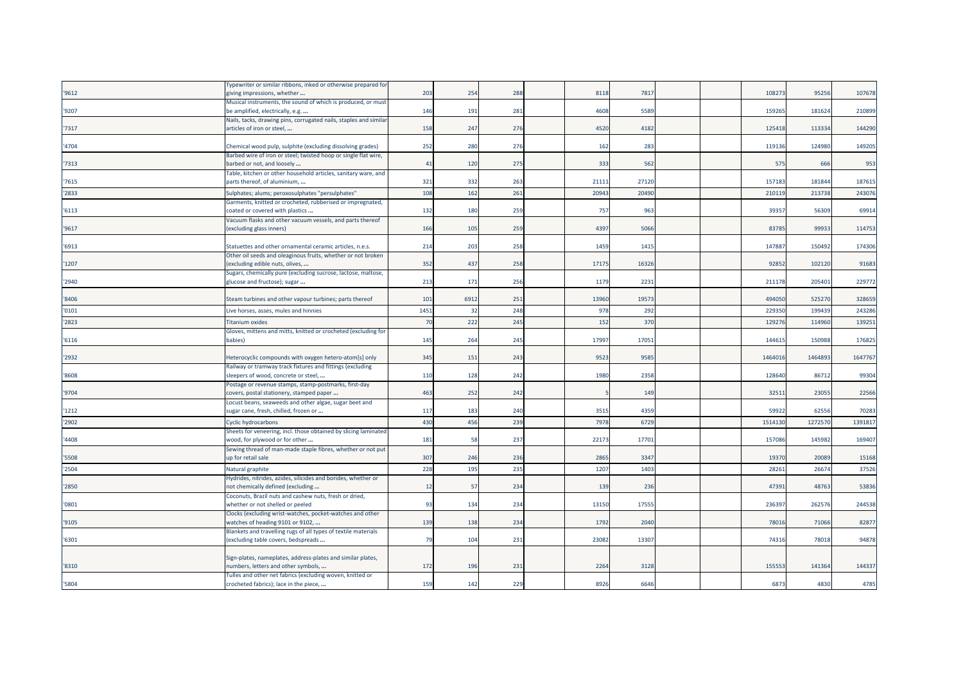|       | Typewriter or similar ribbons, inked or otherwise prepared for    |      |     |                 |       |      |  |        |        |         |
|-------|-------------------------------------------------------------------|------|-----|-----------------|-------|------|--|--------|--------|---------|
| '9612 | giving impressions, whether                                       | 203  | 254 | 288             | 8118  | 7817 |  | 10827  | 95256  | 107678  |
|       | Musical instruments, the sound of which is produced, or must      |      |     |                 |       |      |  |        |        |         |
| '9207 | be amplified, electrically, e.g.                                  | 146  | 191 | 281             | 4608  | 558  |  | 159265 | 181624 | 210899  |
|       | Nails, tacks, drawing pins, corrugated nails, staples and similar |      |     |                 |       |      |  |        |        |         |
| '7317 | articles of iron or steel,                                        | 158  | 247 | 276             | 4520  | 4182 |  | 125418 | 113334 | 144290  |
|       |                                                                   |      |     |                 |       |      |  |        |        |         |
| '4704 | Chemical wood pulp, sulphite (excluding dissolving grades)        | 252  | 280 | 276             | 162   | 283  |  | 119136 | 124980 | 149205  |
|       | Barbed wire of iron or steel; twisted hoop or single flat wire,   |      |     |                 |       |      |  |        |        |         |
| '7313 | barbed or not, and loosely                                        | 41   | 120 | 275             | 333   | 562  |  | 575    | 666    | 953     |
|       | Table, kitchen or other household articles, sanitary ware, and    |      |     |                 |       |      |  |        |        |         |
| '7615 | parts thereof, of aluminium,                                      | 321  | 332 | 26 <sub>3</sub> | 2111  | 2712 |  | 15718  | 181844 | 187615  |
| '2833 | Sulphates; alums; peroxosulphates "persulphates"                  | 108  | 162 | 261             | 20943 | 2049 |  | 21011  | 213738 | 243076  |
|       | Garments, knitted or crocheted, rubberised or impregnated,        |      |     |                 |       |      |  |        |        |         |
| '6113 | coated or covered with plastics                                   | 132  | 180 | <b>259</b>      | 757   | 963  |  | 3935   | 56309  | 69914   |
|       | Vacuum flasks and other vacuum vessels, and parts thereof         |      |     |                 |       |      |  |        |        |         |
| '9617 | (excluding glass inners)                                          | 166  | 105 | 259             | 4397  | 5066 |  | 83785  | 99933  | 114753  |
|       |                                                                   |      |     |                 |       |      |  |        |        |         |
| '6913 | Statuettes and other ornamental ceramic articles, n.e.s.          | 214  | 203 | 258             | 1459  | 141  |  | 14788  | 15049  | 174306  |
|       | Other oil seeds and oleaginous fruits, whether or not broken      |      |     |                 |       |      |  |        |        |         |
| '1207 | excluding edible nuts, olives,                                    | 352  | 437 | 258             | 17175 | 1632 |  | 92852  | 102120 | 91683   |
|       | Sugars, chemically pure (excluding sucrose, lactose, maltose,     |      |     |                 |       |      |  |        |        |         |
| '2940 | glucose and fructose); sugar                                      | 213  | 171 | 256             | 1179  | 223  |  | 211178 | 20540  | 229772  |
|       |                                                                   |      |     |                 |       |      |  |        |        |         |
| '8406 | Steam turbines and other vapour turbines; parts thereof           | 101  | 691 | 251             | 13960 | 1957 |  | 494050 | 52527  | 328659  |
| '0101 | Live horses, asses, mules and hinnies                             | 1451 | 32  | 248             | 978   | 292  |  | 22935  | 19943  | 243286  |
| '2823 | <b>Titanium oxides</b>                                            | 70   | 222 | 245             | 152   | 370  |  | 12927  | 11496  | 139251  |
|       | Gloves, mittens and mitts, knitted or crocheted (excluding for    |      |     |                 |       |      |  |        |        |         |
| '6116 | babies)                                                           | 145  | 264 | 245             | 1799  | 1705 |  | 14461  | 150988 | 176825  |
|       |                                                                   |      |     |                 |       |      |  |        |        |         |
| '2932 | Heterocyclic compounds with oxygen hetero-atom[s] only            | 345  | 151 | 243             | 9523  | 9585 |  | 146401 | 146489 | 1647767 |
|       | Railway or tramway track fixtures and fittings (excluding         |      |     |                 |       |      |  |        |        |         |
| '8608 | sleepers of wood, concrete or steel,                              | 110  | 128 | 242             | 1980  | 2358 |  | 128640 | 86712  | 99304   |
|       | Postage or revenue stamps, stamp-postmarks, first-day             |      |     |                 |       |      |  |        |        |         |
| '9704 | covers, postal stationery, stamped paper                          | 463  | 252 | 242             |       | 149  |  | 3251   | 2305   | 22566   |
|       | Locust beans, seaweeds and other algae, sugar beet and            |      |     |                 |       |      |  |        |        |         |
| '1212 | sugar cane, fresh, chilled, frozen or                             | 117  | 183 | 240             | 3515  | 4359 |  | 5992   | 6255   | 70283   |
| '2902 | <b>Cyclic hydrocarbons</b>                                        | 430  | 456 | 239             | 7978  | 672  |  | 151413 | 127257 | 139181  |
|       | Sheets for veneering, incl. those obtained by slicing laminated   |      |     |                 |       |      |  |        |        |         |
| '4408 | wood, for plywood or for other                                    | 181  | 58  | 237             | 2217  | 1770 |  | 15708  | 145982 | 169407  |
|       | Sewing thread of man-made staple fibres, whether or not put       |      |     |                 |       |      |  |        |        |         |
| '5508 | up for retail sale                                                | 307  | 246 | 236             | 2865  | 3347 |  | 19370  | 2008   | 15168   |
| '2504 | Natural graphite                                                  | 228  | 195 | 235             | 1207  | 1403 |  | 2826   | 26674  | 37526   |
|       | Hydrides, nitrides, azides, silicides and borides, whether or     |      |     |                 |       |      |  |        |        |         |
| '2850 | not chemically defined (excluding                                 | 12   | -57 | 234             | 139   | 236  |  | 47391  | 48763  | 53836   |
|       | Coconuts, Brazil nuts and cashew nuts, fresh or dried,            |      |     |                 |       |      |  |        |        |         |
| '0801 | whether or not shelled or peeled                                  | 93   | 134 | 234             | 13150 | 1755 |  | 23639  | 26257  | 244538  |
|       | Clocks (excluding wrist-watches, pocket-watches and other         |      |     |                 |       |      |  |        |        |         |
| '9105 | watches of heading 9101 or 9102,                                  | 139  | 138 | 234             | 1792  | 2040 |  | 7801   | 71066  | 82877   |
|       | Blankets and travelling rugs of all types of textile materials    |      |     |                 |       |      |  |        |        |         |
| '6301 | excluding table covers, bedspreads                                | 79   | 104 | 231             | 23082 | 1330 |  | 7431   | 78018  | 94878   |
|       |                                                                   |      |     |                 |       |      |  |        |        |         |
|       | Sign-plates, nameplates, address-plates and similar plates,       |      |     |                 |       |      |  |        |        |         |
| '8310 | numbers, letters and other symbols,                               | 172  | 196 | 231             | 2264  | 3128 |  | 15555  | 141364 | 144337  |
|       | Tulles and other net fabrics (excluding woven, knitted or         |      |     |                 |       |      |  |        |        |         |
| '5804 | crocheted fabrics); lace in the piece,                            | 159  | 142 | 229             | 8926  | 6646 |  | 6873   | 4830   | 4785    |
|       |                                                                   |      |     |                 |       |      |  |        |        |         |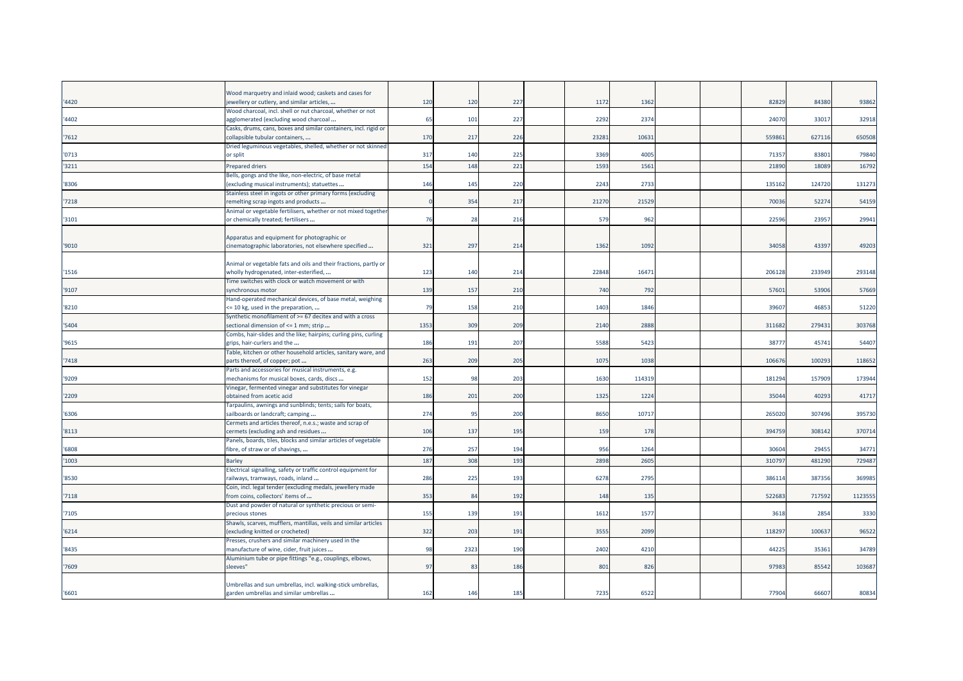|       | Wood marquetry and inlaid wood; caskets and cases for                                                  |      |      |     |       |        |  |        |        |         |
|-------|--------------------------------------------------------------------------------------------------------|------|------|-----|-------|--------|--|--------|--------|---------|
| '4420 | jewellery or cutlery, and similar articles,                                                            | 12C  | 120  | 227 | 1172  | 1362   |  | 82829  | 84380  | 93862   |
| '4402 | Wood charcoal, incl. shell or nut charcoal, whether or not<br>agglomerated (excluding wood charcoal    | 65   | 101  | 227 | 2292  | 2374   |  | 24070  | 33017  | 32918   |
|       | Casks, drums, cans, boxes and similar containers, incl. rigid or                                       |      |      |     |       |        |  |        |        |         |
| 7612  | collapsible tubular containers,                                                                        | 170  | 217  | 226 | 23281 | 10631  |  | 559861 | 627116 | 650508  |
|       | Dried leguminous vegetables, shelled, whether or not skinned                                           |      |      |     |       |        |  |        |        |         |
| '0713 | or split                                                                                               | 317  | 140  | 225 | 3369  | 4005   |  | 71357  | 83801  | 79840   |
| '3211 | <b>Prepared driers</b>                                                                                 | 154  | 148  | 221 | 159   | 1561   |  | 2189   | 1808   | 16792   |
|       | Bells, gongs and the like, non-electric, of base metal                                                 |      |      |     |       |        |  |        |        |         |
| '8306 | excluding musical instruments); statuettes                                                             | 146  | 145  | 220 | 2243  | 2733   |  | 135162 | 124720 | 131273  |
|       | Stainless steel in ingots or other primary forms (excluding                                            |      |      |     |       |        |  |        |        |         |
| '7218 | remelting scrap ingots and products                                                                    |      | 354  | 217 | 21270 | 21529  |  | 70036  | 52274  | 54159   |
|       | Animal or vegetable fertilisers, whether or not mixed together                                         |      |      |     |       |        |  |        |        |         |
| '3101 | or chemically treated; fertilisers                                                                     | 76   | 28   | 216 | 579   | 962    |  | 22596  | 23957  | 29941   |
|       |                                                                                                        |      |      |     |       |        |  |        |        |         |
|       | Apparatus and equipment for photographic or                                                            |      |      |     |       |        |  |        |        |         |
| '9010 | cinematographic laboratories, not elsewhere specified                                                  | 321  | 297  | 214 | 1362  | 1092   |  | 34058  | 43397  | 49203   |
|       |                                                                                                        |      |      |     |       |        |  |        |        |         |
|       | Animal or vegetable fats and oils and their fractions, partly or                                       |      |      |     |       |        |  |        |        |         |
| '1516 | wholly hydrogenated, inter-esterified,                                                                 | 123  | 140  | 214 | 22848 | 16471  |  | 206128 | 233949 | 293148  |
|       | Time switches with clock or watch movement or with                                                     |      |      |     | 740   |        |  |        |        |         |
| '9107 | synchronous motor<br>Hand-operated mechanical devices, of base metal, weighing                         | 139  | 157  | 210 |       | 792    |  | 5760   | 53906  | 57669   |
| '8210 | <= 10 kg, used in the preparation,                                                                     | 79   | 158  | 210 | 1403  | 1846   |  | 39607  | 46853  | 51220   |
|       | Synthetic monofilament of $>= 67$ decitex and with a cross                                             |      |      |     |       |        |  |        |        |         |
| '5404 | sectional dimension of <= 1 mm; strip                                                                  | 1353 | 309  | 209 | 2140  | 2888   |  | 311682 | 279431 | 303768  |
|       | Combs, hair-slides and the like; hairpins; curling pins, curling                                       |      |      |     |       |        |  |        |        |         |
| '9615 | grips, hair-curlers and the                                                                            | 186  | 191  | 207 | 5588  | 5423   |  | 38777  | 45741  | 54407   |
|       | Table, kitchen or other household articles, sanitary ware, and                                         |      |      |     |       |        |  |        |        |         |
| '7418 | parts thereof, of copper; pot                                                                          | 263  | 209  | 205 | 1075  | 1038   |  | 106676 | 100293 | 118652  |
|       | Parts and accessories for musical instruments, e.g.                                                    |      |      |     |       |        |  |        |        |         |
| '9209 | mechanisms for musical boxes, cards, discs                                                             | 152  | 98   | 203 | 1630  | 114319 |  | 181294 | 157909 | 173944  |
|       | Vinegar, fermented vinegar and substitutes for vinegar                                                 |      |      |     |       |        |  |        |        |         |
| '2209 | obtained from acetic acid                                                                              | 186  | 201  | 200 | 1325  | 1224   |  | 35044  | 40293  | 41717   |
|       | Farpaulins, awnings and sunblinds; tents; sails for boats,                                             |      |      |     |       |        |  |        |        |         |
| '6306 | sailboards or landcraft; camping                                                                       | 274  | 95   | 200 | 8650  | 10717  |  | 265020 | 307496 | 395730  |
|       | Cermets and articles thereof, n.e.s.; waste and scrap of                                               |      |      |     |       |        |  |        |        |         |
| '8113 | cermets (excluding ash and residues<br>Panels, boards, tiles, blocks and similar articles of vegetable | 106  | 137  | 195 | 159   | 178    |  | 394759 | 308142 | 370714  |
| '6808 | fibre, of straw or of shavings,                                                                        | 276  | 257  | 194 | 956   | 1264   |  | 30604  | 29455  | 34771   |
|       |                                                                                                        |      |      |     |       |        |  |        |        |         |
| '1003 | <b>Barley</b>                                                                                          | 187  | 308  | 193 | 2898  | 2605   |  | 31079  | 481290 | 729487  |
| '8530 | Electrical signalling, safety or traffic control equipment for<br>railways, tramways, roads, inland    | 286  | 225  | 193 | 6278  | 2795   |  | 386114 | 387356 | 369985  |
|       | Coin, incl. legal tender (excluding medals, jewellery made                                             |      |      |     |       |        |  |        |        |         |
| '7118 | from coins, collectors' items of                                                                       | 353  | 84   | 192 | 148   | 135    |  | 522683 | 717592 | 1123555 |
|       | Dust and powder of natural or synthetic precious or semi-                                              |      |      |     |       |        |  |        |        |         |
| '7105 | precious stones                                                                                        | 155  | 139  | 191 | 1612  | 1577   |  | 3618   | 2854   | 3330    |
|       | Shawls, scarves, mufflers, mantillas, veils and similar articles                                       |      |      |     |       |        |  |        |        |         |
| '6214 | (excluding knitted or crocheted)                                                                       | 322  | 203  | 191 | 3555  | 2099   |  | 118297 | 100637 | 96522   |
|       | Presses, crushers and similar machinery used in the                                                    |      |      |     |       |        |  |        |        |         |
| '8435 | manufacture of wine, cider, fruit juices                                                               | 98   | 2323 | 190 | 2402  | 4210   |  | 44225  | 35361  | 34789   |
|       | Aluminium tube or pipe fittings "e.g., couplings, elbows,                                              |      |      |     |       |        |  |        |        |         |
| '7609 | sleeves"                                                                                               | 97   | -83  | 186 | 801   | 826    |  | 97983  | 85542  | 103687  |
|       |                                                                                                        |      |      |     |       |        |  |        |        |         |
|       | Umbrellas and sun umbrellas, incl. walking-stick umbrellas,                                            |      |      |     |       |        |  |        |        |         |
| '6601 | garden umbrellas and similar umbrellas                                                                 | 162  | 146  | 185 | 7235  | 6522   |  | 77904  | 66607  | 80834   |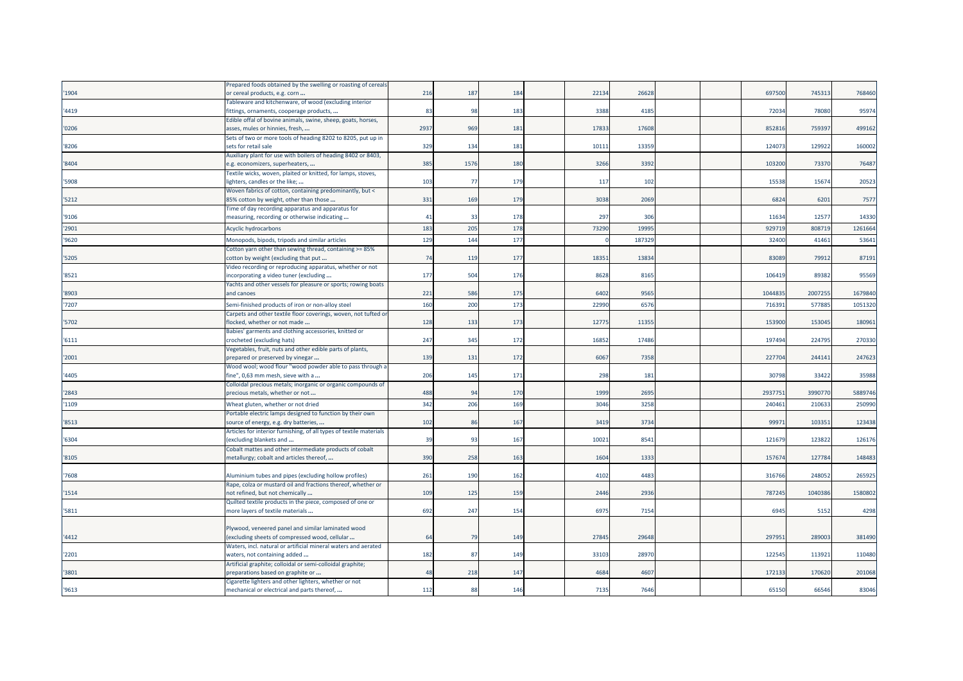|       | Prepared foods obtained by the swelling or roasting of cereals      |              |                 |     |       |        |  |        |         |         |
|-------|---------------------------------------------------------------------|--------------|-----------------|-----|-------|--------|--|--------|---------|---------|
| '1904 | or cereal products, e.g. corn                                       | 216          | 187             | 184 | 22134 | 26628  |  | 697500 | 745313  | 768460  |
|       | Tableware and kitchenware, of wood (excluding interior              |              |                 |     |       |        |  |        |         |         |
| '4419 | fittings, ornaments, cooperage products,                            | 83           | 98              | 183 | 3388  | 4185   |  | 72034  | 78080   | 95974   |
|       | Edible offal of bovine animals, swine, sheep, goats, horses,        |              |                 |     |       |        |  |        |         |         |
| '0206 | asses, mules or hinnies, fresh,                                     | 2937         | 969             | 181 | 17833 | 17608  |  | 852816 | 759397  | 499162  |
|       | Sets of two or more tools of heading 8202 to 8205, put up in        |              |                 |     |       |        |  |        |         |         |
| '8206 | sets for retail sale                                                | 329          | 134             | 181 | 1011  | 13359  |  | 124073 | 129922  | 160002  |
|       | Auxiliary plant for use with boilers of heading 8402 or 8403,       |              |                 |     |       |        |  |        |         |         |
| '8404 | e.g. economizers, superheaters,                                     | 385          | 1576            | 180 | 3266  | 3392   |  | 103200 | 73370   | 76487   |
|       | Textile wicks, woven, plaited or knitted, for lamps, stoves,        |              |                 |     |       |        |  |        |         |         |
| '5908 | lighters, candles or the like;                                      | 103          | - 77            | 179 | 117   | 102    |  | 15538  | 15674   | 20523   |
|       | Woven fabrics of cotton, containing predominantly, but <            |              |                 |     |       |        |  |        |         |         |
| '5212 | 85% cotton by weight, other than those                              | 331          | 169             | 179 | 3038  | 2069   |  | 6824   | 6201    | 7577    |
|       | Time of day recording apparatus and apparatus for                   |              |                 |     |       |        |  |        |         |         |
| '9106 | measuring, recording or otherwise indicating                        | $\mathbf{4}$ | 3               | 178 | 297   | 306    |  | 11634  | 12577   | 14330   |
|       |                                                                     |              |                 |     |       |        |  |        |         |         |
| '2901 | Acyclic hydrocarbons                                                | 183          | 205             | 178 | 7329  | 1999   |  | 929719 | 80871   | 1261664 |
| '9620 | Monopods, bipods, tripods and similar articles                      | 129          | 14 <sup>2</sup> | 177 |       | 187329 |  | 32400  | 41461   | 53641   |
|       | Cotton yarn other than sewing thread, containing >= 85%             |              |                 |     |       |        |  |        |         |         |
| '5205 | cotton by weight (excluding that put                                | 74           | 119             | 177 | 1835  | 13834  |  | 83089  | 79912   | 87191   |
|       | Video recording or reproducing apparatus, whether or not            |              |                 |     |       |        |  |        |         |         |
| '8521 | incorporating a video tuner (excluding                              | 177          | 504             | 176 | 8628  | 8165   |  | 10641  | 89382   | 95569   |
|       | Yachts and other vessels for pleasure or sports; rowing boats       |              |                 |     |       |        |  |        |         |         |
| '8903 | and canoes                                                          | 221          | 586             | 175 | 6402  | 9565   |  | 104483 | 2007255 | 1679840 |
| '7207 | Semi-finished products of iron or non-alloy steel                   | 160          | 200             | 173 | 2299  | 6576   |  | 71639  | 57788   | 1051320 |
|       | Carpets and other textile floor coverings, woven, not tufted or     |              |                 |     |       |        |  |        |         |         |
| '5702 | flocked, whether or not made                                        | 128          | 133             | 173 | 12775 | 11355  |  | 153900 | 153045  | 180961  |
|       | Babies' garments and clothing accessories, knitted or               |              |                 |     |       |        |  |        |         |         |
| '6111 | crocheted (excluding hats)                                          | 247          | 345             | 172 | 1685  | 17486  |  | 197494 | 224795  | 270330  |
|       | Vegetables, fruit, nuts and other edible parts of plants,           |              |                 |     |       |        |  |        |         |         |
| '2001 | prepared or preserved by vinegar                                    | 139          | 131             | 172 | 6067  | 7358   |  | 227704 | 244141  | 247623  |
|       | Wood wool; wood flour "wood powder able to pass through a           |              |                 |     |       |        |  |        |         |         |
| '4405 | fine", 0,63 mm mesh, sieve with a                                   | 206          | 145             | 171 | 298   | 181    |  | 30798  | 33422   | 35988   |
|       | Colloidal precious metals; inorganic or organic compounds of        |              |                 |     |       |        |  |        |         |         |
| '2843 | precious metals, whether or not                                     | 488          | $q_i$           | 170 | 1999  | 2695   |  | 293775 | 3990770 | 5889746 |
|       |                                                                     |              |                 |     |       |        |  |        |         |         |
| '1109 | Wheat gluten, whether or not dried                                  | 342          | 206             | 169 | 3046  | 3258   |  | 24046  | 21063   | 250990  |
|       | Portable electric lamps designed to function by their own           |              |                 |     |       |        |  |        |         |         |
| '8513 | source of energy, e.g. dry batteries,                               | 102          | 86              | 167 | 3419  | 3734   |  | 99971  | 103351  | 123438  |
|       | Articles for interior furnishing, of all types of textile materials |              |                 |     |       |        |  |        |         |         |
| '6304 | excluding blankets and                                              | 39           | 93              | 167 | 1002  | 8541   |  | 12167  | 12382   | 126176  |
|       | Cobalt mattes and other intermediate products of cobalt             |              |                 |     |       |        |  |        |         |         |
| '8105 | metallurgy; cobalt and articles thereof,                            | 390          | 258             | 163 | 1604  | 1333   |  | 157674 | 127784  | 148483  |
|       |                                                                     |              |                 |     |       |        |  |        |         |         |
| '7608 | Aluminium tubes and pipes (excluding hollow profiles)               | 261          | 190             | 162 | 4102  | 4483   |  | 316766 | 248052  | 265925  |
|       | Rape, colza or mustard oil and fractions thereof, whether or        |              |                 |     |       |        |  |        |         |         |
| '1514 | not refined, but not chemically                                     | 109          | 125             | 159 | 2446  | 2936   |  | 787245 | 1040386 | 1580802 |
|       | Quilted textile products in the piece, composed of one or           |              |                 |     |       |        |  |        |         |         |
| '5811 | more layers of textile materials                                    | 692          | 247             | 154 | 697   | 7154   |  | 6945   | 5152    | 4298    |
|       |                                                                     |              |                 |     |       |        |  |        |         |         |
|       | Plywood, veneered panel and similar laminated wood                  |              |                 |     |       |        |  |        |         |         |
| '4412 | excluding sheets of compressed wood, cellular                       | 64           | 79              | 149 | 2784  | 29648  |  | 29795  | 289003  | 381490  |
|       | Waters, incl. natural or artificial mineral waters and aerated      |              |                 |     |       |        |  |        |         |         |
| '2201 | waters, not containing added                                        | 182          | 87              | 149 | 33103 | 28970  |  | 122545 | 113921  | 110480  |
|       | Artificial graphite; colloidal or semi-colloidal graphite;          |              |                 |     |       |        |  |        |         |         |
| '3801 | preparations based on graphite or                                   | 48           | 218             | 147 | 4684  | 4607   |  | 172133 | 170620  | 201068  |
|       | Cigarette lighters and other lighters, whether or not               |              |                 |     |       |        |  |        |         |         |
| '9613 | mechanical or electrical and parts thereof,                         | 112          | $\mathbf{R}$    | 146 | 7135  | 7646   |  | 65150  | 66546   | 83046   |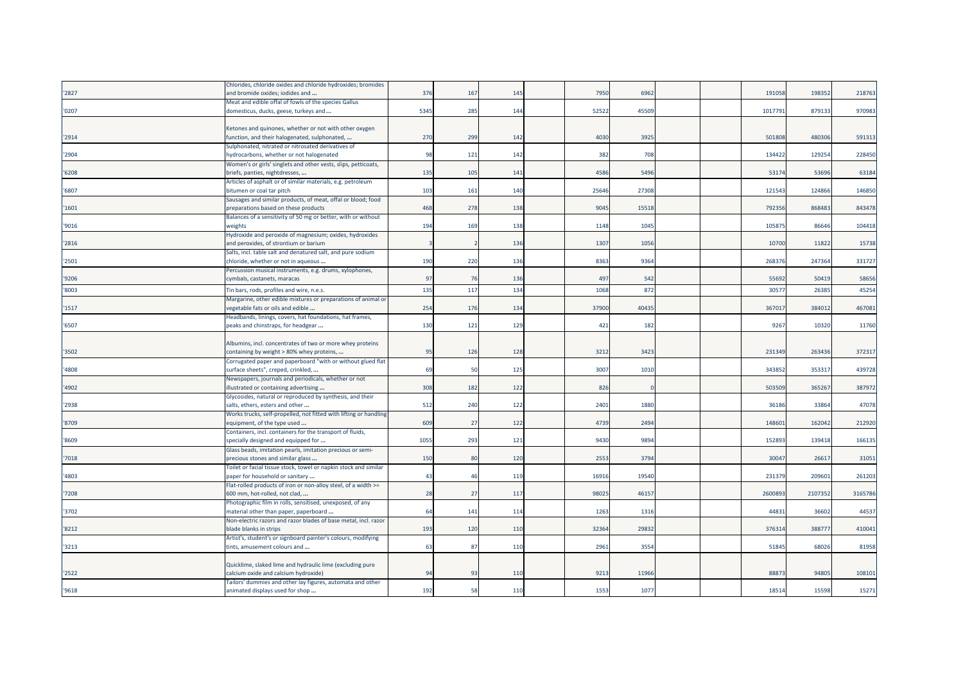|       | Chlorides, chloride oxides and chloride hydroxides; bromides      |           |              |     |       |       |  |         |         |         |
|-------|-------------------------------------------------------------------|-----------|--------------|-----|-------|-------|--|---------|---------|---------|
| 2827  | and bromide oxides; iodides and                                   | 376       | 167          | 145 | 7950  | 6962  |  | 191058  | 198352  | 218763  |
|       | Meat and edible offal of fowls of the species Gallus              |           |              |     |       |       |  |         |         |         |
| '0207 | domesticus, ducks, geese, turkeys and                             | 5345      | 285          | 144 | 5252  | 45509 |  | 1017791 | 879133  | 970983  |
|       |                                                                   |           |              |     |       |       |  |         |         |         |
|       | Ketones and quinones, whether or not with other oxygen            |           |              |     |       |       |  |         |         |         |
| '2914 | function, and their halogenated, sulphonated,                     | 270       | 299          | 142 | 4030  | 3925  |  | 501808  | 480306  | 59131   |
|       | Sulphonated, nitrated or nitrosated derivatives of                |           |              |     |       |       |  |         |         |         |
| '2904 | nydrocarbons, whether or not halogenated                          | 98        | 121          | 142 | 382   | 708   |  | 134422  | 129254  | 228450  |
|       | Women's or girls' singlets and other vests, slips, petticoats,    |           |              |     |       |       |  |         |         |         |
| '6208 | briefs, panties, nightdresses,                                    | 135       | 105          | 141 | 4586  | 5496  |  | 53174   | 53696   | 63184   |
|       | Articles of asphalt or of similar materials, e.g. petroleum       |           |              |     |       |       |  |         |         |         |
| '6807 | bitumen or coal tar pitch                                         | 103       | 161          | 140 | 25646 | 27308 |  | 121543  | 124866  | 146850  |
|       | Sausages and similar products, of meat, offal or blood; food      |           |              |     |       |       |  |         |         |         |
| 1601  | preparations based on these products                              | 468       | 278          | 138 | 9045  | 15518 |  | 792356  | 868483  | 843478  |
|       | Balances of a sensitivity of 50 mg or better, with or without     |           |              |     |       |       |  |         |         |         |
| '9016 | weights                                                           | 194       | 169          | 138 | 1148  | 1045  |  | 105875  | 86646   | 104418  |
|       | Hydroxide and peroxide of magnesium; oxides, hydroxides           |           |              |     |       |       |  |         |         |         |
| '2816 | and peroxides, of strontium or barium                             |           |              | 136 | 1307  | 1056  |  | 10700   | 11822   | 15738   |
|       | Salts, incl. table salt and denatured salt, and pure sodium       |           |              |     |       |       |  |         |         |         |
| '2501 | chloride, whether or not in aqueous                               | 190       | 220          | 136 | 8363  | 9364  |  | 268376  | 247364  | 331727  |
|       | Percussion musical instruments, e.g. drums, xylophones,           |           |              |     |       |       |  |         |         |         |
| '9206 | cymbals, castanets, maracas                                       | 97        | 76           | 136 | 497   | 542   |  | 55692   | 50419   | 58656   |
|       |                                                                   |           |              |     |       |       |  |         |         |         |
| '8003 | Tin bars, rods, profiles and wire, n.e.s.                         | 135       | 117          | 134 | 1068  | 872   |  | 30577   | 26385   | 45254   |
|       | Margarine, other edible mixtures or preparations of animal or     |           |              |     |       |       |  |         |         |         |
| 1517  | egetable fats or oils and edible                                  | 254       | 176          | 134 | 37900 | 40435 |  | 367017  | 384012  | 467081  |
|       | Headbands, linings, covers, hat foundations, hat frames,          |           |              |     |       |       |  |         |         |         |
| '6507 | peaks and chinstraps, for headgear                                | 130       | 121          | 129 | 421   | 182   |  | 9267    | 10320   | 11760   |
|       |                                                                   |           |              |     |       |       |  |         |         |         |
|       | Albumins, incl. concentrates of two or more whey proteins         |           |              |     |       |       |  |         |         |         |
| 3502  | containing by weight > 80% whey proteins,                         | 95        | 126          | 128 | 3212  | 3423  |  | 231349  | 263436  | 37231   |
|       | Corrugated paper and paperboard "with or without glued flat       |           |              |     |       |       |  |         |         |         |
| '4808 | surface sheets", creped, crinkled,                                | <b>69</b> | 50           | 125 | 3007  | 1010  |  | 343852  | 353317  | 439728  |
|       | Newspapers, journals and periodicals, whether or not              |           |              |     |       |       |  |         |         |         |
| '4902 | llustrated or containing advertising                              | 308       | 182          | 122 | 826   |       |  | 503509  | 365267  | 387972  |
|       | Glycosides, natural or reproduced by synthesis, and their         |           |              |     |       |       |  |         |         |         |
| 2938  | salts, ethers, esters and other                                   | 512       | 240          | 122 | 2401  | 1880  |  | 36186   | 33864   | 47078   |
|       | Works trucks, self-propelled, not fitted with lifting or handling |           |              |     |       |       |  |         |         |         |
| '8709 | equipment, of the type used                                       | 609       | 27           | 122 | 4739  | 2494  |  | 148601  | 162042  | 212920  |
|       | Containers, incl. containers for the transport of fluids,         |           |              |     |       |       |  |         |         |         |
| '8609 | specially designed and equipped for                               | 1055      | 293          | 121 | 9430  | 9894  |  | 152893  | 139418  | 16613   |
|       | Glass beads, imitation pearls, imitation precious or semi-        |           |              |     |       |       |  |         |         |         |
| 7018  | precious stones and similar glass                                 | 150       | 80           | 120 | 2553  | 3794  |  | 30047   | 26617   | 3105    |
|       | Toilet or facial tissue stock, towel or napkin stock and similar  |           |              |     |       |       |  |         |         |         |
| '4803 | paper for household or sanitary                                   | 43        | $\Delta f$   | 119 | 16916 | 19540 |  | 231379  | 209601  | 261203  |
|       | Flat-rolled products of iron or non-alloy steel, of a width >=    |           |              |     |       |       |  |         |         |         |
| 7208  | 600 mm, hot-rolled, not clad,                                     | 28        | 27           | 117 | 98025 | 46157 |  | 2600893 | 2107352 | 3165786 |
|       | Photographic film in rolls, sensitised, unexposed, of any         |           |              |     |       |       |  |         |         |         |
| '3702 | material other than paper, paperboard                             | 64        | 141          | 114 | 1263  | 1316  |  | 44831   | 36602   | 44537   |
|       | Non-electric razors and razor blades of base metal, incl. razor   |           |              |     |       |       |  |         |         |         |
| 8212  | blade blanks in strips                                            | 193       | 120          | 110 | 3236  | 29832 |  | 376314  | 388777  | 410041  |
|       | Artist's, student's or signboard painter's colours, modifying     |           |              |     |       |       |  |         |         |         |
| 3213  | tints, amusement colours and                                      | 63        | $\mathbf{g}$ | 110 | 2961  | 3554  |  | 51845   | 68026   | 81958   |
|       |                                                                   |           |              |     |       |       |  |         |         |         |
|       | Quicklime, slaked lime and hydraulic lime (excluding pure         |           |              |     |       |       |  |         |         |         |
| '2522 | calcium oxide and calcium hydroxide)                              | 94        | 93           | 110 | 921   | 11966 |  | 88873   | 94805   | 108101  |
|       | Tailors' dummies and other lay figures, automata and other        |           |              |     |       |       |  |         |         |         |
| '9618 | animated displays used for shop                                   | 192       | 58           | 110 | 1553  | 1077  |  | 18514   | 15598   | 15271   |
|       |                                                                   |           |              |     |       |       |  |         |         |         |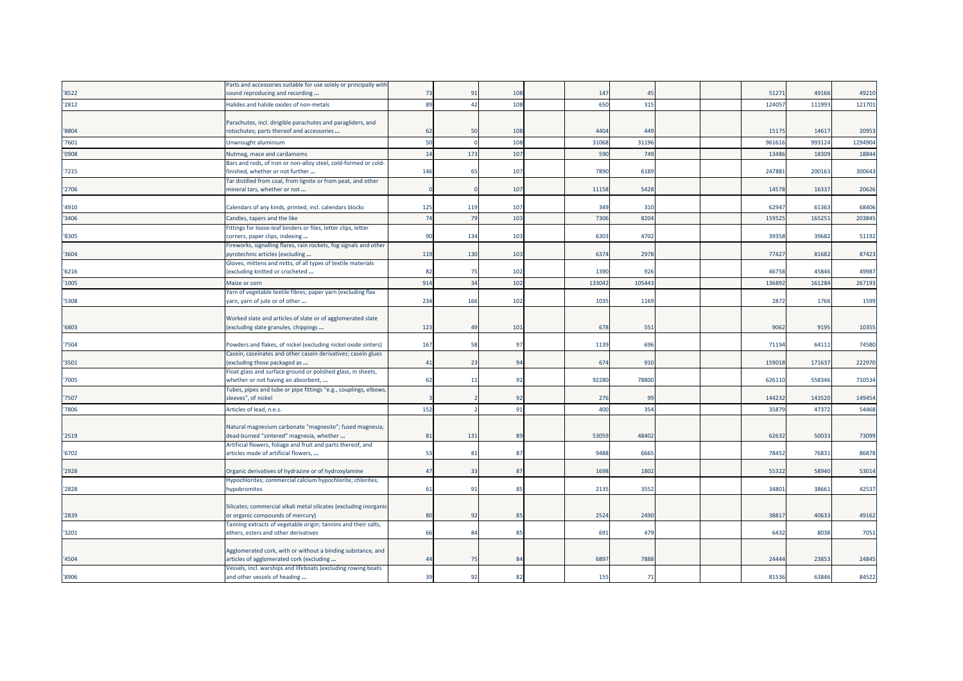|       | Parts and accessories suitable for use solely or principally with                                        |     |     |     |        |                |  |        |        |         |
|-------|----------------------------------------------------------------------------------------------------------|-----|-----|-----|--------|----------------|--|--------|--------|---------|
| '8522 | sound reproducing and recording                                                                          | 73  | 91  | 108 | 147    | 4 <sup>5</sup> |  | 5127   | 49166  | 49210   |
| '2812 | Halides and halide oxides of non-metals                                                                  | 89  | 42  | 108 | 650    | 315            |  | 12405  | 111993 | 121701  |
|       |                                                                                                          |     |     |     |        |                |  |        |        |         |
|       | Parachutes, incl. dirigible parachutes and paragliders, and                                              |     |     |     |        |                |  |        |        |         |
| '8804 | rotochutes; parts thereof and accessories                                                                | 62  | 50  | 108 | 4404   | 449            |  | 15175  | 14617  | 20953   |
| '7601 | Unwrought aluminium                                                                                      | 50  |     | 108 | 31068  | 3119           |  | 96161  | 993124 | 1294904 |
| '0908 | Nutmeg, mace and cardamoms                                                                               | 14  | 173 | 107 | 590    | <b>749</b>     |  | 1348   | 18309  | 18844   |
|       | Bars and rods, of iron or non-alloy steel, cold-formed or cold-                                          |     |     |     |        |                |  |        |        |         |
| 7215  | finished, whether or not further                                                                         | 146 | 65  | 107 | 7890   | 6189           |  | 24788  | 200163 | 300643  |
|       | Tar distilled from coal, from lignite or from peat, and other                                            |     |     |     |        |                |  |        |        |         |
| '2706 | mineral tars, whether or not                                                                             |     |     | 107 | 11158  | 5428           |  | 14578  | 16337  | 20626   |
|       |                                                                                                          | 125 | 119 |     |        |                |  | 6294   | 61363  | 68406   |
| '4910 | Calendars of any kinds, printed, incl. calendars blocks                                                  |     |     | 107 | 349    | 310            |  |        |        |         |
| '3406 | Candles, tapers and the like                                                                             | 74  | 79  | 103 | 7306   | 8204           |  | 15952  | 16525  | 203845  |
| '8305 | ittings for loose-leaf binders or files, letter clips, letter<br>corners, paper clips, indexing          | 90  | 134 | 103 | 6303   | 4702           |  | 39358  | 39682  | 51192   |
|       | Fireworks, signalling flares, rain rockets, fog signals and other                                        |     |     |     |        |                |  |        |        |         |
| 3604  | pyrotechnic articles (excluding                                                                          | 119 | 130 | 103 | 6374   | 2978           |  | 77421  | 81682  | 87423   |
|       | Gloves, mittens and mitts, of all types of textile materials                                             |     |     |     |        |                |  |        |        |         |
| 6216  | (excluding knitted or crocheted                                                                          | 82  | 75  | 102 | 1390   | 926            |  | 4675   | 45846  | 49987   |
| '1005 | Maize or corn                                                                                            | 914 | 34  | 102 | 133042 | 10544          |  | 13689  | 161284 | 267193  |
|       | Yarn of vegetable textile fibres; paper yarn (excluding flax                                             |     |     |     |        |                |  |        |        |         |
| '5308 | yarn, yarn of jute or of other                                                                           | 234 | 166 | 102 | 1035   | 1169           |  | 2872   | 1766   | 1599    |
|       |                                                                                                          |     |     |     |        |                |  |        |        |         |
|       | Worked slate and articles of slate or of agglomerated slate                                              |     |     |     |        |                |  |        |        |         |
| '6803 | (excluding slate granules, chippings                                                                     | 123 | 49  | 101 | 678    | 551            |  | 9062   | 9195   | 10355   |
| 7504  | Powders and flakes, of nickel (excluding nickel oxide sinters)                                           | 167 | 51  | 97  | 1139   | 696            |  | 7119   | 64111  | 74580   |
|       | Casein, caseinates and other casein derivatives; casein glues                                            |     |     |     |        |                |  |        |        |         |
| 3501  | (excluding those packaged as                                                                             | 41  | 23  | 94  | 674    | 910            |  | 15901  | 17163  | 222970  |
|       | Float glass and surface ground or polished glass, in sheets,                                             |     |     |     |        |                |  |        |        |         |
| 7005  | whether or not having an absorbent,                                                                      | 62  | 11  | 92  | 92280  | 78800          |  | 62611  | 558346 | 710534  |
|       | Tubes, pipes and tube or pipe fittings "e.g., couplings, elbows,                                         |     |     |     |        |                |  |        |        |         |
| 7507  | sleeves", of nickel                                                                                      |     |     | 92  | 276    | 99             |  | 144232 | 143520 | 149454  |
| 7806  | Articles of lead, n.e.s.                                                                                 | 152 |     | 91  | 400    | 354            |  | 3587   | 47372  | 54468   |
|       |                                                                                                          |     |     |     |        |                |  |        |        |         |
|       | Natural magnesium carbonate "magnesite"; fused magnesia;                                                 |     |     |     |        |                |  |        | 50033  |         |
| 2519  | dead-burned "sintered" magnesia, whether<br>Artificial flowers, foliage and fruit and parts thereof, and | 81  | 131 | 89  | 53059  | 48402          |  | 62632  |        | 73099   |
| '6702 | articles made of artificial flowers,                                                                     | 53  | 81  | 87  | 9488   | 6665           |  | 78452  | 76831  | 86878   |
|       |                                                                                                          |     |     |     |        |                |  |        |        |         |
| '2928 | Organic derivatives of hydrazine or of hydroxylamine                                                     | 47  | 33  | 87  | 1698   | 1802           |  | 5532   | 58940  | 53014   |
|       | Hypochlorites; commercial calcium hypochlorite; chlorites;                                               |     |     |     |        |                |  |        |        |         |
| '2828 | hypobromites                                                                                             | 61  | 91  | 85  | 2135   | 3552           |  | 3480   | 38661  | 42537   |
|       |                                                                                                          |     |     |     |        |                |  |        |        |         |
|       | Silicates; commercial alkali metal silicates (excluding inorganic                                        |     |     |     |        |                |  |        |        |         |
| '2839 | or organic compounds of mercury)<br>Tanning extracts of vegetable origin; tannins and their salts,       | 80  | 92  | 85  | 2524   | 2490           |  | 3881   | 40633  | 49162   |
| '3201 | ethers, esters and other derivatives                                                                     | 66  | 84  | 85  | 691    | 479            |  | 6432   | 8038   | 7051    |
|       |                                                                                                          |     |     |     |        |                |  |        |        |         |
|       | Agglomerated cork, with or without a binding substance, and                                              |     |     |     |        |                |  |        |        |         |
| '4504 | articles of agglomerated cork (excluding                                                                 | 44  | 75  | 84  | 6897   | 7888           |  | 2444   | 23853  | 24845   |
|       | Vessels, incl. warships and lifeboats (excluding rowing boats                                            |     |     |     |        |                |  |        |        |         |
| '8906 | and other vessels of heading                                                                             | 39  | 92  | 82  | 155    | 71             |  | 81536  | 63846  | 84522   |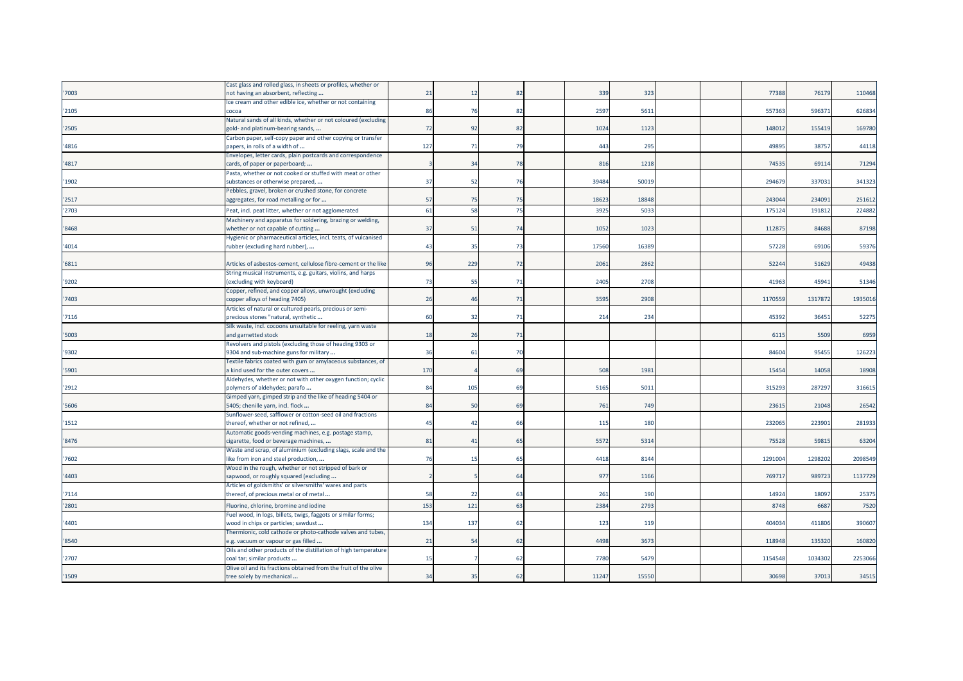|       | Cast glass and rolled glass, in sheets or profiles, whether or   |     |            |           |       |       |  |         |         |         |
|-------|------------------------------------------------------------------|-----|------------|-----------|-------|-------|--|---------|---------|---------|
| '7003 | not having an absorbent, reflecting                              | 21  | -12        | 82        | 339   | 323   |  | 77388   | 76179   | 110468  |
|       | Ice cream and other edible ice, whether or not containing        |     |            |           |       |       |  |         |         |         |
| '2105 | cocoa                                                            | 86  | 76         | 82        | 2597  | 5611  |  | 55736   | 59637   | 626834  |
|       | Natural sands of all kinds, whether or not coloured (excluding   |     |            |           |       |       |  |         |         |         |
| '2505 | gold- and platinum-bearing sands,                                | 72  | 92         | 82        | 1024  | 1123  |  | 148012  | 155419  | 169780  |
|       | Carbon paper, self-copy paper and other copying or transfer      |     |            |           |       |       |  |         |         |         |
| '4816 | papers, in rolls of a width of                                   | 127 | 71         | 79        | 443   | 295   |  | 4989    | 38757   | 44118   |
|       | Envelopes, letter cards, plain postcards and correspondence      |     |            |           |       |       |  |         |         |         |
| '4817 | cards, of paper or paperboard;                                   |     | 34         | 78        | 816   | 1218  |  | 7453    | 69114   | 71294   |
|       | Pasta, whether or not cooked or stuffed with meat or other       |     |            |           |       |       |  |         |         |         |
| '1902 | substances or otherwise prepared,                                | 37  | -52        | 76        | 39484 | 5001  |  | 29467   | 337031  | 34132   |
|       | Pebbles, gravel, broken or crushed stone, for concrete           |     |            |           |       |       |  |         |         |         |
| '2517 | aggregates, for road metalling or for                            | 57  | 75         | 75        | 18623 | 18848 |  | 24304   | 234091  | 251612  |
| '2703 | Peat, incl. peat litter, whether or not agglomerated             | 61  | 58         | 75        | 3925  | 503   |  | 17512   | 191812  | 224882  |
|       | Machinery and apparatus for soldering, brazing or welding,       |     |            |           |       |       |  |         |         |         |
| '8468 | whether or not capable of cutting                                | 37  | 51         | 74        | 1052  | 102   |  | 11287   | 84688   | 87198   |
|       | Hygienic or pharmaceutical articles, incl. teats, of vulcanised  |     |            |           |       |       |  |         |         |         |
| '4014 | rubber (excluding hard rubber),                                  | 43  | 35         | 73        | 17560 | 1638  |  | 57228   | 69106   | 59376   |
|       |                                                                  |     |            |           |       |       |  |         |         |         |
| '6811 | Articles of asbestos-cement, cellulose fibre-cement or the like  | 96  | 229        | 72        | 2061  | 2862  |  | 52244   | 51629   | 49438   |
|       | String musical instruments, e.g. guitars, violins, and harps     |     |            |           |       |       |  |         |         |         |
| '9202 | (excluding with keyboard)                                        | 73  | 55         | 71        | 2405  | 2708  |  | 41963   | 4594:   | 51346   |
|       | Copper, refined, and copper alloys, unwrought (excluding         |     |            |           |       |       |  |         |         |         |
| '7403 | copper alloys of heading 7405)                                   | 26  | $\Delta$ f | 71        | 3595  | 2908  |  | 117055  | 131787  | 1935016 |
|       | Articles of natural or cultured pearls, precious or semi-        |     |            |           |       |       |  |         |         |         |
| '7116 | precious stones "natural, synthetic                              | 60  | -32        | 71        | 214   | 234   |  | 45392   | 36451   | 52275   |
|       | Silk waste, incl. cocoons unsuitable for reeling, yarn waste     |     |            |           |       |       |  |         |         |         |
| '5003 | and garnetted stock                                              | 18  | 26         | 71        |       |       |  | 6115    | 5509    | 6959    |
|       | Revolvers and pistols (excluding those of heading 9303 or        |     |            |           |       |       |  |         |         |         |
| '9302 | 9304 and sub-machine guns for military                           | 36  | 61         | 70        |       |       |  | 8460    | 95455   | 126223  |
|       | Textile fabrics coated with gum or amylaceous substances, of     |     |            |           |       |       |  |         |         |         |
| '5901 | a kind used for the outer covers                                 | 170 |            | 69        | 508   | 198   |  | 15454   | 14058   | 18908   |
|       | Aldehydes, whether or not with other oxygen function; cyclic     |     |            |           |       |       |  |         |         |         |
| '2912 | polymers of aldehydes; parafo                                    | 84  | 105        | 69        | 5165  | 501   |  | 31529   | 28729   | 316615  |
|       | Gimped yarn, gimped strip and the like of heading 5404 or        |     |            |           |       |       |  |         |         |         |
| '5606 | 5405; chenille yarn, incl. flock                                 | 84  | 5(         | <b>69</b> | 761   | 749   |  | 2361    | 21048   | 26542   |
|       | Sunflower-seed, safflower or cotton-seed oil and fractions       |     |            |           |       |       |  |         |         |         |
| '1512 | thereof, whether or not refined,                                 | 45  | 42         | 66        | 115   | 180   |  | 23206   | 223901  | 28193   |
|       | Automatic goods-vending machines, e.g. postage stamp,            |     |            |           |       |       |  |         |         |         |
| '8476 | cigarette, food or beverage machines,                            | 81  | 41         | 65        | 5572  | 5314  |  | 75528   | 59815   | 63204   |
|       | Waste and scrap, of aluminium (excluding slags, scale and the    |     |            |           |       |       |  |         |         |         |
| '7602 | like from iron and steel production,                             | 76  | 15         | 65        | 4418  | 814   |  | 129100  | 129820  | 2098549 |
|       | Wood in the rough, whether or not stripped of bark or            |     |            |           |       |       |  |         |         |         |
| '4403 | sapwood, or roughly squared (excluding                           |     |            | 64        | 977   | 1166  |  | 769717  | 989723  | 1137729 |
|       | Articles of goldsmiths' or silversmiths' wares and parts         |     |            |           |       |       |  |         |         |         |
| '7114 | thereof, of precious metal or of metal                           | 58  | -22        | 63        | 261   | 190   |  | 14924   | 18097   | 25375   |
| '2801 | Fluorine, chlorine, bromine and iodine                           | 153 | 121        | 63        | 2384  | 279   |  | 8748    | 6687    | 7520    |
|       | Fuel wood, in logs, billets, twigs, faggots or similar forms;    |     |            |           |       |       |  |         |         |         |
| '4401 | wood in chips or particles; sawdust                              | 134 | 137        | 62        | 123   | 119   |  | 40403   | 41180   | 390607  |
|       | Thermionic, cold cathode or photo-cathode valves and tubes,      |     |            |           |       |       |  |         |         |         |
| '8540 | e.g. vacuum or vapour or gas filled                              | 21  | 54         | 62        | 4498  | 367   |  | 118948  | 135320  | 160820  |
|       | Oils and other products of the distillation of high temperature  |     |            |           |       |       |  |         |         |         |
| '2707 | coal tar; similar products                                       | 15  |            | 62        | 7780  | 547   |  | 1154548 | 1034302 | 2253066 |
|       | Olive oil and its fractions obtained from the fruit of the olive |     |            |           |       |       |  |         |         |         |
| '1509 | tree solely by mechanical                                        | 34  | 35         | 62        | 11247 | 1555  |  | 30698   | 37013   | 34515   |
|       |                                                                  |     |            |           |       |       |  |         |         |         |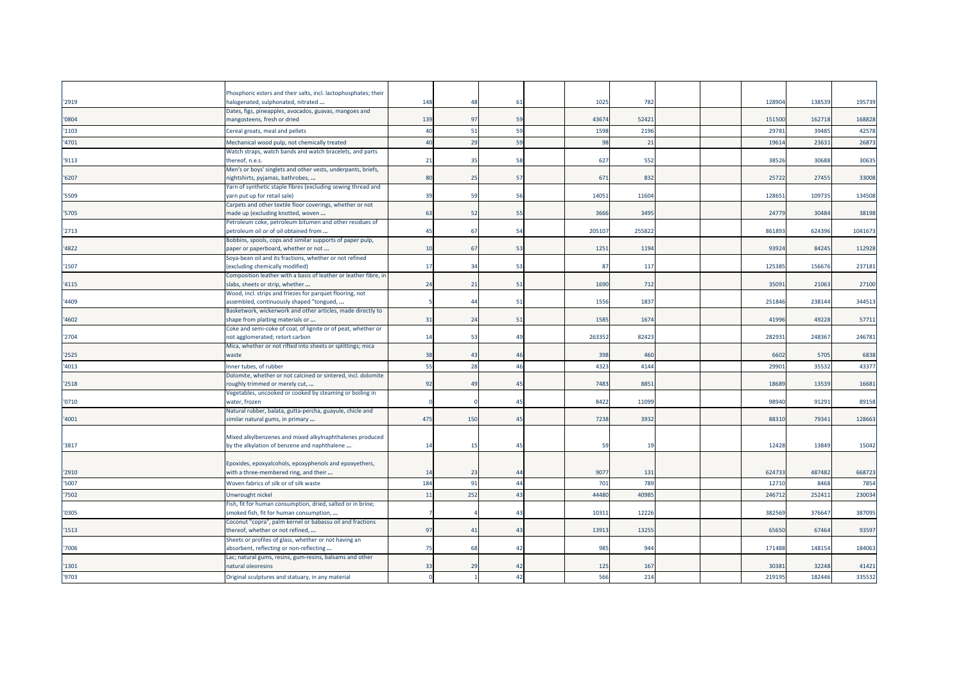| '2919 | Phosphoric esters and their salts, incl. lactophosphates; their<br>halogenated, sulphonated, nitrated    | 148 | 48             | 61             | 1025   | 782   |  | 12890  | 138539 | 195739  |
|-------|----------------------------------------------------------------------------------------------------------|-----|----------------|----------------|--------|-------|--|--------|--------|---------|
| '0804 | Dates, figs, pineapples, avocados, guavas, mangoes and<br>mangosteens, fresh or dried                    | 139 | 97             | 59             | 43674  | 52421 |  | 151500 | 162718 | 168828  |
| '1103 | Cereal groats, meal and pellets                                                                          | 40  | 51             | 59             | 1598   | 2196  |  | 2978   | 39485  | 42578   |
|       |                                                                                                          |     |                |                |        |       |  |        |        |         |
| '4701 | Mechanical wood pulp, not chemically treated                                                             | 40  | 2 <sup>c</sup> | 59             | 98     | 21    |  | 1961   | 2363   | 26873   |
| '9113 | Watch straps, watch bands and watch bracelets, and parts<br>thereof, n.e.s.                              | 21  | -35            | 58             | 627    | 552   |  | 38526  | 30688  | 30635   |
| '6207 | Men's or boys' singlets and other vests, underpants, briefs,<br>nightshirts, pyjamas, bathrobes,         | 80  | 25             | 57             | 67     | 832   |  | 25722  | 27455  | 33008   |
| '5509 | farn of synthetic staple fibres (excluding sewing thread and<br>yarn put up for retail sale)             | 39  | 59             | 56             | 1405   | 11604 |  | 12865  | 109735 | 134508  |
| '5705 | Carpets and other textile floor coverings, whether or not<br>made up (excluding knotted, woven           | 63  | -52            | 55             | 3666   | 3495  |  | 24779  | 30484  | 38198   |
|       | Petroleum coke, petroleum bitumen and other residues of                                                  |     |                |                |        |       |  |        |        |         |
| '2713 | petroleum oil or of oil obtained from                                                                    | 45  | 67             | 54             | 20510  | 25582 |  | 86189  | 624396 | 1041673 |
| '4822 | Bobbins, spools, cops and similar supports of paper pulp,<br>paper or paperboard, whether or not         | 10  | 67             | 53             | 1251   | 1194  |  | 93924  | 84245  | 112928  |
| '1507 | Soya-bean oil and its fractions, whether or not refined<br>excluding chemically modified)                | 17  | 34             | 53             | 87     | 117   |  | 12538  | 156676 | 237181  |
|       | Composition leather with a basis of leather or leather fibre, in                                         |     |                |                |        |       |  |        |        |         |
| '4115 | slabs, sheets or strip, whether                                                                          | 24  | 21             | 51             | 1690   | 712   |  | 3509   | 21063  | 27100   |
| '4409 | Wood, incl. strips and friezes for parquet flooring, not<br>assembled, continuously shaped "tongued,     |     | 44             | 51             | 1556   | 1837  |  | 251846 | 238144 | 344513  |
| '4602 | Basketwork, wickerwork and other articles, made directly to<br>shape from plaiting materials or          | 31  | 24             | 51             | 1585   | 167   |  | 41996  | 49228  | 57711   |
|       | Coke and semi-coke of coal, of lignite or of peat, whether or                                            |     |                |                |        |       |  |        |        |         |
| '2704 | not agglomerated; retort carbon                                                                          | 14  | -53            | 49             | 263352 | 8242  |  | 28293  | 248367 | 246781  |
| '2525 | Mica, whether or not rifted into sheets or splittings; mica<br>waste                                     | 38  | 4 <sup>5</sup> | $\Delta f$     | 398    | 460   |  | 6602   | 5705   | 6838    |
|       |                                                                                                          |     |                |                |        |       |  |        |        |         |
| '4013 | Inner tubes, of rubber                                                                                   | 55  | 28             | 46             | 4323   | 4144  |  | 2990   | 3553   | 43377   |
| '2518 | Dolomite, whether or not calcined or sintered, incl. dolomite<br>roughly trimmed or merely cut,          | 92  | 4 <sup>0</sup> | 45             | 7483   | 8851  |  | 1868   | 13539  | 16681   |
|       | Vegetables, uncooked or cooked by steaming or boiling in                                                 |     |                |                |        |       |  |        |        |         |
| '0710 | water, frozen                                                                                            |     |                | 45             | 8422   | 1109  |  | 98940  | 91291  | 89158   |
|       | Natural rubber, balata, gutta-percha, guayule, chicle and                                                |     |                |                |        |       |  |        |        |         |
| '4001 | similar natural gums, in primary                                                                         | 475 | 150            | 45             | 7238   | 3932  |  | 88310  | 79341  | 128663  |
| '3817 | Mixed alkylbenzenes and mixed alkylnaphthalenes produced<br>by the alkylation of benzene and naphthalene | 14  | 1!             | 4 <sup>5</sup> | 5      | 19    |  | 12428  | 13849  | 15042   |
|       |                                                                                                          |     |                |                |        |       |  |        |        |         |
| '2910 | Epoxides, epoxyalcohols, epoxyphenols and epoxyethers,<br>with a three-membered ring, and their          | 14  | 23             | 44             | 907    | 131   |  | 624733 | 487482 | 668723  |
| '5007 | Woven fabrics of silk or of silk waste                                                                   | 184 | 91             | 44             | 701    | 789   |  | 12710  | 8468   | 7854    |
| '7502 | Unwrought nickel                                                                                         | 11  | 252            | 43             | 44480  | 4098  |  | 24671  | 25241  | 230034  |
|       | Fish, fit for human consumption, dried, salted or in brine;                                              |     |                |                |        |       |  |        |        |         |
| '0305 | smoked fish, fit for human consumption,                                                                  |     |                | 4 <sup>2</sup> | 1031   | 1222  |  | 382569 | 37664  | 387095  |
| '1513 | Coconut "copra", palm kernel or babassu oil and fractions<br>thereof, whether or not refined,            | 97  | 41             | 43             | 13913  | 1325  |  | 65650  | 67464  | 93597   |
| '7006 | Sheets or profiles of glass, whether or not having an<br>absorbent, reflecting or non-reflecting         | 75  | 68             | 42             | 985    | 944   |  | 171488 | 148154 | 184063  |
| '1301 | Lac; natural gums, resins, gum-resins, balsams and other<br>natural oleoresins                           | 33  | 29             | 42             | 125    | 167   |  | 3038   | 32248  | 41421   |
| '9703 | Original sculptures and statuary, in any material                                                        |     |                | 42             | 566    | 214   |  | 219195 | 182446 | 335532  |
|       |                                                                                                          |     |                |                |        |       |  |        |        |         |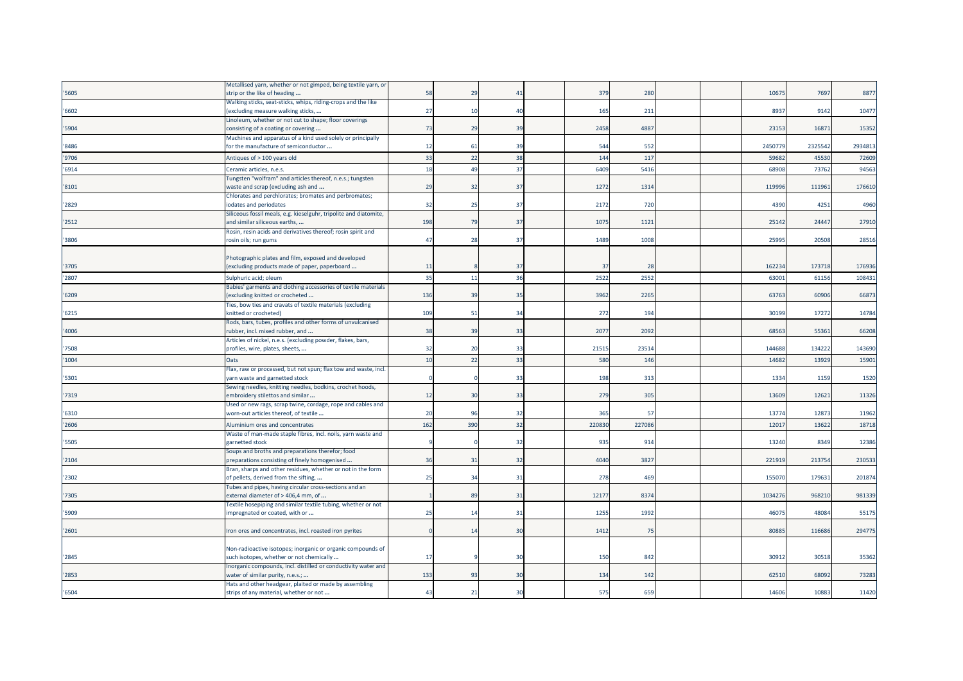| Walking sticks, seat-sticks, whips, riding-crops and the like<br>(excluding measure walking sticks,<br>27<br>165<br>211<br>8937<br>9142<br>10477<br>'6602<br>$\overline{1}$<br>40<br>Linoleum, whether or not cut to shape; floor coverings<br>4887<br>15352<br>'5904<br>73<br>29<br>39<br>2458<br>23153<br>16871<br>consisting of a coating or covering<br>Machines and apparatus of a kind used solely or principally<br>2934813<br>for the manufacture of semiconductor<br>61<br>39<br>544<br>552<br>2450779<br>2325542<br>12<br>33<br>38<br>22<br>144<br>5968<br>45530<br>72609<br>Antiques of > 100 years old<br>117<br>18<br>37<br>6409<br>5416<br>94563<br>'6914<br>$\overline{4}$<br>6890<br>73762<br>Ceramic articles, n.e.s.<br>Tungsten "wolfram" and articles thereof, n.e.s.; tungsten<br>29<br>32<br>37<br>1272<br>1314<br>111961<br>176610<br>waste and scrap (excluding ash and<br>119996<br>Chlorates and perchlorates; bromates and perbromates;<br>2172<br>720<br>4390<br>4251<br>4960<br>iodates and periodates<br>32<br>25<br>37<br>Siliceous fossil meals, e.g. kieselguhr, tripolite and diatomite,<br>198<br>27910<br>and similar siliceous earths,<br>79<br>37<br>1075<br>1121<br>25142<br>24447<br>Rosin, resin acids and derivatives thereof; rosin spirit and<br>'3806<br>47<br>28<br>37<br>1489<br>1008<br>25995<br>20508<br>28516<br>rosin oils; run gums<br>Photographic plates and film, exposed and developed<br>162234<br>173718<br>(excluding products made of paper, paperboard<br>37<br>37<br>28<br>176936<br>'3705<br>11<br>35<br>36<br>2522<br>2552<br>'2807<br>Sulphuric acid; oleum<br>11<br>63001<br>61156<br>108431<br>Babies' garments and clothing accessories of textile materials<br>136<br>3962<br>2265<br>63763<br>60906<br>66873<br>'6209<br>excluding knitted or crocheted<br>39<br>35<br>Ties, bow ties and cravats of textile materials (excluding<br>109<br>17272<br>51<br>272<br>194<br>30199<br>14784<br>knitted or crocheted)<br>34<br>Rods, bars, tubes, profiles and other forms of unvulcanised<br>66208<br>rubber, incl. mixed rubber, and<br>38<br>39<br>33<br>2077<br>2092<br>6856<br>55361<br>Articles of nickel, n.e.s. (excluding powder, flakes, bars,<br>'7508<br>profiles, wire, plates, sheets,<br>32<br>21515<br>23514<br>144688<br>134222<br>143690<br>20<br>33<br>10<br>22<br>33<br>580<br>146<br>14682<br>13929<br>15901<br>Oats<br>Flax, raw or processed, but not spun; flax tow and waste, incl.<br>1159<br>1520<br>arn waste and garnetted stock<br>33<br>198<br>313<br>1334<br>Sewing needles, knitting needles, bodkins, crochet hoods,<br>279<br>12621<br>11326<br>'7319<br>embroidery stilettos and similar<br>12<br>30<br>33<br>305<br>13609<br>Used or new rags, scrap twine, cordage, rope and cables and<br>'6310<br>365<br>13774<br>12873<br>11962<br>worn-out articles thereof, of textile<br>20<br>-91<br>32<br>57<br>162<br>390<br>32<br>227086<br>'2606<br>22083<br>1201<br>13622<br>18718<br>Aluminium ores and concentrates<br>Waste of man-made staple fibres, incl. noils, yarn waste and<br>935<br>12386<br>'5505<br>garnetted stock<br>32<br>914<br>13240<br>8349<br>Soups and broths and preparations therefor; food<br>preparations consisting of finely homogenised<br>4040<br>213754<br>230533<br>'2104<br>36<br>31<br>32<br>3827<br>221919<br>Bran, sharps and other residues, whether or not in the form<br>179631<br>201874<br>of pellets, derived from the sifting,<br>25<br>34<br>31<br>278<br>469<br>155070<br>Tubes and pipes, having circular cross-sections and an<br>12177<br>8374<br>1034276<br>968210<br>981339<br>external diameter of > 406,4 mm, of<br>8 <sup>1</sup><br>31<br>Textile hosepiping and similar textile tubing, whether or not<br>25<br>1255<br>1992<br>48084<br>55175<br>'5909<br>31<br>46075<br>mpregnated or coated, with or<br>14<br>1412<br>294775<br>'2601<br>ron ores and concentrates, incl. roasted iron pyrites<br>30<br>75<br>8088<br>116686<br>$\overline{1}$<br>Non-radioactive isotopes; inorganic or organic compounds of<br>'2845<br>such isotopes, whether or not chemically<br>17<br>30<br>150<br>842<br>30912<br>30518<br>35362<br>Inorganic compounds, incl. distilled or conductivity water and<br>133<br>93<br>30<br>134<br>142<br>62510<br>68092<br>73283<br>water of similar purity, n.e.s.;<br>Hats and other headgear, plaited or made by assembling<br>43<br>21<br>30<br>575<br>659<br>14606<br>10883<br>11420<br>strips of any material, whether or not |       | Metallised yarn, whether or not gimped, being textile yarn, or |    |    |    |     |     |  |       |      |      |
|-----------------------------------------------------------------------------------------------------------------------------------------------------------------------------------------------------------------------------------------------------------------------------------------------------------------------------------------------------------------------------------------------------------------------------------------------------------------------------------------------------------------------------------------------------------------------------------------------------------------------------------------------------------------------------------------------------------------------------------------------------------------------------------------------------------------------------------------------------------------------------------------------------------------------------------------------------------------------------------------------------------------------------------------------------------------------------------------------------------------------------------------------------------------------------------------------------------------------------------------------------------------------------------------------------------------------------------------------------------------------------------------------------------------------------------------------------------------------------------------------------------------------------------------------------------------------------------------------------------------------------------------------------------------------------------------------------------------------------------------------------------------------------------------------------------------------------------------------------------------------------------------------------------------------------------------------------------------------------------------------------------------------------------------------------------------------------------------------------------------------------------------------------------------------------------------------------------------------------------------------------------------------------------------------------------------------------------------------------------------------------------------------------------------------------------------------------------------------------------------------------------------------------------------------------------------------------------------------------------------------------------------------------------------------------------------------------------------------------------------------------------------------------------------------------------------------------------------------------------------------------------------------------------------------------------------------------------------------------------------------------------------------------------------------------------------------------------------------------------------------------------------------------------------------------------------------------------------------------------------------------------------------------------------------------------------------------------------------------------------------------------------------------------------------------------------------------------------------------------------------------------------------------------------------------------------------------------------------------------------------------------------------------------------------------------------------------------------------------------------------------------------------------------------------------------------------------------------------------------------------------------------------------------------------------------------------------------------------------------------------------------------------------------------------------------------------------------------------------------------------------------------------------------------------------------------------------------------------------------------------------------------------------------------------------------------------------------------------------------------------------------------------------------------------------------------------------------------------------------------------------------------------|-------|----------------------------------------------------------------|----|----|----|-----|-----|--|-------|------|------|
|                                                                                                                                                                                                                                                                                                                                                                                                                                                                                                                                                                                                                                                                                                                                                                                                                                                                                                                                                                                                                                                                                                                                                                                                                                                                                                                                                                                                                                                                                                                                                                                                                                                                                                                                                                                                                                                                                                                                                                                                                                                                                                                                                                                                                                                                                                                                                                                                                                                                                                                                                                                                                                                                                                                                                                                                                                                                                                                                                                                                                                                                                                                                                                                                                                                                                                                                                                                                                                                                                                                                                                                                                                                                                                                                                                                                                                                                                                                                                                                                                                                                                                                                                                                                                                                                                                                                                                                                                                                                                                                       | '5605 | strip or the like of heading                                   | 58 | 29 | 41 | 379 | 280 |  | 10675 | 7697 | 8877 |
|                                                                                                                                                                                                                                                                                                                                                                                                                                                                                                                                                                                                                                                                                                                                                                                                                                                                                                                                                                                                                                                                                                                                                                                                                                                                                                                                                                                                                                                                                                                                                                                                                                                                                                                                                                                                                                                                                                                                                                                                                                                                                                                                                                                                                                                                                                                                                                                                                                                                                                                                                                                                                                                                                                                                                                                                                                                                                                                                                                                                                                                                                                                                                                                                                                                                                                                                                                                                                                                                                                                                                                                                                                                                                                                                                                                                                                                                                                                                                                                                                                                                                                                                                                                                                                                                                                                                                                                                                                                                                                                       |       |                                                                |    |    |    |     |     |  |       |      |      |
|                                                                                                                                                                                                                                                                                                                                                                                                                                                                                                                                                                                                                                                                                                                                                                                                                                                                                                                                                                                                                                                                                                                                                                                                                                                                                                                                                                                                                                                                                                                                                                                                                                                                                                                                                                                                                                                                                                                                                                                                                                                                                                                                                                                                                                                                                                                                                                                                                                                                                                                                                                                                                                                                                                                                                                                                                                                                                                                                                                                                                                                                                                                                                                                                                                                                                                                                                                                                                                                                                                                                                                                                                                                                                                                                                                                                                                                                                                                                                                                                                                                                                                                                                                                                                                                                                                                                                                                                                                                                                                                       |       |                                                                |    |    |    |     |     |  |       |      |      |
|                                                                                                                                                                                                                                                                                                                                                                                                                                                                                                                                                                                                                                                                                                                                                                                                                                                                                                                                                                                                                                                                                                                                                                                                                                                                                                                                                                                                                                                                                                                                                                                                                                                                                                                                                                                                                                                                                                                                                                                                                                                                                                                                                                                                                                                                                                                                                                                                                                                                                                                                                                                                                                                                                                                                                                                                                                                                                                                                                                                                                                                                                                                                                                                                                                                                                                                                                                                                                                                                                                                                                                                                                                                                                                                                                                                                                                                                                                                                                                                                                                                                                                                                                                                                                                                                                                                                                                                                                                                                                                                       |       |                                                                |    |    |    |     |     |  |       |      |      |
|                                                                                                                                                                                                                                                                                                                                                                                                                                                                                                                                                                                                                                                                                                                                                                                                                                                                                                                                                                                                                                                                                                                                                                                                                                                                                                                                                                                                                                                                                                                                                                                                                                                                                                                                                                                                                                                                                                                                                                                                                                                                                                                                                                                                                                                                                                                                                                                                                                                                                                                                                                                                                                                                                                                                                                                                                                                                                                                                                                                                                                                                                                                                                                                                                                                                                                                                                                                                                                                                                                                                                                                                                                                                                                                                                                                                                                                                                                                                                                                                                                                                                                                                                                                                                                                                                                                                                                                                                                                                                                                       |       |                                                                |    |    |    |     |     |  |       |      |      |
|                                                                                                                                                                                                                                                                                                                                                                                                                                                                                                                                                                                                                                                                                                                                                                                                                                                                                                                                                                                                                                                                                                                                                                                                                                                                                                                                                                                                                                                                                                                                                                                                                                                                                                                                                                                                                                                                                                                                                                                                                                                                                                                                                                                                                                                                                                                                                                                                                                                                                                                                                                                                                                                                                                                                                                                                                                                                                                                                                                                                                                                                                                                                                                                                                                                                                                                                                                                                                                                                                                                                                                                                                                                                                                                                                                                                                                                                                                                                                                                                                                                                                                                                                                                                                                                                                                                                                                                                                                                                                                                       | '8486 |                                                                |    |    |    |     |     |  |       |      |      |
|                                                                                                                                                                                                                                                                                                                                                                                                                                                                                                                                                                                                                                                                                                                                                                                                                                                                                                                                                                                                                                                                                                                                                                                                                                                                                                                                                                                                                                                                                                                                                                                                                                                                                                                                                                                                                                                                                                                                                                                                                                                                                                                                                                                                                                                                                                                                                                                                                                                                                                                                                                                                                                                                                                                                                                                                                                                                                                                                                                                                                                                                                                                                                                                                                                                                                                                                                                                                                                                                                                                                                                                                                                                                                                                                                                                                                                                                                                                                                                                                                                                                                                                                                                                                                                                                                                                                                                                                                                                                                                                       | '9706 |                                                                |    |    |    |     |     |  |       |      |      |
|                                                                                                                                                                                                                                                                                                                                                                                                                                                                                                                                                                                                                                                                                                                                                                                                                                                                                                                                                                                                                                                                                                                                                                                                                                                                                                                                                                                                                                                                                                                                                                                                                                                                                                                                                                                                                                                                                                                                                                                                                                                                                                                                                                                                                                                                                                                                                                                                                                                                                                                                                                                                                                                                                                                                                                                                                                                                                                                                                                                                                                                                                                                                                                                                                                                                                                                                                                                                                                                                                                                                                                                                                                                                                                                                                                                                                                                                                                                                                                                                                                                                                                                                                                                                                                                                                                                                                                                                                                                                                                                       |       |                                                                |    |    |    |     |     |  |       |      |      |
|                                                                                                                                                                                                                                                                                                                                                                                                                                                                                                                                                                                                                                                                                                                                                                                                                                                                                                                                                                                                                                                                                                                                                                                                                                                                                                                                                                                                                                                                                                                                                                                                                                                                                                                                                                                                                                                                                                                                                                                                                                                                                                                                                                                                                                                                                                                                                                                                                                                                                                                                                                                                                                                                                                                                                                                                                                                                                                                                                                                                                                                                                                                                                                                                                                                                                                                                                                                                                                                                                                                                                                                                                                                                                                                                                                                                                                                                                                                                                                                                                                                                                                                                                                                                                                                                                                                                                                                                                                                                                                                       |       |                                                                |    |    |    |     |     |  |       |      |      |
|                                                                                                                                                                                                                                                                                                                                                                                                                                                                                                                                                                                                                                                                                                                                                                                                                                                                                                                                                                                                                                                                                                                                                                                                                                                                                                                                                                                                                                                                                                                                                                                                                                                                                                                                                                                                                                                                                                                                                                                                                                                                                                                                                                                                                                                                                                                                                                                                                                                                                                                                                                                                                                                                                                                                                                                                                                                                                                                                                                                                                                                                                                                                                                                                                                                                                                                                                                                                                                                                                                                                                                                                                                                                                                                                                                                                                                                                                                                                                                                                                                                                                                                                                                                                                                                                                                                                                                                                                                                                                                                       | '8101 |                                                                |    |    |    |     |     |  |       |      |      |
|                                                                                                                                                                                                                                                                                                                                                                                                                                                                                                                                                                                                                                                                                                                                                                                                                                                                                                                                                                                                                                                                                                                                                                                                                                                                                                                                                                                                                                                                                                                                                                                                                                                                                                                                                                                                                                                                                                                                                                                                                                                                                                                                                                                                                                                                                                                                                                                                                                                                                                                                                                                                                                                                                                                                                                                                                                                                                                                                                                                                                                                                                                                                                                                                                                                                                                                                                                                                                                                                                                                                                                                                                                                                                                                                                                                                                                                                                                                                                                                                                                                                                                                                                                                                                                                                                                                                                                                                                                                                                                                       |       |                                                                |    |    |    |     |     |  |       |      |      |
|                                                                                                                                                                                                                                                                                                                                                                                                                                                                                                                                                                                                                                                                                                                                                                                                                                                                                                                                                                                                                                                                                                                                                                                                                                                                                                                                                                                                                                                                                                                                                                                                                                                                                                                                                                                                                                                                                                                                                                                                                                                                                                                                                                                                                                                                                                                                                                                                                                                                                                                                                                                                                                                                                                                                                                                                                                                                                                                                                                                                                                                                                                                                                                                                                                                                                                                                                                                                                                                                                                                                                                                                                                                                                                                                                                                                                                                                                                                                                                                                                                                                                                                                                                                                                                                                                                                                                                                                                                                                                                                       | '2829 |                                                                |    |    |    |     |     |  |       |      |      |
|                                                                                                                                                                                                                                                                                                                                                                                                                                                                                                                                                                                                                                                                                                                                                                                                                                                                                                                                                                                                                                                                                                                                                                                                                                                                                                                                                                                                                                                                                                                                                                                                                                                                                                                                                                                                                                                                                                                                                                                                                                                                                                                                                                                                                                                                                                                                                                                                                                                                                                                                                                                                                                                                                                                                                                                                                                                                                                                                                                                                                                                                                                                                                                                                                                                                                                                                                                                                                                                                                                                                                                                                                                                                                                                                                                                                                                                                                                                                                                                                                                                                                                                                                                                                                                                                                                                                                                                                                                                                                                                       |       |                                                                |    |    |    |     |     |  |       |      |      |
|                                                                                                                                                                                                                                                                                                                                                                                                                                                                                                                                                                                                                                                                                                                                                                                                                                                                                                                                                                                                                                                                                                                                                                                                                                                                                                                                                                                                                                                                                                                                                                                                                                                                                                                                                                                                                                                                                                                                                                                                                                                                                                                                                                                                                                                                                                                                                                                                                                                                                                                                                                                                                                                                                                                                                                                                                                                                                                                                                                                                                                                                                                                                                                                                                                                                                                                                                                                                                                                                                                                                                                                                                                                                                                                                                                                                                                                                                                                                                                                                                                                                                                                                                                                                                                                                                                                                                                                                                                                                                                                       | '2512 |                                                                |    |    |    |     |     |  |       |      |      |
|                                                                                                                                                                                                                                                                                                                                                                                                                                                                                                                                                                                                                                                                                                                                                                                                                                                                                                                                                                                                                                                                                                                                                                                                                                                                                                                                                                                                                                                                                                                                                                                                                                                                                                                                                                                                                                                                                                                                                                                                                                                                                                                                                                                                                                                                                                                                                                                                                                                                                                                                                                                                                                                                                                                                                                                                                                                                                                                                                                                                                                                                                                                                                                                                                                                                                                                                                                                                                                                                                                                                                                                                                                                                                                                                                                                                                                                                                                                                                                                                                                                                                                                                                                                                                                                                                                                                                                                                                                                                                                                       |       |                                                                |    |    |    |     |     |  |       |      |      |
|                                                                                                                                                                                                                                                                                                                                                                                                                                                                                                                                                                                                                                                                                                                                                                                                                                                                                                                                                                                                                                                                                                                                                                                                                                                                                                                                                                                                                                                                                                                                                                                                                                                                                                                                                                                                                                                                                                                                                                                                                                                                                                                                                                                                                                                                                                                                                                                                                                                                                                                                                                                                                                                                                                                                                                                                                                                                                                                                                                                                                                                                                                                                                                                                                                                                                                                                                                                                                                                                                                                                                                                                                                                                                                                                                                                                                                                                                                                                                                                                                                                                                                                                                                                                                                                                                                                                                                                                                                                                                                                       |       |                                                                |    |    |    |     |     |  |       |      |      |
|                                                                                                                                                                                                                                                                                                                                                                                                                                                                                                                                                                                                                                                                                                                                                                                                                                                                                                                                                                                                                                                                                                                                                                                                                                                                                                                                                                                                                                                                                                                                                                                                                                                                                                                                                                                                                                                                                                                                                                                                                                                                                                                                                                                                                                                                                                                                                                                                                                                                                                                                                                                                                                                                                                                                                                                                                                                                                                                                                                                                                                                                                                                                                                                                                                                                                                                                                                                                                                                                                                                                                                                                                                                                                                                                                                                                                                                                                                                                                                                                                                                                                                                                                                                                                                                                                                                                                                                                                                                                                                                       |       |                                                                |    |    |    |     |     |  |       |      |      |
|                                                                                                                                                                                                                                                                                                                                                                                                                                                                                                                                                                                                                                                                                                                                                                                                                                                                                                                                                                                                                                                                                                                                                                                                                                                                                                                                                                                                                                                                                                                                                                                                                                                                                                                                                                                                                                                                                                                                                                                                                                                                                                                                                                                                                                                                                                                                                                                                                                                                                                                                                                                                                                                                                                                                                                                                                                                                                                                                                                                                                                                                                                                                                                                                                                                                                                                                                                                                                                                                                                                                                                                                                                                                                                                                                                                                                                                                                                                                                                                                                                                                                                                                                                                                                                                                                                                                                                                                                                                                                                                       |       |                                                                |    |    |    |     |     |  |       |      |      |
|                                                                                                                                                                                                                                                                                                                                                                                                                                                                                                                                                                                                                                                                                                                                                                                                                                                                                                                                                                                                                                                                                                                                                                                                                                                                                                                                                                                                                                                                                                                                                                                                                                                                                                                                                                                                                                                                                                                                                                                                                                                                                                                                                                                                                                                                                                                                                                                                                                                                                                                                                                                                                                                                                                                                                                                                                                                                                                                                                                                                                                                                                                                                                                                                                                                                                                                                                                                                                                                                                                                                                                                                                                                                                                                                                                                                                                                                                                                                                                                                                                                                                                                                                                                                                                                                                                                                                                                                                                                                                                                       |       |                                                                |    |    |    |     |     |  |       |      |      |
|                                                                                                                                                                                                                                                                                                                                                                                                                                                                                                                                                                                                                                                                                                                                                                                                                                                                                                                                                                                                                                                                                                                                                                                                                                                                                                                                                                                                                                                                                                                                                                                                                                                                                                                                                                                                                                                                                                                                                                                                                                                                                                                                                                                                                                                                                                                                                                                                                                                                                                                                                                                                                                                                                                                                                                                                                                                                                                                                                                                                                                                                                                                                                                                                                                                                                                                                                                                                                                                                                                                                                                                                                                                                                                                                                                                                                                                                                                                                                                                                                                                                                                                                                                                                                                                                                                                                                                                                                                                                                                                       |       |                                                                |    |    |    |     |     |  |       |      |      |
|                                                                                                                                                                                                                                                                                                                                                                                                                                                                                                                                                                                                                                                                                                                                                                                                                                                                                                                                                                                                                                                                                                                                                                                                                                                                                                                                                                                                                                                                                                                                                                                                                                                                                                                                                                                                                                                                                                                                                                                                                                                                                                                                                                                                                                                                                                                                                                                                                                                                                                                                                                                                                                                                                                                                                                                                                                                                                                                                                                                                                                                                                                                                                                                                                                                                                                                                                                                                                                                                                                                                                                                                                                                                                                                                                                                                                                                                                                                                                                                                                                                                                                                                                                                                                                                                                                                                                                                                                                                                                                                       |       |                                                                |    |    |    |     |     |  |       |      |      |
|                                                                                                                                                                                                                                                                                                                                                                                                                                                                                                                                                                                                                                                                                                                                                                                                                                                                                                                                                                                                                                                                                                                                                                                                                                                                                                                                                                                                                                                                                                                                                                                                                                                                                                                                                                                                                                                                                                                                                                                                                                                                                                                                                                                                                                                                                                                                                                                                                                                                                                                                                                                                                                                                                                                                                                                                                                                                                                                                                                                                                                                                                                                                                                                                                                                                                                                                                                                                                                                                                                                                                                                                                                                                                                                                                                                                                                                                                                                                                                                                                                                                                                                                                                                                                                                                                                                                                                                                                                                                                                                       |       |                                                                |    |    |    |     |     |  |       |      |      |
|                                                                                                                                                                                                                                                                                                                                                                                                                                                                                                                                                                                                                                                                                                                                                                                                                                                                                                                                                                                                                                                                                                                                                                                                                                                                                                                                                                                                                                                                                                                                                                                                                                                                                                                                                                                                                                                                                                                                                                                                                                                                                                                                                                                                                                                                                                                                                                                                                                                                                                                                                                                                                                                                                                                                                                                                                                                                                                                                                                                                                                                                                                                                                                                                                                                                                                                                                                                                                                                                                                                                                                                                                                                                                                                                                                                                                                                                                                                                                                                                                                                                                                                                                                                                                                                                                                                                                                                                                                                                                                                       | '6215 |                                                                |    |    |    |     |     |  |       |      |      |
|                                                                                                                                                                                                                                                                                                                                                                                                                                                                                                                                                                                                                                                                                                                                                                                                                                                                                                                                                                                                                                                                                                                                                                                                                                                                                                                                                                                                                                                                                                                                                                                                                                                                                                                                                                                                                                                                                                                                                                                                                                                                                                                                                                                                                                                                                                                                                                                                                                                                                                                                                                                                                                                                                                                                                                                                                                                                                                                                                                                                                                                                                                                                                                                                                                                                                                                                                                                                                                                                                                                                                                                                                                                                                                                                                                                                                                                                                                                                                                                                                                                                                                                                                                                                                                                                                                                                                                                                                                                                                                                       |       |                                                                |    |    |    |     |     |  |       |      |      |
|                                                                                                                                                                                                                                                                                                                                                                                                                                                                                                                                                                                                                                                                                                                                                                                                                                                                                                                                                                                                                                                                                                                                                                                                                                                                                                                                                                                                                                                                                                                                                                                                                                                                                                                                                                                                                                                                                                                                                                                                                                                                                                                                                                                                                                                                                                                                                                                                                                                                                                                                                                                                                                                                                                                                                                                                                                                                                                                                                                                                                                                                                                                                                                                                                                                                                                                                                                                                                                                                                                                                                                                                                                                                                                                                                                                                                                                                                                                                                                                                                                                                                                                                                                                                                                                                                                                                                                                                                                                                                                                       | '4006 |                                                                |    |    |    |     |     |  |       |      |      |
|                                                                                                                                                                                                                                                                                                                                                                                                                                                                                                                                                                                                                                                                                                                                                                                                                                                                                                                                                                                                                                                                                                                                                                                                                                                                                                                                                                                                                                                                                                                                                                                                                                                                                                                                                                                                                                                                                                                                                                                                                                                                                                                                                                                                                                                                                                                                                                                                                                                                                                                                                                                                                                                                                                                                                                                                                                                                                                                                                                                                                                                                                                                                                                                                                                                                                                                                                                                                                                                                                                                                                                                                                                                                                                                                                                                                                                                                                                                                                                                                                                                                                                                                                                                                                                                                                                                                                                                                                                                                                                                       |       |                                                                |    |    |    |     |     |  |       |      |      |
|                                                                                                                                                                                                                                                                                                                                                                                                                                                                                                                                                                                                                                                                                                                                                                                                                                                                                                                                                                                                                                                                                                                                                                                                                                                                                                                                                                                                                                                                                                                                                                                                                                                                                                                                                                                                                                                                                                                                                                                                                                                                                                                                                                                                                                                                                                                                                                                                                                                                                                                                                                                                                                                                                                                                                                                                                                                                                                                                                                                                                                                                                                                                                                                                                                                                                                                                                                                                                                                                                                                                                                                                                                                                                                                                                                                                                                                                                                                                                                                                                                                                                                                                                                                                                                                                                                                                                                                                                                                                                                                       |       |                                                                |    |    |    |     |     |  |       |      |      |
|                                                                                                                                                                                                                                                                                                                                                                                                                                                                                                                                                                                                                                                                                                                                                                                                                                                                                                                                                                                                                                                                                                                                                                                                                                                                                                                                                                                                                                                                                                                                                                                                                                                                                                                                                                                                                                                                                                                                                                                                                                                                                                                                                                                                                                                                                                                                                                                                                                                                                                                                                                                                                                                                                                                                                                                                                                                                                                                                                                                                                                                                                                                                                                                                                                                                                                                                                                                                                                                                                                                                                                                                                                                                                                                                                                                                                                                                                                                                                                                                                                                                                                                                                                                                                                                                                                                                                                                                                                                                                                                       | '1004 |                                                                |    |    |    |     |     |  |       |      |      |
|                                                                                                                                                                                                                                                                                                                                                                                                                                                                                                                                                                                                                                                                                                                                                                                                                                                                                                                                                                                                                                                                                                                                                                                                                                                                                                                                                                                                                                                                                                                                                                                                                                                                                                                                                                                                                                                                                                                                                                                                                                                                                                                                                                                                                                                                                                                                                                                                                                                                                                                                                                                                                                                                                                                                                                                                                                                                                                                                                                                                                                                                                                                                                                                                                                                                                                                                                                                                                                                                                                                                                                                                                                                                                                                                                                                                                                                                                                                                                                                                                                                                                                                                                                                                                                                                                                                                                                                                                                                                                                                       |       |                                                                |    |    |    |     |     |  |       |      |      |
|                                                                                                                                                                                                                                                                                                                                                                                                                                                                                                                                                                                                                                                                                                                                                                                                                                                                                                                                                                                                                                                                                                                                                                                                                                                                                                                                                                                                                                                                                                                                                                                                                                                                                                                                                                                                                                                                                                                                                                                                                                                                                                                                                                                                                                                                                                                                                                                                                                                                                                                                                                                                                                                                                                                                                                                                                                                                                                                                                                                                                                                                                                                                                                                                                                                                                                                                                                                                                                                                                                                                                                                                                                                                                                                                                                                                                                                                                                                                                                                                                                                                                                                                                                                                                                                                                                                                                                                                                                                                                                                       | '5301 |                                                                |    |    |    |     |     |  |       |      |      |
|                                                                                                                                                                                                                                                                                                                                                                                                                                                                                                                                                                                                                                                                                                                                                                                                                                                                                                                                                                                                                                                                                                                                                                                                                                                                                                                                                                                                                                                                                                                                                                                                                                                                                                                                                                                                                                                                                                                                                                                                                                                                                                                                                                                                                                                                                                                                                                                                                                                                                                                                                                                                                                                                                                                                                                                                                                                                                                                                                                                                                                                                                                                                                                                                                                                                                                                                                                                                                                                                                                                                                                                                                                                                                                                                                                                                                                                                                                                                                                                                                                                                                                                                                                                                                                                                                                                                                                                                                                                                                                                       |       |                                                                |    |    |    |     |     |  |       |      |      |
|                                                                                                                                                                                                                                                                                                                                                                                                                                                                                                                                                                                                                                                                                                                                                                                                                                                                                                                                                                                                                                                                                                                                                                                                                                                                                                                                                                                                                                                                                                                                                                                                                                                                                                                                                                                                                                                                                                                                                                                                                                                                                                                                                                                                                                                                                                                                                                                                                                                                                                                                                                                                                                                                                                                                                                                                                                                                                                                                                                                                                                                                                                                                                                                                                                                                                                                                                                                                                                                                                                                                                                                                                                                                                                                                                                                                                                                                                                                                                                                                                                                                                                                                                                                                                                                                                                                                                                                                                                                                                                                       |       |                                                                |    |    |    |     |     |  |       |      |      |
|                                                                                                                                                                                                                                                                                                                                                                                                                                                                                                                                                                                                                                                                                                                                                                                                                                                                                                                                                                                                                                                                                                                                                                                                                                                                                                                                                                                                                                                                                                                                                                                                                                                                                                                                                                                                                                                                                                                                                                                                                                                                                                                                                                                                                                                                                                                                                                                                                                                                                                                                                                                                                                                                                                                                                                                                                                                                                                                                                                                                                                                                                                                                                                                                                                                                                                                                                                                                                                                                                                                                                                                                                                                                                                                                                                                                                                                                                                                                                                                                                                                                                                                                                                                                                                                                                                                                                                                                                                                                                                                       |       |                                                                |    |    |    |     |     |  |       |      |      |
|                                                                                                                                                                                                                                                                                                                                                                                                                                                                                                                                                                                                                                                                                                                                                                                                                                                                                                                                                                                                                                                                                                                                                                                                                                                                                                                                                                                                                                                                                                                                                                                                                                                                                                                                                                                                                                                                                                                                                                                                                                                                                                                                                                                                                                                                                                                                                                                                                                                                                                                                                                                                                                                                                                                                                                                                                                                                                                                                                                                                                                                                                                                                                                                                                                                                                                                                                                                                                                                                                                                                                                                                                                                                                                                                                                                                                                                                                                                                                                                                                                                                                                                                                                                                                                                                                                                                                                                                                                                                                                                       |       |                                                                |    |    |    |     |     |  |       |      |      |
|                                                                                                                                                                                                                                                                                                                                                                                                                                                                                                                                                                                                                                                                                                                                                                                                                                                                                                                                                                                                                                                                                                                                                                                                                                                                                                                                                                                                                                                                                                                                                                                                                                                                                                                                                                                                                                                                                                                                                                                                                                                                                                                                                                                                                                                                                                                                                                                                                                                                                                                                                                                                                                                                                                                                                                                                                                                                                                                                                                                                                                                                                                                                                                                                                                                                                                                                                                                                                                                                                                                                                                                                                                                                                                                                                                                                                                                                                                                                                                                                                                                                                                                                                                                                                                                                                                                                                                                                                                                                                                                       |       |                                                                |    |    |    |     |     |  |       |      |      |
|                                                                                                                                                                                                                                                                                                                                                                                                                                                                                                                                                                                                                                                                                                                                                                                                                                                                                                                                                                                                                                                                                                                                                                                                                                                                                                                                                                                                                                                                                                                                                                                                                                                                                                                                                                                                                                                                                                                                                                                                                                                                                                                                                                                                                                                                                                                                                                                                                                                                                                                                                                                                                                                                                                                                                                                                                                                                                                                                                                                                                                                                                                                                                                                                                                                                                                                                                                                                                                                                                                                                                                                                                                                                                                                                                                                                                                                                                                                                                                                                                                                                                                                                                                                                                                                                                                                                                                                                                                                                                                                       |       |                                                                |    |    |    |     |     |  |       |      |      |
|                                                                                                                                                                                                                                                                                                                                                                                                                                                                                                                                                                                                                                                                                                                                                                                                                                                                                                                                                                                                                                                                                                                                                                                                                                                                                                                                                                                                                                                                                                                                                                                                                                                                                                                                                                                                                                                                                                                                                                                                                                                                                                                                                                                                                                                                                                                                                                                                                                                                                                                                                                                                                                                                                                                                                                                                                                                                                                                                                                                                                                                                                                                                                                                                                                                                                                                                                                                                                                                                                                                                                                                                                                                                                                                                                                                                                                                                                                                                                                                                                                                                                                                                                                                                                                                                                                                                                                                                                                                                                                                       |       |                                                                |    |    |    |     |     |  |       |      |      |
|                                                                                                                                                                                                                                                                                                                                                                                                                                                                                                                                                                                                                                                                                                                                                                                                                                                                                                                                                                                                                                                                                                                                                                                                                                                                                                                                                                                                                                                                                                                                                                                                                                                                                                                                                                                                                                                                                                                                                                                                                                                                                                                                                                                                                                                                                                                                                                                                                                                                                                                                                                                                                                                                                                                                                                                                                                                                                                                                                                                                                                                                                                                                                                                                                                                                                                                                                                                                                                                                                                                                                                                                                                                                                                                                                                                                                                                                                                                                                                                                                                                                                                                                                                                                                                                                                                                                                                                                                                                                                                                       |       |                                                                |    |    |    |     |     |  |       |      |      |
|                                                                                                                                                                                                                                                                                                                                                                                                                                                                                                                                                                                                                                                                                                                                                                                                                                                                                                                                                                                                                                                                                                                                                                                                                                                                                                                                                                                                                                                                                                                                                                                                                                                                                                                                                                                                                                                                                                                                                                                                                                                                                                                                                                                                                                                                                                                                                                                                                                                                                                                                                                                                                                                                                                                                                                                                                                                                                                                                                                                                                                                                                                                                                                                                                                                                                                                                                                                                                                                                                                                                                                                                                                                                                                                                                                                                                                                                                                                                                                                                                                                                                                                                                                                                                                                                                                                                                                                                                                                                                                                       |       |                                                                |    |    |    |     |     |  |       |      |      |
|                                                                                                                                                                                                                                                                                                                                                                                                                                                                                                                                                                                                                                                                                                                                                                                                                                                                                                                                                                                                                                                                                                                                                                                                                                                                                                                                                                                                                                                                                                                                                                                                                                                                                                                                                                                                                                                                                                                                                                                                                                                                                                                                                                                                                                                                                                                                                                                                                                                                                                                                                                                                                                                                                                                                                                                                                                                                                                                                                                                                                                                                                                                                                                                                                                                                                                                                                                                                                                                                                                                                                                                                                                                                                                                                                                                                                                                                                                                                                                                                                                                                                                                                                                                                                                                                                                                                                                                                                                                                                                                       | '2302 |                                                                |    |    |    |     |     |  |       |      |      |
|                                                                                                                                                                                                                                                                                                                                                                                                                                                                                                                                                                                                                                                                                                                                                                                                                                                                                                                                                                                                                                                                                                                                                                                                                                                                                                                                                                                                                                                                                                                                                                                                                                                                                                                                                                                                                                                                                                                                                                                                                                                                                                                                                                                                                                                                                                                                                                                                                                                                                                                                                                                                                                                                                                                                                                                                                                                                                                                                                                                                                                                                                                                                                                                                                                                                                                                                                                                                                                                                                                                                                                                                                                                                                                                                                                                                                                                                                                                                                                                                                                                                                                                                                                                                                                                                                                                                                                                                                                                                                                                       |       |                                                                |    |    |    |     |     |  |       |      |      |
|                                                                                                                                                                                                                                                                                                                                                                                                                                                                                                                                                                                                                                                                                                                                                                                                                                                                                                                                                                                                                                                                                                                                                                                                                                                                                                                                                                                                                                                                                                                                                                                                                                                                                                                                                                                                                                                                                                                                                                                                                                                                                                                                                                                                                                                                                                                                                                                                                                                                                                                                                                                                                                                                                                                                                                                                                                                                                                                                                                                                                                                                                                                                                                                                                                                                                                                                                                                                                                                                                                                                                                                                                                                                                                                                                                                                                                                                                                                                                                                                                                                                                                                                                                                                                                                                                                                                                                                                                                                                                                                       | '7305 |                                                                |    |    |    |     |     |  |       |      |      |
|                                                                                                                                                                                                                                                                                                                                                                                                                                                                                                                                                                                                                                                                                                                                                                                                                                                                                                                                                                                                                                                                                                                                                                                                                                                                                                                                                                                                                                                                                                                                                                                                                                                                                                                                                                                                                                                                                                                                                                                                                                                                                                                                                                                                                                                                                                                                                                                                                                                                                                                                                                                                                                                                                                                                                                                                                                                                                                                                                                                                                                                                                                                                                                                                                                                                                                                                                                                                                                                                                                                                                                                                                                                                                                                                                                                                                                                                                                                                                                                                                                                                                                                                                                                                                                                                                                                                                                                                                                                                                                                       |       |                                                                |    |    |    |     |     |  |       |      |      |
|                                                                                                                                                                                                                                                                                                                                                                                                                                                                                                                                                                                                                                                                                                                                                                                                                                                                                                                                                                                                                                                                                                                                                                                                                                                                                                                                                                                                                                                                                                                                                                                                                                                                                                                                                                                                                                                                                                                                                                                                                                                                                                                                                                                                                                                                                                                                                                                                                                                                                                                                                                                                                                                                                                                                                                                                                                                                                                                                                                                                                                                                                                                                                                                                                                                                                                                                                                                                                                                                                                                                                                                                                                                                                                                                                                                                                                                                                                                                                                                                                                                                                                                                                                                                                                                                                                                                                                                                                                                                                                                       |       |                                                                |    |    |    |     |     |  |       |      |      |
|                                                                                                                                                                                                                                                                                                                                                                                                                                                                                                                                                                                                                                                                                                                                                                                                                                                                                                                                                                                                                                                                                                                                                                                                                                                                                                                                                                                                                                                                                                                                                                                                                                                                                                                                                                                                                                                                                                                                                                                                                                                                                                                                                                                                                                                                                                                                                                                                                                                                                                                                                                                                                                                                                                                                                                                                                                                                                                                                                                                                                                                                                                                                                                                                                                                                                                                                                                                                                                                                                                                                                                                                                                                                                                                                                                                                                                                                                                                                                                                                                                                                                                                                                                                                                                                                                                                                                                                                                                                                                                                       |       |                                                                |    |    |    |     |     |  |       |      |      |
|                                                                                                                                                                                                                                                                                                                                                                                                                                                                                                                                                                                                                                                                                                                                                                                                                                                                                                                                                                                                                                                                                                                                                                                                                                                                                                                                                                                                                                                                                                                                                                                                                                                                                                                                                                                                                                                                                                                                                                                                                                                                                                                                                                                                                                                                                                                                                                                                                                                                                                                                                                                                                                                                                                                                                                                                                                                                                                                                                                                                                                                                                                                                                                                                                                                                                                                                                                                                                                                                                                                                                                                                                                                                                                                                                                                                                                                                                                                                                                                                                                                                                                                                                                                                                                                                                                                                                                                                                                                                                                                       |       |                                                                |    |    |    |     |     |  |       |      |      |
|                                                                                                                                                                                                                                                                                                                                                                                                                                                                                                                                                                                                                                                                                                                                                                                                                                                                                                                                                                                                                                                                                                                                                                                                                                                                                                                                                                                                                                                                                                                                                                                                                                                                                                                                                                                                                                                                                                                                                                                                                                                                                                                                                                                                                                                                                                                                                                                                                                                                                                                                                                                                                                                                                                                                                                                                                                                                                                                                                                                                                                                                                                                                                                                                                                                                                                                                                                                                                                                                                                                                                                                                                                                                                                                                                                                                                                                                                                                                                                                                                                                                                                                                                                                                                                                                                                                                                                                                                                                                                                                       |       |                                                                |    |    |    |     |     |  |       |      |      |
|                                                                                                                                                                                                                                                                                                                                                                                                                                                                                                                                                                                                                                                                                                                                                                                                                                                                                                                                                                                                                                                                                                                                                                                                                                                                                                                                                                                                                                                                                                                                                                                                                                                                                                                                                                                                                                                                                                                                                                                                                                                                                                                                                                                                                                                                                                                                                                                                                                                                                                                                                                                                                                                                                                                                                                                                                                                                                                                                                                                                                                                                                                                                                                                                                                                                                                                                                                                                                                                                                                                                                                                                                                                                                                                                                                                                                                                                                                                                                                                                                                                                                                                                                                                                                                                                                                                                                                                                                                                                                                                       |       |                                                                |    |    |    |     |     |  |       |      |      |
|                                                                                                                                                                                                                                                                                                                                                                                                                                                                                                                                                                                                                                                                                                                                                                                                                                                                                                                                                                                                                                                                                                                                                                                                                                                                                                                                                                                                                                                                                                                                                                                                                                                                                                                                                                                                                                                                                                                                                                                                                                                                                                                                                                                                                                                                                                                                                                                                                                                                                                                                                                                                                                                                                                                                                                                                                                                                                                                                                                                                                                                                                                                                                                                                                                                                                                                                                                                                                                                                                                                                                                                                                                                                                                                                                                                                                                                                                                                                                                                                                                                                                                                                                                                                                                                                                                                                                                                                                                                                                                                       |       |                                                                |    |    |    |     |     |  |       |      |      |
|                                                                                                                                                                                                                                                                                                                                                                                                                                                                                                                                                                                                                                                                                                                                                                                                                                                                                                                                                                                                                                                                                                                                                                                                                                                                                                                                                                                                                                                                                                                                                                                                                                                                                                                                                                                                                                                                                                                                                                                                                                                                                                                                                                                                                                                                                                                                                                                                                                                                                                                                                                                                                                                                                                                                                                                                                                                                                                                                                                                                                                                                                                                                                                                                                                                                                                                                                                                                                                                                                                                                                                                                                                                                                                                                                                                                                                                                                                                                                                                                                                                                                                                                                                                                                                                                                                                                                                                                                                                                                                                       | '2853 |                                                                |    |    |    |     |     |  |       |      |      |
|                                                                                                                                                                                                                                                                                                                                                                                                                                                                                                                                                                                                                                                                                                                                                                                                                                                                                                                                                                                                                                                                                                                                                                                                                                                                                                                                                                                                                                                                                                                                                                                                                                                                                                                                                                                                                                                                                                                                                                                                                                                                                                                                                                                                                                                                                                                                                                                                                                                                                                                                                                                                                                                                                                                                                                                                                                                                                                                                                                                                                                                                                                                                                                                                                                                                                                                                                                                                                                                                                                                                                                                                                                                                                                                                                                                                                                                                                                                                                                                                                                                                                                                                                                                                                                                                                                                                                                                                                                                                                                                       |       |                                                                |    |    |    |     |     |  |       |      |      |
|                                                                                                                                                                                                                                                                                                                                                                                                                                                                                                                                                                                                                                                                                                                                                                                                                                                                                                                                                                                                                                                                                                                                                                                                                                                                                                                                                                                                                                                                                                                                                                                                                                                                                                                                                                                                                                                                                                                                                                                                                                                                                                                                                                                                                                                                                                                                                                                                                                                                                                                                                                                                                                                                                                                                                                                                                                                                                                                                                                                                                                                                                                                                                                                                                                                                                                                                                                                                                                                                                                                                                                                                                                                                                                                                                                                                                                                                                                                                                                                                                                                                                                                                                                                                                                                                                                                                                                                                                                                                                                                       | '6504 |                                                                |    |    |    |     |     |  |       |      |      |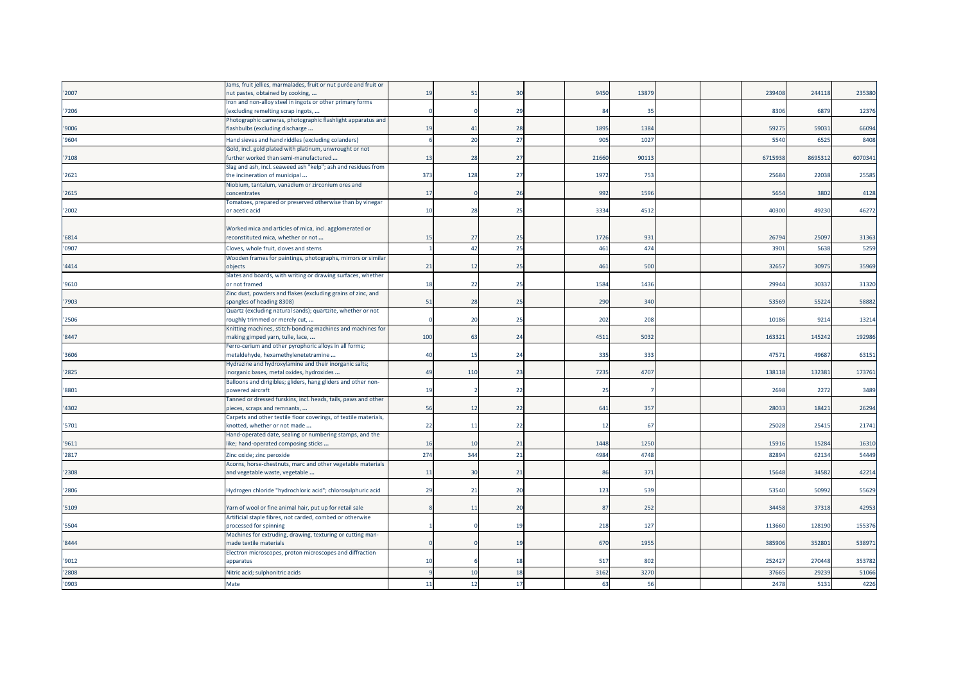|       | Jams, fruit jellies, marmalades, fruit or nut purée and fruit or                              |     |     |                 |            |       |  |         |         |         |
|-------|-----------------------------------------------------------------------------------------------|-----|-----|-----------------|------------|-------|--|---------|---------|---------|
| '2007 | nut pastes, obtained by cooking,                                                              | 19  | 51  | $\overline{30}$ | 9450       | 1387  |  | 239408  | 244118  | 235380  |
|       | Iron and non-alloy steel in ingots or other primary forms                                     |     |     |                 |            |       |  |         |         |         |
| '7206 | (excluding remelting scrap ingots,                                                            |     |     | 29              | 84         | 35    |  | 8306    | 6879    | 12376   |
|       | Photographic cameras, photographic flashlight apparatus and                                   |     |     |                 |            |       |  |         |         |         |
| '9006 | flashbulbs (excluding discharge                                                               | 19  | 41  | 28              | 1895       | 1384  |  | 5927    | 59031   | 66094   |
| '9604 | Hand sieves and hand riddles (excluding colanders)                                            |     | 20  | 27              | 905        | 1027  |  | 554     | 652     | 8408    |
|       | Gold, incl. gold plated with platinum, unwrought or not                                       |     |     |                 |            |       |  |         |         |         |
| '7108 | further worked than semi-manufactured                                                         | 13  | 28  | 27              | 21660      | 90113 |  | 6715938 | 8695312 | 6070341 |
|       |                                                                                               |     |     |                 |            |       |  |         |         |         |
|       | Slag and ash, incl. seaweed ash "kelp"; ash and residues from                                 | 373 | 128 | 27              | 1972       | 753   |  | 2568    | 22038   | 25585   |
| '2621 | the incineration of municipal                                                                 |     |     |                 |            |       |  |         |         |         |
| '2615 | Niobium, tantalum, vanadium or zirconium ores and<br>concentrates                             | 17  |     | 26              | 992        | 1596  |  | 5654    | 3802    | 4128    |
|       |                                                                                               |     |     |                 |            |       |  |         |         |         |
| '2002 | Tomatoes, prepared or preserved otherwise than by vinegar<br>or acetic acid                   | 10  | 28  | 25              | 3334       | 451   |  | 40300   | 49230   | 46272   |
|       |                                                                                               |     |     |                 |            |       |  |         |         |         |
|       |                                                                                               |     |     |                 |            |       |  |         |         |         |
| '6814 | Worked mica and articles of mica, incl. agglomerated or<br>reconstituted mica, whether or not | 15  | 27  | 25              | 1726       | 931   |  | 2679    | 2509    | 31363   |
|       |                                                                                               |     |     |                 |            |       |  |         |         |         |
| '0907 | Cloves, whole fruit, cloves and stems                                                         |     | -42 | 25              | 461        | 474   |  | 390     | 5638    | 5259    |
|       | Wooden frames for paintings, photographs, mirrors or similar                                  |     |     |                 |            |       |  |         |         |         |
| '4414 | objects                                                                                       | 21  | 12  | 25              | 461        | 500   |  | 32657   | 3097    | 35969   |
|       | Slates and boards, with writing or drawing surfaces, whether                                  |     |     |                 |            |       |  |         |         |         |
| '9610 | or not framed                                                                                 | 18  | 22  | 25              | 1584       | 1436  |  | 2994    | 3033    | 31320   |
|       | Zinc dust, powders and flakes (excluding grains of zinc, and                                  |     |     |                 |            |       |  |         |         |         |
| '7903 | spangles of heading 8308)                                                                     | 51  | 28  | 25              | 290        | 340   |  | 53569   | 55224   | 58882   |
|       | Quartz (excluding natural sands); quartzite, whether or not                                   |     |     |                 |            |       |  |         |         |         |
| '2506 | roughly trimmed or merely cut,                                                                |     | 20  | 25              | 202        | 208   |  | 10186   | 9214    | 13214   |
|       | Knitting machines, stitch-bonding machines and machines for                                   |     |     |                 |            |       |  |         |         |         |
| '8447 | making gimped yarn, tulle, lace,                                                              | 100 | 63  | 24              | 4511       | 5032  |  | 16332   | 145242  | 192986  |
|       | Ferro-cerium and other pyrophoric alloys in all forms;                                        |     |     |                 |            |       |  |         |         |         |
| '3606 | metaldehyde, hexamethylenetetramine                                                           | 40  | 15  | 24              | 335        | 333   |  | 4757    | 49687   | 63151   |
|       | Hydrazine and hydroxylamine and their inorganic salts;                                        |     |     |                 |            |       |  |         |         |         |
| '2825 | norganic bases, metal oxides, hydroxides                                                      | 49  | 110 | 23              | 7235       | 4707  |  | 138118  | 132381  | 173761  |
|       | Balloons and dirigibles; gliders, hang gliders and other non-                                 |     |     |                 |            |       |  |         |         |         |
| '8801 | powered aircraft                                                                              | 19  |     | 22              | 25         |       |  | 2698    | 2272    | 3489    |
|       | Fanned or dressed furskins, incl. heads, tails, paws and other                                |     |     |                 |            |       |  |         |         |         |
| '4302 | pieces, scraps and remnants,                                                                  | 56  | 12  | 22              | 641        | 357   |  | 2803    | 18421   | 26294   |
|       | Carpets and other textile floor coverings, of textile materials,                              |     |     |                 |            |       |  |         |         |         |
| '5701 | knotted, whether or not made                                                                  | 22  | 11  | 22              | 12         | 67    |  | 25028   | 25415   | 21741   |
|       | Hand-operated date, sealing or numbering stamps, and the                                      |     |     |                 |            |       |  |         |         |         |
| '9611 | like; hand-operated composing sticks                                                          | 16  | 10  | 21              | 1448       | 1250  |  | 1591    | 15284   | 16310   |
| '2817 | Zinc oxide; zinc peroxide                                                                     | 274 | 344 | 21              | 4984       | 4748  |  | 8289    | 62134   | 54449   |
|       | Acorns, horse-chestnuts, marc and other vegetable materials                                   |     |     |                 |            |       |  |         |         |         |
| '2308 | and vegetable waste, vegetable                                                                | 11  | 30  | 21              | 86         | 371   |  | 15648   | 34582   | 42214   |
|       |                                                                                               |     |     |                 |            |       |  |         |         |         |
| '2806 | Hydrogen chloride "hydrochloric acid"; chlorosulphuric acid                                   | 29  | 21  | 20              | 123        | 539   |  | 53540   | 50992   | 55629   |
|       |                                                                                               |     |     |                 |            |       |  |         |         |         |
| '5109 | Yarn of wool or fine animal hair, put up for retail sale                                      |     | 11  | 20              | 87         | 252   |  | 34458   | 37318   | 42953   |
|       | Artificial staple fibres, not carded, combed or otherwise                                     |     |     |                 |            |       |  |         |         |         |
| '5504 | processed for spinning                                                                        |     |     | 1 <sup>1</sup>  | 218        | 127   |  | 113660  | 128190  | 155376  |
|       | Machines for extruding, drawing, texturing or cutting man-                                    |     |     |                 |            |       |  |         |         |         |
| '8444 | nade textile materials                                                                        |     |     | 1 <sup>c</sup>  | <b>670</b> | 1955  |  | 38590   | 352801  | 538971  |
|       | Electron microscopes, proton microscopes and diffraction                                      |     |     |                 |            |       |  |         |         |         |
| '9012 | apparatus                                                                                     | 10  |     | 1۶              | 517        | 802   |  | 25242   | 270448  | 353782  |
| '2808 | Nitric acid; sulphonitric acids                                                               |     | 10  | 18              | 3162       | 3270  |  | 3766    | 29239   | 51066   |
| '0903 | Mate                                                                                          | 11  | 12  | 17              | 63         | 56    |  | 2478    | 5131    | 4226    |
|       |                                                                                               |     |     |                 |            |       |  |         |         |         |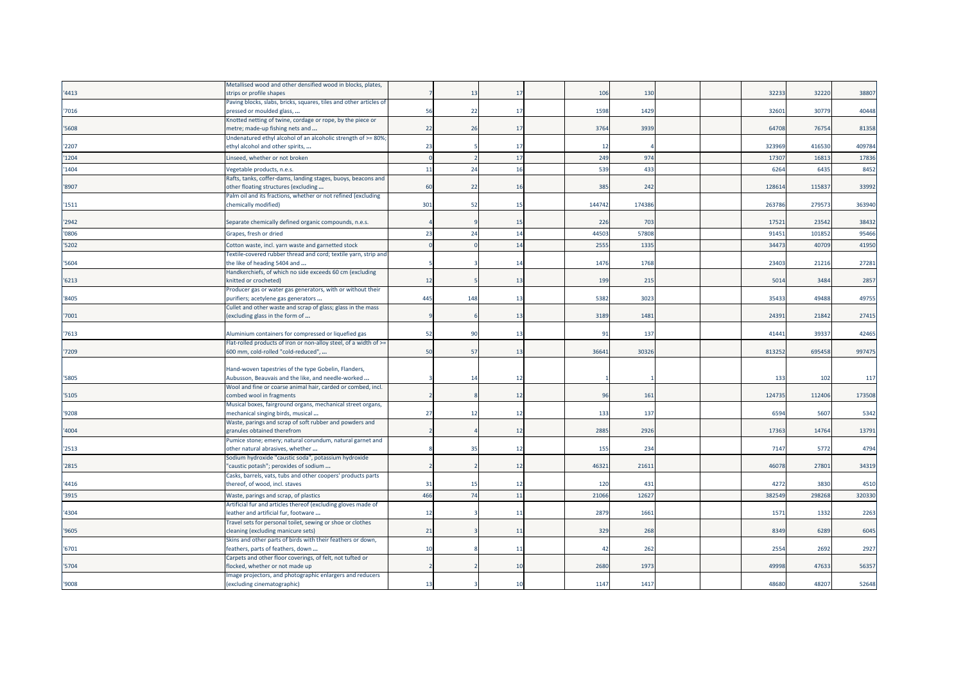|       | Metallised wood and other densified wood in blocks, plates,                                       |     |                |    |       |       |  |        |        |        |
|-------|---------------------------------------------------------------------------------------------------|-----|----------------|----|-------|-------|--|--------|--------|--------|
| '4413 | strips or profile shapes                                                                          |     | 1 <sup>2</sup> | 17 | 106   | 130   |  | 3223   | 32220  | 38807  |
|       | Paving blocks, slabs, bricks, squares, tiles and other articles of                                |     |                |    |       |       |  |        |        |        |
| '7016 | pressed or moulded glass,                                                                         | 56  | 22             | 17 | 1598  | 1429  |  | 32601  | 30779  | 40448  |
|       | Knotted netting of twine, cordage or rope, by the piece or                                        |     |                |    |       |       |  |        |        |        |
| '5608 | metre; made-up fishing nets and                                                                   | 22  | 26             | 17 | 3764  | 3939  |  | 64708  | 76754  | 81358  |
|       | Undenatured ethyl alcohol of an alcoholic strength of >= 80%                                      |     |                |    |       |       |  |        |        |        |
| '2207 | ethyl alcohol and other spirits,                                                                  | 23  |                | 17 | 12    |       |  | 323969 | 416530 | 409784 |
| '1204 | Linseed, whether or not broken                                                                    |     |                | 17 | 249   | 97    |  | 1730   | 1681   | 17836  |
| '1404 | Vegetable products, n.e.s.                                                                        | 11  | 24             | 16 | 539   | 433   |  | 6264   | 6435   | 8452   |
|       | Rafts, tanks, coffer-dams, landing stages, buoys, beacons and                                     |     |                |    |       |       |  |        |        |        |
| '8907 | other floating structures (excluding                                                              | 60  | 22             | 16 | 385   | 242   |  | 12861  | 11583  | 33992  |
|       | Palm oil and its fractions, whether or not refined (excluding                                     |     |                |    |       |       |  |        |        |        |
| '1511 | chemically modified)                                                                              | 301 | -52            | 15 | 14474 | 17438 |  | 26378  | 279573 | 363940 |
|       |                                                                                                   |     |                |    |       |       |  |        |        |        |
| '2942 | Separate chemically defined organic compounds, n.e.s.                                             |     |                | 15 | 226   | 703   |  | 1752   | 23542  | 38432  |
| '0806 | Grapes, fresh or dried                                                                            | 23  | 2 <sup>l</sup> | 14 | 4450  | 5780  |  | 9145   | 10185  | 95466  |
| '5202 | Cotton waste, incl. yarn waste and garnetted stock                                                |     |                | 14 | 2555  | 1335  |  | 3447   | 40709  | 41950  |
|       | Fextile-covered rubber thread and cord; textile yarn, strip and                                   |     |                |    |       |       |  |        |        |        |
| '5604 | the like of heading 5404 and                                                                      |     |                | 14 | 1476  | 1768  |  | 23403  | 21216  | 27281  |
|       | Handkerchiefs, of which no side exceeds 60 cm (excluding                                          |     |                |    |       |       |  |        |        |        |
| '6213 | knitted or crocheted)                                                                             | 12  |                | 13 | 199   | 21!   |  | 5014   | 3484   | 2857   |
|       | Producer gas or water gas generators, with or without their                                       |     |                |    |       |       |  |        |        |        |
| '8405 | purifiers; acetylene gas generators                                                               | 445 | 148            | 13 | 5382  | 3023  |  | 3543   | 49488  | 49755  |
|       | Cullet and other waste and scrap of glass; glass in the mass                                      |     |                |    |       |       |  |        |        |        |
| '7001 | (excluding glass in the form of                                                                   |     |                | 13 | 3189  | 1481  |  | 24391  | 21842  | 27415  |
|       |                                                                                                   |     |                |    |       |       |  |        |        |        |
| 7613  | Aluminium containers for compressed or liquefied gas                                              | 52  | 9              | 13 | 91    | 137   |  | 41441  | 39337  | 42465  |
|       | Flat-rolled products of iron or non-alloy steel, of a width of >=                                 |     |                |    |       |       |  |        |        |        |
| '7209 | 600 mm, cold-rolled "cold-reduced",                                                               | 50  | 57             | 13 | 36641 | 3032  |  | 813252 | 695458 | 997475 |
|       |                                                                                                   |     |                |    |       |       |  |        |        |        |
|       | Hand-woven tapestries of the type Gobelin, Flanders,                                              |     |                |    |       |       |  |        |        |        |
| '5805 | Aubusson, Beauvais and the like, and needle-worked                                                |     | 14             | 12 |       |       |  | 133    | 102    | 117    |
|       | Wool and fine or coarse animal hair, carded or combed, incl.                                      |     |                |    |       |       |  |        |        |        |
| '5105 | combed wool in fragments                                                                          |     |                | 12 | 96    | 161   |  | 12473  | 112406 | 173508 |
|       | Musical boxes, fairground organs, mechanical street organs,                                       |     |                |    |       |       |  |        |        |        |
| '9208 | mechanical singing birds, musical                                                                 | 27  | 12             | 12 | 133   | 137   |  | 6594   | 5607   | 5342   |
|       | Waste, parings and scrap of soft rubber and powders and                                           |     |                |    |       |       |  |        |        |        |
| '4004 | granules obtained therefrom                                                                       |     |                | 12 | 2885  | 2926  |  | 17363  | 14764  | 13791  |
|       | Pumice stone; emery; natural corundum, natural garnet and                                         |     |                |    |       |       |  |        |        |        |
| '2513 | other natural abrasives, whether                                                                  |     | 35             | 12 | 155   | 234   |  | 7147   | 5772   | 4794   |
| '2815 | Sodium hydroxide "caustic soda", potassium hydroxide<br>"caustic potash"; peroxides of sodium     |     |                | 12 | 46321 | 2161  |  | 46078  | 27801  | 34319  |
|       | Casks, barrels, vats, tubs and other coopers' products parts                                      |     |                |    |       |       |  |        |        |        |
| '4416 | thereof, of wood, incl. staves                                                                    | 31  | 15             | 12 | 120   | 431   |  | 4272   | 3830   | 4510   |
|       |                                                                                                   |     |                |    |       |       |  |        |        |        |
| '3915 | Waste, parings and scrap, of plastics                                                             | 466 | $\overline{z}$ | 11 | 21066 | 1262  |  | 38254  | 29826  | 320330 |
|       | Artificial fur and articles thereof (excluding gloves made of                                     |     |                |    |       |       |  |        |        |        |
| '4304 | leather and artificial fur, footware                                                              | 12  |                | 11 | 2879  | 166   |  | 157    | 1332   | 2263   |
|       | Travel sets for personal toilet, sewing or shoe or clothes                                        | 21  |                |    | 329   | 268   |  | 8349   | 6289   | 6045   |
| '9605 | cleaning (excluding manicure sets)<br>Skins and other parts of birds with their feathers or down, |     |                | 11 |       |       |  |        |        |        |
| '6701 | feathers, parts of feathers, down                                                                 | 10  |                | 11 | 42    | 262   |  | 2554   | 2692   | 2927   |
|       | Carpets and other floor coverings, of felt, not tufted or                                         |     |                |    |       |       |  |        |        |        |
| '5704 | flocked, whether or not made up                                                                   |     |                | 10 | 2680  | 1973  |  | 49998  | 47633  | 56357  |
|       | Image projectors, and photographic enlargers and reducers                                         |     |                |    |       |       |  |        |        |        |
| '9008 | (excluding cinematographic)                                                                       | 13  |                | 10 | 1147  | 1417  |  | 48680  | 48207  | 52648  |
|       |                                                                                                   |     |                |    |       |       |  |        |        |        |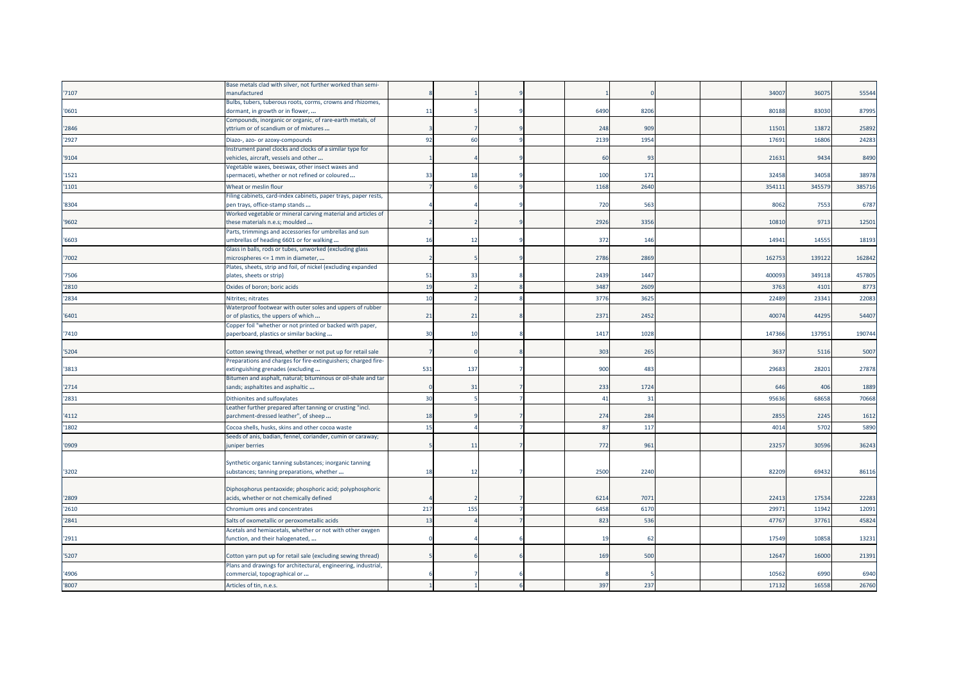|       | Base metals clad with silver, not further worked than semi-                                       |     |         |  |      |      |  |        |        |        |
|-------|---------------------------------------------------------------------------------------------------|-----|---------|--|------|------|--|--------|--------|--------|
| '7107 | nanufactured                                                                                      |     |         |  |      |      |  | 34007  | 36075  | 55544  |
|       | Bulbs, tubers, tuberous roots, corms, crowns and rhizomes,                                        |     |         |  |      |      |  |        |        |        |
| '0601 | dormant, in growth or in flower,                                                                  | 11  |         |  | 6490 | 8206 |  | 80188  | 83030  | 87995  |
|       | Compounds, inorganic or organic, of rare-earth metals, of                                         |     |         |  |      |      |  |        |        |        |
| '2846 | yttrium or of scandium or of mixtures                                                             |     |         |  | 248  | 909  |  | 11501  | 13872  | 25892  |
| '2927 | Diazo-, azo- or azoxy-compounds                                                                   | 92  | 60      |  | 2139 | 1954 |  | 1769   | 1680   | 24283  |
|       | Instrument panel clocks and clocks of a similar type for                                          |     |         |  |      |      |  |        |        |        |
| '9104 | vehicles, aircraft, vessels and other                                                             |     |         |  | 60   | 93   |  | 21631  | 9434   | 8490   |
|       | Vegetable waxes, beeswax, other insect waxes and                                                  |     |         |  |      |      |  |        |        |        |
| '1521 | spermaceti, whether or not refined or coloured                                                    | 33  | 18      |  | 100  | 171  |  | 3245   | 34058  | 38978  |
| '1101 | Wheat or meslin flour                                                                             |     |         |  | 1168 | 2640 |  | 35411  | 34557  | 385716 |
|       | Filing cabinets, card-index cabinets, paper trays, paper rests,                                   |     |         |  | 720  |      |  |        | 7553   |        |
| '8304 | pen trays, office-stamp stands<br>Worked vegetable or mineral carving material and articles of    |     |         |  |      | 563  |  | 8062   |        | 6787   |
| '9602 | these materials n.e.s; moulded                                                                    |     |         |  | 2926 | 3356 |  | 10810  | 9713   | 12501  |
|       | Parts, trimmings and accessories for umbrellas and sun                                            |     |         |  |      |      |  |        |        |        |
| '6603 | umbrellas of heading 6601 or for walking                                                          | 16  | 12      |  | 372  | 146  |  | 14941  | 14555  | 18193  |
|       | Glass in balls, rods or tubes, unworked (excluding glass                                          |     |         |  |      |      |  |        |        |        |
| '7002 | microspheres <= 1 mm in diameter,                                                                 |     |         |  | 2786 | 2869 |  | 16275  | 139122 | 162842 |
|       | Plates, sheets, strip and foil, of nickel (excluding expanded                                     |     |         |  |      |      |  |        |        |        |
| '7506 | plates, sheets or strip)                                                                          | 51  | 33      |  | 2439 | 1447 |  | 40009  | 349118 | 457805 |
| '2810 | Oxides of boron; boric acids                                                                      | 19  |         |  | 3487 | 2609 |  | 3763   | 4101   | 8773   |
| '2834 | Nitrites; nitrates                                                                                | 10  |         |  | 3776 | 3625 |  | 22489  | 23341  | 22083  |
|       | Waterproof footwear with outer soles and uppers of rubber                                         |     |         |  |      |      |  |        |        |        |
| '6401 | or of plastics, the uppers of which                                                               | 21  | 21      |  | 2371 | 2452 |  | 4007   | 44295  | 54407  |
|       | Copper foil "whether or not printed or backed with paper,                                         |     |         |  |      |      |  |        |        |        |
| '7410 | paperboard, plastics or similar backing                                                           | 30  | 10      |  | 1417 | 1028 |  | 147366 | 137951 | 190744 |
|       |                                                                                                   |     |         |  |      |      |  |        |        |        |
| '5204 | Cotton sewing thread, whether or not put up for retail sale                                       |     |         |  | 303  | 265  |  | 3637   | 5116   | 5007   |
|       | Preparations and charges for fire-extinguishers; charged fire-                                    |     |         |  |      |      |  |        |        |        |
| '3813 | extinguishing grenades (excluding                                                                 | 531 | 137     |  | 900  | 483  |  | 2968   | 28201  | 27878  |
| '2714 | Bitumen and asphalt, natural; bituminous or oil-shale and tar<br>sands; asphaltites and asphaltic |     | 31      |  | 233  | 1724 |  | 646    | 406    | 1889   |
|       |                                                                                                   |     |         |  |      |      |  |        |        |        |
| '2831 | Dithionites and sulfoxylates                                                                      | 30  |         |  | 41   | 31   |  | 95636  | 68658  | 70668  |
| '4112 | Leather further prepared after tanning or crusting "incl.<br>parchment-dressed leather", of sheep | 18  |         |  | 274  | 284  |  | 2855   | 2245   | 1612   |
|       |                                                                                                   |     |         |  |      |      |  |        |        |        |
| '1802 | Cocoa shells, husks, skins and other cocoa waste                                                  | 15  |         |  | 87   | 117  |  | 401    | 5702   | 5890   |
| '0909 | Seeds of anis, badian, fennel, coriander, cumin or caraway;<br>juniper berries                    |     | $_{11}$ |  | 772  | 961  |  | 23257  | 30596  | 36243  |
|       |                                                                                                   |     |         |  |      |      |  |        |        |        |
|       | Synthetic organic tanning substances; inorganic tanning                                           |     |         |  |      |      |  |        |        |        |
| '3202 | substances; tanning preparations, whether                                                         | 18  | 12      |  | 2500 | 2240 |  | 82209  | 69432  | 86116  |
|       |                                                                                                   |     |         |  |      |      |  |        |        |        |
|       | Diphosphorus pentaoxide; phosphoric acid; polyphosphoric                                          |     |         |  |      |      |  |        |        |        |
| '2809 | acids, whether or not chemically defined                                                          |     |         |  | 6214 | 707  |  | 2241   | 17534  | 22283  |
| '2610 | Chromium ores and concentrates                                                                    | 217 | 155     |  | 6458 | 6170 |  | 2997   | 11942  | 12091  |
| '2841 | Salts of oxometallic or peroxometallic acids                                                      | 13  |         |  | 823  | 536  |  | 4776   | 37761  | 45824  |
|       | Acetals and hemiacetals, whether or not with other oxygen                                         |     |         |  |      |      |  |        |        |        |
| '2911 | function, and their halogenated,                                                                  |     |         |  | 19   | 62   |  | 17549  | 10858  | 13231  |
|       |                                                                                                   |     |         |  |      |      |  |        |        |        |
| '5207 | Cotton yarn put up for retail sale (excluding sewing thread)                                      |     |         |  | 169  | 500  |  | 12647  | 16000  | 21391  |
|       | Plans and drawings for architectural, engineering, industrial,                                    |     |         |  |      |      |  |        |        |        |
| '4906 | commercial, topographical or                                                                      |     |         |  |      |      |  | 10562  | 6990   | 6940   |
| '8007 | Articles of tin, n.e.s.                                                                           |     |         |  | 397  | 237  |  | 17132  | 16558  | 26760  |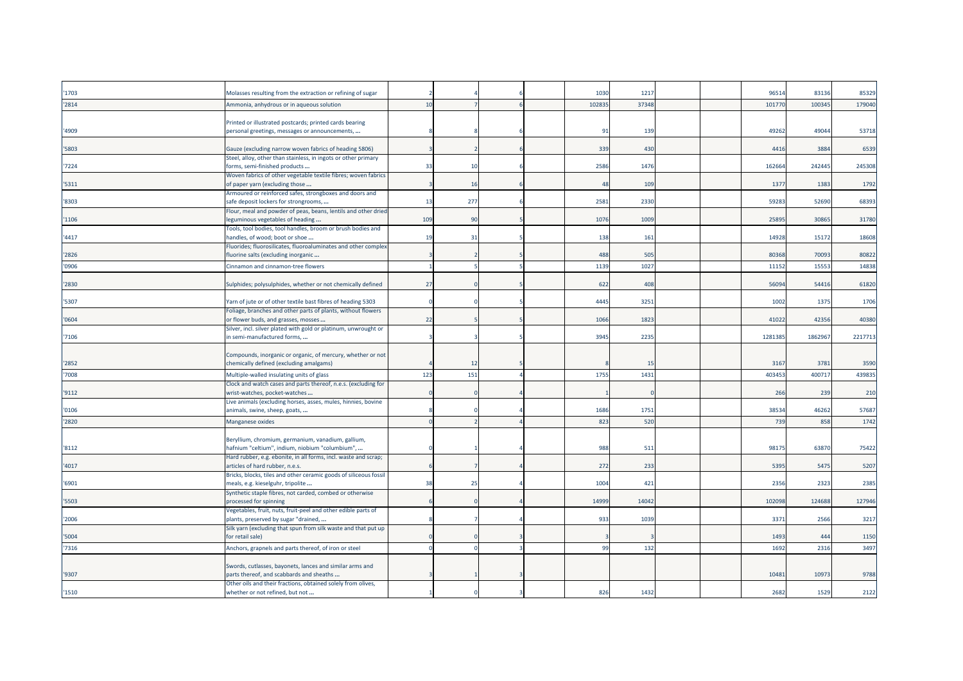| '1703 | Molasses resulting from the extraction or refining of sugar                                        |     |     |  | 1030   | 1217  |  | 96514   | 83136   | 85329   |
|-------|----------------------------------------------------------------------------------------------------|-----|-----|--|--------|-------|--|---------|---------|---------|
| '2814 | Ammonia, anhydrous or in aqueous solution                                                          | 10  |     |  | 102835 | 3734  |  | 10177   | 10034   | 179040  |
|       |                                                                                                    |     |     |  |        |       |  |         |         |         |
|       | Printed or illustrated postcards; printed cards bearing                                            |     |     |  |        |       |  |         |         |         |
| '4909 | personal greetings, messages or announcements,                                                     |     |     |  | 91     | 139   |  | 49262   | 49044   | 53718   |
|       |                                                                                                    |     |     |  |        |       |  |         |         |         |
| '5803 | Gauze (excluding narrow woven fabrics of heading 5806)                                             |     |     |  | 339    | 430   |  | 4416    | 3884    | 6539    |
| '7224 | Steel, alloy, other than stainless, in ingots or other primary<br>forms, semi-finished products    | 33  | 10  |  | 2586   | 1476  |  | 162664  | 242445  | 245308  |
|       | Woven fabrics of other vegetable textile fibres; woven fabrics                                     |     |     |  |        |       |  |         |         |         |
| '5311 | of paper yarn (excluding those                                                                     |     | 16  |  | 48     | 109   |  | 1377    | 1383    | 1792    |
|       | Armoured or reinforced safes, strongboxes and doors and                                            |     |     |  |        |       |  |         |         |         |
| '8303 | safe deposit lockers for strongrooms,                                                              | 13  | 277 |  | 2581   | 2330  |  | 5928    | 52690   | 68393   |
|       | Flour, meal and powder of peas, beans, lentils and other dried                                     |     |     |  |        |       |  |         |         |         |
| '1106 | eguminous vegetables of heading                                                                    | 109 | 90  |  | 1076   | 1009  |  | 2589    | 30865   | 31780   |
| '4417 | Tools, tool bodies, tool handles, broom or brush bodies and                                        |     |     |  | 138    |       |  | 14928   |         |         |
|       | handles, of wood; boot or shoe<br>Fluorides; fluorosilicates, fluoroaluminates and other complex   | 19  | 31  |  |        | 161   |  |         | 15172   | 18608   |
| '2826 | fluorine salts (excluding inorganic                                                                |     |     |  | 488    | 505   |  | 80368   | 70093   | 80822   |
| '0906 | Cinnamon and cinnamon-tree flowers                                                                 |     |     |  | 1139   | 102   |  | 11152   | 15553   | 14838   |
|       |                                                                                                    |     |     |  |        |       |  |         |         |         |
| '2830 | Sulphides; polysulphides, whether or not chemically defined                                        | 27  |     |  | 622    | 408   |  | 56094   | 54416   | 61820   |
|       |                                                                                                    |     |     |  |        |       |  |         |         |         |
| '5307 | Yarn of jute or of other textile bast fibres of heading 5303                                       |     |     |  | 4445   | 3251  |  | 1002    | 1375    | 1706    |
|       | Foliage, branches and other parts of plants, without flowers                                       |     |     |  |        |       |  |         |         |         |
| '0604 | or flower buds, and grasses, mosses                                                                | 22  |     |  | 1066   | 1823  |  | 41022   | 42356   | 40380   |
|       | Silver, incl. silver plated with gold or platinum, unwrought or                                    |     |     |  |        |       |  |         |         |         |
| '7106 | in semi-manufactured forms,                                                                        |     |     |  | 3945   | 2235  |  | 1281385 | 1862967 | 2217713 |
|       | Compounds, inorganic or organic, of mercury, whether or not                                        |     |     |  |        |       |  |         |         |         |
| '2852 | chemically defined (excluding amalgams)                                                            |     |     |  |        | 15    |  | 3167    | 3781    | 3590    |
| '7008 | Multiple-walled insulating units of glass                                                          | 123 | 151 |  | 1755   | 1431  |  | 403453  | 400717  | 439835  |
|       | Clock and watch cases and parts thereof, n.e.s. (excluding for                                     |     |     |  |        |       |  |         |         |         |
| '9112 | wrist-watches, pocket-watches                                                                      |     |     |  |        |       |  | 266     | 239     | 210     |
|       | Live animals (excluding horses, asses, mules, hinnies, bovine                                      |     |     |  |        |       |  |         |         |         |
| '0106 | animals, swine, sheep, goats,                                                                      |     |     |  | 1686   | 1751  |  | 38534   | 46262   | 57687   |
| '2820 | Manganese oxides                                                                                   |     |     |  | 823    | 520   |  | 739     | 858     | 1742    |
|       |                                                                                                    |     |     |  |        |       |  |         |         |         |
|       | Beryllium, chromium, germanium, vanadium, gallium,                                                 |     |     |  |        |       |  |         |         |         |
| '8112 | hafnium "celtium", indium, niobium "columbium",                                                    |     |     |  | 988    | 511   |  | 98175   | 63870   | 75422   |
| '4017 | Hard rubber, e.g. ebonite, in all forms, incl. waste and scrap;<br>articles of hard rubber, n.e.s. |     |     |  | 272    | 233   |  | 5395    | 5475    | 5207    |
|       | Bricks, blocks, tiles and other ceramic goods of siliceous fossil                                  |     |     |  |        |       |  |         |         |         |
| '6901 | meals, e.g. kieselguhr, tripolite                                                                  | 38  | 25  |  | 1004   | 421   |  | 2356    | 2323    | 2385    |
|       | Synthetic staple fibres, not carded, combed or otherwise                                           |     |     |  |        |       |  |         |         |         |
| '5503 | processed for spinning                                                                             |     |     |  | 14999  | 14042 |  | 102098  | 124688  | 127946  |
|       | Vegetables, fruit, nuts, fruit-peel and other edible parts of                                      |     |     |  |        |       |  |         |         |         |
| '2006 | plants, preserved by sugar "drained,                                                               |     |     |  | 933    | 1039  |  | 3371    | 2566    | 3217    |
|       | Silk yarn (excluding that spun from silk waste and that put up                                     |     |     |  |        |       |  |         |         |         |
| '5004 | for retail sale)                                                                                   |     |     |  |        |       |  | 1493    | 444     | 1150    |
| '7316 | Anchors, grapnels and parts thereof, of iron or steel                                              |     |     |  | 99     | 132   |  | 1692    | 2316    | 3497    |
|       | Swords, cutlasses, bayonets, lances and similar arms and                                           |     |     |  |        |       |  |         |         |         |
| '9307 | parts thereof, and scabbards and sheaths                                                           |     |     |  |        |       |  | 1048    | 10973   | 9788    |
|       | Other oils and their fractions, obtained solely from olives,                                       |     |     |  |        |       |  |         |         |         |
| '1510 | whether or not refined, but not                                                                    |     |     |  | 826    | 1432  |  | 2682    | 1529    | 2122    |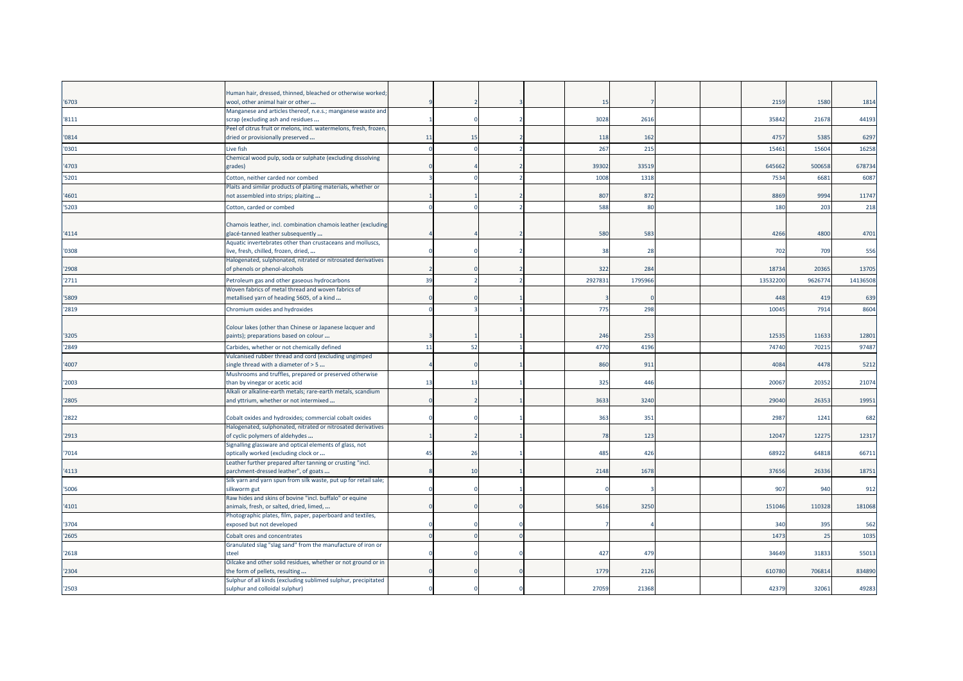| '6703 | Human hair, dressed, thinned, bleached or otherwise worked;<br>wool, other animal hair or other       |    |    |  | 15      |         |  | 2159     | 1580    | 1814     |
|-------|-------------------------------------------------------------------------------------------------------|----|----|--|---------|---------|--|----------|---------|----------|
|       | Manganese and articles thereof, n.e.s.; manganese waste and                                           |    |    |  |         |         |  |          |         |          |
| '8111 | scrap (excluding ash and residues                                                                     |    |    |  | 3028    | 2616    |  | 35842    | 21678   | 44193    |
| '0814 | Peel of citrus fruit or melons, incl. watermelons, fresh, frozen,<br>dried or provisionally preserved | 11 | 15 |  | 118     | 162     |  | 4757     | 5385    | 6297     |
|       |                                                                                                       |    |    |  |         |         |  |          |         |          |
| '0301 | Live fish<br>Chemical wood pulp, soda or sulphate (excluding dissolving                               |    |    |  | 267     | 215     |  | 15461    | 15604   | 16258    |
| 4703  | grades)                                                                                               |    |    |  | 39302   | 33519   |  | 645662   | 500658  | 678734   |
| '5201 | Cotton, neither carded nor combed                                                                     |    |    |  | 1008    | 1318    |  | 7534     | 6681    | 6087     |
|       | Plaits and similar products of plaiting materials, whether or                                         |    |    |  |         |         |  |          |         |          |
| 4601  | not assembled into strips; plaiting                                                                   |    |    |  | 807     | 872     |  | 8869     | 9994    | 11747    |
| '5203 | Cotton, carded or combed                                                                              |    |    |  | 588     | 80      |  | 180      | 203     | 218      |
|       |                                                                                                       |    |    |  |         |         |  |          |         |          |
| '4114 | Chamois leather, incl. combination chamois leather (excluding<br>glacé-tanned leather subsequently    |    |    |  | 580     | 583     |  | 4266     | 4800    | 4701     |
|       | Aquatic invertebrates other than crustaceans and molluscs,                                            |    |    |  |         |         |  |          |         |          |
| '0308 | live, fresh, chilled, frozen, dried,                                                                  |    |    |  | 38      | 28      |  | 702      | 709     | 556      |
|       | Halogenated, sulphonated, nitrated or nitrosated derivatives                                          |    |    |  |         |         |  |          |         |          |
| '2908 | of phenols or phenol-alcohols                                                                         |    |    |  | 322     | 284     |  | 18734    | 20365   | 13705    |
| '2711 | Petroleum gas and other gaseous hydrocarbons                                                          | 39 |    |  | 2927831 | 1795966 |  | 13532200 | 9626774 | 14136508 |
|       | Woven fabrics of metal thread and woven fabrics of                                                    |    |    |  |         |         |  |          |         |          |
| '5809 | metallised yarn of heading 5605, of a kind                                                            |    |    |  |         |         |  | 448      | 419     | 639      |
| '2819 | Chromium oxides and hydroxides                                                                        |    |    |  | 775     | 298     |  | 10045    | 7914    | 8604     |
|       |                                                                                                       |    |    |  |         |         |  |          |         |          |
| '3205 | Colour lakes (other than Chinese or Japanese lacquer and<br>paints); preparations based on colour     |    |    |  | 246     | 253     |  | 12535    | 11633   | 12801    |
| '2849 | Carbides, whether or not chemically defined                                                           | 11 | 52 |  | 4770    | 4196    |  | 74740    | 7021    | 97487    |
|       | Vulcanised rubber thread and cord (excluding ungimped                                                 |    |    |  |         |         |  |          |         |          |
| 4007  | single thread with a diameter of > 5                                                                  |    |    |  | 860     | 911     |  | 4084     | 4478    | 5212     |
|       | Mushrooms and truffles, prepared or preserved otherwise                                               |    |    |  |         |         |  |          |         |          |
| 2003  | than by vinegar or acetic acid                                                                        | 13 | 13 |  | 325     | 446     |  | 20067    | 20352   | 21074    |
|       | Alkali or alkaline-earth metals; rare-earth metals, scandium                                          |    |    |  |         |         |  |          |         |          |
| '2805 | and yttrium, whether or not intermixed                                                                |    |    |  | 3633    | 3240    |  | 29040    | 26353   | 19951    |
| '2822 | Cobalt oxides and hydroxides; commercial cobalt oxides                                                |    |    |  | 363     | 351     |  | 2987     | 1241    | 682      |
|       | Halogenated, sulphonated, nitrated or nitrosated derivatives                                          |    |    |  |         |         |  |          |         |          |
| '2913 | of cyclic polymers of aldehydes                                                                       |    |    |  | 78      | 123     |  | 12047    | 12275   | 12317    |
|       | Signalling glassware and optical elements of glass, not                                               | 45 | 26 |  | 485     | 426     |  | 68922    | 64818   | 66711    |
| '7014 | optically worked (excluding clock or<br>Leather further prepared after tanning or crusting "incl.     |    |    |  |         |         |  |          |         |          |
| '4113 | parchment-dressed leather", of goats                                                                  |    | 10 |  | 2148    | 1678    |  | 37656    | 26336   | 18751    |
|       | Silk yarn and yarn spun from silk waste, put up for retail sale;                                      |    |    |  |         |         |  |          |         |          |
| 5006  | silkworm gut                                                                                          |    |    |  |         |         |  | 907      | 940     | 912      |
| 4101  | Raw hides and skins of bovine "incl. buffalo" or equine<br>animals, fresh, or salted, dried, limed,   |    |    |  | 5616    | 3250    |  | 151046   | 110328  | 181068   |
|       | Photographic plates, film, paper, paperboard and textiles,                                            |    |    |  |         |         |  |          |         |          |
| 3704  | exposed but not developed                                                                             |    |    |  |         |         |  | 340      | 395     | 562      |
| '2605 | Cobalt ores and concentrates                                                                          |    |    |  |         |         |  | 1473     | 25      | 1035     |
|       | Granulated slag "slag sand" from the manufacture of iron or                                           |    |    |  |         |         |  |          |         |          |
| '2618 | steel                                                                                                 |    |    |  | 427     | 479     |  | 34649    | 31833   | 55013    |
|       | Oilcake and other solid residues, whether or not ground or in                                         |    |    |  |         |         |  |          |         |          |
| '2304 | the form of pellets, resulting                                                                        |    |    |  | 1779    | 2126    |  | 610780   | 706814  | 834890   |
| '2503 | Sulphur of all kinds (excluding sublimed sulphur, precipitated<br>sulphur and colloidal sulphur)      |    |    |  | 27059   | 21368   |  | 42379    | 32061   | 49283    |
|       |                                                                                                       |    |    |  |         |         |  |          |         |          |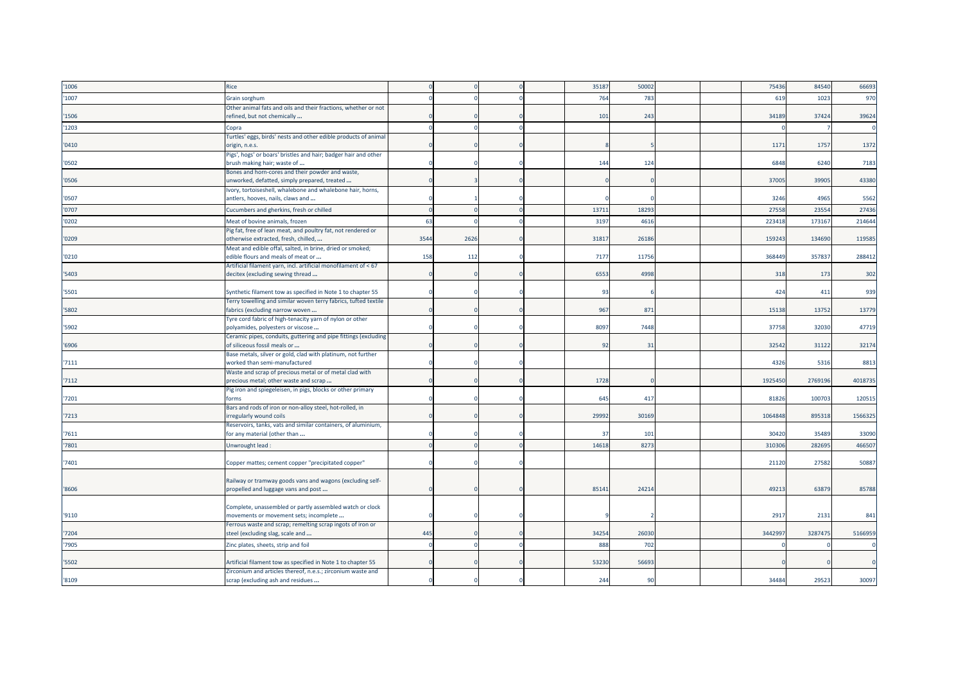| '1006  | Rice                                                                                            |      |      |  | 35187 | 50002 |  | 75436   | 84540   | 66693   |
|--------|-------------------------------------------------------------------------------------------------|------|------|--|-------|-------|--|---------|---------|---------|
| '1007  | Grain sorghum                                                                                   |      |      |  | 764   | 783   |  | 619     | 1023    | 970     |
|        | Other animal fats and oils and their fractions, whether or not                                  |      |      |  |       |       |  |         |         |         |
| 1506   | refined, but not chemically                                                                     |      |      |  | 101   | 243   |  | 34189   | 37424   | 39624   |
| '1203  | Copra                                                                                           |      |      |  |       |       |  |         |         |         |
|        | Turtles' eggs, birds' nests and other edible products of animal                                 |      |      |  |       |       |  |         |         |         |
| '0410' | origin, n.e.s.                                                                                  |      |      |  |       |       |  | 1171    | 1757    | 1372    |
|        | Pigs', hogs' or boars' bristles and hair; badger hair and other                                 |      |      |  |       |       |  |         |         |         |
| '0502  | brush making hair; waste of                                                                     |      |      |  | 144   | 124   |  | 6848    | 6240    | 7183    |
|        | Bones and horn-cores and their powder and waste,                                                |      |      |  |       |       |  |         |         |         |
| '0506  | unworked, defatted, simply prepared, treated                                                    |      |      |  |       |       |  | 37005   | 39905   | 43380   |
|        | Ivory, tortoiseshell, whalebone and whalebone hair, horns,                                      |      |      |  |       |       |  |         |         |         |
| '0507  | antlers, hooves, nails, claws and                                                               |      |      |  |       |       |  | 3246    | 4965    | 5562    |
| '0707  | Cucumbers and gherkins, fresh or chilled                                                        |      |      |  | 1371  | 18293 |  | 27558   | 23554   | 27436   |
| '0202  | Meat of bovine animals, frozen                                                                  | 63   |      |  | 3197  | 4616  |  | 223418  | 173167  | 214644  |
|        | Pig fat, free of lean meat, and poultry fat, not rendered or                                    |      |      |  |       |       |  |         |         |         |
| '0209  | otherwise extracted, fresh, chilled,                                                            | 3544 | 2626 |  | 31817 | 26186 |  | 15924   | 134690  | 119585  |
|        | Meat and edible offal, salted, in brine, dried or smoked;                                       |      |      |  |       |       |  |         |         |         |
| '0210  | edible flours and meals of meat or                                                              | 158  | 112  |  | 7177  | 11756 |  | 368449  | 357837  | 288412  |
|        | Artificial filament yarn, incl. artificial monofilament of < 67                                 |      |      |  |       |       |  |         |         |         |
| 5403   | decitex (excluding sewing thread                                                                |      |      |  | 6553  | 4998  |  | 318     | 173     | 302     |
|        |                                                                                                 |      |      |  |       |       |  |         |         |         |
| 5501   | Synthetic filament tow as specified in Note 1 to chapter 55                                     |      |      |  | 93    |       |  | 424     | 411     | 939     |
|        | Ferry towelling and similar woven terry fabrics, tufted textile                                 |      |      |  |       |       |  |         |         |         |
| 5802   | fabrics (excluding narrow woven                                                                 |      |      |  | 967   | 871   |  | 15138   | 13752   | 13779   |
| '5902  | Tyre cord fabric of high-tenacity yarn of nylon or other<br>polyamides, polyesters or viscose   |      |      |  | 8097  | 7448  |  | 37758   | 32030   | 47719   |
|        |                                                                                                 |      |      |  |       |       |  |         |         |         |
| '6906  | Ceramic pipes, conduits, guttering and pipe fittings (excluding<br>of siliceous fossil meals or |      |      |  | 92    | 31    |  | 32542   | 31122   | 32174   |
|        | Base metals, silver or gold, clad with platinum, not further                                    |      |      |  |       |       |  |         |         |         |
| '7111  | worked than semi-manufactured                                                                   |      |      |  |       |       |  | 4326    | 5316    | 8813    |
|        | Waste and scrap of precious metal or of metal clad with                                         |      |      |  |       |       |  |         |         |         |
| 7112   | precious metal; other waste and scrap                                                           |      |      |  | 1728  |       |  | 1925450 | 2769196 | 4018735 |
|        | Pig iron and spiegeleisen, in pigs, blocks or other primary                                     |      |      |  |       |       |  |         |         |         |
| '7201  | forms                                                                                           |      |      |  | 645   | 417   |  | 81826   | 100703  | 120515  |
|        | Bars and rods of iron or non-alloy steel, hot-rolled, in                                        |      |      |  |       |       |  |         |         |         |
| '7213  | irregularly wound coils                                                                         |      |      |  | 29992 | 30169 |  | 1064848 | 895318  | 1566325 |
|        | Reservoirs, tanks, vats and similar containers, of aluminium,                                   |      |      |  |       |       |  |         |         |         |
| 7611   | for any material (other than                                                                    |      |      |  | 37    | 101   |  | 30420   | 35489   | 33090   |
| 7801   | Unwrought lead :                                                                                |      |      |  | 14618 | 8273  |  | 310306  | 28269   | 466507  |
|        |                                                                                                 |      |      |  |       |       |  |         |         |         |
| 7401   | Copper mattes; cement copper "precipitated copper"                                              |      |      |  |       |       |  | 21120   | 27582   | 50887   |
|        |                                                                                                 |      |      |  |       |       |  |         |         |         |
|        | Railway or tramway goods vans and wagons (excluding self-                                       |      |      |  |       |       |  |         |         |         |
| '8606  | propelled and luggage vans and post                                                             |      |      |  | 85141 | 24214 |  | 49213   | 63879   | 85788   |
|        |                                                                                                 |      |      |  |       |       |  |         |         |         |
|        | Complete, unassembled or partly assembled watch or clock                                        |      |      |  |       |       |  |         |         |         |
| '9110  | movements or movement sets; incomplete                                                          |      |      |  |       |       |  | 2917    | 2131    | 841     |
|        | Ferrous waste and scrap; remelting scrap ingots of iron or                                      |      |      |  |       |       |  |         |         |         |
| 7204   | steel (excluding slag, scale and                                                                | 445  |      |  | 34254 | 26030 |  | 3442997 | 3287475 | 5166959 |
| '7905  | Zinc plates, sheets, strip and foil                                                             |      |      |  | 888   | 702   |  |         |         |         |
|        |                                                                                                 |      |      |  |       |       |  |         |         |         |
| '5502  | Artificial filament tow as specified in Note 1 to chapter 55                                    |      |      |  | 53230 | 56693 |  |         |         |         |
|        | Zirconium and articles thereof, n.e.s.; zirconium waste and                                     |      |      |  |       |       |  |         |         |         |
| '8109  | scrap (excluding ash and residues                                                               |      |      |  | 244   | 90    |  | 34484   | 29523   | 30097   |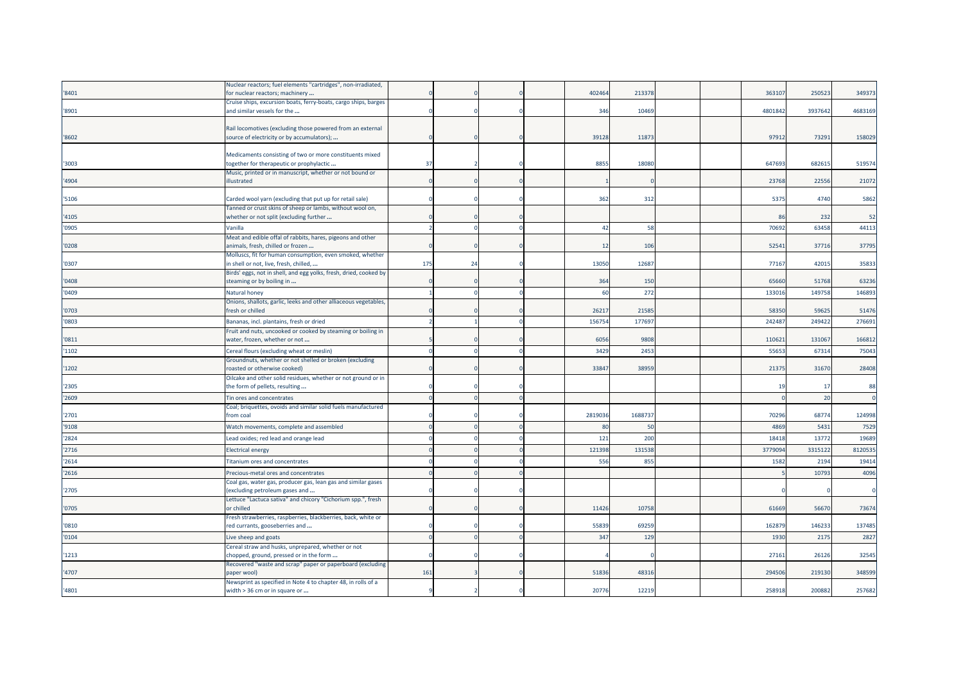|       | Nuclear reactors; fuel elements "cartridges", non-irradiated,                                        |     |    |  |         |        |  |         |         |         |
|-------|------------------------------------------------------------------------------------------------------|-----|----|--|---------|--------|--|---------|---------|---------|
| '8401 | for nuclear reactors; machinery                                                                      |     |    |  | 402464  | 213378 |  | 363107  | 250523  | 349373  |
|       | Cruise ships, excursion boats, ferry-boats, cargo ships, barges                                      |     |    |  |         |        |  |         |         |         |
| '8901 | and similar vessels for the                                                                          |     |    |  | 346     | 10469  |  | 4801842 | 3937642 | 4683169 |
|       |                                                                                                      |     |    |  |         |        |  |         |         |         |
|       | Rail locomotives (excluding those powered from an external                                           |     |    |  |         |        |  |         |         |         |
| '8602 | source of electricity or by accumulators);                                                           |     |    |  | 39128   | 1187   |  | 97912   | 73291   | 158029  |
|       |                                                                                                      |     |    |  |         |        |  |         |         |         |
|       | Medicaments consisting of two or more constituents mixed                                             |     |    |  | 8855    |        |  |         |         |         |
| '3003 | :ogether for therapeutic or prophylactic<br>Music, printed or in manuscript, whether or not bound or | 37  |    |  |         | 1808   |  | 64769   | 682615  | 519574  |
| '4904 | illustrated                                                                                          |     |    |  |         |        |  | 23768   | 22556   | 21072   |
|       |                                                                                                      |     |    |  |         |        |  |         |         |         |
| '5106 | Carded wool yarn (excluding that put up for retail sale)                                             |     |    |  | 362     | 312    |  | 5375    | 4740    | 5862    |
|       | Tanned or crust skins of sheep or lambs, without wool on,                                            |     |    |  |         |        |  |         |         |         |
| '4105 | whether or not split (excluding further                                                              |     |    |  |         |        |  | 86      | 232     | 52      |
| '0905 | Vanilla                                                                                              |     |    |  | 42      | 58     |  | 70692   | 63458   | 44113   |
|       | Meat and edible offal of rabbits, hares, pigeons and other                                           |     |    |  |         |        |  |         |         |         |
| '0208 | animals, fresh, chilled or frozen                                                                    |     |    |  | 12      | 106    |  | 52541   | 37716   | 37795   |
|       | Molluscs, fit for human consumption, even smoked, whether                                            |     |    |  |         |        |  |         |         |         |
| '0307 | in shell or not, live, fresh, chilled,                                                               | 175 | 24 |  | 13050   | 12687  |  | 77167   | 42015   | 35833   |
|       | Birds' eggs, not in shell, and egg yolks, fresh, dried, cooked by                                    |     |    |  |         |        |  |         |         |         |
| '0408 | steaming or by boiling in                                                                            |     |    |  | 364     | 150    |  | 65660   | 51768   | 63236   |
| '0409 |                                                                                                      |     |    |  | 60      | 272    |  | 133016  | 149758  | 146893  |
|       | Natural honey<br>Onions, shallots, garlic, leeks and other alliaceous vegetables,                    |     |    |  |         |        |  |         |         |         |
| '0703 | fresh or chilled                                                                                     |     |    |  | 26217   | 2158   |  | 58350   | 59625   | 51476   |
|       |                                                                                                      |     |    |  |         |        |  |         |         |         |
| '0803 | Bananas, incl. plantains, fresh or dried                                                             |     |    |  | 156754  | 17769  |  | 24248   | 249422  | 276691  |
|       | Fruit and nuts, uncooked or cooked by steaming or boiling in                                         |     |    |  |         |        |  |         |         |         |
| '0811 | water, frozen, whether or not                                                                        |     |    |  | 6056    | 9808   |  | 110621  | 131067  | 166812  |
| '1102 | Cereal flours (excluding wheat or meslin)                                                            |     |    |  | 3429    | 245    |  | 5565    | 67314   | 75043   |
|       | Groundnuts, whether or not shelled or broken (excluding                                              |     |    |  |         |        |  |         |         |         |
| '1202 | roasted or otherwise cooked)                                                                         |     |    |  | 3384    | 38959  |  | 21375   | 31670   | 28408   |
|       | Oilcake and other solid residues, whether or not ground or in                                        |     |    |  |         |        |  |         |         | 88      |
| '2305 | the form of pellets, resulting                                                                       |     |    |  |         |        |  | 19      | 17      |         |
| '2609 | Tin ores and concentrates                                                                            |     |    |  |         |        |  |         | 20      |         |
|       | Coal; briquettes, ovoids and similar solid fuels manufactured                                        |     |    |  |         |        |  |         |         |         |
| '2701 | from coal                                                                                            |     |    |  | 2819036 | 168873 |  | 70296   | 68774   | 124998  |
| '9108 | Watch movements, complete and assembled                                                              |     |    |  | 80      | 50     |  | 4869    | 5431    | 7529    |
| '2824 | Lead oxides; red lead and orange lead                                                                |     |    |  | 121     | 200    |  | 18418   | 13772   | 19689   |
| '2716 | Electrical energy                                                                                    |     |    |  | 121398  | 13153  |  | 377909  | 3315122 | 8120535 |
|       |                                                                                                      |     |    |  |         |        |  |         |         |         |
| '2614 | <b>Titanium ores and concentrates</b>                                                                |     |    |  | 556     | 855    |  | 1582    | 2194    | 19414   |
| '2616 | Precious-metal ores and concentrates                                                                 |     |    |  |         |        |  |         | 10793   | 4096    |
|       | Coal gas, water gas, producer gas, lean gas and similar gases                                        |     |    |  |         |        |  |         |         |         |
| '2705 | excluding petroleum gases and                                                                        |     |    |  |         |        |  |         |         |         |
|       | Lettuce "Lactuca sativa" and chicory "Cichorium spp.", fresh                                         |     |    |  |         |        |  |         |         |         |
| '0705 | or chilled                                                                                           |     |    |  | 11426   | 10758  |  | 61669   | 56670   | 73674   |
|       | Fresh strawberries, raspberries, blackberries, back, white or                                        |     |    |  |         |        |  |         |         |         |
| '0810 | red currants, gooseberries and                                                                       |     |    |  | 55839   | 69259  |  | 162879  | 146233  | 137485  |
| '0104 | Live sheep and goats                                                                                 |     |    |  | 347     | 129    |  | 1930    | 2175    | 2827    |
|       | Cereal straw and husks, unprepared, whether or not                                                   |     |    |  |         |        |  |         |         |         |
| '1213 | chopped, ground, pressed or in the form                                                              |     |    |  |         |        |  | 27161   | 26126   | 32545   |
|       | Recovered "waste and scrap" paper or paperboard (excluding                                           |     |    |  |         |        |  |         |         |         |
| '4707 | paper wool)                                                                                          | 161 |    |  | 5183    | 4831   |  | 29450   | 219130  | 348599  |
|       | Newsprint as specified in Note 4 to chapter 48, in rolls of a                                        |     |    |  | 20776   |        |  | 258918  |         |         |
| '4801 | width > 36 cm or in square or                                                                        |     |    |  |         | 12219  |  |         | 200882  | 257682  |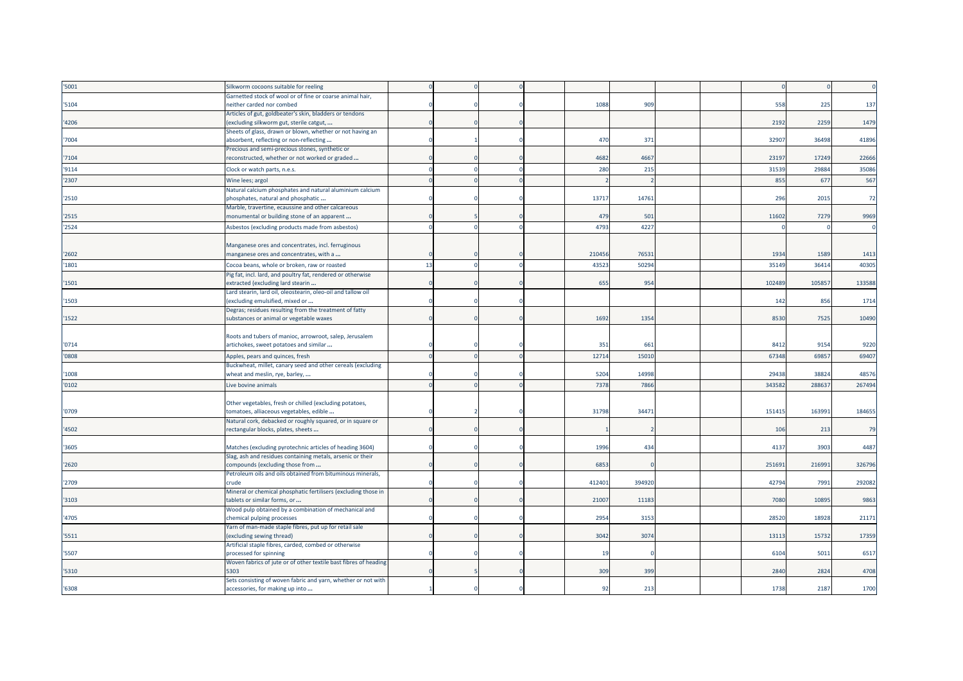| '5001 | Silkworm cocoons suitable for reeling                                                               |    |  |        |        |  |        |        |        |
|-------|-----------------------------------------------------------------------------------------------------|----|--|--------|--------|--|--------|--------|--------|
|       | Garnetted stock of wool or of fine or coarse animal hair,                                           |    |  |        |        |  |        |        |        |
| '5104 | neither carded nor combed                                                                           |    |  | 1088   | 909    |  | 558    | 225    | 137    |
| '4206 | Articles of gut, goldbeater's skin, bladders or tendons<br>(excluding silkworm gut, sterile catgut, |    |  |        |        |  | 2192   | 2259   | 1479   |
|       | Sheets of glass, drawn or blown, whether or not having an                                           |    |  |        |        |  |        |        |        |
| '7004 | absorbent, reflecting or non-reflecting                                                             |    |  | 470    | 371    |  | 32907  | 36498  | 41896  |
|       | Precious and semi-precious stones, synthetic or                                                     |    |  |        |        |  |        |        |        |
| '7104 | reconstructed, whether or not worked or graded                                                      |    |  | 4682   | 4667   |  | 23197  | 17249  | 22666  |
| '9114 | Clock or watch parts, n.e.s.                                                                        |    |  | 280    | 215    |  | 31539  | 29884  | 35086  |
| '2307 | Wine lees; argol                                                                                    |    |  |        |        |  | 855    | 677    | 567    |
|       | Natural calcium phosphates and natural aluminium calcium                                            |    |  |        |        |  |        |        |        |
| '2510 | phosphates, natural and phosphatic                                                                  |    |  | 13717  | 14761  |  | 296    | 2015   | 72     |
| '2515 | Marble, travertine, ecaussine and other calcareous<br>monumental or building stone of an apparent   |    |  | 479    | 501    |  | 11602  | 7279   | 9969   |
|       |                                                                                                     |    |  |        |        |  |        |        |        |
| '2524 | Asbestos (excluding products made from asbestos)                                                    |    |  | 4793   | 4227   |  |        |        |        |
|       | Manganese ores and concentrates, incl. ferruginous                                                  |    |  |        |        |  |        |        |        |
| '2602 | manganese ores and concentrates, with a                                                             |    |  | 21045  | 76531  |  | 1934   | 1589   | 1413   |
| 1801  | Cocoa beans, whole or broken, raw or roasted                                                        | 13 |  | 43523  | 50294  |  | 35149  | 36414  | 40305  |
|       | Pig fat, incl. lard, and poultry fat, rendered or otherwise                                         |    |  |        |        |  |        |        |        |
| '1501 | extracted (excluding lard stearin                                                                   |    |  | 655    | 954    |  | 102489 | 10585  | 133588 |
|       | Lard stearin, lard oil, oleostearin, oleo-oil and tallow oil                                        |    |  |        |        |  |        |        |        |
| 1503  | (excluding emulsified, mixed or                                                                     |    |  |        |        |  | 142    | 856    | 1714   |
| 1522  | Degras; residues resulting from the treatment of fatty<br>substances or animal or vegetable waxes   |    |  | 1692   | 1354   |  | 8530   | 7525   | 10490  |
|       |                                                                                                     |    |  |        |        |  |        |        |        |
|       | Roots and tubers of manioc, arrowroot, salep, Jerusalem                                             |    |  |        |        |  |        |        |        |
| '0714 | artichokes, sweet potatoes and similar                                                              |    |  | 351    | 661    |  | 8412   | 9154   | 9220   |
| '0808 | Apples, pears and quinces, fresh                                                                    |    |  | 12714  | 15010  |  | 67348  | 69857  | 69407  |
|       | Buckwheat, millet, canary seed and other cereals (excluding                                         |    |  |        |        |  |        |        |        |
| '1008 | wheat and meslin, rye, barley,                                                                      |    |  | 5204   | 14998  |  | 29438  | 38824  | 48576  |
| '0102 | Live bovine animals                                                                                 |    |  | 7378   | 7866   |  | 34358  | 288637 | 267494 |
|       |                                                                                                     |    |  |        |        |  |        |        |        |
| '0709 | Other vegetables, fresh or chilled (excluding potatoes,<br>tomatoes, alliaceous vegetables, edible  |    |  | 31798  | 34471  |  | 151415 | 163991 | 184655 |
|       | Natural cork, debacked or roughly squared, or in square or                                          |    |  |        |        |  |        |        |        |
| '4502 | rectangular blocks, plates, sheets                                                                  |    |  |        |        |  | 106    | 213    | 79     |
|       |                                                                                                     |    |  |        |        |  |        |        |        |
| 3605  | Matches (excluding pyrotechnic articles of heading 3604)                                            |    |  | 1996   | 434    |  | 4137   | 3903   | 4487   |
|       | Slag, ash and residues containing metals, arsenic or their                                          |    |  |        |        |  |        |        |        |
| 2620  | compounds (excluding those from                                                                     |    |  | 6853   |        |  | 251691 | 216991 | 326796 |
| '2709 | Petroleum oils and oils obtained from bituminous minerals,<br>crude                                 |    |  | 412401 | 394920 |  | 42794  | 7991   | 292082 |
|       | Mineral or chemical phosphatic fertilisers (excluding those in                                      |    |  |        |        |  |        |        |        |
| '3103 | tablets or similar forms, or                                                                        |    |  | 21007  | 11183  |  | 7080   | 10895  | 9863   |
|       | Wood pulp obtained by a combination of mechanical and                                               |    |  |        |        |  |        |        |        |
| '4705 | chemical pulping processes                                                                          |    |  | 2954   | 3153   |  | 28520  | 18928  | 21171  |
|       | Yarn of man-made staple fibres, put up for retail sale                                              |    |  | 3042   |        |  | 13113  | 15732  |        |
| '5511 | (excluding sewing thread)<br>Artificial staple fibres, carded, combed or otherwise                  |    |  |        | 3074   |  |        |        | 17359  |
| '5507 | processed for spinning                                                                              |    |  | 19     |        |  | 6104   | 5011   | 6517   |
|       | Woven fabrics of jute or of other textile bast fibres of heading                                    |    |  |        |        |  |        |        |        |
| '5310 | 5303                                                                                                |    |  | 309    | 399    |  | 2840   | 2824   | 4708   |
|       | Sets consisting of woven fabric and yarn, whether or not with                                       |    |  |        |        |  |        |        |        |
| '6308 | accessories, for making up into                                                                     |    |  | 92     | 213    |  | 1738   | 2187   | 1700   |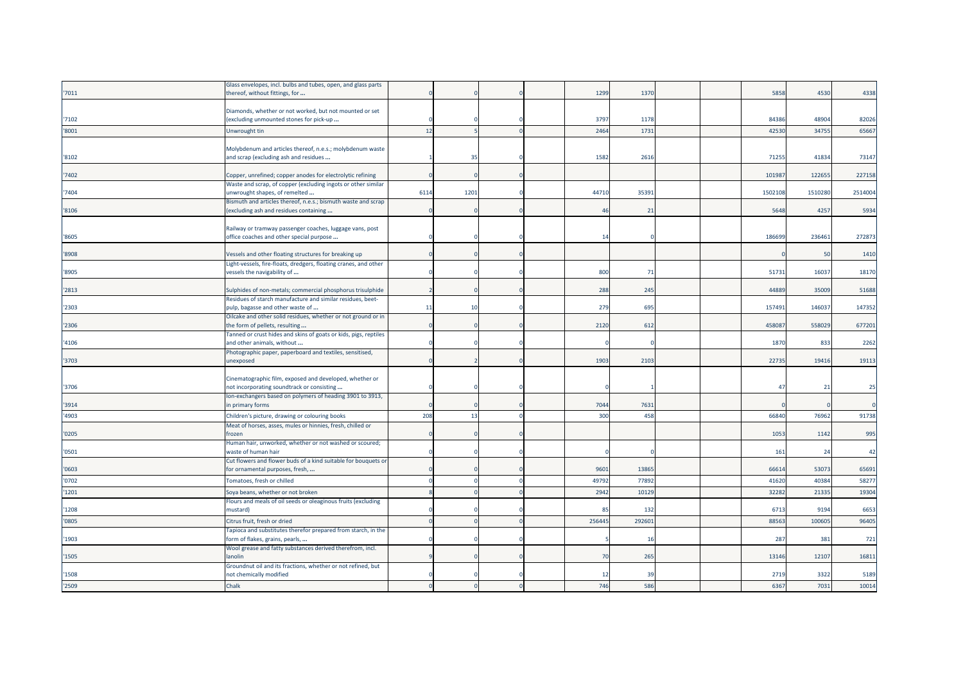|       | Glass envelopes, incl. bulbs and tubes, open, and glass parts    |      |      |  |              |       |  |          |         |         |
|-------|------------------------------------------------------------------|------|------|--|--------------|-------|--|----------|---------|---------|
| '7011 | thereof, without fittings, for                                   |      |      |  | 1299         | 1370  |  | 5858     | 4530    | 4338    |
|       |                                                                  |      |      |  |              |       |  |          |         |         |
|       | Diamonds, whether or not worked, but not mounted or set          |      |      |  |              |       |  |          |         |         |
| '7102 | (excluding unmounted stones for pick-up                          |      |      |  | 3797         | 1178  |  | 84386    | 48904   | 82026   |
| '8001 | Unwrought tin                                                    | 12   |      |  | 2464         | 1731  |  | 42530    | 34755   | 65667   |
|       |                                                                  |      |      |  |              |       |  |          |         |         |
|       | Molybdenum and articles thereof, n.e.s.; molybdenum waste        |      |      |  |              |       |  |          |         |         |
| '8102 | and scrap (excluding ash and residues                            |      | 35   |  | 1582         | 2616  |  | 71255    | 41834   | 73147   |
|       |                                                                  |      |      |  |              |       |  |          |         |         |
| '7402 | Copper, unrefined; copper anodes for electrolytic refining       |      |      |  |              |       |  | 10198    | 122655  | 227158  |
|       | Waste and scrap, of copper (excluding ingots or other similar    |      |      |  |              |       |  |          |         |         |
| '7404 | unwrought shapes, of remelted                                    | 6114 | 1201 |  | 44710        | 35391 |  | 150210   | 1510280 | 2514004 |
|       | Bismuth and articles thereof, n.e.s.; bismuth waste and scrap    |      |      |  |              |       |  |          |         |         |
| '8106 | (excluding ash and residues containing                           |      |      |  | 46           | 21    |  | 5648     | 4257    | 5934    |
|       |                                                                  |      |      |  |              |       |  |          |         |         |
|       | Railway or tramway passenger coaches, luggage vans, post         |      |      |  |              |       |  |          |         |         |
| '8605 | office coaches and other special purpose                         |      |      |  | $\mathbf{1}$ |       |  | 18669    | 23646   | 272873  |
|       |                                                                  |      |      |  |              |       |  |          |         |         |
| '8908 | Vessels and other floating structures for breaking up            |      |      |  |              |       |  |          | 50      | 1410    |
|       | Light-vessels, fire-floats, dredgers, floating cranes, and other |      |      |  |              |       |  |          |         |         |
| '8905 | vessels the navigability of                                      |      |      |  | 800          | 71    |  | 51731    | 16037   | 18170   |
|       |                                                                  |      |      |  |              |       |  |          |         |         |
| '2813 | Sulphides of non-metals; commercial phosphorus trisulphide       |      |      |  | 288          | 245   |  | 44889    | 35009   | 51688   |
|       | Residues of starch manufacture and similar residues, beet-       |      |      |  |              |       |  |          |         |         |
| '2303 | pulp, bagasse and other waste of                                 | 11   | 10   |  | 279          | 695   |  | 157491   | 146037  | 147352  |
|       | Oilcake and other solid residues, whether or not ground or in    |      |      |  |              |       |  |          |         |         |
| '2306 | the form of pellets, resulting                                   |      |      |  | 2120         | 612   |  | 45808    | 558029  | 677201  |
|       | Tanned or crust hides and skins of goats or kids, pigs, reptiles |      |      |  |              |       |  |          |         |         |
| '4106 | and other animals, without                                       |      |      |  |              |       |  | 1870     | 833     | 2262    |
|       | Photographic paper, paperboard and textiles, sensitised,         |      |      |  |              |       |  |          |         |         |
| '3703 | <b>inexposed</b>                                                 |      |      |  | 1903         | 2103  |  | 22735    | 19416   | 19113   |
|       |                                                                  |      |      |  |              |       |  |          |         |         |
|       | Cinematographic film, exposed and developed, whether or          |      |      |  |              |       |  |          |         |         |
| '3706 | not incorporating soundtrack or consisting                       |      |      |  |              |       |  | $\Delta$ | 21      | 25      |
|       | Ion-exchangers based on polymers of heading 3901 to 3913,        |      |      |  |              |       |  |          |         |         |
| '3914 | n primary forms                                                  |      |      |  | 7044         | 7631  |  |          |         |         |
| '4903 | Children's picture, drawing or colouring books                   | 208  | 13   |  | 300          | 458   |  | 66840    | 76962   | 91738   |
|       | Meat of horses, asses, mules or hinnies, fresh, chilled or       |      |      |  |              |       |  |          |         |         |
| '0205 | frozen                                                           |      |      |  |              |       |  | 1053     | 1142    | 995     |
|       | Human hair, unworked, whether or not washed or scoured;          |      |      |  |              |       |  |          |         |         |
| '0501 | waste of human hair                                              |      |      |  |              |       |  | 16       | 24      | 42      |
|       | Cut flowers and flower buds of a kind suitable for bouquets or   |      |      |  |              |       |  |          |         |         |
| '0603 | for ornamental purposes, fresh,                                  |      |      |  | 9601         | 13865 |  | 66614    | 53073   | 65691   |
| '0702 | Tomatoes, fresh or chilled                                       |      |      |  | 49792        | 77892 |  | 4162     | 40384   | 58277   |
| '1201 | Soya beans, whether or not broken                                |      |      |  | 2942         | 1012  |  | 3228     | 2133    | 19304   |
|       | Flours and meals of oil seeds or oleaginous fruits (excluding    |      |      |  |              |       |  |          |         |         |
| '1208 | mustard)                                                         |      |      |  | 8            | 132   |  | 6713     | 9194    | 6653    |
|       |                                                                  |      |      |  |              |       |  |          |         |         |
| '0805 | Citrus fruit, fresh or dried                                     |      |      |  | 256445       | 29260 |  | 88563    | 100605  | 96405   |
|       | Tapioca and substitutes therefor prepared from starch, in the    |      |      |  |              |       |  |          |         |         |
| '1903 | form of flakes, grains, pearls,                                  |      |      |  |              | 16    |  | 287      | 381     | 721     |
|       | Wool grease and fatty substances derived therefrom, incl.        |      |      |  |              |       |  |          |         |         |
| '1505 | lanolin                                                          |      |      |  | 70           | 265   |  | 13146    | 12107   | 16811   |
|       | Groundnut oil and its fractions, whether or not refined, but     |      |      |  |              |       |  |          |         |         |
| '1508 | not chemically modified                                          |      |      |  | 12           | 39    |  | 2719     | 3322    | 5189    |
| '2509 | Chalk                                                            |      |      |  | 746          | 586   |  | 6367     | 7031    | 10014   |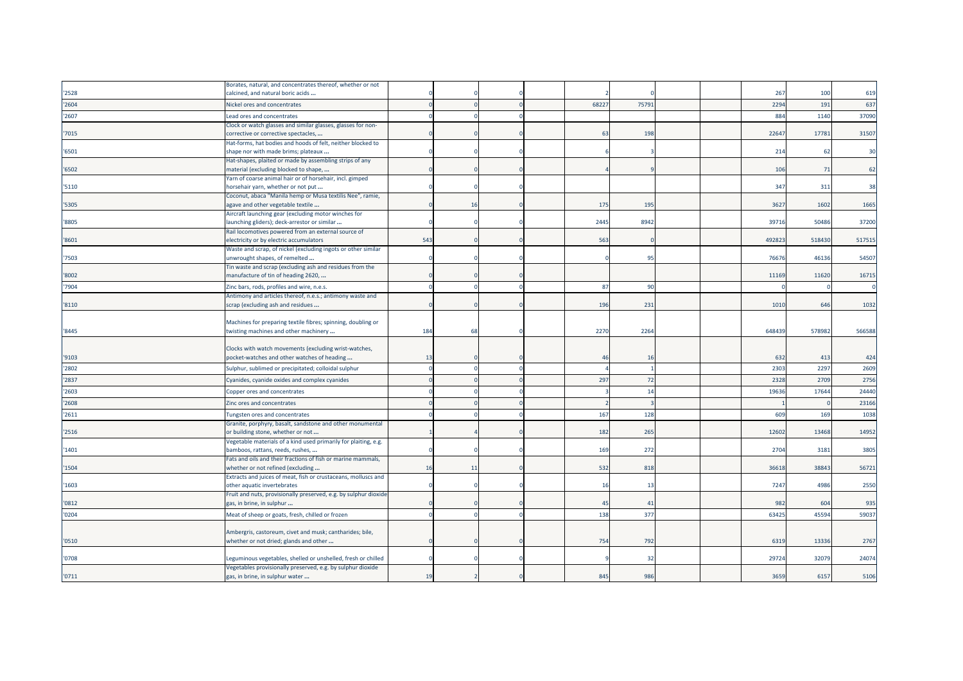|       | Borates, natural, and concentrates thereof, whether or not                                            |     |    |  |       |       |  |                 |        |        |
|-------|-------------------------------------------------------------------------------------------------------|-----|----|--|-------|-------|--|-----------------|--------|--------|
| '2528 | calcined, and natural boric acids                                                                     |     |    |  |       |       |  | 267             | 100    | 619    |
| '2604 | Nickel ores and concentrates                                                                          |     |    |  | 68227 | 75791 |  | 2294            | 191    | 637    |
| '2607 | Lead ores and concentrates                                                                            |     |    |  |       |       |  | 884             | 1140   | 37090  |
| '7015 | Clock or watch glasses and similar glasses, glasses for non-<br>corrective or corrective spectacles,  |     |    |  | 63    | 198   |  | 2264            | 17781  | 31507  |
| '6501 | Hat-forms, hat bodies and hoods of felt, neither blocked to<br>shape nor with made brims; plateaux    |     |    |  |       |       |  | 214             | 62     | 30     |
| '6502 | Hat-shapes, plaited or made by assembling strips of any<br>material (excluding blocked to shape,      |     |    |  |       |       |  | 106             | 71     | 62     |
| '5110 | Yarn of coarse animal hair or of horsehair, incl. gimped<br>norsehair yarn, whether or not put        |     |    |  |       |       |  | 347             | 311    | 38     |
| '5305 | Coconut, abaca "Manila hemp or Musa textilis Nee", ramie,<br>agave and other vegetable textile        |     | 16 |  | 175   | 195   |  | 3627            | 1602   | 1665   |
| '8805 | Aircraft launching gear (excluding motor winches for<br>launching gliders); deck-arrestor or similar  |     |    |  | 2445  | 8942  |  | 3971            | 50486  | 37200  |
| '8601 | Rail locomotives powered from an external source of<br>electricity or by electric accumulators        | 543 |    |  | 563   |       |  | 49282           | 518430 | 517515 |
| '7503 | Waste and scrap, of nickel (excluding ingots or other similar<br>unwrought shapes, of remelted        |     |    |  |       | 95    |  | 7667            | 46136  | 54507  |
| '8002 | Tin waste and scrap (excluding ash and residues from the<br>manufacture of tin of heading 2620,       |     |    |  |       |       |  | 11169           | 11620  | 16715  |
| '7904 | Zinc bars, rods, profiles and wire, n.e.s.                                                            |     |    |  | 87    | 90    |  |                 |        |        |
| '8110 | Antimony and articles thereof, n.e.s.; antimony waste and<br>scrap (excluding ash and residues        |     |    |  | 196   | 231   |  | 1010            | 646    | 1032   |
| '8445 | Machines for preparing textile fibres; spinning, doubling or<br>twisting machines and other machinery | 184 | 68 |  | 2270  | 2264  |  | 648439          | 578982 | 566588 |
| '9103 | Clocks with watch movements (excluding wrist-watches,<br>pocket-watches and other watches of heading  | 13  |    |  | 46    | 16    |  | 632             | 413    | 424    |
| '2802 | Sulphur, sublimed or precipitated; colloidal sulphur                                                  |     |    |  |       |       |  | 2303            | 2297   | 2609   |
| '2837 | Cyanides, cyanide oxides and complex cyanides                                                         |     |    |  | 297   | 72    |  | 2328            | 2709   | 2756   |
| '2603 | Copper ores and concentrates                                                                          |     |    |  |       | 14    |  | 1963            | 17644  | 24440  |
| '2608 | Zinc ores and concentrates                                                                            |     |    |  |       |       |  |                 |        | 23166  |
| '2611 | Tungsten ores and concentrates                                                                        |     |    |  | 167   | 128   |  | 60 <sup>g</sup> | 169    | 1038   |
| '2516 | Granite, porphyry, basalt, sandstone and other monumental<br>or building stone, whether or not        |     |    |  | 182   | 265   |  | 12602           | 13468  | 14952  |
| '1401 | Vegetable materials of a kind used primarily for plaiting, e.g.<br>bamboos, rattans, reeds, rushes,   |     |    |  | 169   | 272   |  | 2704            | 3181   | 3805   |
| '1504 | Fats and oils and their fractions of fish or marine mammals,<br>whether or not refined (excluding     | 16  | 11 |  | 532   | 818   |  | 36618           | 38843  | 56721  |
| 1603  | Extracts and juices of meat, fish or crustaceans, molluscs and<br>other aquatic invertebrates         |     |    |  | 16    | 13    |  | 7247            | 4986   | 2550   |
| '0812 | Fruit and nuts, provisionally preserved, e.g. by sulphur dioxide<br>gas, in brine, in sulphur         |     |    |  | 45    | 41    |  | 982             | 604    | 935    |
| '0204 | Meat of sheep or goats, fresh, chilled or frozen                                                      |     |    |  | 138   | 377   |  | 6342            | 45594  | 59037  |
|       |                                                                                                       |     |    |  |       |       |  |                 |        |        |
| '0510 | Ambergris, castoreum, civet and musk; cantharides; bile,<br>whether or not dried; glands and other    |     |    |  | 754   | 792   |  | 6319            | 13336  | 2767   |
| '0708 | Leguminous vegetables, shelled or unshelled, fresh or chilled                                         |     |    |  |       | 32    |  | 2972            | 32079  | 24074  |
| '0711 | Vegetables provisionally preserved, e.g. by sulphur dioxide<br>gas, in brine, in sulphur water        | 19  |    |  | 845   | 986   |  | 3659            | 6157   | 5106   |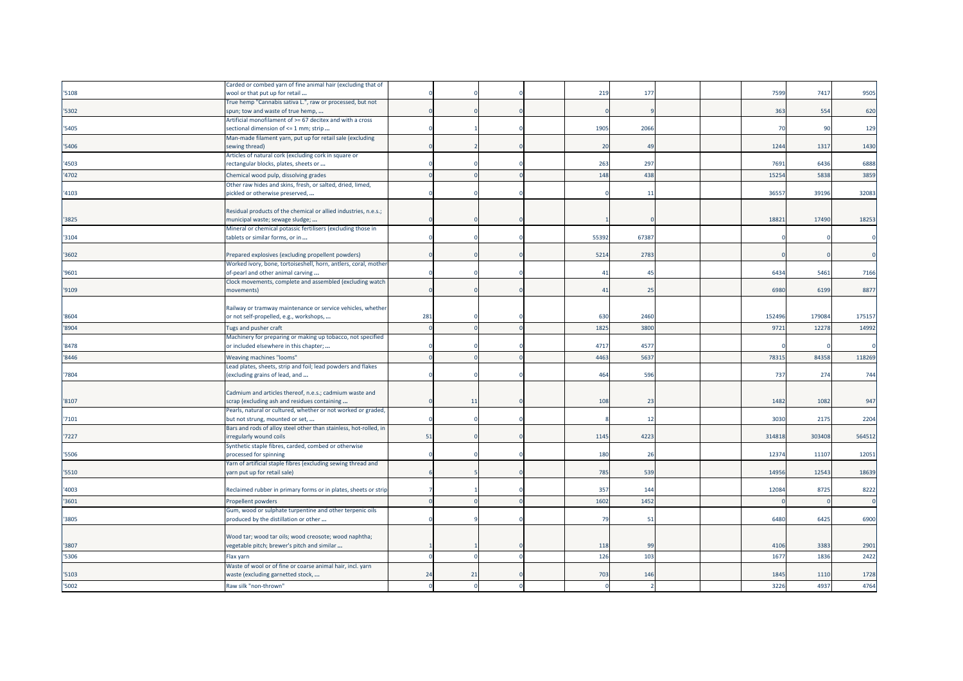|       | Carded or combed yarn of fine animal hair (excluding that of      |     |       |  |       |                |  |       |        |        |
|-------|-------------------------------------------------------------------|-----|-------|--|-------|----------------|--|-------|--------|--------|
| '5108 | wool or that put up for retail                                    |     |       |  | 219   | 177            |  | 7599  | 7417   | 9505   |
|       | True hemp "Cannabis sativa L.", raw or processed, but not         |     |       |  |       |                |  |       |        |        |
| '5302 | spun; tow and waste of true hemp,                                 |     |       |  |       |                |  | 363   | 554    | 620    |
|       | Artificial monofilament of >= 67 decitex and with a cross         |     |       |  |       |                |  |       |        |        |
| '5405 | sectional dimension of <= 1 mm; strip                             |     |       |  | 1905  | 2066           |  | 70    | 90     | 129    |
|       | Man-made filament yarn, put up for retail sale (excluding         |     |       |  |       |                |  |       |        |        |
| '5406 | sewing thread)                                                    |     |       |  | 20    | 4 <sup>c</sup> |  | 1244  | 1317   | 1430   |
|       | Articles of natural cork (excluding cork in square or             |     |       |  |       |                |  |       |        |        |
| '4503 | rectangular blocks, plates, sheets or                             |     |       |  | 263   | 297            |  | 7691  | 6436   | 6888   |
| '4702 | Chemical wood pulp, dissolving grades                             |     |       |  | 148   | 438            |  | 15254 | 5838   | 3859   |
|       | Other raw hides and skins, fresh, or salted, dried, limed,        |     |       |  |       |                |  |       |        |        |
| '4103 | pickled or otherwise preserved,                                   |     |       |  |       | -11            |  | 3655  | 39196  | 32083  |
|       |                                                                   |     |       |  |       |                |  |       |        |        |
|       | Residual products of the chemical or allied industries, n.e.s.;   |     |       |  |       |                |  |       |        |        |
| '3825 | municipal waste; sewage sludge;                                   |     |       |  |       |                |  | 1882  | 17490  | 18253  |
|       | Mineral or chemical potassic fertilisers (excluding those in      |     |       |  |       |                |  |       |        |        |
| '3104 | tablets or similar forms, or in                                   |     |       |  | 55392 | 6738           |  |       |        |        |
|       |                                                                   |     |       |  |       |                |  |       |        |        |
| '3602 | Prepared explosives (excluding propellent powders)                |     |       |  | 5214  | 2783           |  |       |        |        |
|       | Worked ivory, bone, tortoiseshell, horn, antlers, coral, mother   |     |       |  |       |                |  |       |        |        |
| '9601 | of-pearl and other animal carving                                 |     |       |  | 41    | 45             |  | 6434  | 5461   | 7166   |
|       | Clock movements, complete and assembled (excluding watch          |     |       |  |       |                |  |       |        |        |
| '9109 | movements)                                                        |     |       |  | 41    | 25             |  | 6980  | 6199   | 8877   |
|       |                                                                   |     |       |  |       |                |  |       |        |        |
|       | Railway or tramway maintenance or service vehicles, whether       |     |       |  |       |                |  |       |        |        |
| '8604 | or not self-propelled, e.g., workshops,                           | 281 |       |  | 630   | 2460           |  | 15249 | 179084 | 175157 |
| '8904 | Tugs and pusher craft                                             |     |       |  | 1825  | 380            |  | 972   | 12278  | 14992  |
|       | Machinery for preparing or making up tobacco, not specified       |     |       |  |       |                |  |       |        |        |
| '8478 | or included elsewhere in this chapter;                            |     |       |  | 471   | 457            |  |       |        |        |
| '8446 | Weaving machines "looms"                                          |     |       |  | 4463  | 563            |  | 7831  | 84358  | 118269 |
|       | Lead plates, sheets, strip and foil; lead powders and flakes      |     |       |  |       |                |  |       |        |        |
| '7804 | (excluding grains of lead, and                                    |     |       |  | 464   | 596            |  | 737   | 274    | 744    |
|       |                                                                   |     |       |  |       |                |  |       |        |        |
|       | Cadmium and articles thereof, n.e.s.; cadmium waste and           |     |       |  |       |                |  |       |        |        |
| '8107 | scrap (excluding ash and residues containing                      |     | $\pm$ |  | 108   | 23             |  | 1482  | 1082   | 947    |
|       | Pearls, natural or cultured, whether or not worked or graded,     |     |       |  |       |                |  |       |        |        |
| '7101 | but not strung, mounted or set,                                   |     |       |  |       | 12             |  | 3030  | 2175   | 2204   |
|       | Bars and rods of alloy steel other than stainless, hot-rolled, in |     |       |  |       |                |  |       |        |        |
| '7227 | irregularly wound coils                                           | 51  |       |  | 1145  | 4223           |  | 31481 | 303408 | 564512 |
|       | Synthetic staple fibres, carded, combed or otherwise              |     |       |  |       |                |  |       |        |        |
| '5506 | processed for spinning                                            |     |       |  | 180   | 26             |  | 12374 | 11107  | 12051  |
|       | Yarn of artificial staple fibres (excluding sewing thread and     |     |       |  |       |                |  |       |        |        |
| '5510 | yarn put up for retail sale)                                      |     |       |  | 785   | 539            |  | 14956 | 12543  | 18639  |
|       |                                                                   |     |       |  |       |                |  |       |        |        |
| '4003 | Reclaimed rubber in primary forms or in plates, sheets or strip   |     |       |  | 357   | 144            |  | 1208  | 8725   | 8222   |
| '3601 | Propellent powders                                                |     |       |  | 1602  | 1452           |  |       |        |        |
|       | Gum, wood or sulphate turpentine and other terpenic oils          |     |       |  |       |                |  |       |        |        |
| '3805 | produced by the distillation or other                             |     |       |  | 79    | 51             |  | 6480  | 6425   | 6900   |
|       |                                                                   |     |       |  |       |                |  |       |        |        |
|       | Wood tar; wood tar oils; wood creosote; wood naphtha;             |     |       |  |       |                |  |       |        |        |
| '3807 | regetable pitch; brewer's pitch and similar                       |     |       |  | 118   | go             |  | 4106  | 3383   | 2901   |
| '5306 | Flax yarn                                                         |     |       |  | 126   | 103            |  | 1677  | 1836   | 2422   |
|       | Waste of wool or of fine or coarse animal hair, incl. yarn        |     |       |  |       |                |  |       |        |        |
| '5103 | waste (excluding garnetted stock,                                 | 24  | 21    |  | 703   | 146            |  | 1845  | 1110   | 1728   |
| '5002 | Raw silk "non-thrown"                                             |     |       |  |       |                |  | 3226  | 4937   | 4764   |
|       |                                                                   |     |       |  |       |                |  |       |        |        |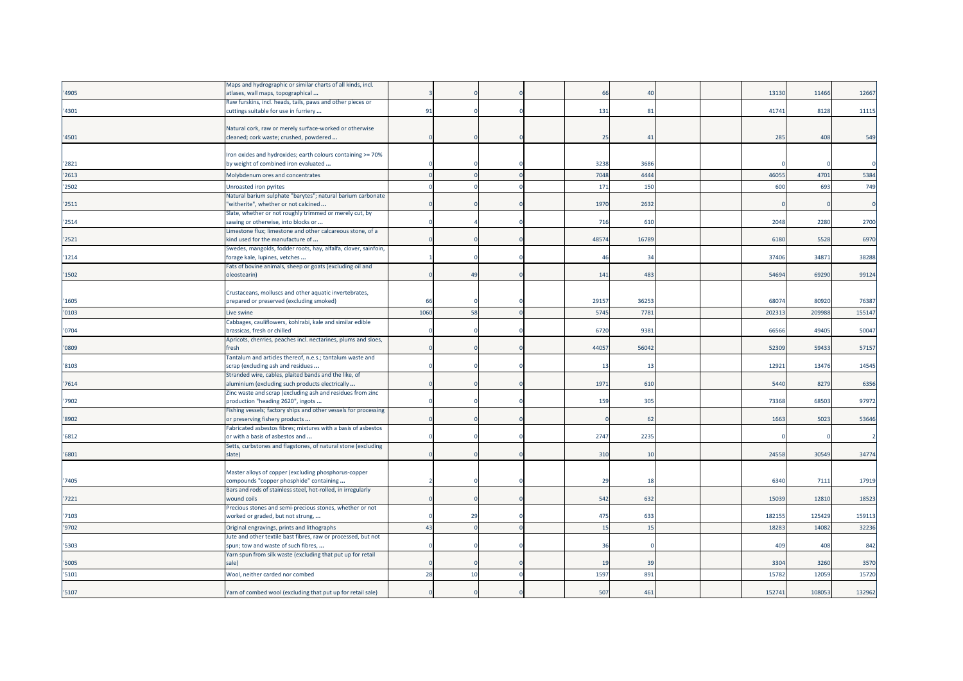|       | Maps and hydrographic or similar charts of all kinds, incl.                                        |      |           |  |           |       |  |        |        |        |
|-------|----------------------------------------------------------------------------------------------------|------|-----------|--|-----------|-------|--|--------|--------|--------|
| '4905 | atlases, wall maps, topographical                                                                  |      |           |  | <b>66</b> |       |  | 13130  | 11466  | 12667  |
|       | Raw furskins, incl. heads, tails, paws and other pieces or                                         |      |           |  |           |       |  |        |        |        |
| '4301 | cuttings suitable for use in furriery                                                              | 91   |           |  | 131       | 81    |  | 41741  | 8128   | 11115  |
|       |                                                                                                    |      |           |  |           |       |  |        |        |        |
|       | Natural cork, raw or merely surface-worked or otherwise                                            |      |           |  |           |       |  |        |        |        |
| '4501 | cleaned; cork waste; crushed, powdered                                                             |      |           |  | 25        | 41    |  | 285    | 408    | 549    |
|       |                                                                                                    |      |           |  |           |       |  |        |        |        |
|       | Iron oxides and hydroxides; earth colours containing >= 70%                                        |      |           |  |           |       |  |        |        |        |
| '2821 | by weight of combined iron evaluated                                                               |      |           |  | 3238      | 3686  |  |        |        |        |
| '2613 | Molybdenum ores and concentrates                                                                   |      |           |  | 7048      | 4444  |  | 4605   | 4701   | 5384   |
| '2502 | Unroasted iron pyrites                                                                             |      |           |  | 171       | 150   |  | 600    | 693    | 749    |
|       | Natural barium sulphate "barytes"; natural barium carbonate                                        |      |           |  |           |       |  |        |        |        |
| '2511 | witherite", whether or not calcined                                                                |      |           |  | 1970      | 2632  |  |        |        |        |
|       | Slate, whether or not roughly trimmed or merely cut, by                                            |      |           |  |           |       |  |        |        |        |
| '2514 | sawing or otherwise, into blocks or                                                                |      |           |  | 716       | 610   |  | 2048   | 2280   | 2700   |
|       | Limestone flux; limestone and other calcareous stone, of a                                         |      |           |  |           |       |  |        |        |        |
| '2521 | kind used for the manufacture of                                                                   |      |           |  | 48574     | 16789 |  | 6180   | 5528   | 6970   |
|       | Swedes, mangolds, fodder roots, hay, alfalfa, clover, sainfoin,                                    |      |           |  |           |       |  |        |        |        |
| '1214 | forage kale, lupines, vetches                                                                      |      |           |  | 46        | 34    |  | 37406  | 34871  | 38288  |
|       | Fats of bovine animals, sheep or goats (excluding oil and                                          |      |           |  |           |       |  |        |        |        |
| '1502 | oleostearin)                                                                                       |      | 49        |  | 141       | 483   |  | 54694  | 69290  | 99124  |
|       |                                                                                                    |      |           |  |           |       |  |        |        |        |
| '1605 | Crustaceans, molluscs and other aquatic invertebrates,<br>prepared or preserved (excluding smoked) | 66   |           |  | 29157     | 36253 |  | 6807   | 80920  | 76387  |
|       |                                                                                                    |      |           |  |           |       |  |        |        |        |
| '0103 | Live swine                                                                                         | 1060 | 58        |  | 5745      | 7781  |  | 20231  | 209988 | 155147 |
|       | Cabbages, cauliflowers, kohlrabi, kale and similar edible                                          |      |           |  |           |       |  |        |        |        |
| '0704 | brassicas, fresh or chilled                                                                        |      |           |  | 6720      | 9381  |  | 6656   | 49405  | 50047  |
| '0809 | Apricots, cherries, peaches incl. nectarines, plums and sloes,<br>resh                             |      |           |  | 44057     | 56042 |  | 52309  | 59433  | 57157  |
|       | Tantalum and articles thereof, n.e.s.; tantalum waste and                                          |      |           |  |           |       |  |        |        |        |
| '8103 | scrap (excluding ash and residues                                                                  |      |           |  | 13        | 13    |  | 12921  | 13476  | 14545  |
|       | Stranded wire, cables, plaited bands and the like, of                                              |      |           |  |           |       |  |        |        |        |
| '7614 | aluminium (excluding such products electrically                                                    |      |           |  | 1971      | 610   |  | 5440   | 8279   | 6356   |
|       | Zinc waste and scrap (excluding ash and residues from zinc                                         |      |           |  |           |       |  |        |        |        |
| '7902 | production "heading 2620", ingots                                                                  |      |           |  | 159       | 305   |  | 7336   | 6850   | 97972  |
|       | Fishing vessels; factory ships and other vessels for processing                                    |      |           |  |           |       |  |        |        |        |
| '8902 | or preserving fishery products                                                                     |      |           |  |           | 62    |  | 1663   | 5023   | 53646  |
|       | Fabricated asbestos fibres; mixtures with a basis of asbestos                                      |      |           |  |           |       |  |        |        |        |
| '6812 | or with a basis of asbestos and                                                                    |      |           |  | 2747      | 2235  |  |        |        |        |
|       | Setts, curbstones and flagstones, of natural stone (excluding                                      |      |           |  |           |       |  |        |        |        |
| '6801 | slate)                                                                                             |      |           |  | 310       | 10    |  | 24558  | 30549  | 34774  |
|       |                                                                                                    |      |           |  |           |       |  |        |        |        |
|       | Master alloys of copper (excluding phosphorus-copper                                               |      |           |  |           |       |  |        |        |        |
| '7405 | compounds "copper phosphide" containing                                                            |      |           |  | 29        | 18    |  | 6340   | 7111   | 17919  |
|       | Bars and rods of stainless steel, hot-rolled, in irregularly                                       |      |           |  |           |       |  |        |        |        |
| '7221 | wound coils                                                                                        |      |           |  | 542       | 632   |  | 1503   | 12810  | 18523  |
|       | Precious stones and semi-precious stones, whether or not                                           |      |           |  |           |       |  |        |        |        |
| '7103 | worked or graded, but not strung,                                                                  |      | <b>29</b> |  | 475       | 633   |  | 18215  | 125429 | 159113 |
| '9702 | Original engravings, prints and lithographs                                                        | 43   |           |  | 15        | 15    |  | 18283  | 14082  | 32236  |
|       | Jute and other textile bast fibres, raw or processed, but not                                      |      |           |  |           |       |  |        |        |        |
| '5303 | spun; tow and waste of such fibres,                                                                |      |           |  | 36        |       |  | 409    | 408    | 842    |
|       | Yarn spun from silk waste (excluding that put up for retail                                        |      |           |  |           |       |  |        |        |        |
| '5005 | sale)                                                                                              |      |           |  | 19        | 39    |  | 3304   | 3260   | 3570   |
| '5101 | Wool, neither carded nor combed                                                                    | 28   | 10        |  | 1597      | 891   |  | 1578   | 1205   | 15720  |
|       |                                                                                                    |      |           |  |           |       |  |        |        |        |
| '5107 | Yarn of combed wool (excluding that put up for retail sale)                                        |      |           |  | 507       | 461   |  | 152741 | 108053 | 132962 |